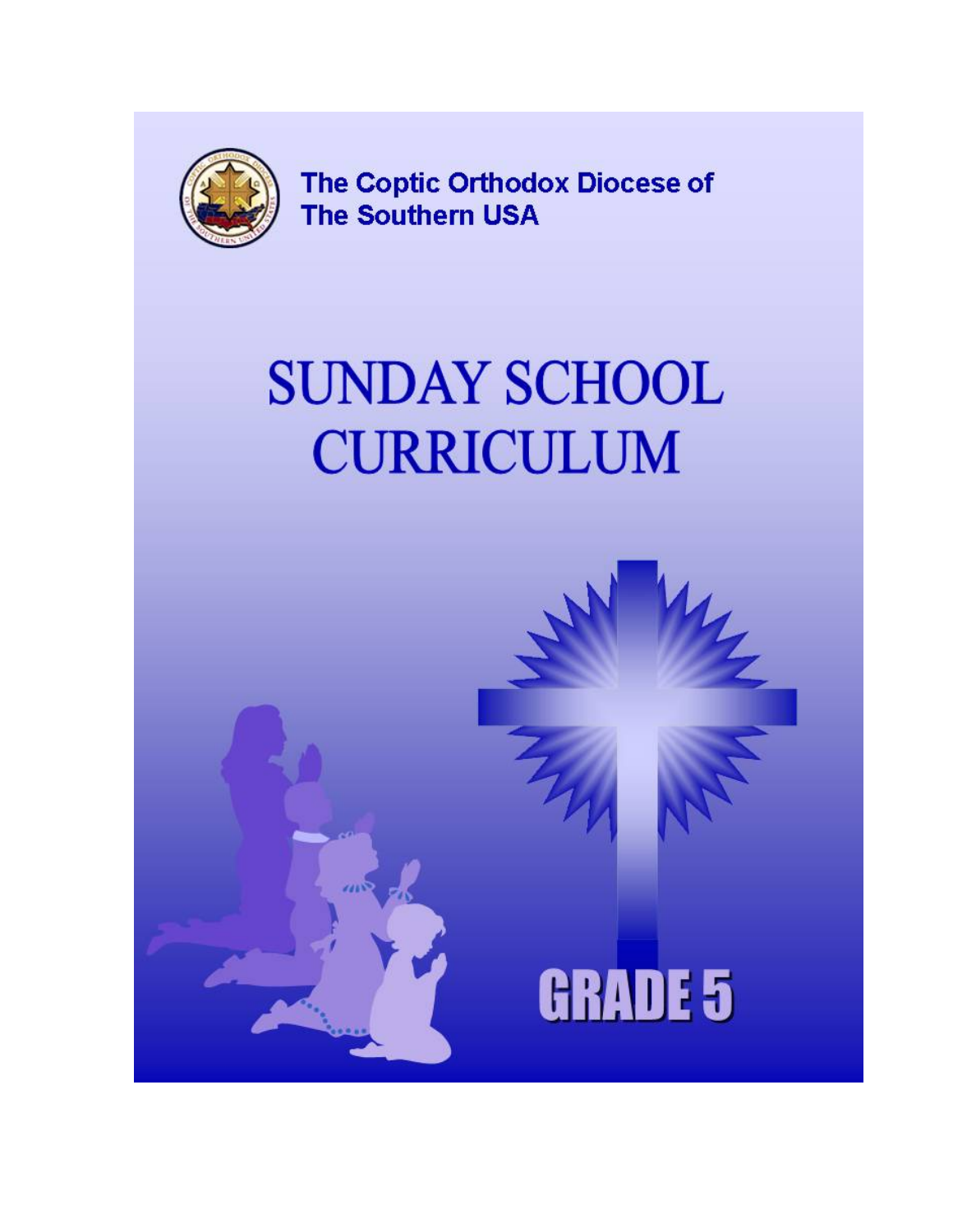

The Coptic Orthodox Diocese of<br>The Southern USA

# **SUNDAY SCHOOL CURRICULUM**

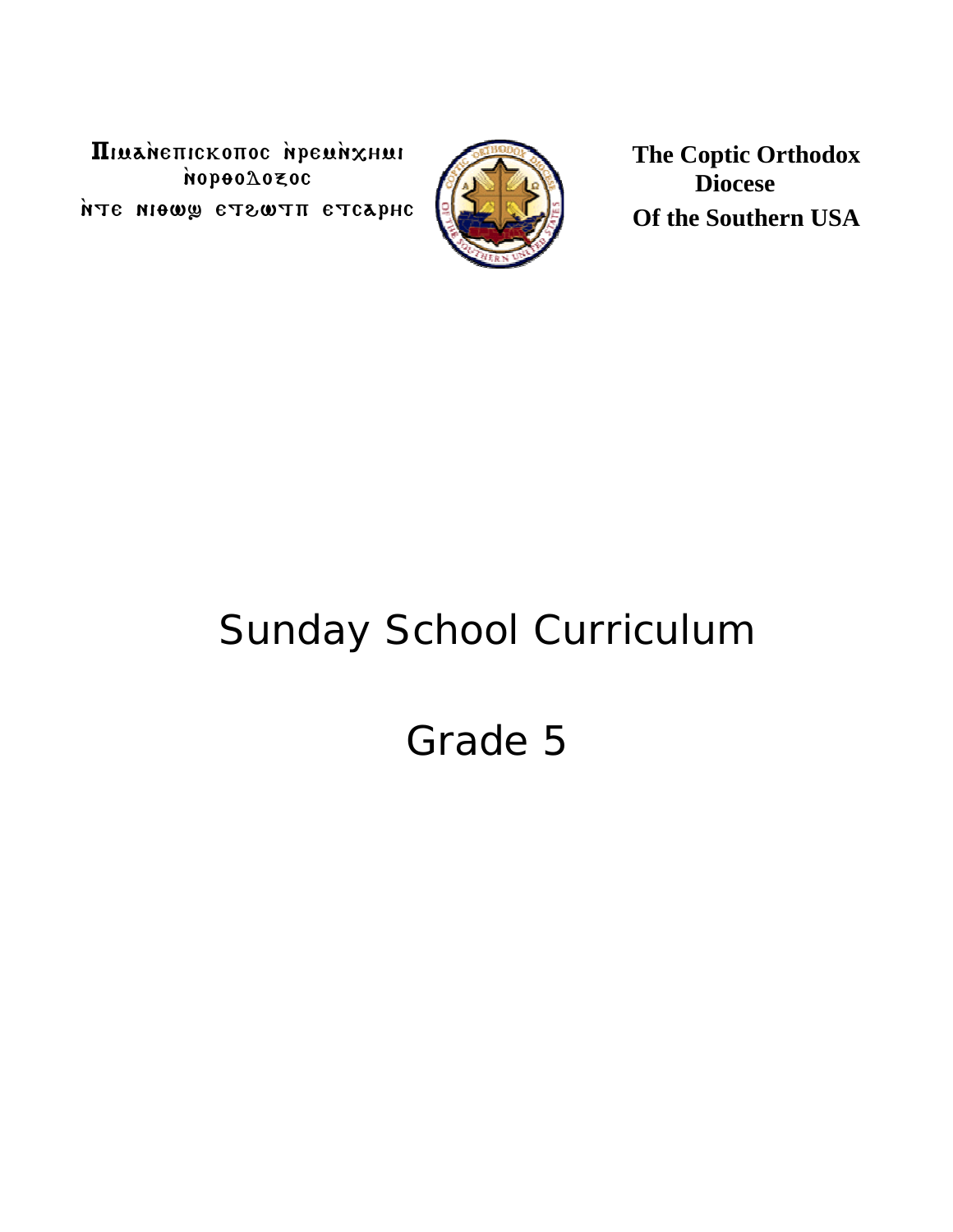Πιαλήθητα του δρεαήχειαι nopoo $\Delta$ ozoc hTe niowy etswth etcaphe



**The Coptic Orthodox Diocese Of the Southern USA** 

## Sunday School Curriculum

Grade 5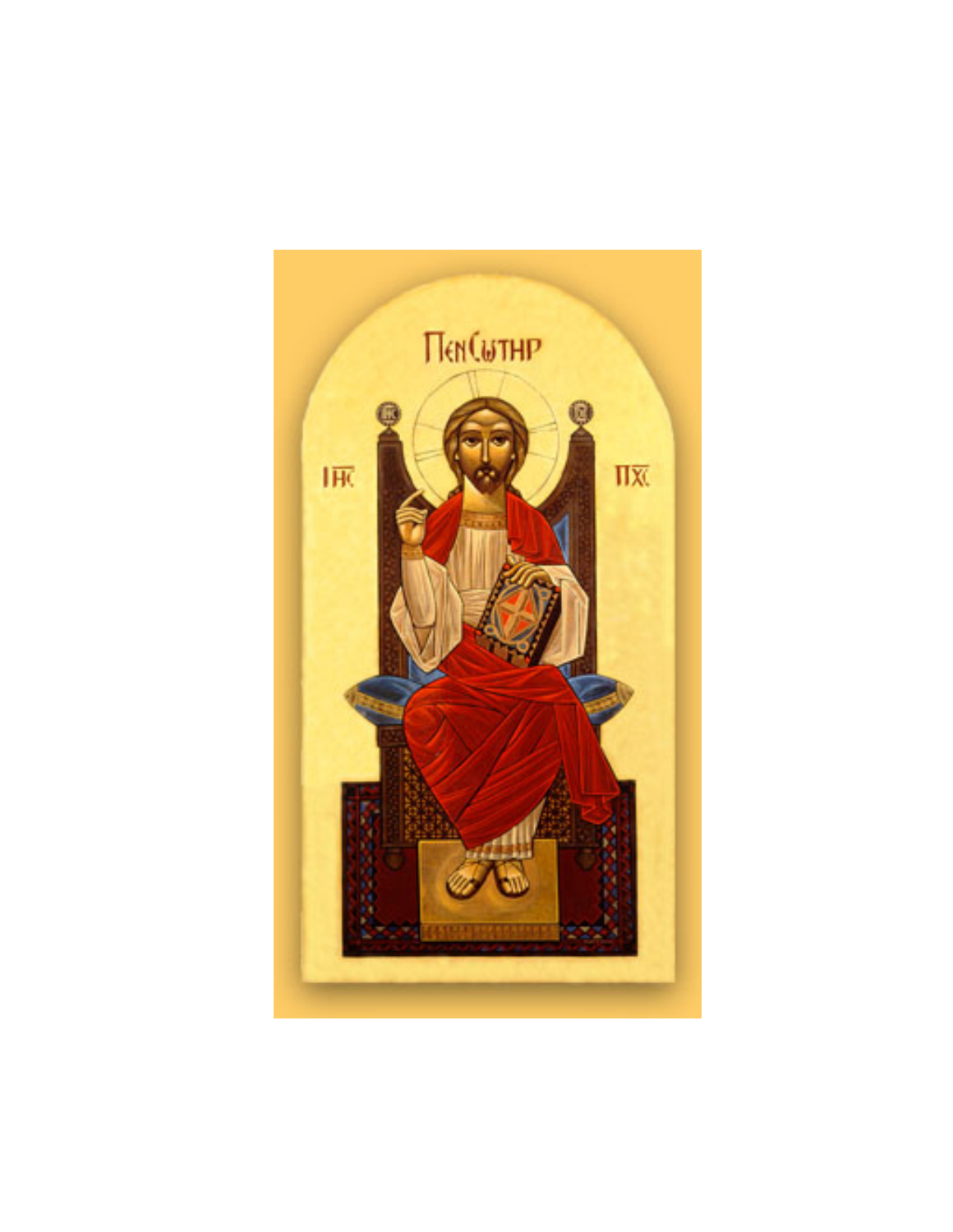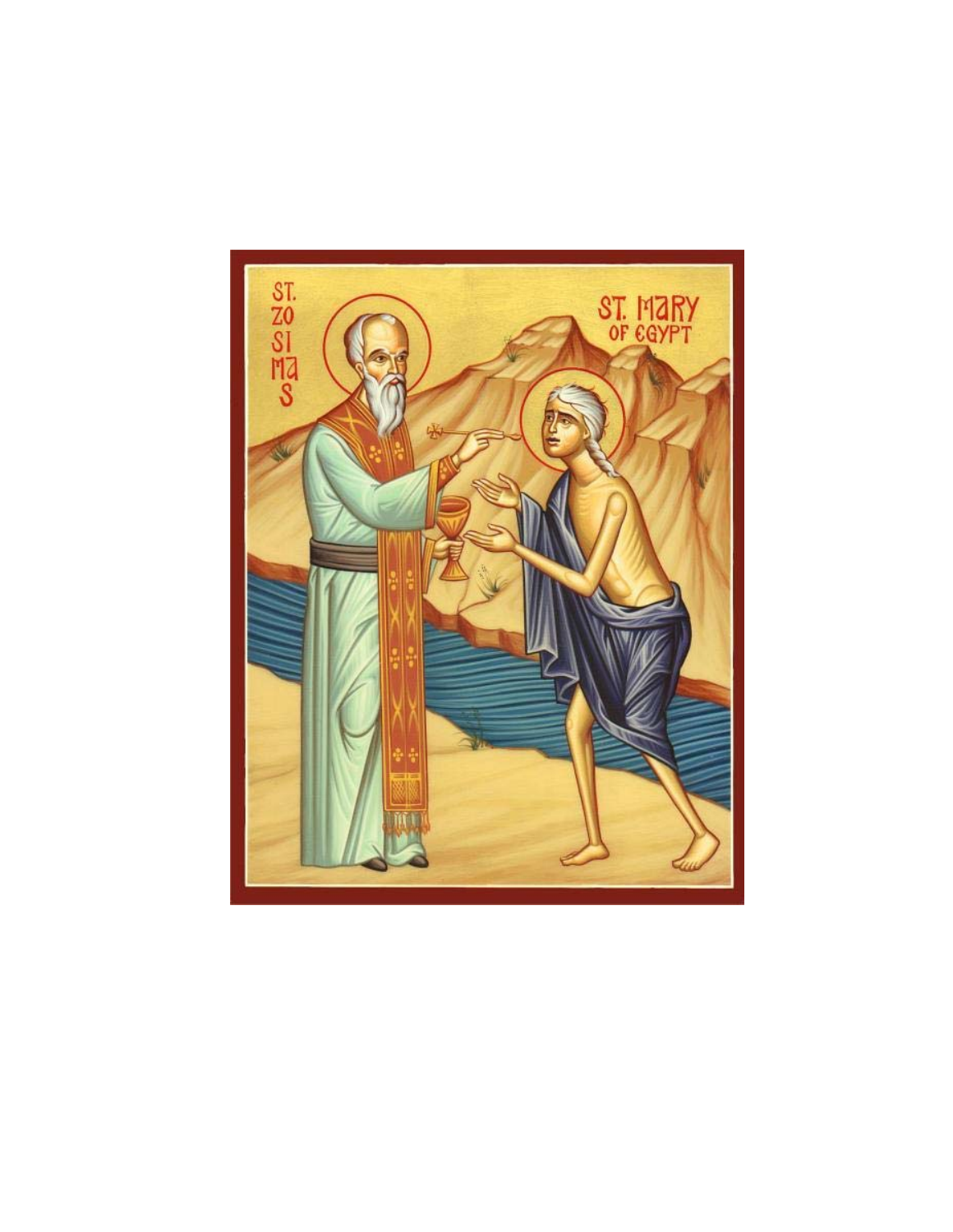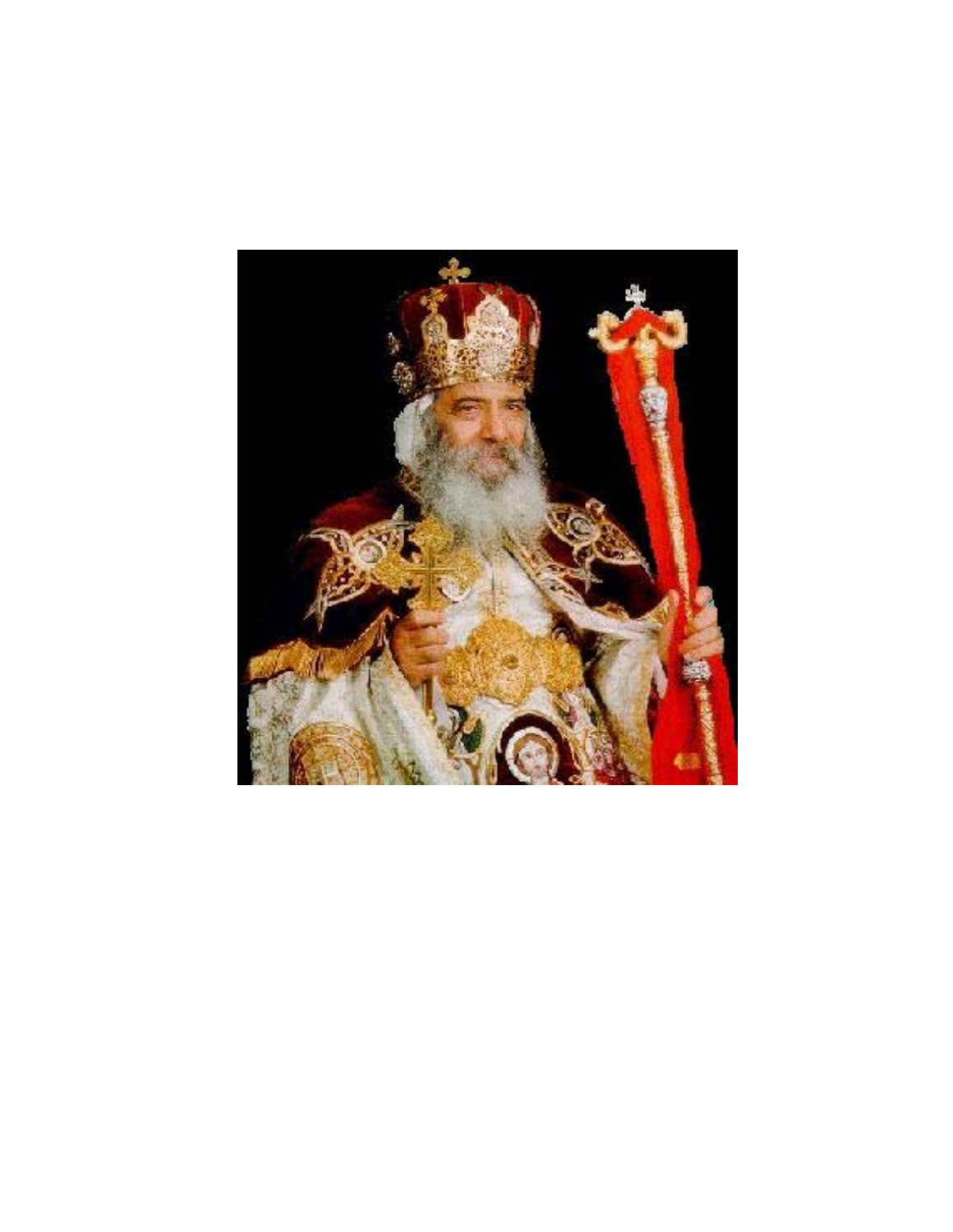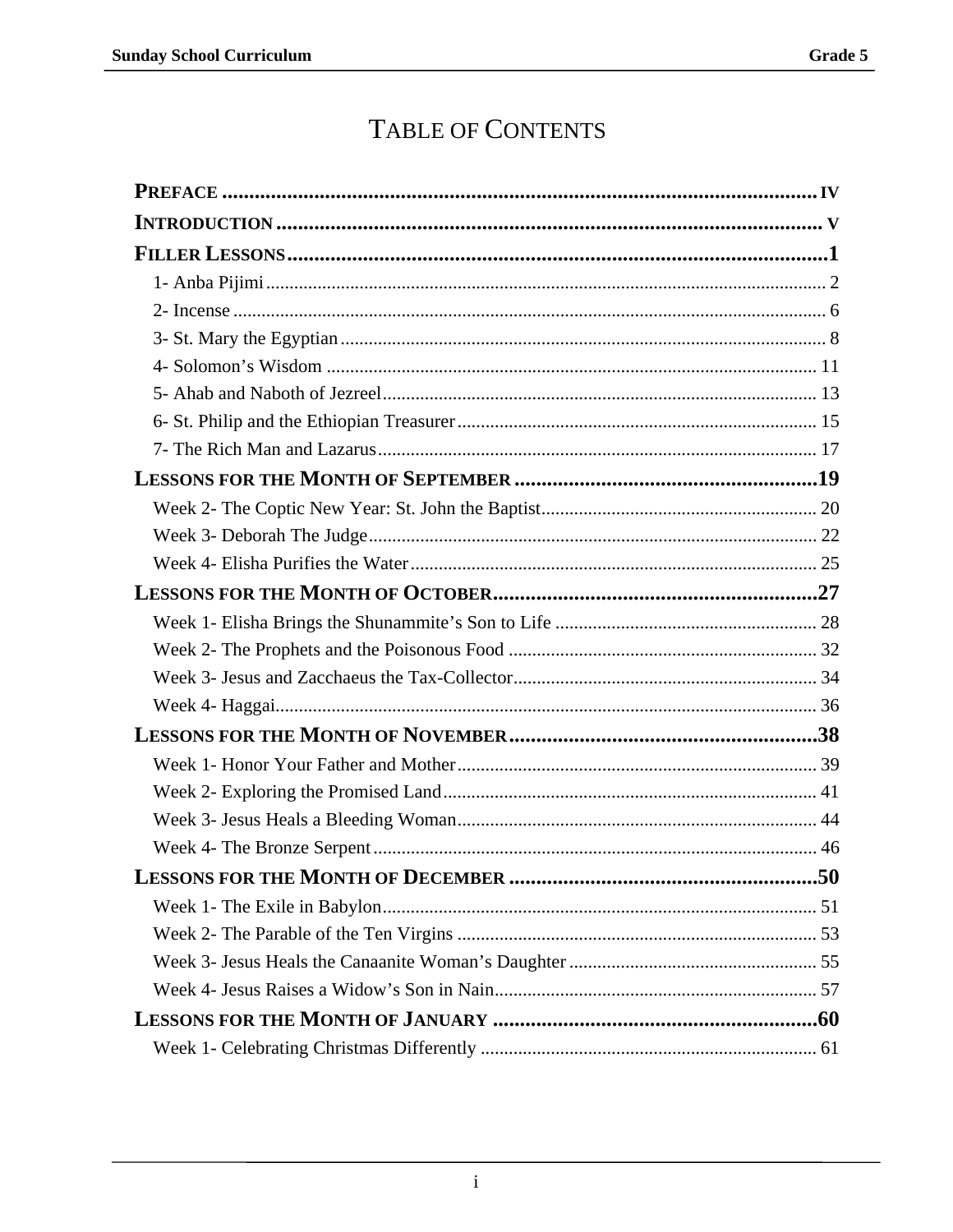## TABLE OF CONTENTS

| LESSONS FOR THE MONTH OF DECEMBER<br>.50 |  |
|------------------------------------------|--|
|                                          |  |
|                                          |  |
|                                          |  |
|                                          |  |
|                                          |  |
|                                          |  |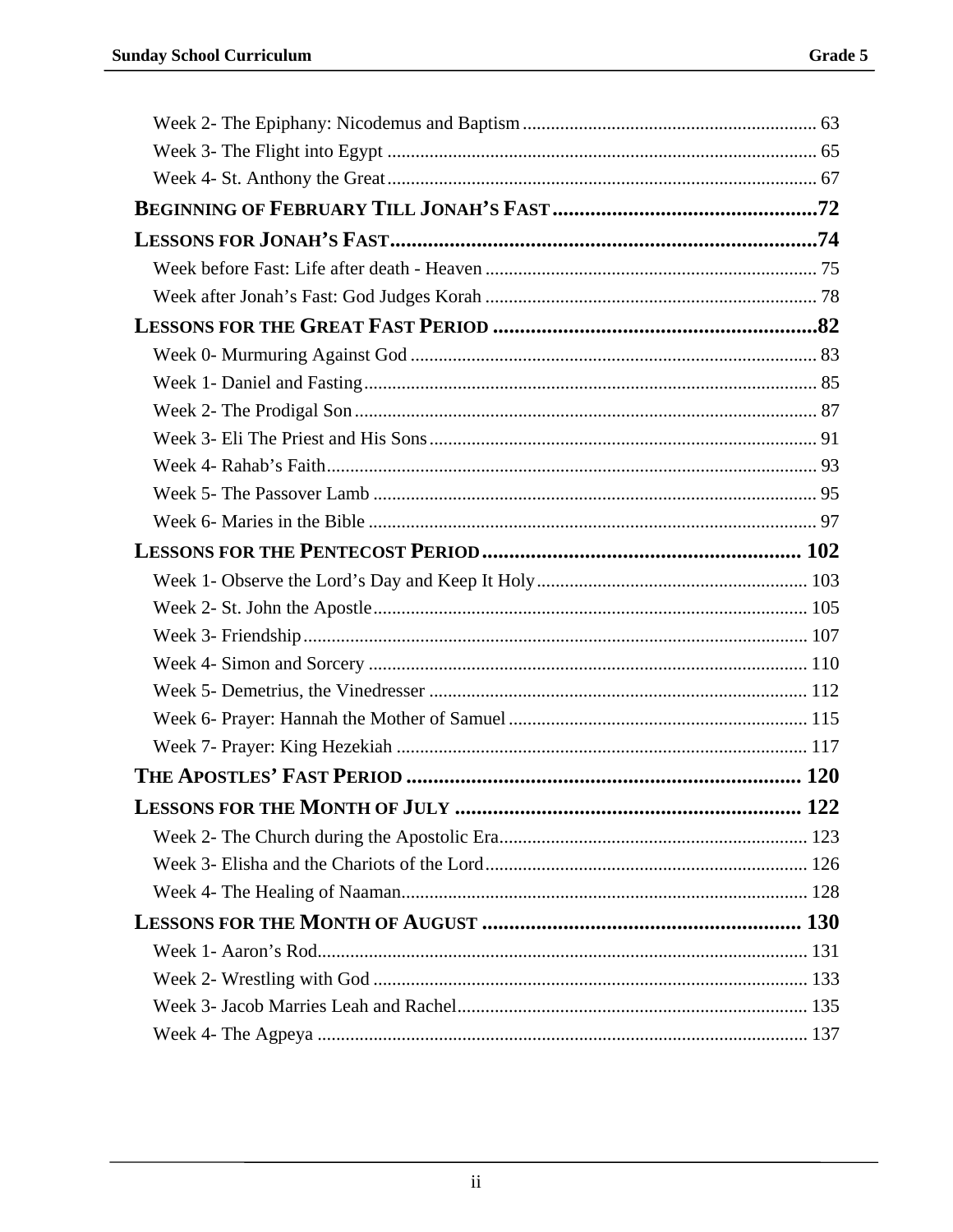| 122 |
|-----|
|     |
|     |
|     |
|     |
|     |
|     |
|     |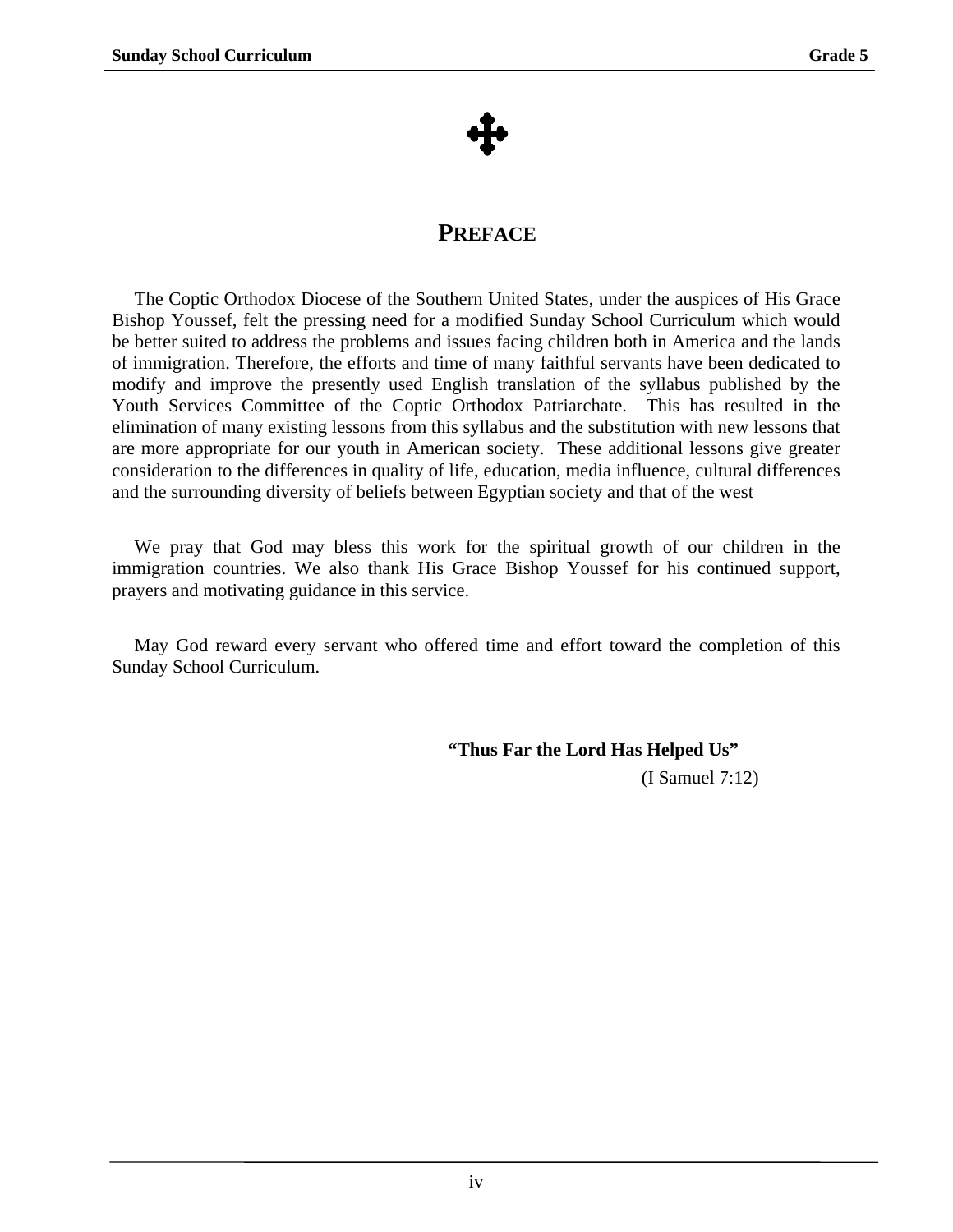

#### **PREFACE**

<span id="page-9-0"></span>The Coptic Orthodox Diocese of the Southern United States, under the auspices of His Grace Bishop Youssef, felt the pressing need for a modified Sunday School Curriculum which would be better suited to address the problems and issues facing children both in America and the lands of immigration. Therefore, the efforts and time of many faithful servants have been dedicated to modify and improve the presently used English translation of the syllabus published by the Youth Services Committee of the Coptic Orthodox Patriarchate. This has resulted in the elimination of many existing lessons from this syllabus and the substitution with new lessons that are more appropriate for our youth in American society. These additional lessons give greater consideration to the differences in quality of life, education, media influence, cultural differences and the surrounding diversity of beliefs between Egyptian society and that of the west

We pray that God may bless this work for the spiritual growth of our children in the immigration countries. We also thank His Grace Bishop Youssef for his continued support, prayers and motivating guidance in this service.

May God reward every servant who offered time and effort toward the completion of this Sunday School Curriculum.

**"Thus Far the Lord Has Helped Us"** 

(I Samuel 7:12)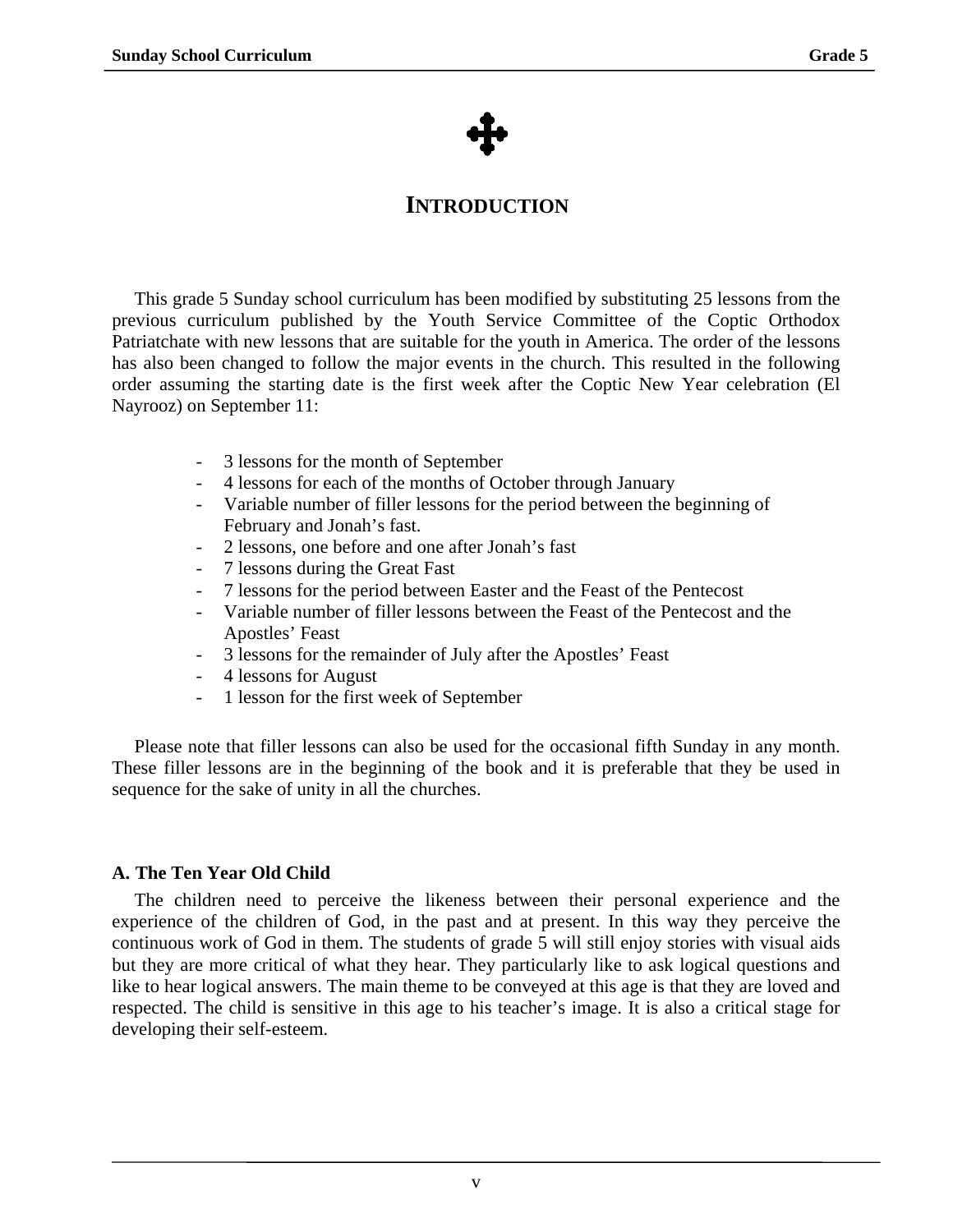

#### **INTRODUCTION**

<span id="page-10-0"></span>This grade 5 Sunday school curriculum has been modified by substituting 25 lessons from the previous curriculum published by the Youth Service Committee of the Coptic Orthodox Patriatchate with new lessons that are suitable for the youth in America. The order of the lessons has also been changed to follow the major events in the church. This resulted in the following order assuming the starting date is the first week after the Coptic New Year celebration (El Nayrooz) on September 11:

- 3 lessons for the month of September
- 4 lessons for each of the months of October through January
- Variable number of filler lessons for the period between the beginning of February and Jonah's fast.
- 2 lessons, one before and one after Jonah's fast
- 7 lessons during the Great Fast
- 7 lessons for the period between Easter and the Feast of the Pentecost
- Variable number of filler lessons between the Feast of the Pentecost and the Apostles' Feast
- 3 lessons for the remainder of July after the Apostles' Feast
- 4 lessons for August
- 1 lesson for the first week of September

Please note that filler lessons can also be used for the occasional fifth Sunday in any month. These filler lessons are in the beginning of the book and it is preferable that they be used in sequence for the sake of unity in all the churches.

#### **A. The Ten Year Old Child**

The children need to perceive the likeness between their personal experience and the experience of the children of God, in the past and at present. In this way they perceive the continuous work of God in them. The students of grade 5 will still enjoy stories with visual aids but they are more critical of what they hear. They particularly like to ask logical questions and like to hear logical answers. The main theme to be conveyed at this age is that they are loved and respected. The child is sensitive in this age to his teacher's image. It is also a critical stage for developing their self-esteem.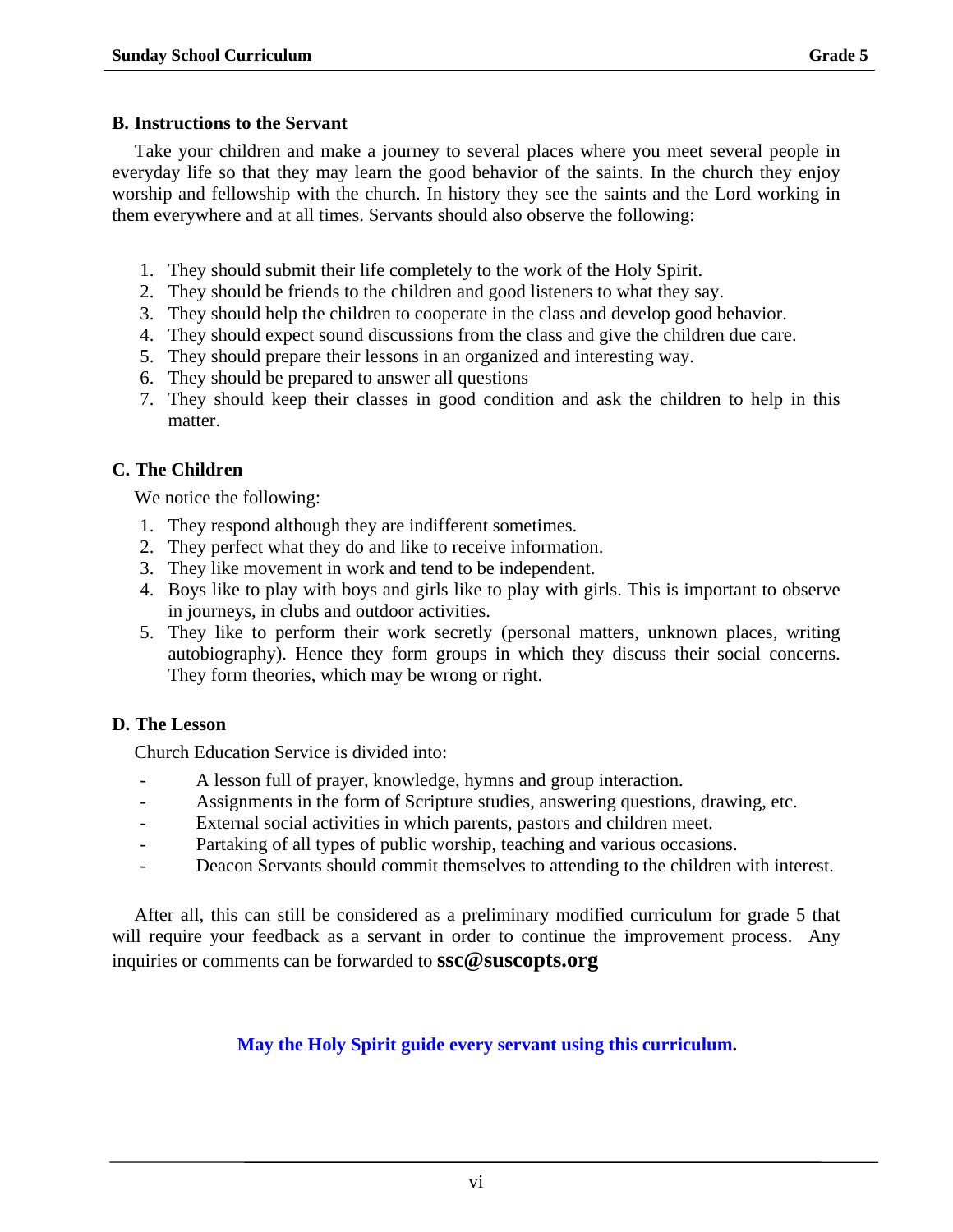#### **B. Instructions to the Servant**

Take your children and make a journey to several places where you meet several people in everyday life so that they may learn the good behavior of the saints. In the church they enjoy worship and fellowship with the church. In history they see the saints and the Lord working in them everywhere and at all times. Servants should also observe the following:

- 1. They should submit their life completely to the work of the Holy Spirit.
- 2. They should be friends to the children and good listeners to what they say.
- 3. They should help the children to cooperate in the class and develop good behavior.
- 4. They should expect sound discussions from the class and give the children due care.
- 5. They should prepare their lessons in an organized and interesting way.
- 6. They should be prepared to answer all questions
- 7. They should keep their classes in good condition and ask the children to help in this matter.

#### **C. The Children**

We notice the following:

- 1. They respond although they are indifferent sometimes.
- 2. They perfect what they do and like to receive information.
- 3. They like movement in work and tend to be independent.
- 4. Boys like to play with boys and girls like to play with girls. This is important to observe in journeys, in clubs and outdoor activities.
- 5. They like to perform their work secretly (personal matters, unknown places, writing autobiography). Hence they form groups in which they discuss their social concerns. They form theories, which may be wrong or right.

#### **D. The Lesson**

Church Education Service is divided into:

- A lesson full of prayer, knowledge, hymns and group interaction.
- Assignments in the form of Scripture studies, answering questions, drawing, etc.
- External social activities in which parents, pastors and children meet.
- Partaking of all types of public worship, teaching and various occasions.
- Deacon Servants should commit themselves to attending to the children with interest.

After all, this can still be considered as a preliminary modified curriculum for grade 5 that will require your feedback as a servant in order to continue the improvement process. Any inquiries or comments can be forwarded to **ssc@suscopts.org** 

#### **May the Holy Spirit guide every servant using this curriculum.**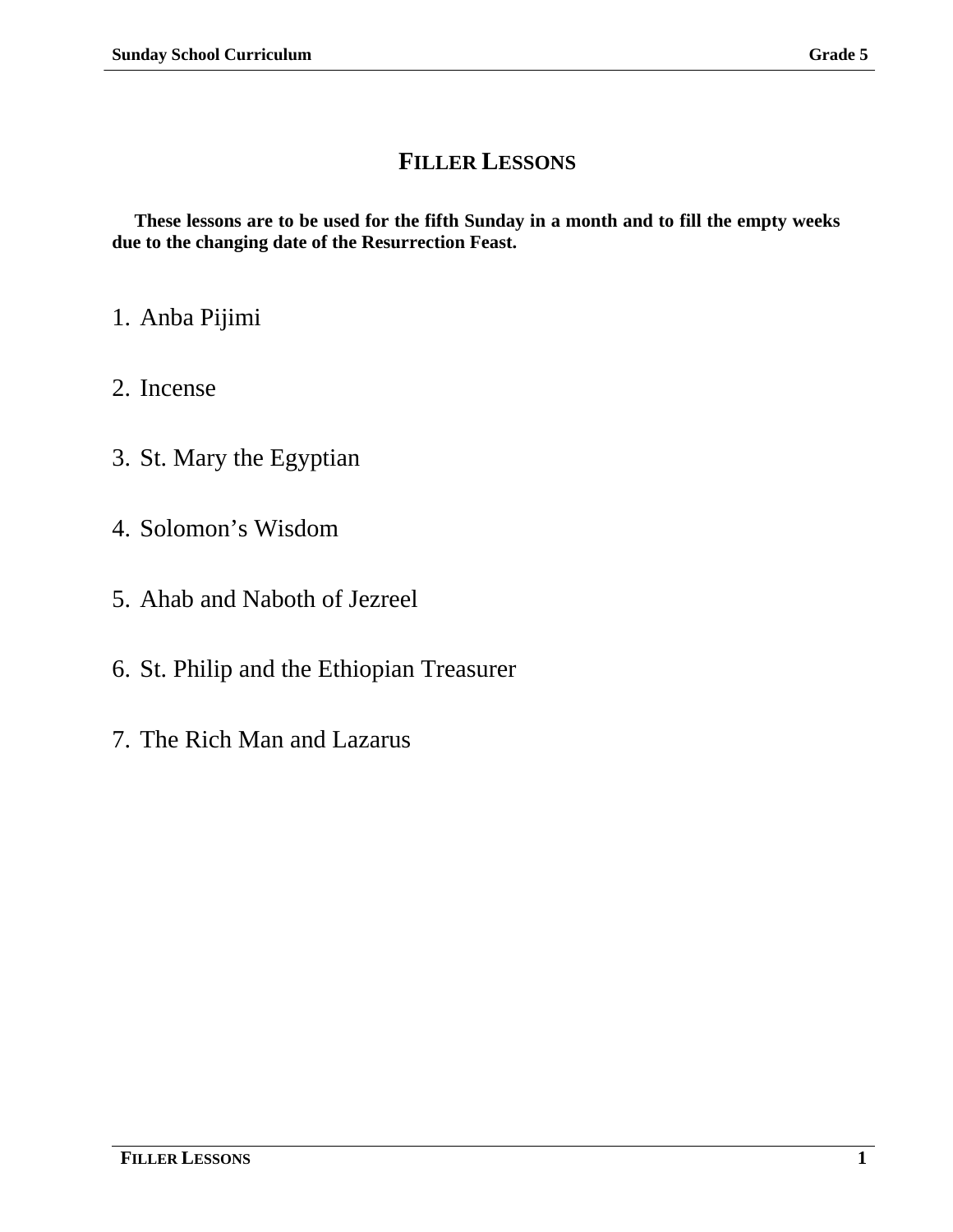## **FILLER LESSONS**

<span id="page-12-0"></span>**These lessons are to be used for the fifth Sunday in a month and to fill the empty weeks due to the changing date of the Resurrection Feast.** 

- 1. Anba Pijimi
- 2. Incense
- 3. St. Mary the Egyptian
- 4. Solomon's Wisdom
- 5. Ahab and Naboth of Jezreel
- 6. St. Philip and the Ethiopian Treasurer
- 7. The Rich Man and Lazarus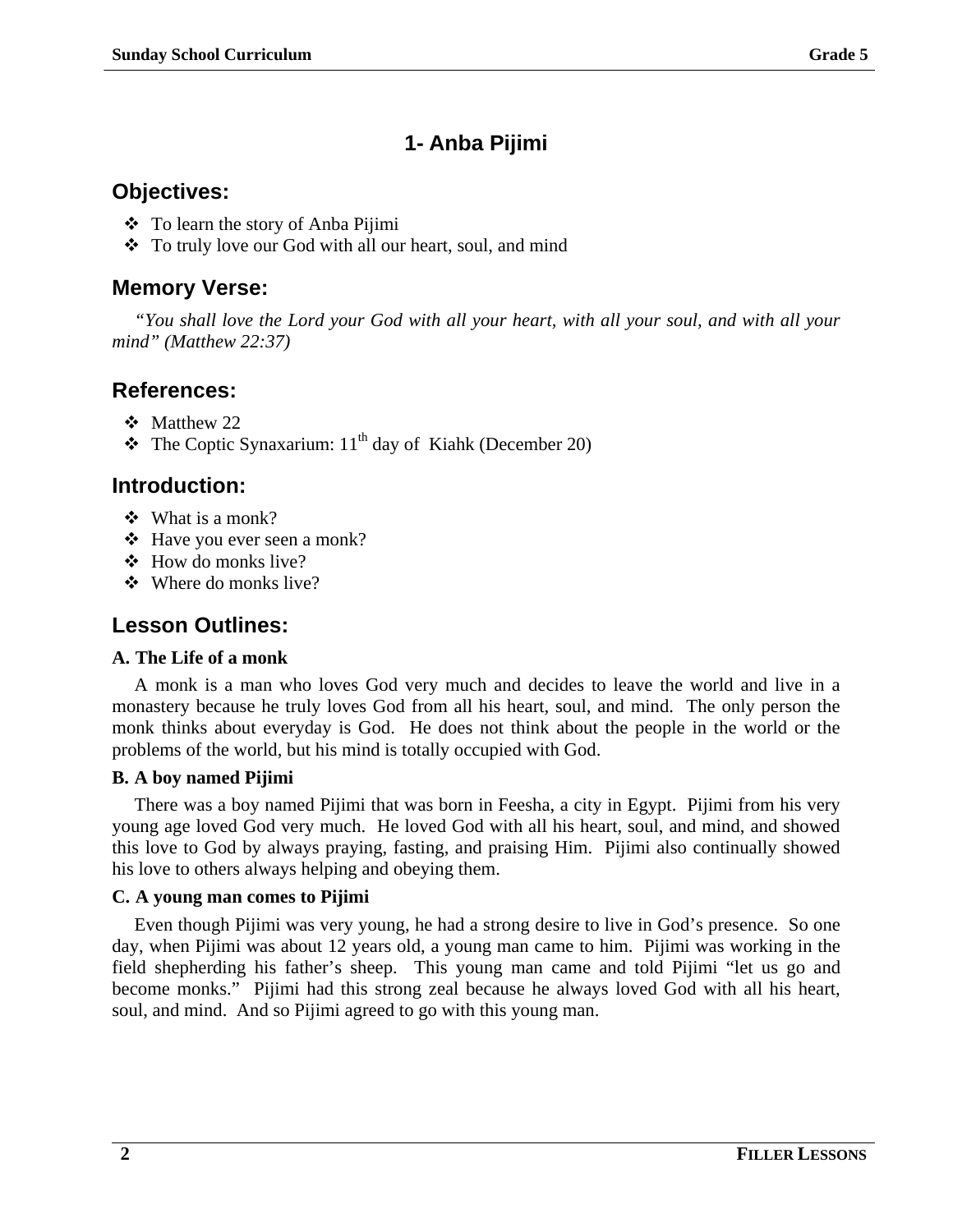## **1- Anba Pijimi**

#### <span id="page-13-0"></span>**Objectives:**

- **❖** To learn the story of Anba Pijimi
- To truly love our God with all our heart, soul, and mind

#### **Memory Verse:**

*"You shall love the Lord your God with all your heart, with all your soul, and with all your mind" (Matthew 22:37)*

#### **References:**

- ❖ Matthew 22
- $\div$  The Coptic Synaxarium: 11<sup>th</sup> day of Kiahk (December 20)

#### **Introduction:**

- What is a monk?
- Have you ever seen a monk?
- How do monks live?
- Where do monks live?

#### **Lesson Outlines:**

#### **A. The Life of a monk**

A monk is a man who loves God very much and decides to leave the world and live in a monastery because he truly loves God from all his heart, soul, and mind. The only person the monk thinks about everyday is God. He does not think about the people in the world or the problems of the world, but his mind is totally occupied with God.

#### **B. A boy named Pijimi**

There was a boy named Pijimi that was born in Feesha, a city in Egypt. Pijimi from his very young age loved God very much. He loved God with all his heart, soul, and mind, and showed this love to God by always praying, fasting, and praising Him. Pijimi also continually showed his love to others always helping and obeying them.

#### **C. A young man comes to Pijimi**

Even though Pijimi was very young, he had a strong desire to live in God's presence. So one day, when Pijimi was about 12 years old, a young man came to him. Pijimi was working in the field shepherding his father's sheep. This young man came and told Pijimi "let us go and become monks." Pijimi had this strong zeal because he always loved God with all his heart, soul, and mind. And so Pijimi agreed to go with this young man.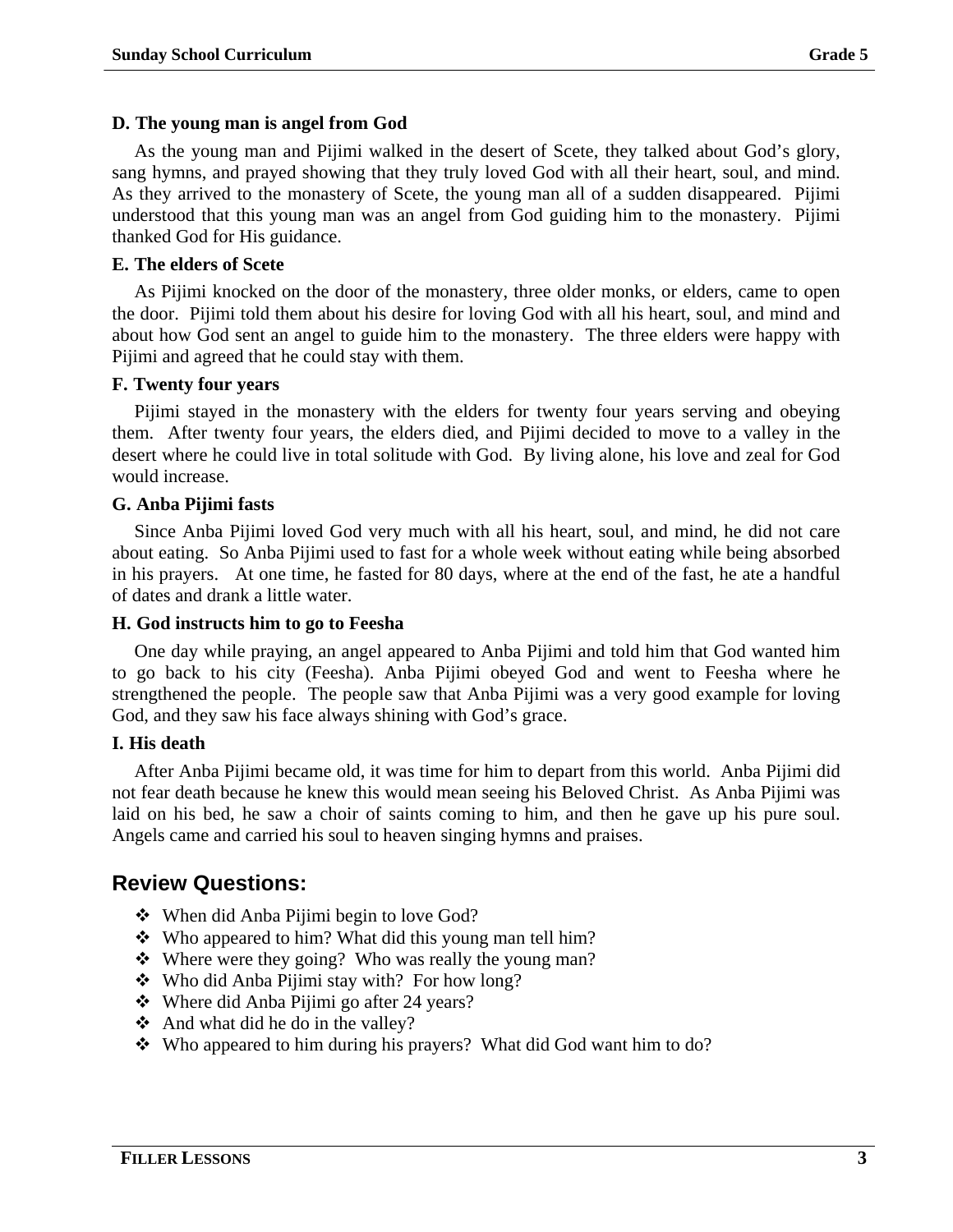#### **D. The young man is angel from God**

As the young man and Pijimi walked in the desert of Scete, they talked about God's glory, sang hymns, and prayed showing that they truly loved God with all their heart, soul, and mind. As they arrived to the monastery of Scete, the young man all of a sudden disappeared. Pijimi understood that this young man was an angel from God guiding him to the monastery. Pijimi thanked God for His guidance.

#### **E. The elders of Scete**

As Pijimi knocked on the door of the monastery, three older monks, or elders, came to open the door. Pijimi told them about his desire for loving God with all his heart, soul, and mind and about how God sent an angel to guide him to the monastery. The three elders were happy with Pijimi and agreed that he could stay with them.

#### **F. Twenty four years**

Pijimi stayed in the monastery with the elders for twenty four years serving and obeying them. After twenty four years, the elders died, and Pijimi decided to move to a valley in the desert where he could live in total solitude with God. By living alone, his love and zeal for God would increase.

#### **G. Anba Pijimi fasts**

Since Anba Pijimi loved God very much with all his heart, soul, and mind, he did not care about eating. So Anba Pijimi used to fast for a whole week without eating while being absorbed in his prayers. At one time, he fasted for 80 days, where at the end of the fast, he ate a handful of dates and drank a little water.

#### **H. God instructs him to go to Feesha**

One day while praying, an angel appeared to Anba Pijimi and told him that God wanted him to go back to his city (Feesha). Anba Pijimi obeyed God and went to Feesha where he strengthened the people. The people saw that Anba Pijimi was a very good example for loving God, and they saw his face always shining with God's grace.

#### **I. His death**

After Anba Pijimi became old, it was time for him to depart from this world. Anba Pijimi did not fear death because he knew this would mean seeing his Beloved Christ. As Anba Pijimi was laid on his bed, he saw a choir of saints coming to him, and then he gave up his pure soul. Angels came and carried his soul to heaven singing hymns and praises.

#### **Review Questions:**

- When did Anba Pijimi begin to love God?
- Who appeared to him? What did this young man tell him?
- Where were they going? Who was really the young man?
- Who did Anba Pijimi stay with? For how long?
- ◆ Where did Anba Pijimi go after 24 years?
- $\triangleleft$  And what did he do in the valley?
- Who appeared to him during his prayers? What did God want him to do?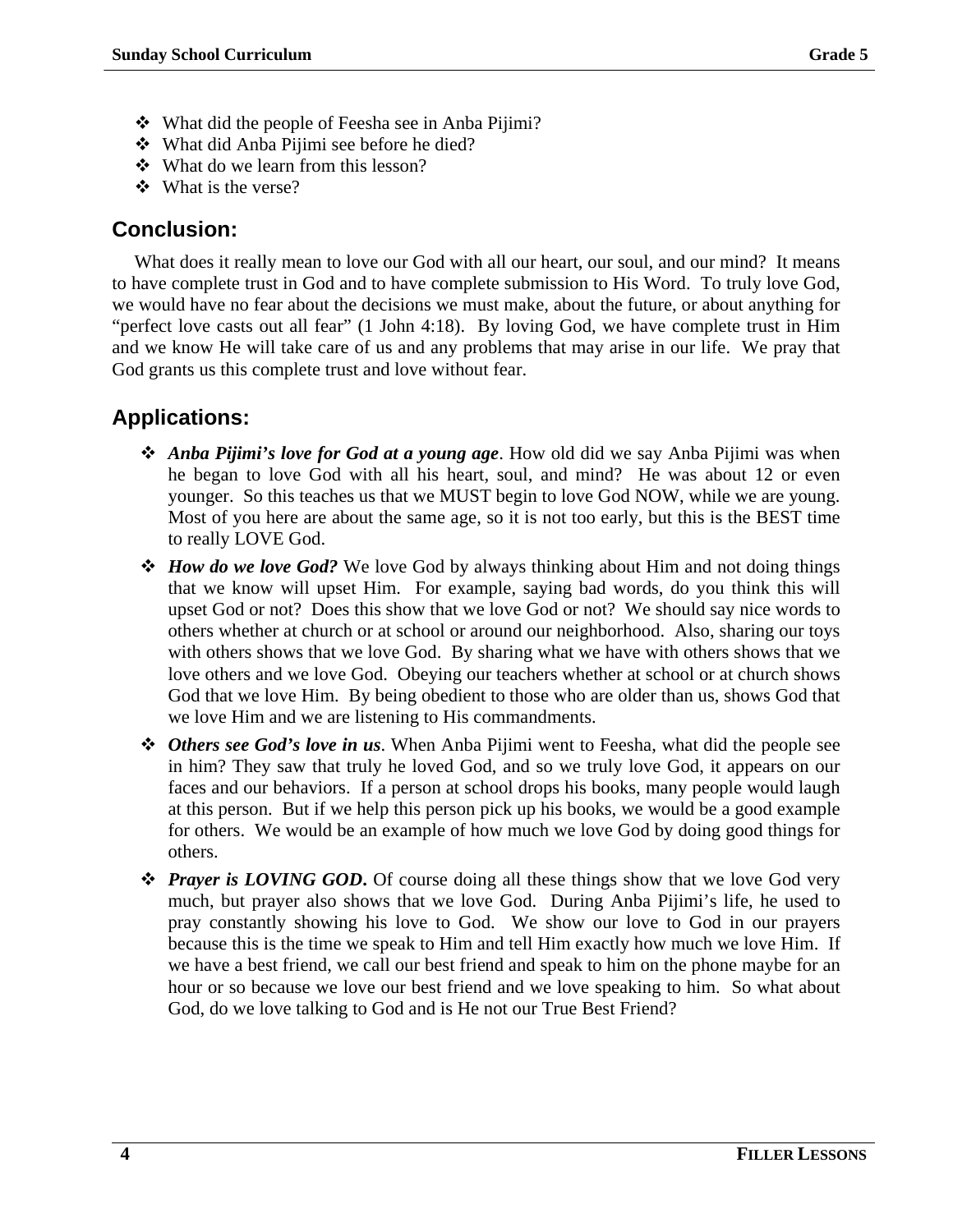- What did the people of Feesha see in Anba Pijimi?
- What did Anba Pijimi see before he died?
- ❖ What do we learn from this lesson?
- What is the verse?

#### **Conclusion:**

What does it really mean to love our God with all our heart, our soul, and our mind? It means to have complete trust in God and to have complete submission to His Word. To truly love God, we would have no fear about the decisions we must make, about the future, or about anything for "perfect love casts out all fear" (1 John 4:18). By loving God, we have complete trust in Him and we know He will take care of us and any problems that may arise in our life. We pray that God grants us this complete trust and love without fear.

- *Anba Pijimi's love for God at a young age*. How old did we say Anba Pijimi was when he began to love God with all his heart, soul, and mind? He was about 12 or even younger. So this teaches us that we MUST begin to love God NOW, while we are young. Most of you here are about the same age, so it is not too early, but this is the BEST time to really LOVE God.
- *How do we love God?* We love God by always thinking about Him and not doing things that we know will upset Him. For example, saying bad words, do you think this will upset God or not? Does this show that we love God or not? We should say nice words to others whether at church or at school or around our neighborhood. Also, sharing our toys with others shows that we love God. By sharing what we have with others shows that we love others and we love God. Obeying our teachers whether at school or at church shows God that we love Him. By being obedient to those who are older than us, shows God that we love Him and we are listening to His commandments.
- *Others see God's love in us*. When Anba Pijimi went to Feesha, what did the people see in him? They saw that truly he loved God, and so we truly love God, it appears on our faces and our behaviors. If a person at school drops his books, many people would laugh at this person. But if we help this person pick up his books, we would be a good example for others. We would be an example of how much we love God by doing good things for others.
- *◆ Prayer is LOVING GOD***.** Of course doing all these things show that we love God very much, but prayer also shows that we love God. During Anba Pijimi's life, he used to pray constantly showing his love to God. We show our love to God in our prayers because this is the time we speak to Him and tell Him exactly how much we love Him. If we have a best friend, we call our best friend and speak to him on the phone maybe for an hour or so because we love our best friend and we love speaking to him. So what about God, do we love talking to God and is He not our True Best Friend?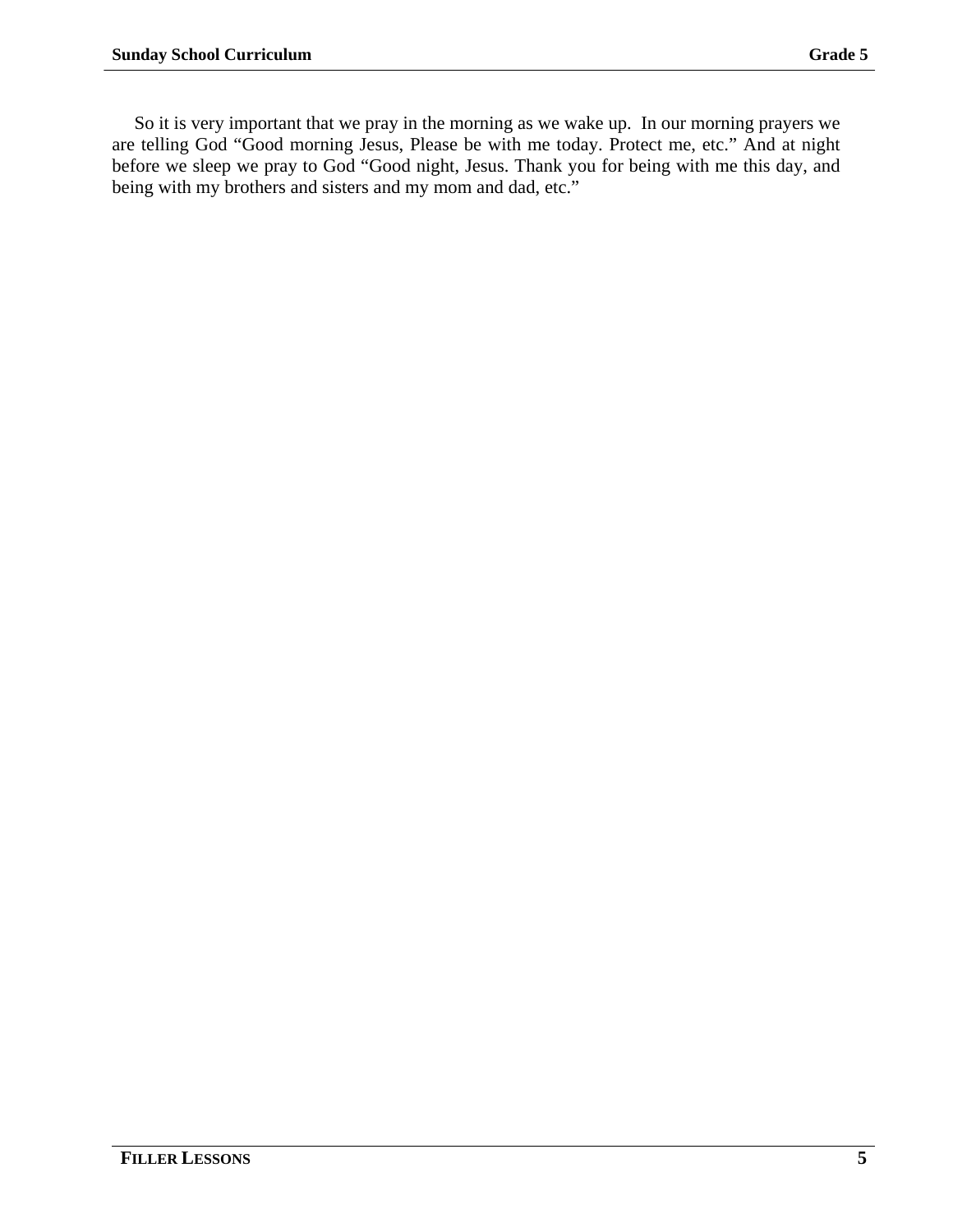So it is very important that we pray in the morning as we wake up. In our morning prayers we are telling God "Good morning Jesus, Please be with me today. Protect me, etc." And at night before we sleep we pray to God "Good night, Jesus. Thank you for being with me this day, and being with my brothers and sisters and my mom and dad, etc."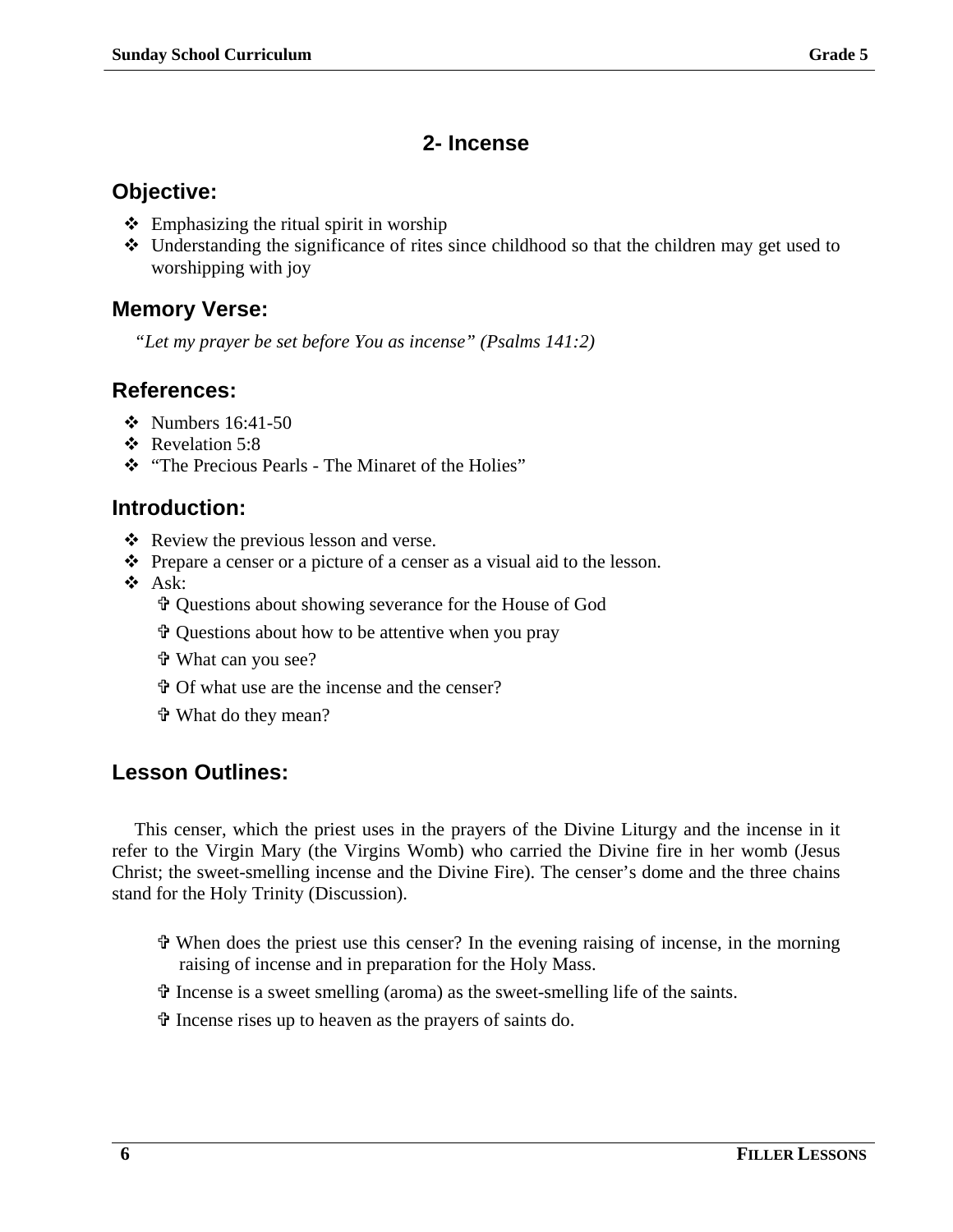#### **2- Incense**

#### <span id="page-17-0"></span>**Objective:**

- $\triangleleft$  Emphasizing the ritual spirit in worship
- Understanding the significance of rites since childhood so that the children may get used to worshipping with joy

#### **Memory Verse:**

*"Let my prayer be set before You as incense" (Psalms 141:2)* 

#### **References:**

- $\div$  Numbers 16:41-50
- Revelation 5:8
- \* "The Precious Pearls The Minaret of the Holies"

#### **Introduction:**

- ❖ Review the previous lesson and verse.
- Prepare a censer or a picture of a censer as a visual aid to the lesson.
- ◆ Ask:
	- = Questions about showing severance for the House of God
	- $\ddot{\tau}$  Questions about how to be attentive when you pray
	- = What can you see?
	- = Of what use are the incense and the censer?
	- = What do they mean?

## **Lesson Outlines:**

This censer, which the priest uses in the prayers of the Divine Liturgy and the incense in it refer to the Virgin Mary (the Virgins Womb) who carried the Divine fire in her womb (Jesus Christ; the sweet-smelling incense and the Divine Fire). The censer's dome and the three chains stand for the Holy Trinity (Discussion).

- = When does the priest use this censer? In the evening raising of incense, in the morning raising of incense and in preparation for the Holy Mass.
- $\ddot{\mathbf{\tau}}$  Incense is a sweet smelling (aroma) as the sweet-smelling life of the saints.
- = Incense rises up to heaven as the prayers of saints do.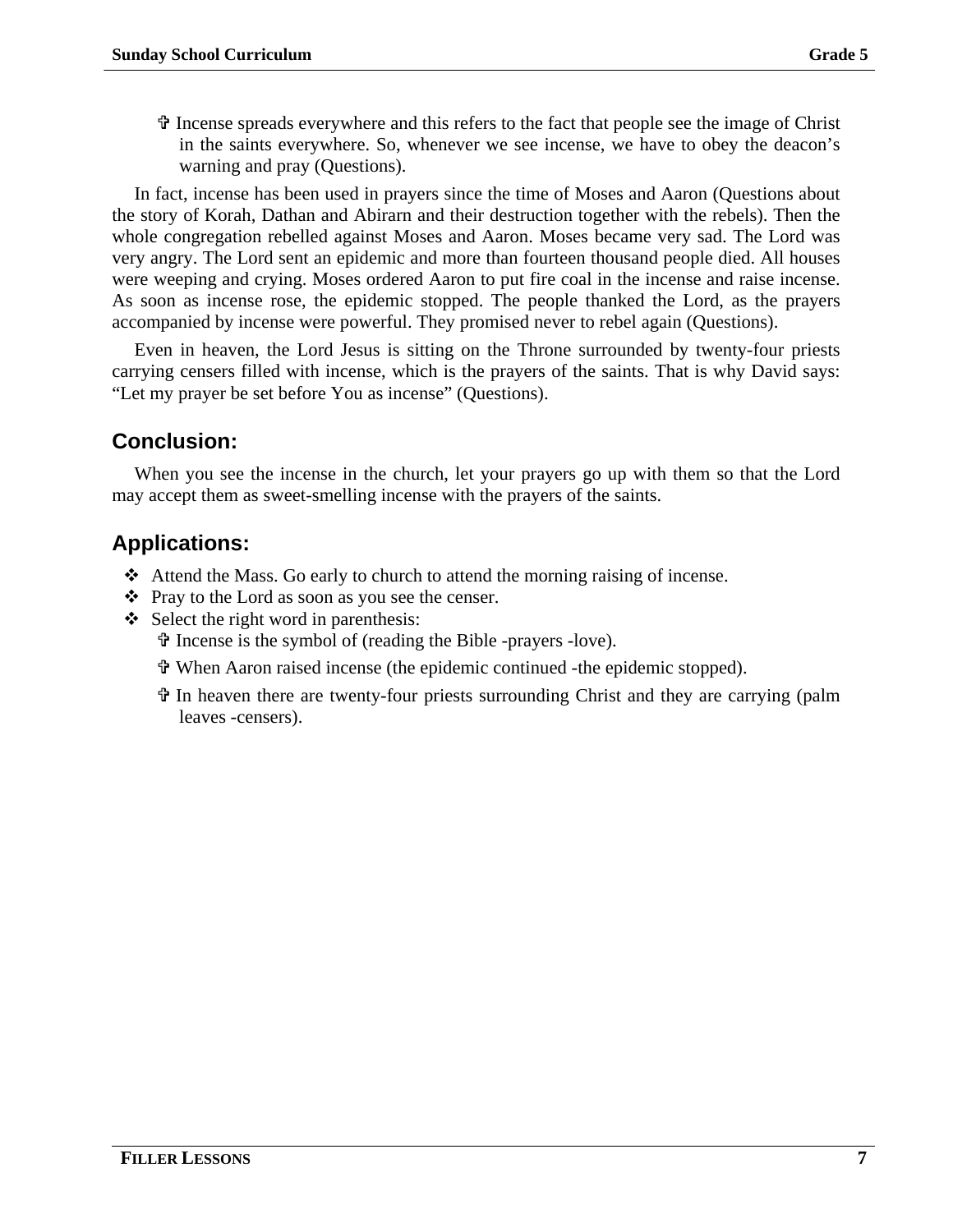In fact, incense has been used in prayers since the time of Moses and Aaron (Questions about the story of Korah, Dathan and Abirarn and their destruction together with the rebels). Then the whole congregation rebelled against Moses and Aaron. Moses became very sad. The Lord was very angry. The Lord sent an epidemic and more than fourteen thousand people died. All houses were weeping and crying. Moses ordered Aaron to put fire coal in the incense and raise incense. As soon as incense rose, the epidemic stopped. The people thanked the Lord, as the prayers accompanied by incense were powerful. They promised never to rebel again (Questions).

Even in heaven, the Lord Jesus is sitting on the Throne surrounded by twenty-four priests carrying censers filled with incense, which is the prayers of the saints. That is why David says: "Let my prayer be set before You as incense" (Questions).

#### **Conclusion:**

When you see the incense in the church, let your prayers go up with them so that the Lord may accept them as sweet-smelling incense with the prayers of the saints.

- $\triangleleft$  Attend the Mass. Go early to church to attend the morning raising of incense.
- Pray to the Lord as soon as you see the censer.
- $\triangleleft$  Select the right word in parenthesis:
	- = Incense is the symbol of (reading the Bible -prayers -love).
	- = When Aaron raised incense (the epidemic continued -the epidemic stopped).
	- = In heaven there are twenty-four priests surrounding Christ and they are carrying (palm leaves -censers).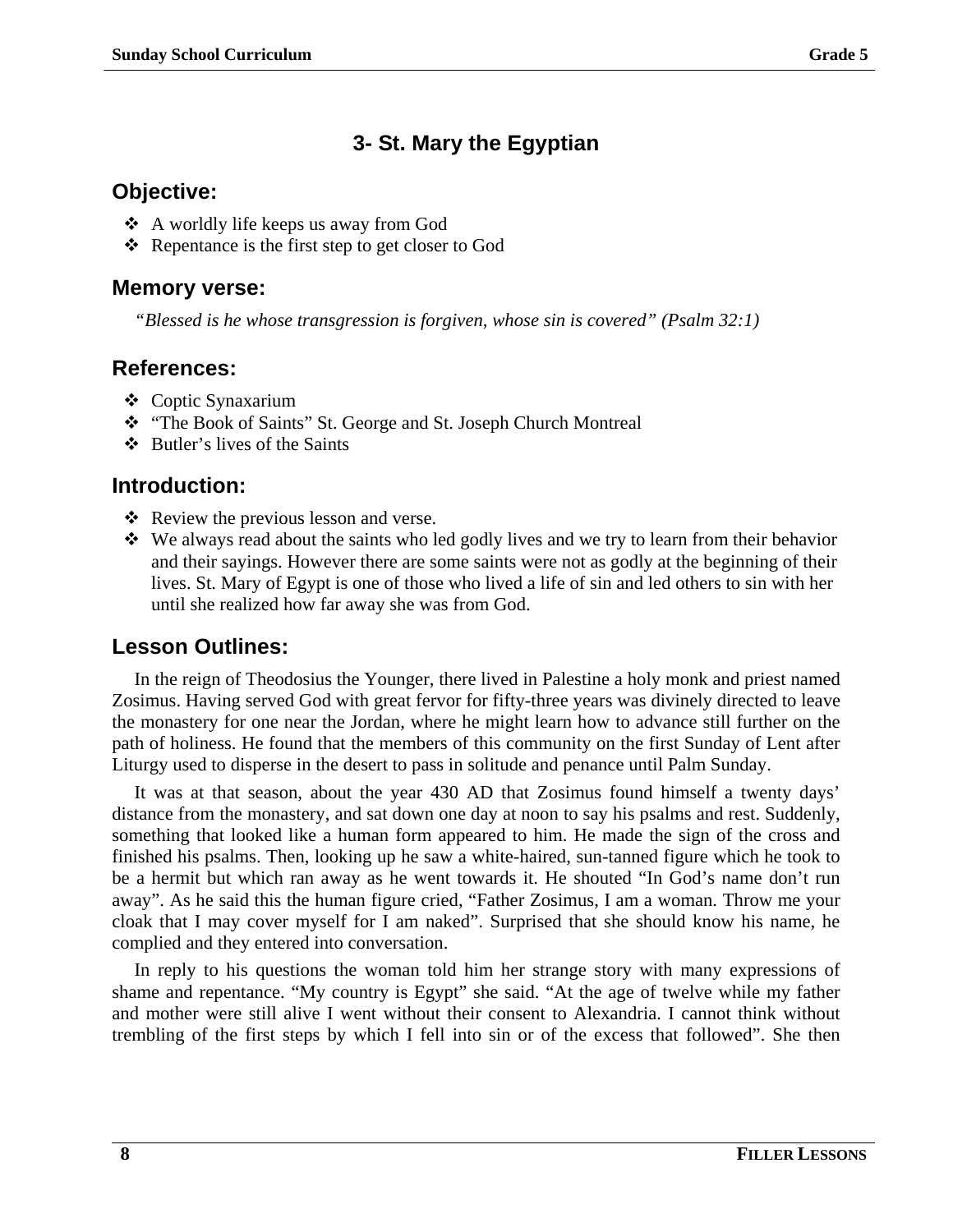## **3- St. Mary the Egyptian**

#### <span id="page-19-0"></span>**Objective:**

- ❖ A worldly life keeps us away from God
- Repentance is the first step to get closer to God

#### **Memory verse:**

*"Blessed is he whose transgression is forgiven, whose sin is covered" (Psalm 32:1)*

#### **References:**

- Coptic Synaxarium
- \* "The Book of Saints" St. George and St. Joseph Church Montreal
- Butler's lives of the Saints

#### **Introduction:**

- ❖ Review the previous lesson and verse.
- We always read about the saints who led godly lives and we try to learn from their behavior and their sayings. However there are some saints were not as godly at the beginning of their lives. St. Mary of Egypt is one of those who lived a life of sin and led others to sin with her until she realized how far away she was from God.

#### **Lesson Outlines:**

In the reign of Theodosius the Younger, there lived in Palestine a holy monk and priest named Zosimus. Having served God with great fervor for fifty-three years was divinely directed to leave the monastery for one near the Jordan, where he might learn how to advance still further on the path of holiness. He found that the members of this community on the first Sunday of Lent after Liturgy used to disperse in the desert to pass in solitude and penance until Palm Sunday.

It was at that season, about the year 430 AD that Zosimus found himself a twenty days' distance from the monastery, and sat down one day at noon to say his psalms and rest. Suddenly, something that looked like a human form appeared to him. He made the sign of the cross and finished his psalms. Then, looking up he saw a white-haired, sun-tanned figure which he took to be a hermit but which ran away as he went towards it. He shouted "In God's name don't run away". As he said this the human figure cried, "Father Zosimus, I am a woman. Throw me your cloak that I may cover myself for I am naked". Surprised that she should know his name, he complied and they entered into conversation.

In reply to his questions the woman told him her strange story with many expressions of shame and repentance. "My country is Egypt" she said. "At the age of twelve while my father and mother were still alive I went without their consent to Alexandria. I cannot think without trembling of the first steps by which I fell into sin or of the excess that followed". She then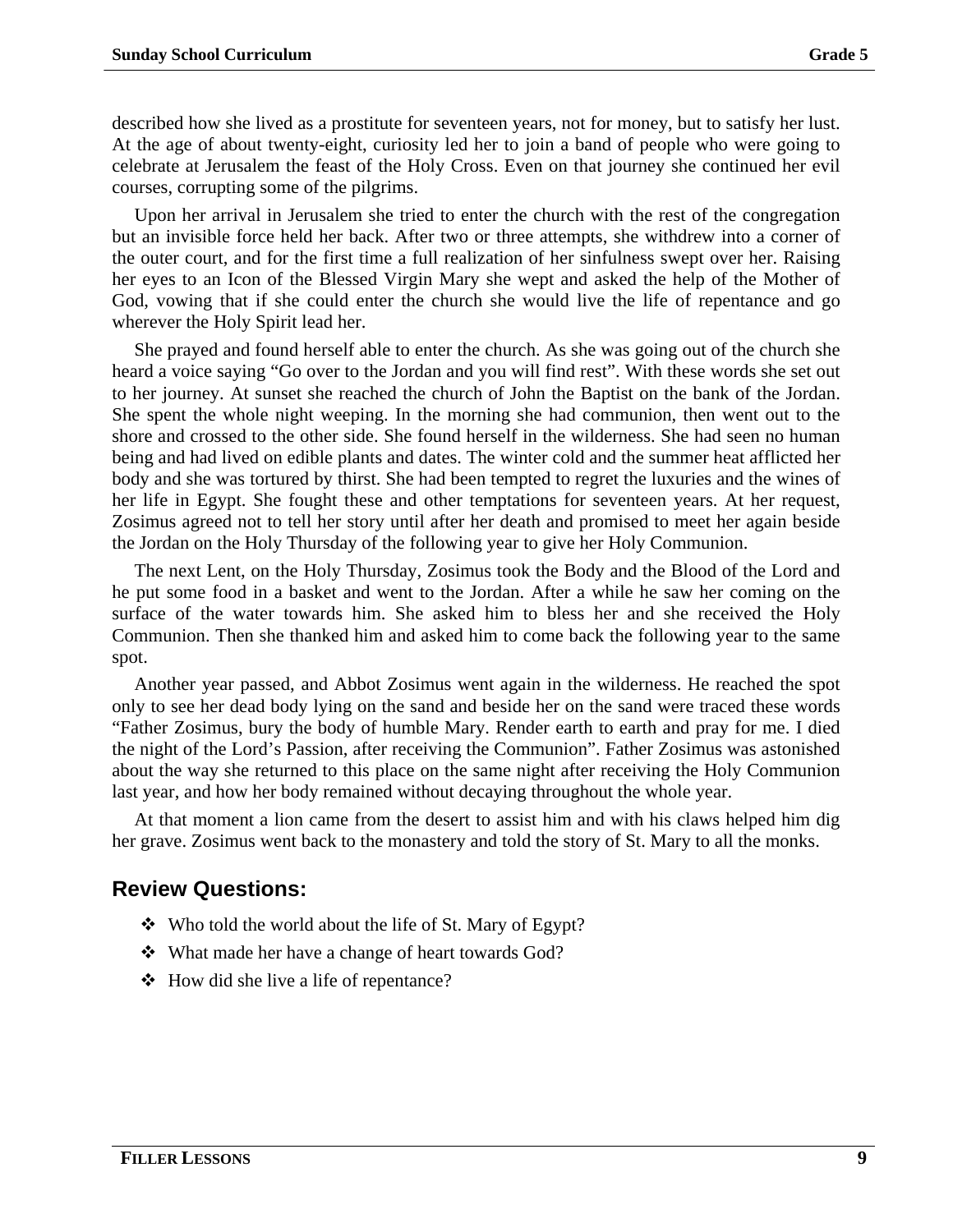described how she lived as a prostitute for seventeen years, not for money, but to satisfy her lust. At the age of about twenty-eight, curiosity led her to join a band of people who were going to celebrate at Jerusalem the feast of the Holy Cross. Even on that journey she continued her evil courses, corrupting some of the pilgrims.

Upon her arrival in Jerusalem she tried to enter the church with the rest of the congregation but an invisible force held her back. After two or three attempts, she withdrew into a corner of the outer court, and for the first time a full realization of her sinfulness swept over her. Raising her eyes to an Icon of the Blessed Virgin Mary she wept and asked the help of the Mother of God, vowing that if she could enter the church she would live the life of repentance and go wherever the Holy Spirit lead her.

She prayed and found herself able to enter the church. As she was going out of the church she heard a voice saying "Go over to the Jordan and you will find rest". With these words she set out to her journey. At sunset she reached the church of John the Baptist on the bank of the Jordan. She spent the whole night weeping. In the morning she had communion, then went out to the shore and crossed to the other side. She found herself in the wilderness. She had seen no human being and had lived on edible plants and dates. The winter cold and the summer heat afflicted her body and she was tortured by thirst. She had been tempted to regret the luxuries and the wines of her life in Egypt. She fought these and other temptations for seventeen years. At her request, Zosimus agreed not to tell her story until after her death and promised to meet her again beside the Jordan on the Holy Thursday of the following year to give her Holy Communion.

The next Lent, on the Holy Thursday, Zosimus took the Body and the Blood of the Lord and he put some food in a basket and went to the Jordan. After a while he saw her coming on the surface of the water towards him. She asked him to bless her and she received the Holy Communion. Then she thanked him and asked him to come back the following year to the same spot.

Another year passed, and Abbot Zosimus went again in the wilderness. He reached the spot only to see her dead body lying on the sand and beside her on the sand were traced these words "Father Zosimus, bury the body of humble Mary. Render earth to earth and pray for me. I died the night of the Lord's Passion, after receiving the Communion". Father Zosimus was astonished about the way she returned to this place on the same night after receiving the Holy Communion last year, and how her body remained without decaying throughout the whole year.

At that moment a lion came from the desert to assist him and with his claws helped him dig her grave. Zosimus went back to the monastery and told the story of St. Mary to all the monks.

#### **Review Questions:**

- Who told the world about the life of St. Mary of Egypt?
- What made her have a change of heart towards God?
- $\div$  How did she live a life of repentance?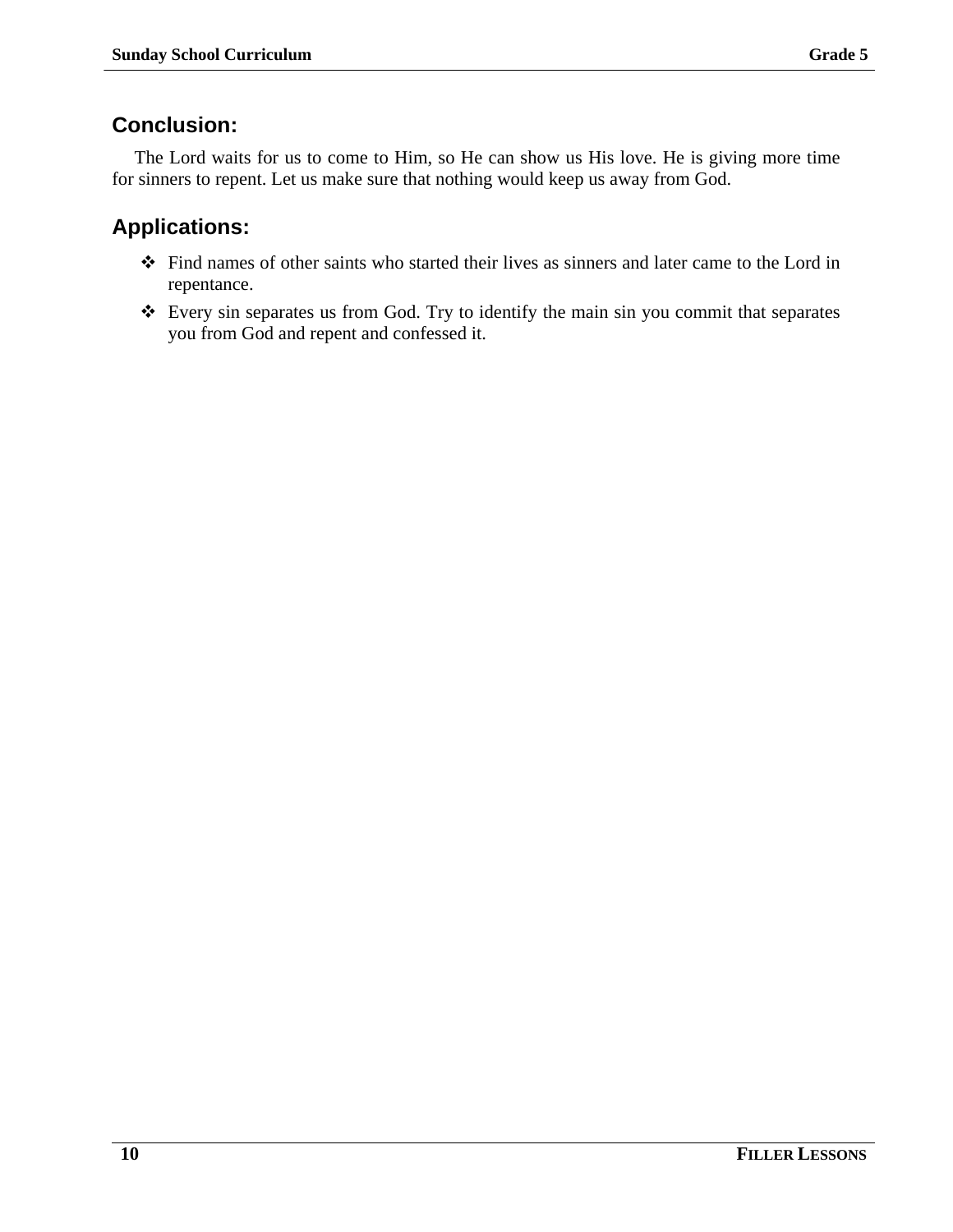#### **Conclusion:**

The Lord waits for us to come to Him, so He can show us His love. He is giving more time for sinners to repent. Let us make sure that nothing would keep us away from God.

- Find names of other saints who started their lives as sinners and later came to the Lord in repentance.
- Every sin separates us from God. Try to identify the main sin you commit that separates you from God and repent and confessed it.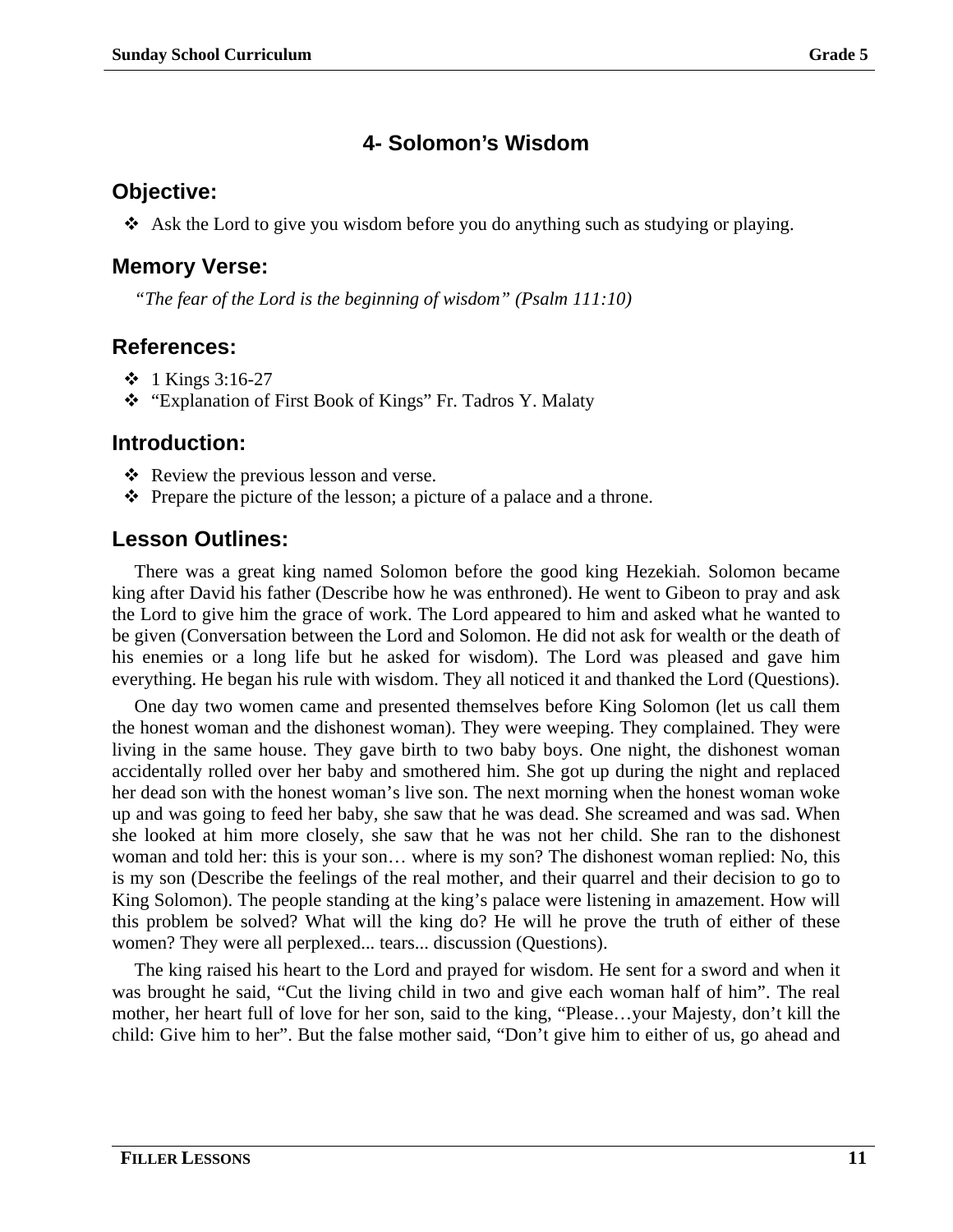## **4- Solomon's Wisdom**

#### <span id="page-22-0"></span>**Objective:**

Ask the Lord to give you wisdom before you do anything such as studying or playing.

#### **Memory Verse:**

*"The fear of the Lord is the beginning of wisdom" (Psalm 111:10)*

#### **References:**

- $\div$  1 Kings 3:16-27
- "Explanation of First Book of Kings" Fr. Tadros Y. Malaty

#### **Introduction:**

- ❖ Review the previous lesson and verse.
- $\triangle$  Prepare the picture of the lesson; a picture of a palace and a throne.

#### **Lesson Outlines:**

There was a great king named Solomon before the good king Hezekiah. Solomon became king after David his father (Describe how he was enthroned). He went to Gibeon to pray and ask the Lord to give him the grace of work. The Lord appeared to him and asked what he wanted to be given (Conversation between the Lord and Solomon. He did not ask for wealth or the death of his enemies or a long life but he asked for wisdom). The Lord was pleased and gave him everything. He began his rule with wisdom. They all noticed it and thanked the Lord (Questions).

One day two women came and presented themselves before King Solomon (let us call them the honest woman and the dishonest woman). They were weeping. They complained. They were living in the same house. They gave birth to two baby boys. One night, the dishonest woman accidentally rolled over her baby and smothered him. She got up during the night and replaced her dead son with the honest woman's live son. The next morning when the honest woman woke up and was going to feed her baby, she saw that he was dead. She screamed and was sad. When she looked at him more closely, she saw that he was not her child. She ran to the dishonest woman and told her: this is your son… where is my son? The dishonest woman replied: No, this is my son (Describe the feelings of the real mother, and their quarrel and their decision to go to King Solomon). The people standing at the king's palace were listening in amazement. How will this problem be solved? What will the king do? He will he prove the truth of either of these women? They were all perplexed... tears... discussion (Questions).

The king raised his heart to the Lord and prayed for wisdom. He sent for a sword and when it was brought he said, "Cut the living child in two and give each woman half of him". The real mother, her heart full of love for her son, said to the king, "Please…your Majesty, don't kill the child: Give him to her". But the false mother said, "Don't give him to either of us, go ahead and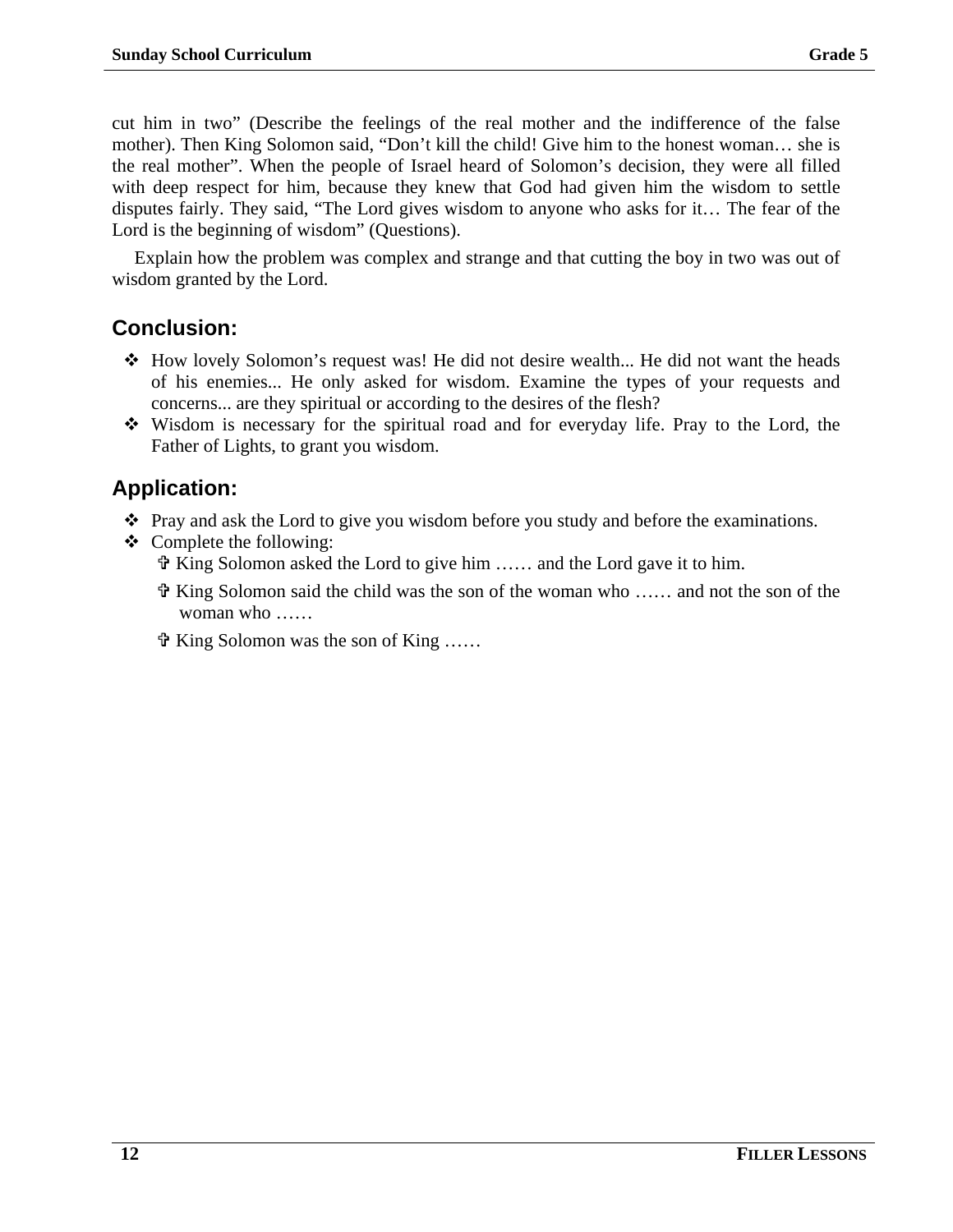cut him in two" (Describe the feelings of the real mother and the indifference of the false mother). Then King Solomon said, "Don't kill the child! Give him to the honest woman… she is the real mother". When the people of Israel heard of Solomon's decision, they were all filled with deep respect for him, because they knew that God had given him the wisdom to settle disputes fairly. They said, "The Lord gives wisdom to anyone who asks for it… The fear of the Lord is the beginning of wisdom" (Questions).

Explain how the problem was complex and strange and that cutting the boy in two was out of wisdom granted by the Lord.

## **Conclusion:**

- \* How lovely Solomon's request was! He did not desire wealth... He did not want the heads of his enemies... He only asked for wisdom. Examine the types of your requests and concerns... are they spiritual or according to the desires of the flesh?
- Wisdom is necessary for the spiritual road and for everyday life. Pray to the Lord, the Father of Lights, to grant you wisdom.

- \* Pray and ask the Lord to give you wisdom before you study and before the examinations.
- Complete the following:
	- = King Solomon asked the Lord to give him …… and the Lord gave it to him.
	- = King Solomon said the child was the son of the woman who …… and not the son of the woman who ……
	- $\mathbf{\hat{F}}$  King Solomon was the son of King ......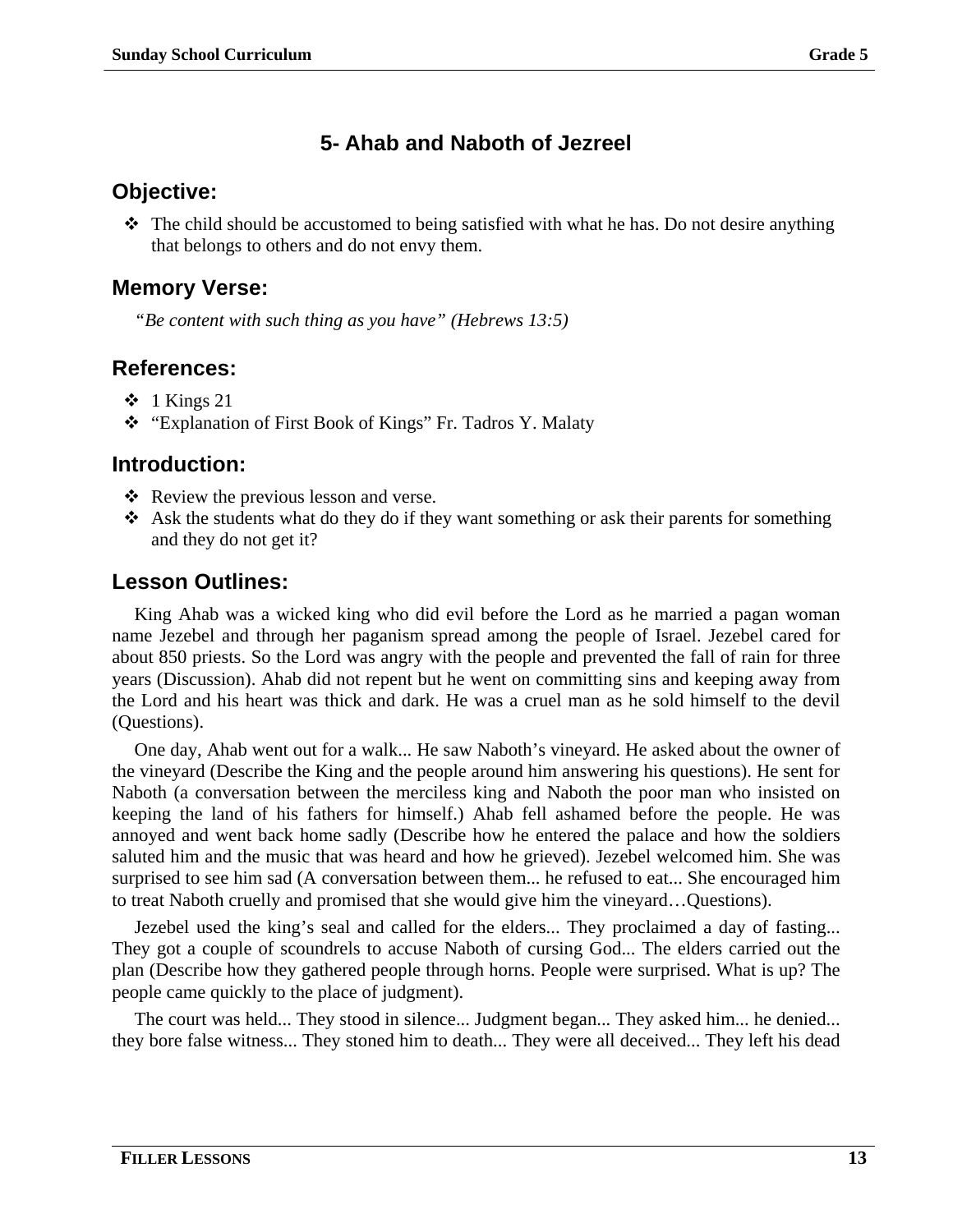## **5- Ahab and Naboth of Jezreel**

#### <span id="page-24-0"></span>**Objective:**

The child should be accustomed to being satisfied with what he has. Do not desire anything that belongs to others and do not envy them.

#### **Memory Verse:**

*"Be content with such thing as you have" (Hebrews 13:5)*

#### **References:**

- $\div$  1 Kings 21
- "Explanation of First Book of Kings" Fr. Tadros Y. Malaty

#### **Introduction:**

- ❖ Review the previous lesson and verse.
- Ask the students what do they do if they want something or ask their parents for something and they do not get it?

#### **Lesson Outlines:**

King Ahab was a wicked king who did evil before the Lord as he married a pagan woman name Jezebel and through her paganism spread among the people of Israel. Jezebel cared for about 850 priests. So the Lord was angry with the people and prevented the fall of rain for three years (Discussion). Ahab did not repent but he went on committing sins and keeping away from the Lord and his heart was thick and dark. He was a cruel man as he sold himself to the devil (Questions).

One day, Ahab went out for a walk... He saw Naboth's vineyard. He asked about the owner of the vineyard (Describe the King and the people around him answering his questions). He sent for Naboth (a conversation between the merciless king and Naboth the poor man who insisted on keeping the land of his fathers for himself.) Ahab fell ashamed before the people. He was annoyed and went back home sadly (Describe how he entered the palace and how the soldiers saluted him and the music that was heard and how he grieved). Jezebel welcomed him. She was surprised to see him sad (A conversation between them... he refused to eat... She encouraged him to treat Naboth cruelly and promised that she would give him the vineyard…Questions).

Jezebel used the king's seal and called for the elders... They proclaimed a day of fasting... They got a couple of scoundrels to accuse Naboth of cursing God... The elders carried out the plan (Describe how they gathered people through horns. People were surprised. What is up? The people came quickly to the place of judgment).

The court was held... They stood in silence... Judgment began... They asked him... he denied... they bore false witness... They stoned him to death... They were all deceived... They left his dead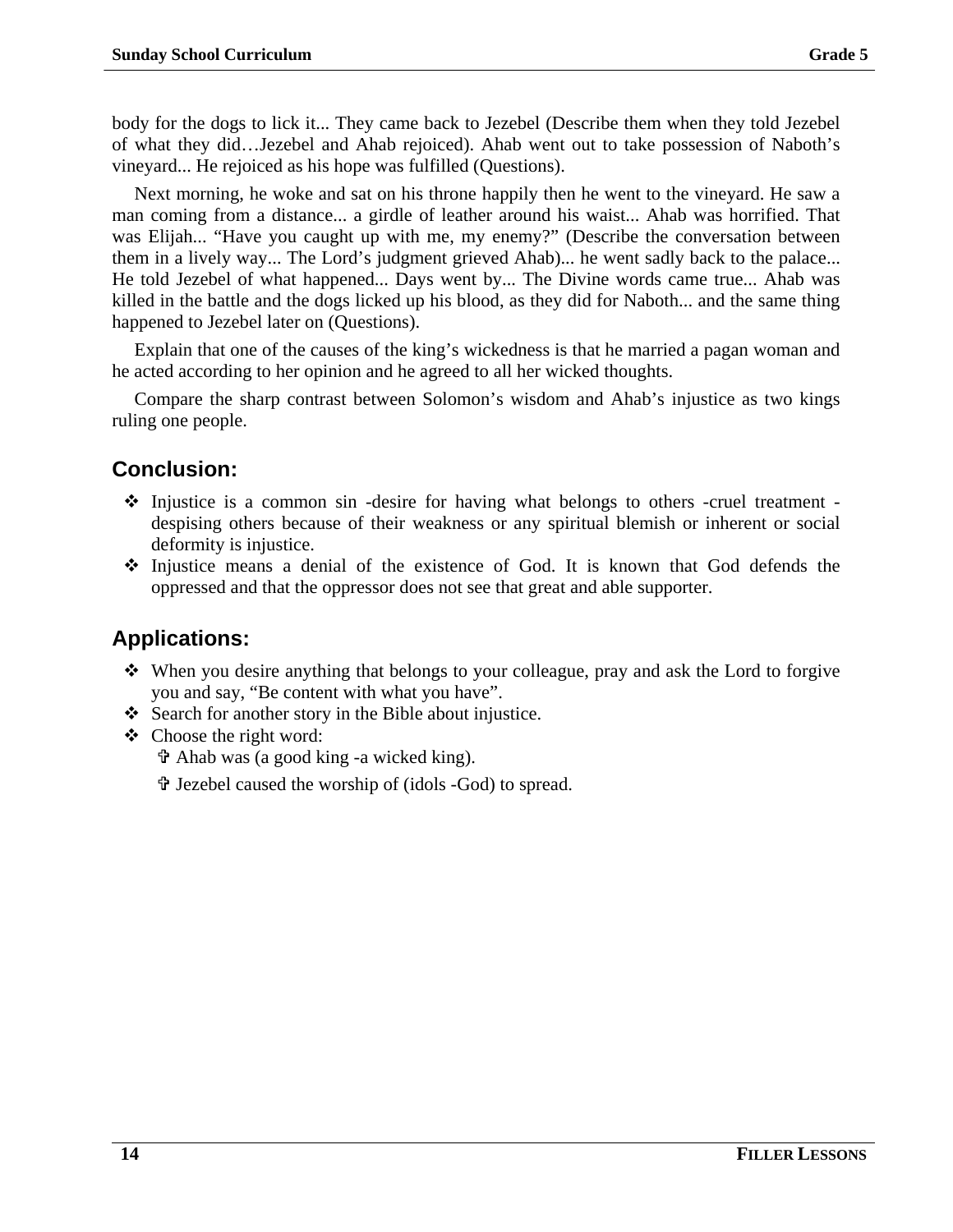body for the dogs to lick it... They came back to Jezebel (Describe them when they told Jezebel of what they did…Jezebel and Ahab rejoiced). Ahab went out to take possession of Naboth's vineyard... He rejoiced as his hope was fulfilled (Questions).

Next morning, he woke and sat on his throne happily then he went to the vineyard. He saw a man coming from a distance... a girdle of leather around his waist... Ahab was horrified. That was Elijah... "Have you caught up with me, my enemy?" (Describe the conversation between them in a lively way... The Lord's judgment grieved Ahab)... he went sadly back to the palace... He told Jezebel of what happened... Days went by... The Divine words came true... Ahab was killed in the battle and the dogs licked up his blood, as they did for Naboth... and the same thing happened to Jezebel later on (Questions).

Explain that one of the causes of the king's wickedness is that he married a pagan woman and he acted according to her opinion and he agreed to all her wicked thoughts.

Compare the sharp contrast between Solomon's wisdom and Ahab's injustice as two kings ruling one people.

#### **Conclusion:**

- Injustice is a common sin -desire for having what belongs to others -cruel treatment despising others because of their weakness or any spiritual blemish or inherent or social deformity is injustice.
- Injustice means a denial of the existence of God. It is known that God defends the oppressed and that the oppressor does not see that great and able supporter.

- When you desire anything that belongs to your colleague, pray and ask the Lord to forgive you and say, "Be content with what you have".
- Search for another story in the Bible about injustice.
- Choose the right word:
	- = Ahab was (a good king -a wicked king).
	- = Jezebel caused the worship of (idols -God) to spread.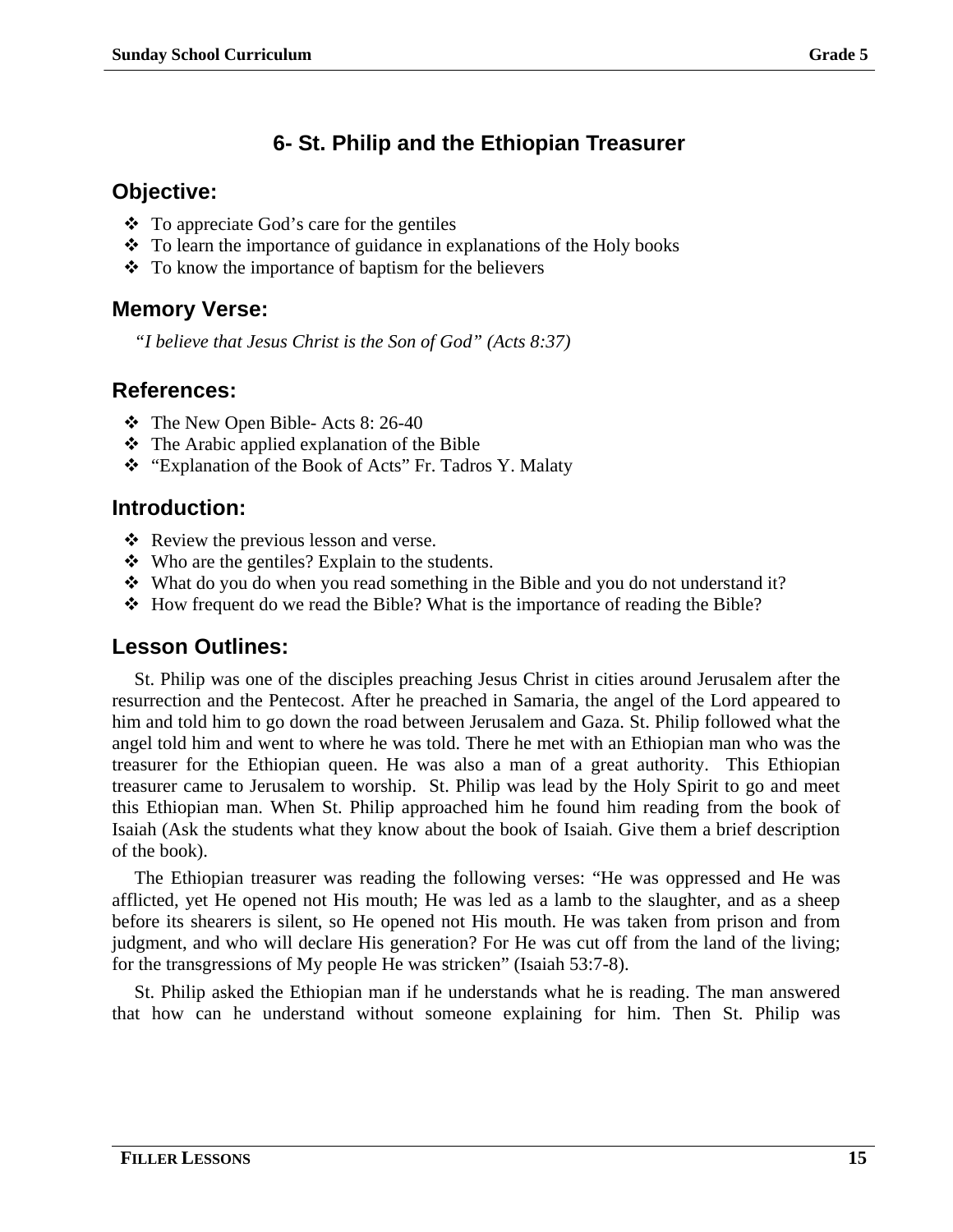## **6- St. Philip and the Ethiopian Treasurer**

#### <span id="page-26-0"></span>**Objective:**

- $\cdot \cdot$  To appreciate God's care for the gentiles
- To learn the importance of guidance in explanations of the Holy books
- To know the importance of baptism for the believers

#### **Memory Verse:**

*"I believe that Jesus Christ is the Son of God" (Acts 8:37)*

#### **References:**

- The New Open Bible- Acts 8: 26-40
- The Arabic applied explanation of the Bible
- \* "Explanation of the Book of Acts" Fr. Tadros Y. Malaty

#### **Introduction:**

- ❖ Review the previous lesson and verse.
- Who are the gentiles? Explain to the students.
- What do you do when you read something in the Bible and you do not understand it?
- \* How frequent do we read the Bible? What is the importance of reading the Bible?

#### **Lesson Outlines:**

St. Philip was one of the disciples preaching Jesus Christ in cities around Jerusalem after the resurrection and the Pentecost. After he preached in Samaria, the angel of the Lord appeared to him and told him to go down the road between Jerusalem and Gaza. St. Philip followed what the angel told him and went to where he was told. There he met with an Ethiopian man who was the treasurer for the Ethiopian queen. He was also a man of a great authority. This Ethiopian treasurer came to Jerusalem to worship. St. Philip was lead by the Holy Spirit to go and meet this Ethiopian man. When St. Philip approached him he found him reading from the book of Isaiah (Ask the students what they know about the book of Isaiah. Give them a brief description of the book).

The Ethiopian treasurer was reading the following verses: "He was oppressed and He was afflicted, yet He opened not His mouth; He was led as a lamb to the slaughter, and as a sheep before its shearers is silent, so He opened not His mouth. He was taken from prison and from judgment, and who will declare His generation? For He was cut off from the land of the living; for the transgressions of My people He was stricken" (Isaiah 53:7-8).

St. Philip asked the Ethiopian man if he understands what he is reading. The man answered that how can he understand without someone explaining for him. Then St. Philip was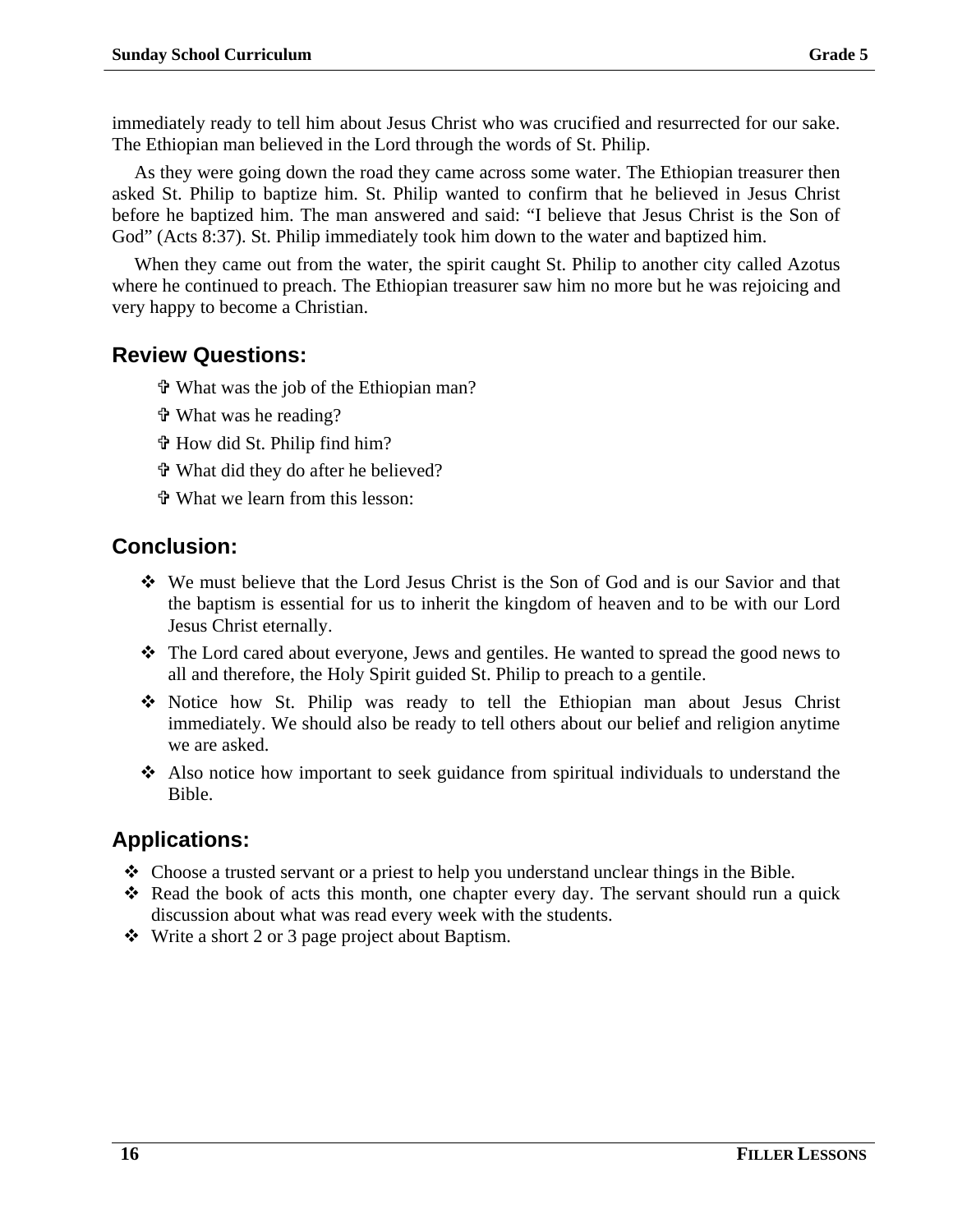immediately ready to tell him about Jesus Christ who was crucified and resurrected for our sake. The Ethiopian man believed in the Lord through the words of St. Philip.

As they were going down the road they came across some water. The Ethiopian treasurer then asked St. Philip to baptize him. St. Philip wanted to confirm that he believed in Jesus Christ before he baptized him. The man answered and said: "I believe that Jesus Christ is the Son of God" (Acts 8:37). St. Philip immediately took him down to the water and baptized him.

When they came out from the water, the spirit caught St. Philip to another city called Azotus where he continued to preach. The Ethiopian treasurer saw him no more but he was rejoicing and very happy to become a Christian.

#### **Review Questions:**

- = What was the job of the Ethiopian man?
- = What was he reading?
- = How did St. Philip find him?
- = What did they do after he believed?
- = What we learn from this lesson:

#### **Conclusion:**

- We must believe that the Lord Jesus Christ is the Son of God and is our Savior and that the baptism is essential for us to inherit the kingdom of heaven and to be with our Lord Jesus Christ eternally.
- \* The Lord cared about everyone, Jews and gentiles. He wanted to spread the good news to all and therefore, the Holy Spirit guided St. Philip to preach to a gentile.
- Notice how St. Philip was ready to tell the Ethiopian man about Jesus Christ immediately. We should also be ready to tell others about our belief and religion anytime we are asked.
- $\triangle$  Also notice how important to seek guidance from spiritual individuals to understand the Bible.

- Choose a trusted servant or a priest to help you understand unclear things in the Bible.
- \* Read the book of acts this month, one chapter every day. The servant should run a quick discussion about what was read every week with the students.
- Write a short 2 or 3 page project about Baptism.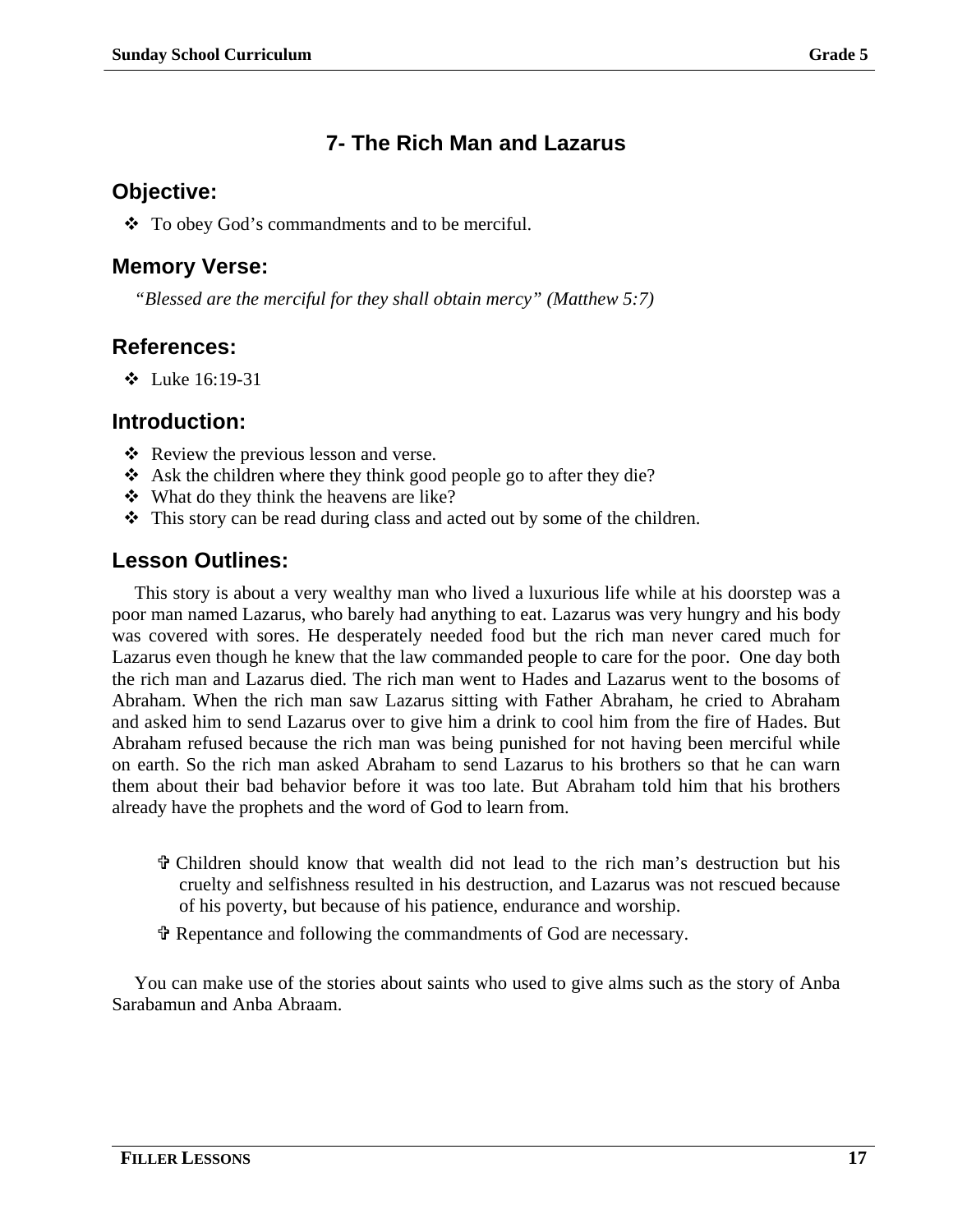## **7- The Rich Man and Lazarus**

#### <span id="page-28-0"></span>**Objective:**

To obey God's commandments and to be merciful.

#### **Memory Verse:**

*"Blessed are the merciful for they shall obtain mercy" (Matthew 5:7)*

#### **References:**

Luke 16:19-31

#### **Introduction:**

- ❖ Review the previous lesson and verse.
- \* Ask the children where they think good people go to after they die?
- **❖** What do they think the heavens are like?
- $\triangleleft$  This story can be read during class and acted out by some of the children.

#### **Lesson Outlines:**

This story is about a very wealthy man who lived a luxurious life while at his doorstep was a poor man named Lazarus, who barely had anything to eat. Lazarus was very hungry and his body was covered with sores. He desperately needed food but the rich man never cared much for Lazarus even though he knew that the law commanded people to care for the poor. One day both the rich man and Lazarus died. The rich man went to Hades and Lazarus went to the bosoms of Abraham. When the rich man saw Lazarus sitting with Father Abraham, he cried to Abraham and asked him to send Lazarus over to give him a drink to cool him from the fire of Hades. But Abraham refused because the rich man was being punished for not having been merciful while on earth. So the rich man asked Abraham to send Lazarus to his brothers so that he can warn them about their bad behavior before it was too late. But Abraham told him that his brothers already have the prophets and the word of God to learn from.

- = Children should know that wealth did not lead to the rich man's destruction but his cruelty and selfishness resulted in his destruction, and Lazarus was not rescued because of his poverty, but because of his patience, endurance and worship.
- = Repentance and following the commandments of God are necessary.

You can make use of the stories about saints who used to give alms such as the story of Anba Sarabamun and Anba Abraam.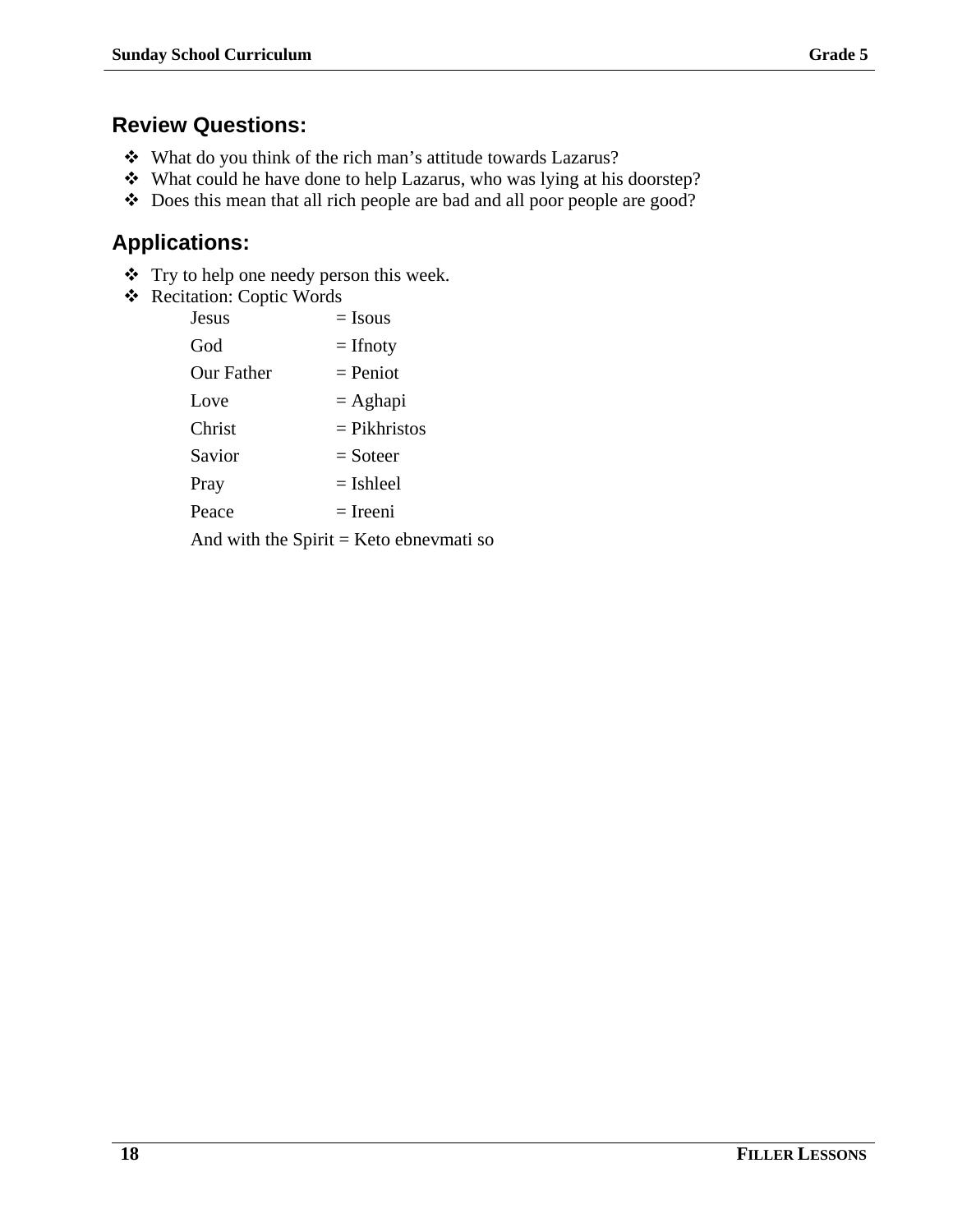#### **Review Questions:**

- What do you think of the rich man's attitude towards Lazarus?
- What could he have done to help Lazarus, who was lying at his doorstep?
- \* Does this mean that all rich people are bad and all poor people are good?

- ❖ Try to help one needy person this week.
- \* Recitation: Coptic Words

| <b>Jesus</b>                              | $=$ Isous      |  |
|-------------------------------------------|----------------|--|
| God                                       | $=$ Ifnoty     |  |
| Our Father                                | $=$ Peniot     |  |
| Love                                      | $=$ Aghapi     |  |
| Christ                                    | $=$ Pikhristos |  |
| Savior                                    | $=$ Soteer     |  |
| Pray                                      | $=$ Ishleel    |  |
| Peace                                     | $=$ Ireeni     |  |
| And with the Spirit $=$ Keto ebnevmati so |                |  |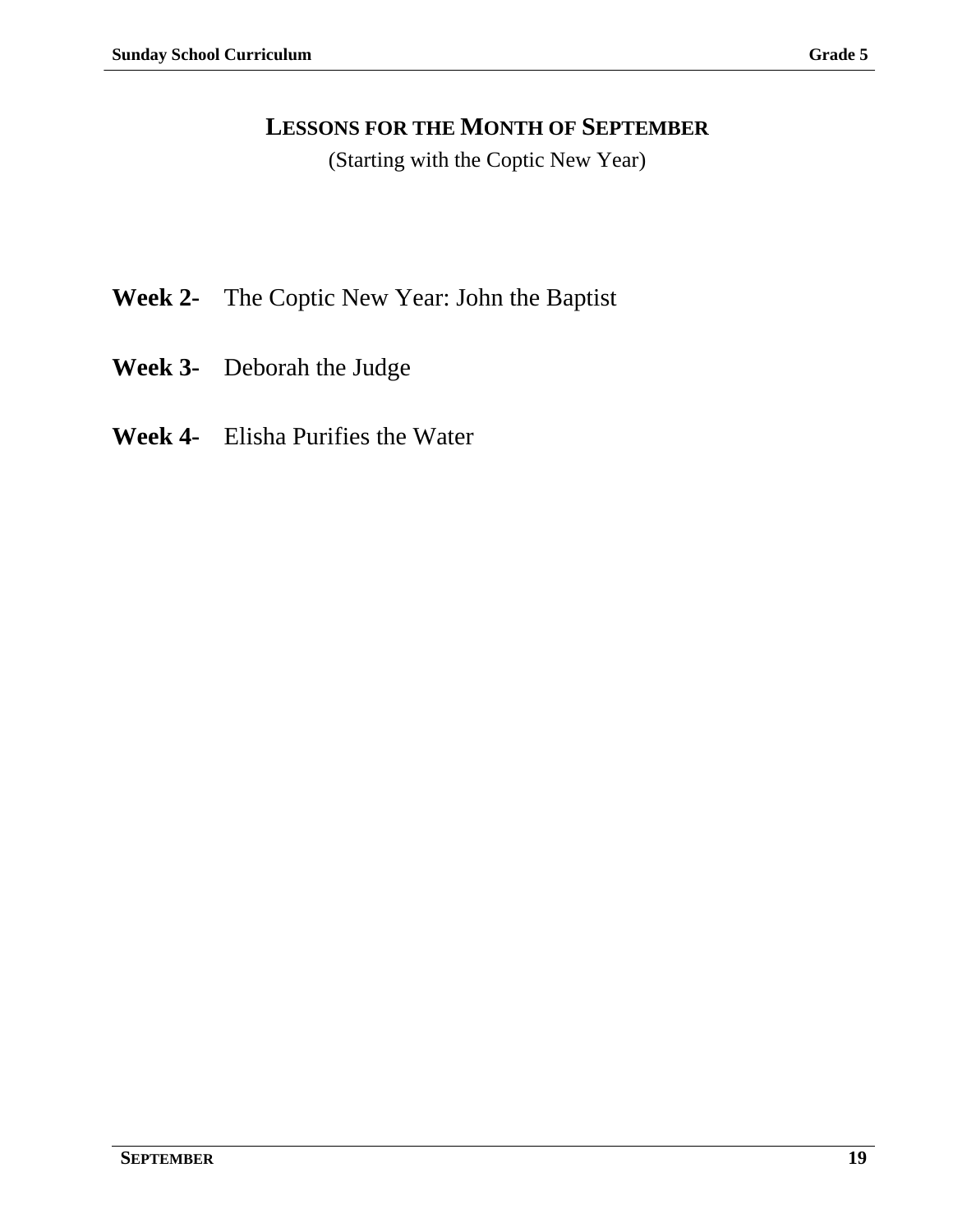## <span id="page-30-0"></span>**LESSONS FOR THE MONTH OF SEPTEMBER**

(Starting with the Coptic New Year)

- **Week 2-** The Coptic New Year: John the Baptist
- **Week 3-** Deborah the Judge
- **Week 4-** Elisha Purifies the Water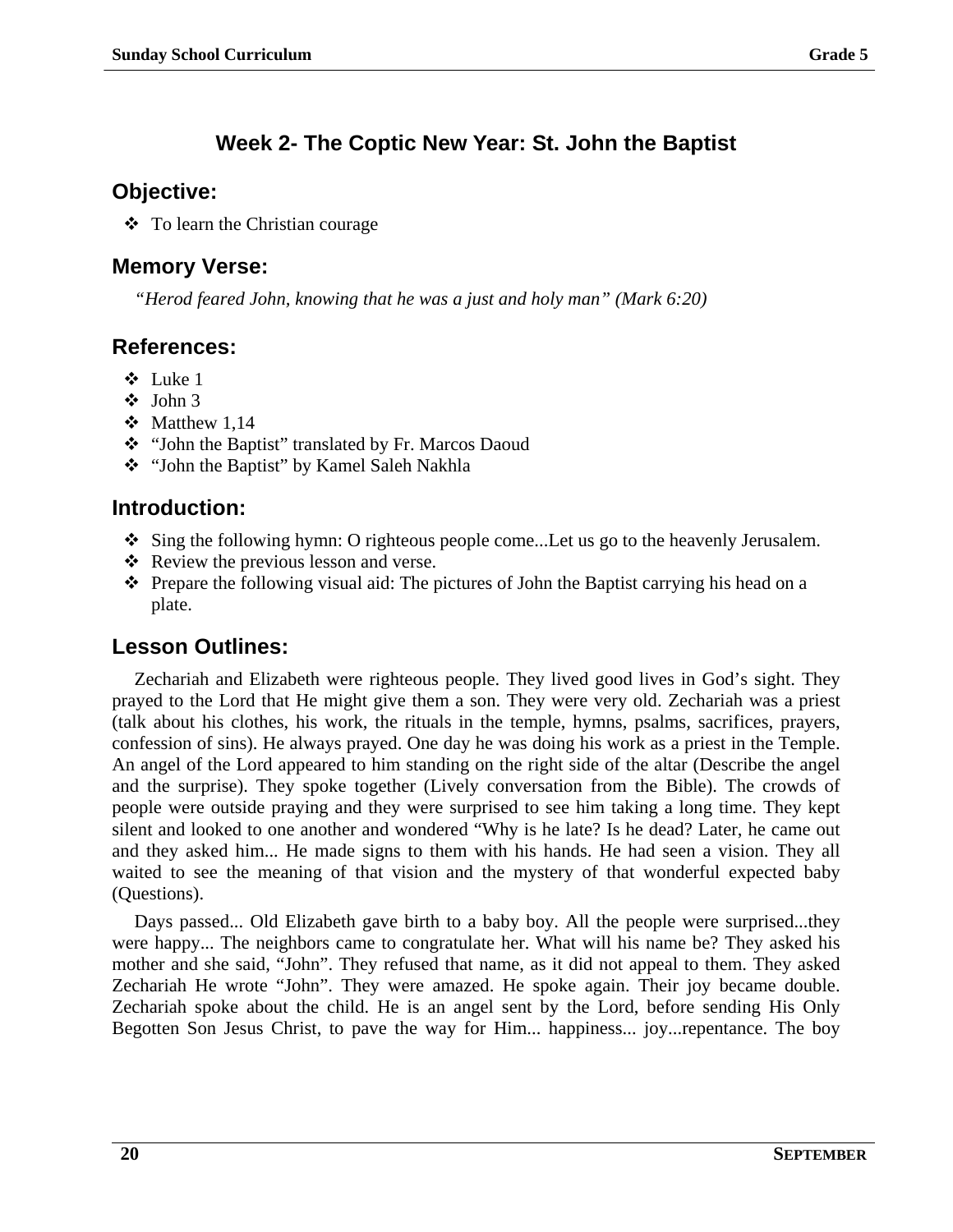#### **Week 2- The Coptic New Year: St. John the Baptist**

#### <span id="page-31-0"></span>**Objective:**

**❖** To learn the Christian courage

#### **Memory Verse:**

*"Herod feared John, knowing that he was a just and holy man" (Mark 6:20)*

#### **References:**

- Luke 1
- John 3
- $\div$  Matthew 1,14
- "John the Baptist" translated by Fr. Marcos Daoud
- "John the Baptist" by Kamel Saleh Nakhla

## **Introduction:**

- Sing the following hymn: O righteous people come...Let us go to the heavenly Jerusalem.
- ❖ Review the previous lesson and verse.
- Prepare the following visual aid: The pictures of John the Baptist carrying his head on a plate.

#### **Lesson Outlines:**

Zechariah and Elizabeth were righteous people. They lived good lives in God's sight. They prayed to the Lord that He might give them a son. They were very old. Zechariah was a priest (talk about his clothes, his work, the rituals in the temple, hymns, psalms, sacrifices, prayers, confession of sins). He always prayed. One day he was doing his work as a priest in the Temple. An angel of the Lord appeared to him standing on the right side of the altar (Describe the angel and the surprise). They spoke together (Lively conversation from the Bible). The crowds of people were outside praying and they were surprised to see him taking a long time. They kept silent and looked to one another and wondered "Why is he late? Is he dead? Later, he came out and they asked him... He made signs to them with his hands. He had seen a vision. They all waited to see the meaning of that vision and the mystery of that wonderful expected baby (Questions).

Days passed... Old Elizabeth gave birth to a baby boy. All the people were surprised...they were happy... The neighbors came to congratulate her. What will his name be? They asked his mother and she said, "John". They refused that name, as it did not appeal to them. They asked Zechariah He wrote "John". They were amazed. He spoke again. Their joy became double. Zechariah spoke about the child. He is an angel sent by the Lord, before sending His Only Begotten Son Jesus Christ, to pave the way for Him... happiness... joy...repentance. The boy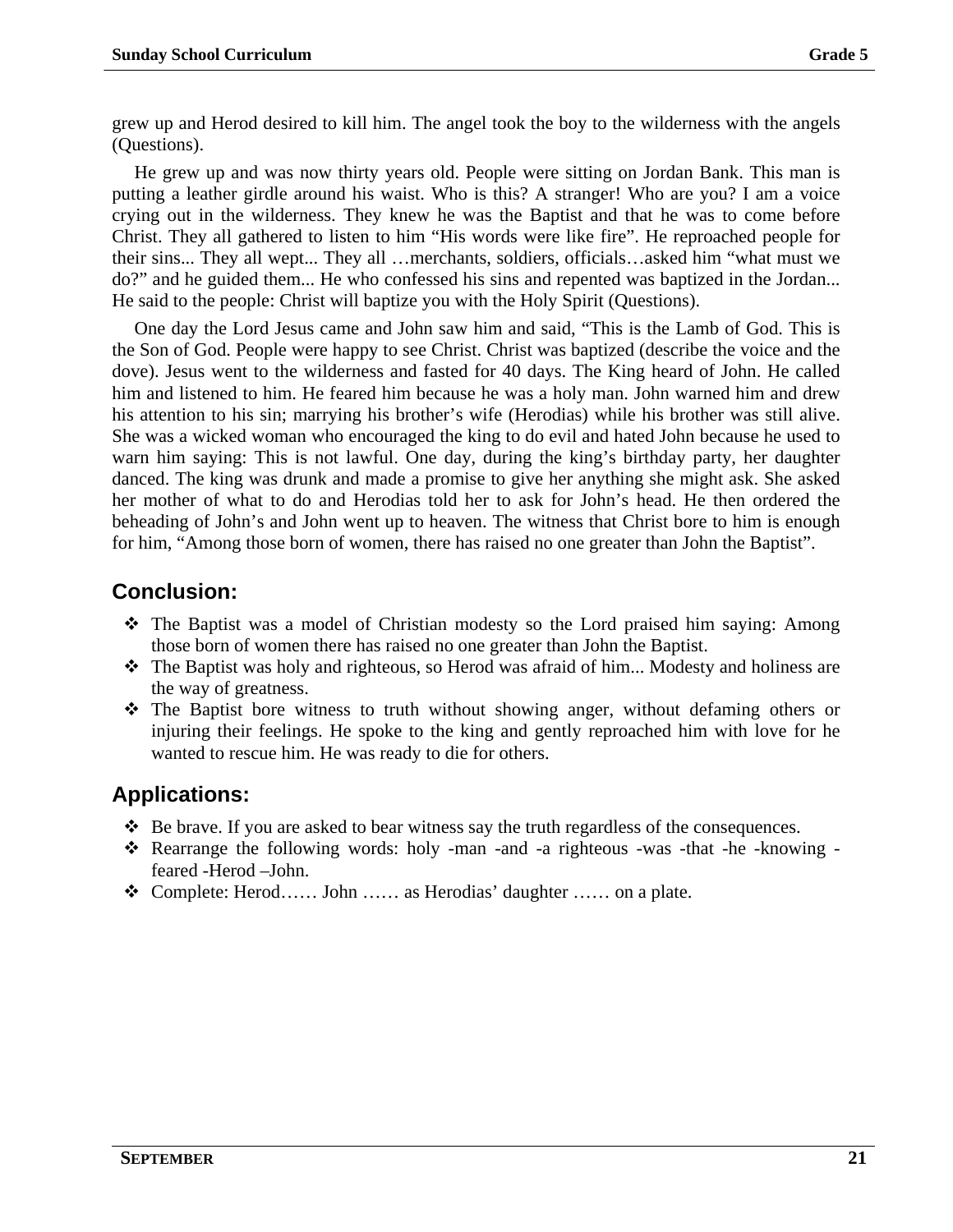grew up and Herod desired to kill him. The angel took the boy to the wilderness with the angels (Questions).

He grew up and was now thirty years old. People were sitting on Jordan Bank. This man is putting a leather girdle around his waist. Who is this? A stranger! Who are you? I am a voice crying out in the wilderness. They knew he was the Baptist and that he was to come before Christ. They all gathered to listen to him "His words were like fire". He reproached people for their sins... They all wept... They all …merchants, soldiers, officials…asked him "what must we do?" and he guided them... He who confessed his sins and repented was baptized in the Jordan... He said to the people: Christ will baptize you with the Holy Spirit (Questions).

One day the Lord Jesus came and John saw him and said, "This is the Lamb of God. This is the Son of God. People were happy to see Christ. Christ was baptized (describe the voice and the dove). Jesus went to the wilderness and fasted for 40 days. The King heard of John. He called him and listened to him. He feared him because he was a holy man. John warned him and drew his attention to his sin; marrying his brother's wife (Herodias) while his brother was still alive. She was a wicked woman who encouraged the king to do evil and hated John because he used to warn him saying: This is not lawful. One day, during the king's birthday party, her daughter danced. The king was drunk and made a promise to give her anything she might ask. She asked her mother of what to do and Herodias told her to ask for John's head. He then ordered the beheading of John's and John went up to heaven. The witness that Christ bore to him is enough for him, "Among those born of women, there has raised no one greater than John the Baptist".

#### **Conclusion:**

- The Baptist was a model of Christian modesty so the Lord praised him saying: Among those born of women there has raised no one greater than John the Baptist.
- The Baptist was holy and righteous, so Herod was afraid of him... Modesty and holiness are the way of greatness.
- The Baptist bore witness to truth without showing anger, without defaming others or injuring their feelings. He spoke to the king and gently reproached him with love for he wanted to rescue him. He was ready to die for others.

- \* Be brave. If you are asked to bear witness say the truth regardless of the consequences.
- Rearrange the following words: holy -man -and -a righteous -was -that -he -knowing feared -Herod –John.
- Complete: Herod…… John …… as Herodias' daughter …… on a plate.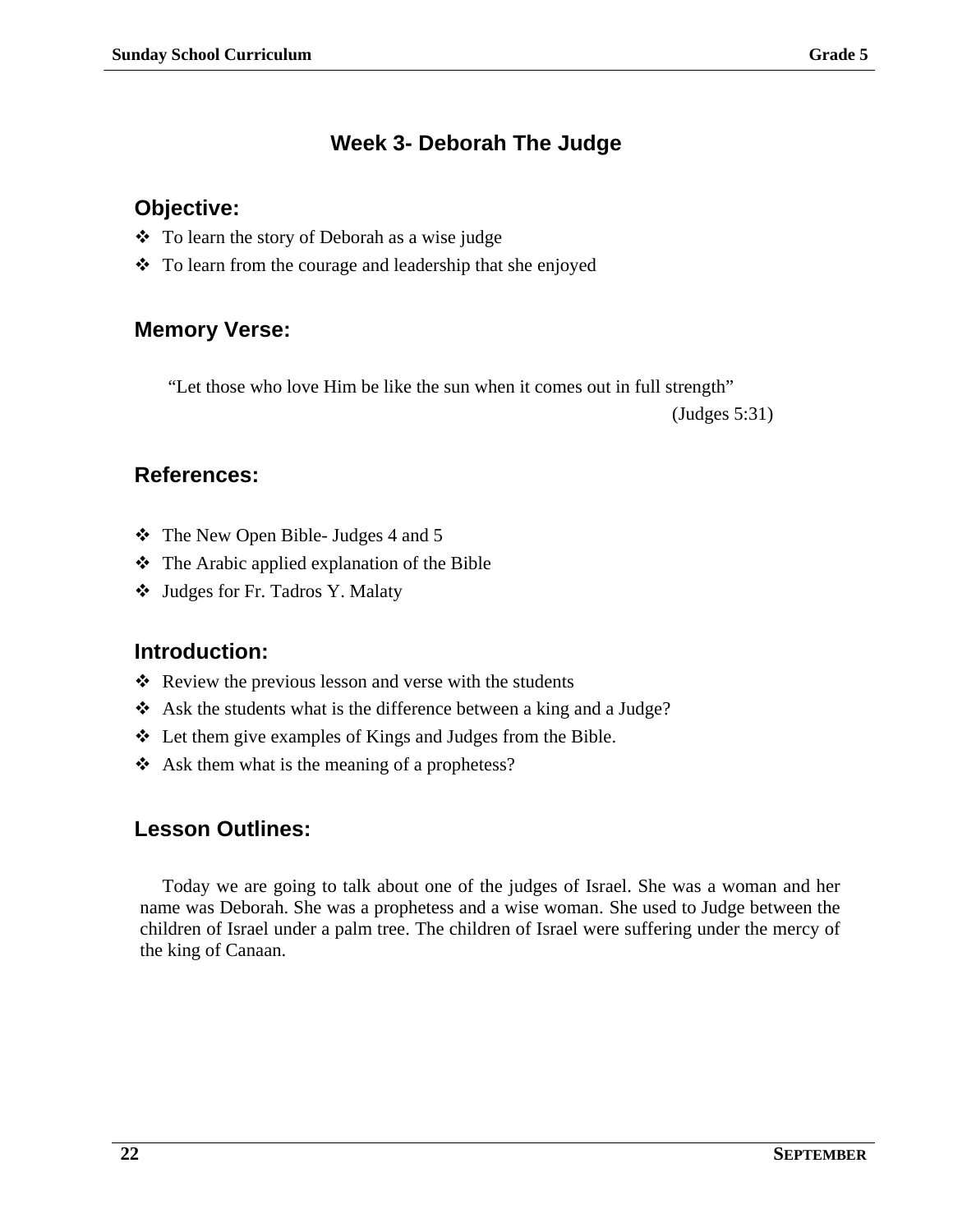## **Week 3- Deborah The Judge**

#### <span id="page-33-0"></span>**Objective:**

- To learn the story of Deborah as a wise judge
- To learn from the courage and leadership that she enjoyed

#### **Memory Verse:**

"Let those who love Him be like the sun when it comes out in full strength"

(Judges 5:31)

#### **References:**

- $\div$  The New Open Bible- Judges 4 and 5
- $\triangleleft$  The Arabic applied explanation of the Bible
- Judges for Fr. Tadros Y. Malaty

#### **Introduction:**

- ❖ Review the previous lesson and verse with the students
- Ask the students what is the difference between a king and a Judge?
- Let them give examples of Kings and Judges from the Bible.
- Ask them what is the meaning of a prophetess?

## **Lesson Outlines:**

Today we are going to talk about one of the judges of Israel. She was a woman and her name was Deborah. She was a prophetess and a wise woman. She used to Judge between the children of Israel under a palm tree. The children of Israel were suffering under the mercy of the king of Canaan.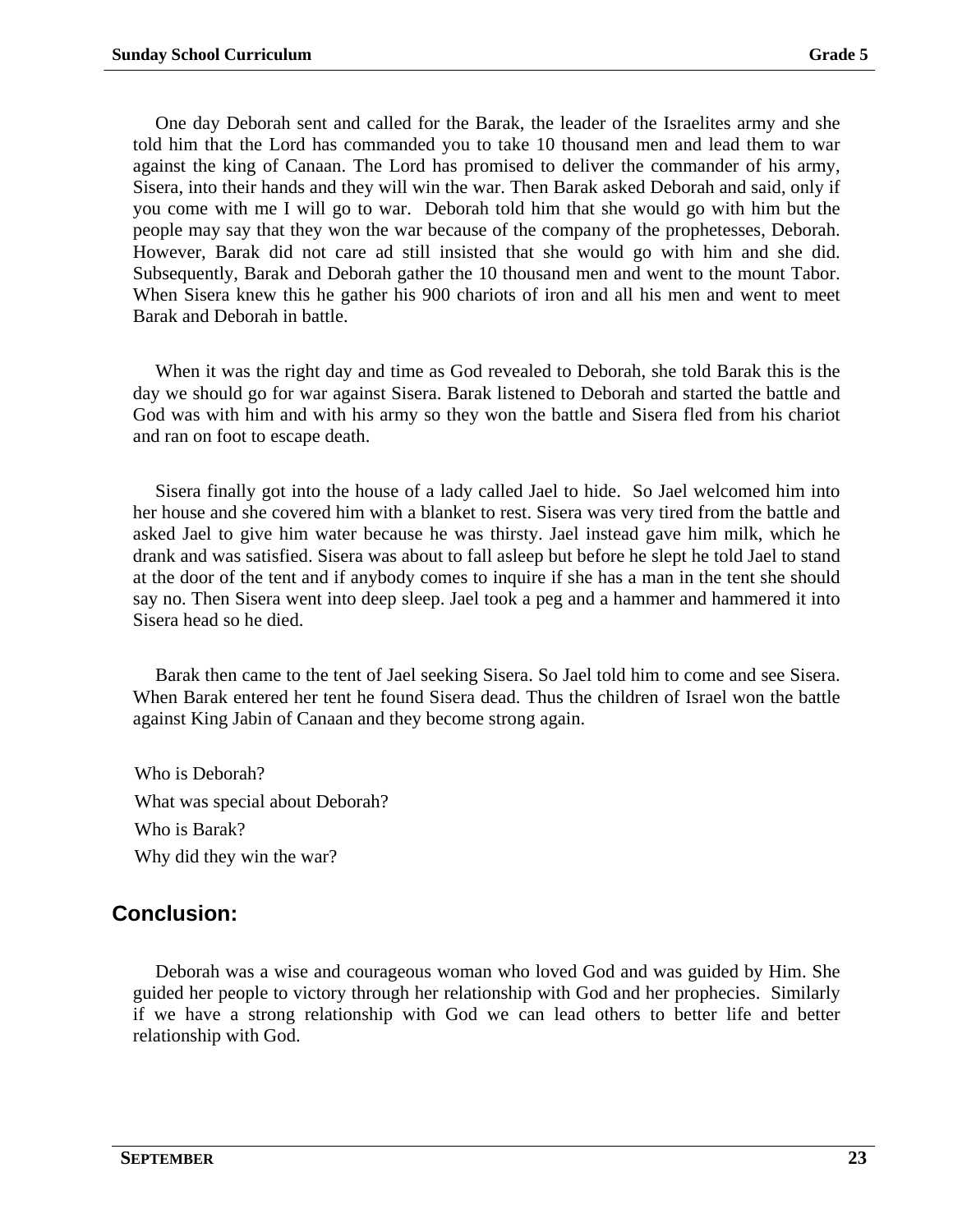One day Deborah sent and called for the Barak, the leader of the Israelites army and she told him that the Lord has commanded you to take 10 thousand men and lead them to war against the king of Canaan. The Lord has promised to deliver the commander of his army, Sisera, into their hands and they will win the war. Then Barak asked Deborah and said, only if you come with me I will go to war. Deborah told him that she would go with him but the people may say that they won the war because of the company of the prophetesses, Deborah. However, Barak did not care ad still insisted that she would go with him and she did. Subsequently, Barak and Deborah gather the 10 thousand men and went to the mount Tabor. When Sisera knew this he gather his 900 chariots of iron and all his men and went to meet Barak and Deborah in battle.

When it was the right day and time as God revealed to Deborah, she told Barak this is the day we should go for war against Sisera. Barak listened to Deborah and started the battle and God was with him and with his army so they won the battle and Sisera fled from his chariot and ran on foot to escape death.

Sisera finally got into the house of a lady called Jael to hide. So Jael welcomed him into her house and she covered him with a blanket to rest. Sisera was very tired from the battle and asked Jael to give him water because he was thirsty. Jael instead gave him milk, which he drank and was satisfied. Sisera was about to fall asleep but before he slept he told Jael to stand at the door of the tent and if anybody comes to inquire if she has a man in the tent she should say no. Then Sisera went into deep sleep. Jael took a peg and a hammer and hammered it into Sisera head so he died.

Barak then came to the tent of Jael seeking Sisera. So Jael told him to come and see Sisera. When Barak entered her tent he found Sisera dead. Thus the children of Israel won the battle against King Jabin of Canaan and they become strong again.

Who is Deborah? What was special about Deborah? Who is Barak? Why did they win the war?

#### **Conclusion:**

Deborah was a wise and courageous woman who loved God and was guided by Him. She guided her people to victory through her relationship with God and her prophecies. Similarly if we have a strong relationship with God we can lead others to better life and better relationship with God.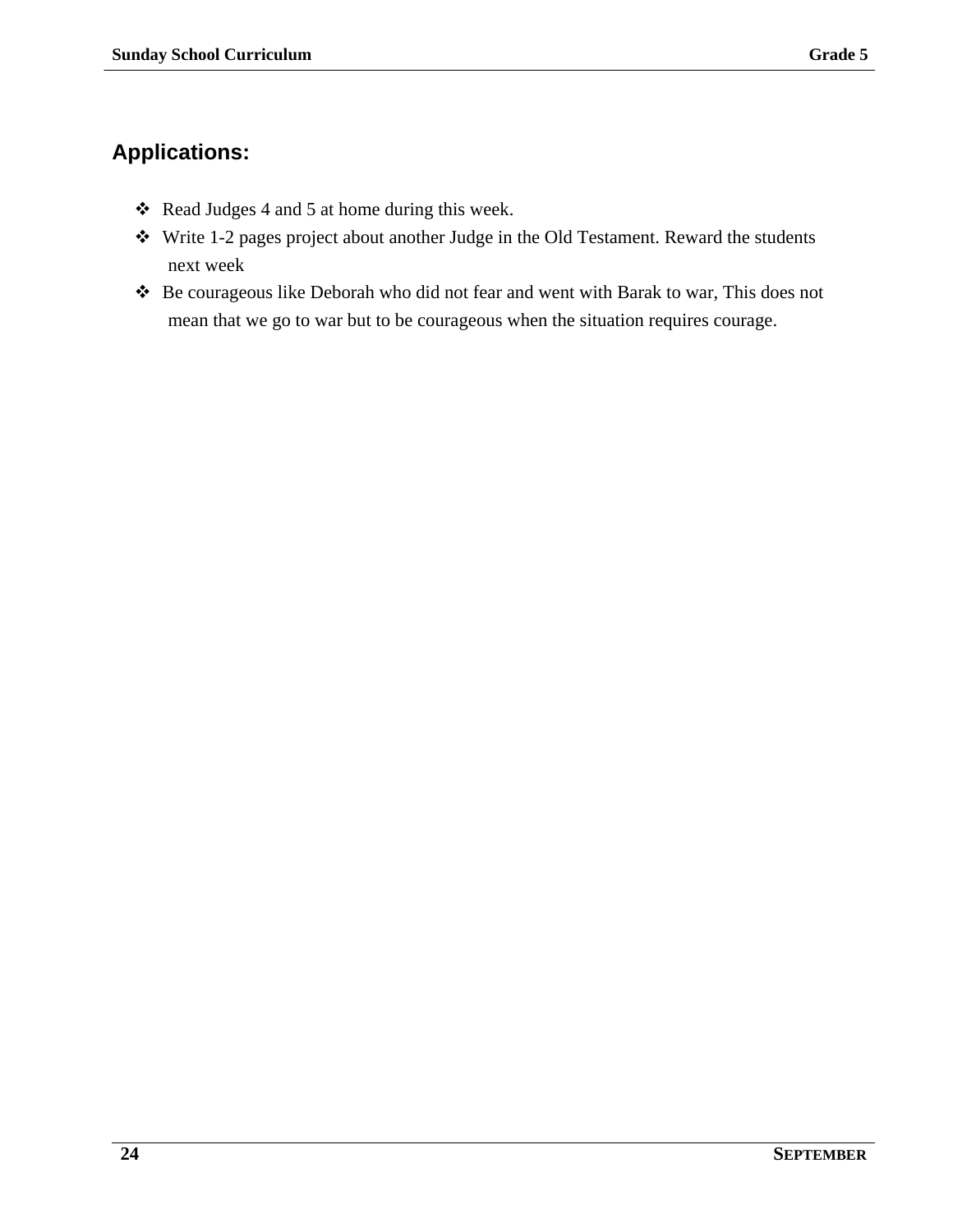- \* Read Judges 4 and 5 at home during this week.
- Write 1-2 pages project about another Judge in the Old Testament. Reward the students next week
- Be courageous like Deborah who did not fear and went with Barak to war, This does not mean that we go to war but to be courageous when the situation requires courage.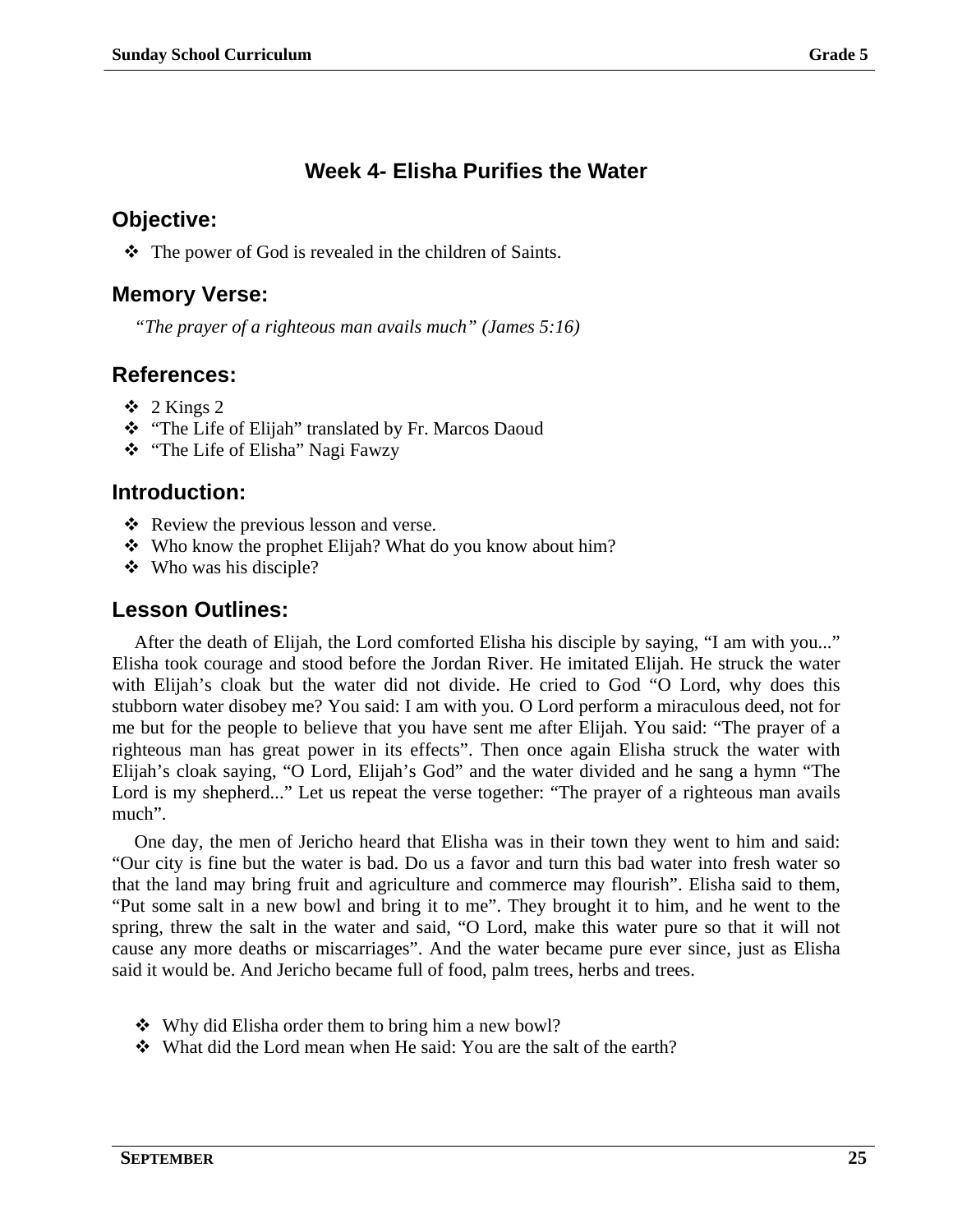# **Week 4- Elisha Purifies the Water**

### **Objective:**

The power of God is revealed in the children of Saints.

#### **Memory Verse:**

*"The prayer of a righteous man avails much" (James 5:16)*

## **References:**

- $\div$  2 Kings 2
- \* "The Life of Elijah" translated by Fr. Marcos Daoud
- \* "The Life of Elisha" Nagi Fawzy

#### **Introduction:**

- ❖ Review the previous lesson and verse.
- Who know the prophet Elijah? What do you know about him?
- Who was his disciple?

### **Lesson Outlines:**

After the death of Elijah, the Lord comforted Elisha his disciple by saying, "I am with you..." Elisha took courage and stood before the Jordan River. He imitated Elijah. He struck the water with Elijah's cloak but the water did not divide. He cried to God "O Lord, why does this stubborn water disobey me? You said: I am with you. O Lord perform a miraculous deed, not for me but for the people to believe that you have sent me after Elijah. You said: "The prayer of a righteous man has great power in its effects". Then once again Elisha struck the water with Elijah's cloak saying, "O Lord, Elijah's God" and the water divided and he sang a hymn "The Lord is my shepherd..." Let us repeat the verse together: "The prayer of a righteous man avails much".

One day, the men of Jericho heard that Elisha was in their town they went to him and said: "Our city is fine but the water is bad. Do us a favor and turn this bad water into fresh water so that the land may bring fruit and agriculture and commerce may flourish". Elisha said to them, "Put some salt in a new bowl and bring it to me". They brought it to him, and he went to the spring, threw the salt in the water and said, "O Lord, make this water pure so that it will not cause any more deaths or miscarriages". And the water became pure ever since, just as Elisha said it would be. And Jericho became full of food, palm trees, herbs and trees.

- Why did Elisha order them to bring him a new bowl?
- What did the Lord mean when He said: You are the salt of the earth?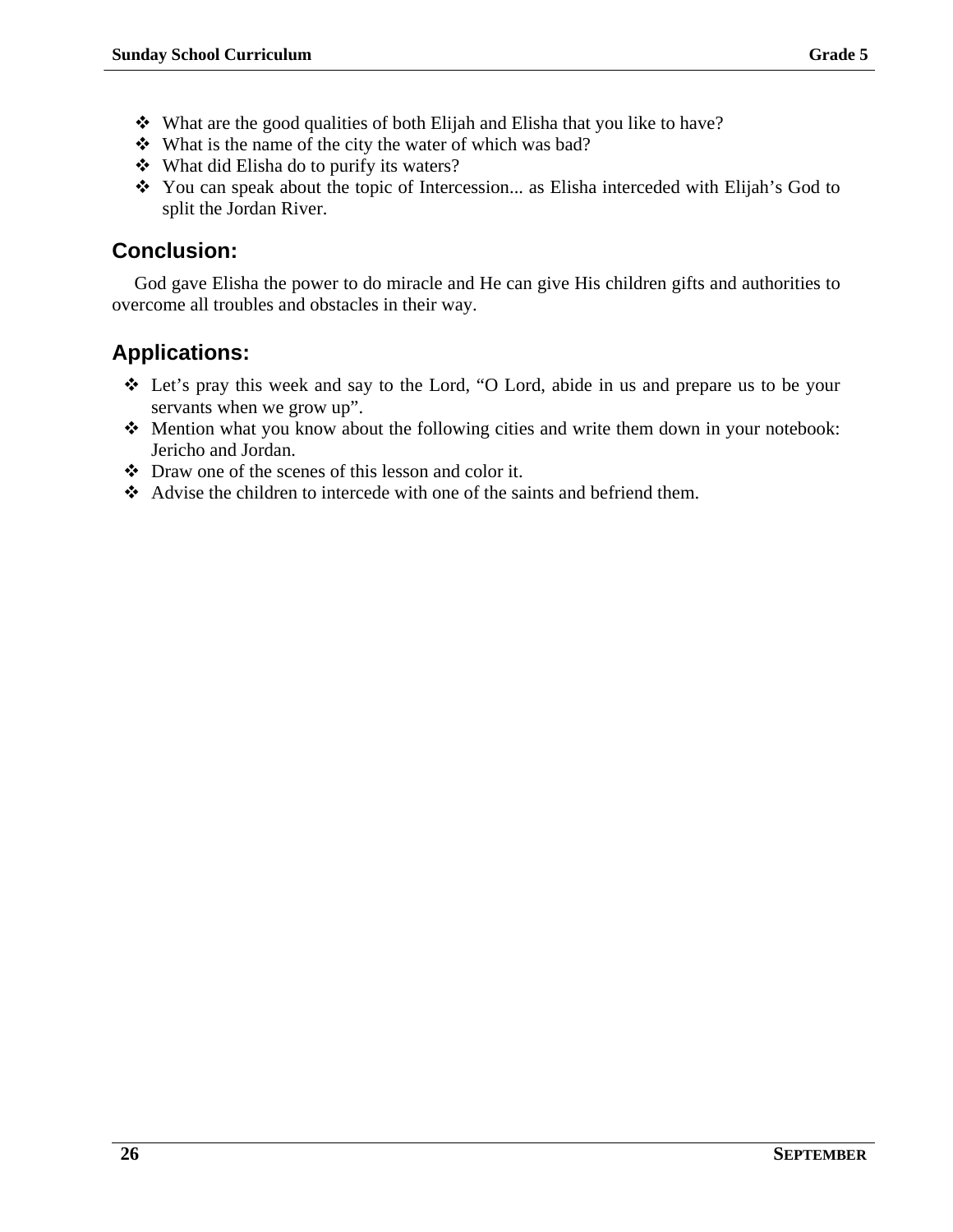- What are the good qualities of both Elijah and Elisha that you like to have?
- What is the name of the city the water of which was bad?
- What did Elisha do to purify its waters?
- \* You can speak about the topic of Intercession... as Elisha interceded with Elijah's God to split the Jordan River.

#### **Conclusion:**

God gave Elisha the power to do miracle and He can give His children gifts and authorities to overcome all troubles and obstacles in their way.

- Let's pray this week and say to the Lord, "O Lord, abide in us and prepare us to be your servants when we grow up".
- Mention what you know about the following cities and write them down in your notebook: Jericho and Jordan.
- Draw one of the scenes of this lesson and color it.
- Advise the children to intercede with one of the saints and befriend them.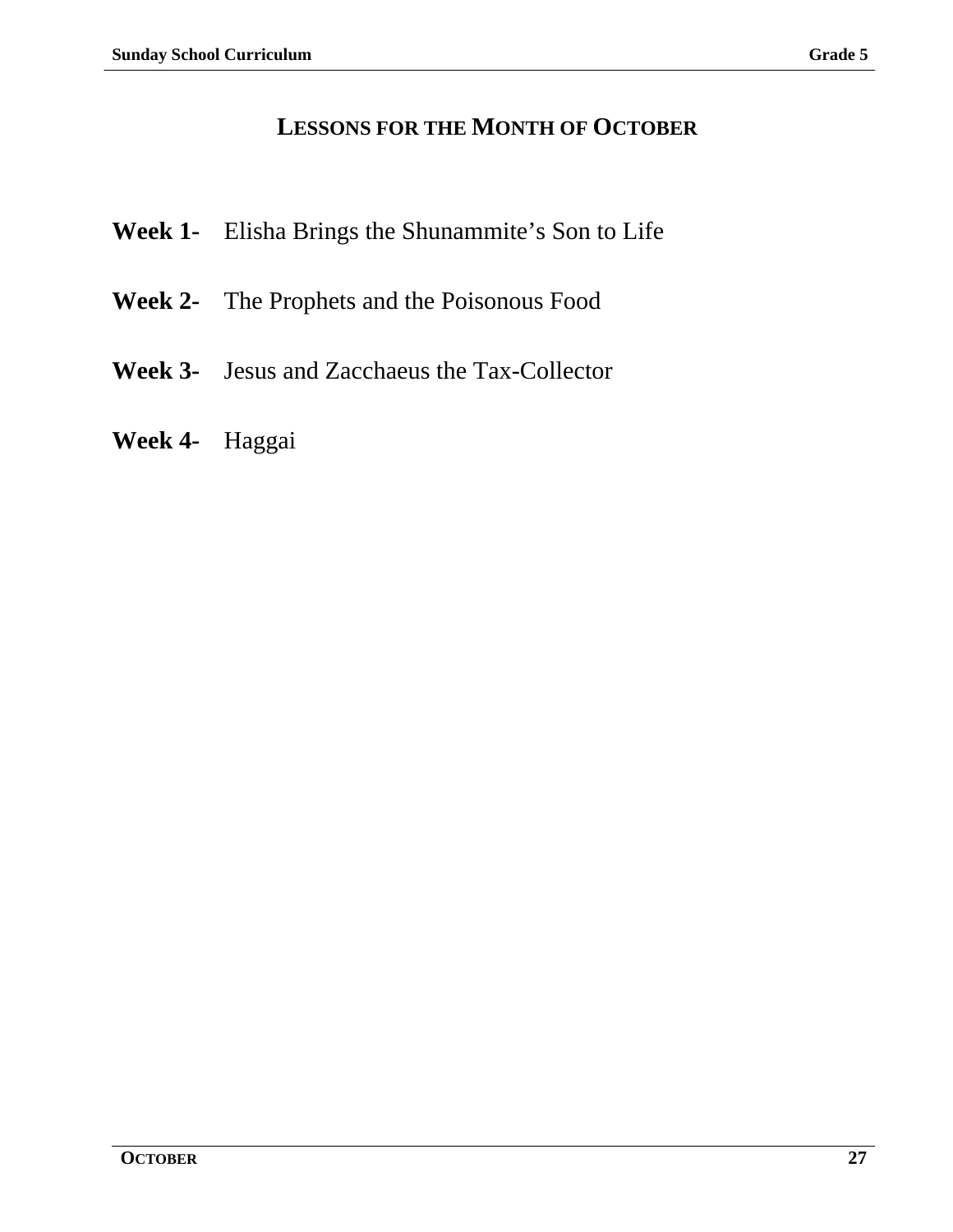# **LESSONS FOR THE MONTH OF OCTOBER**

- **Week 1-** Elisha Brings the Shunammite's Son to Life
- **Week 2-** The Prophets and the Poisonous Food
- **Week 3-** Jesus and Zacchaeus the Tax-Collector
- **Week 4-** Haggai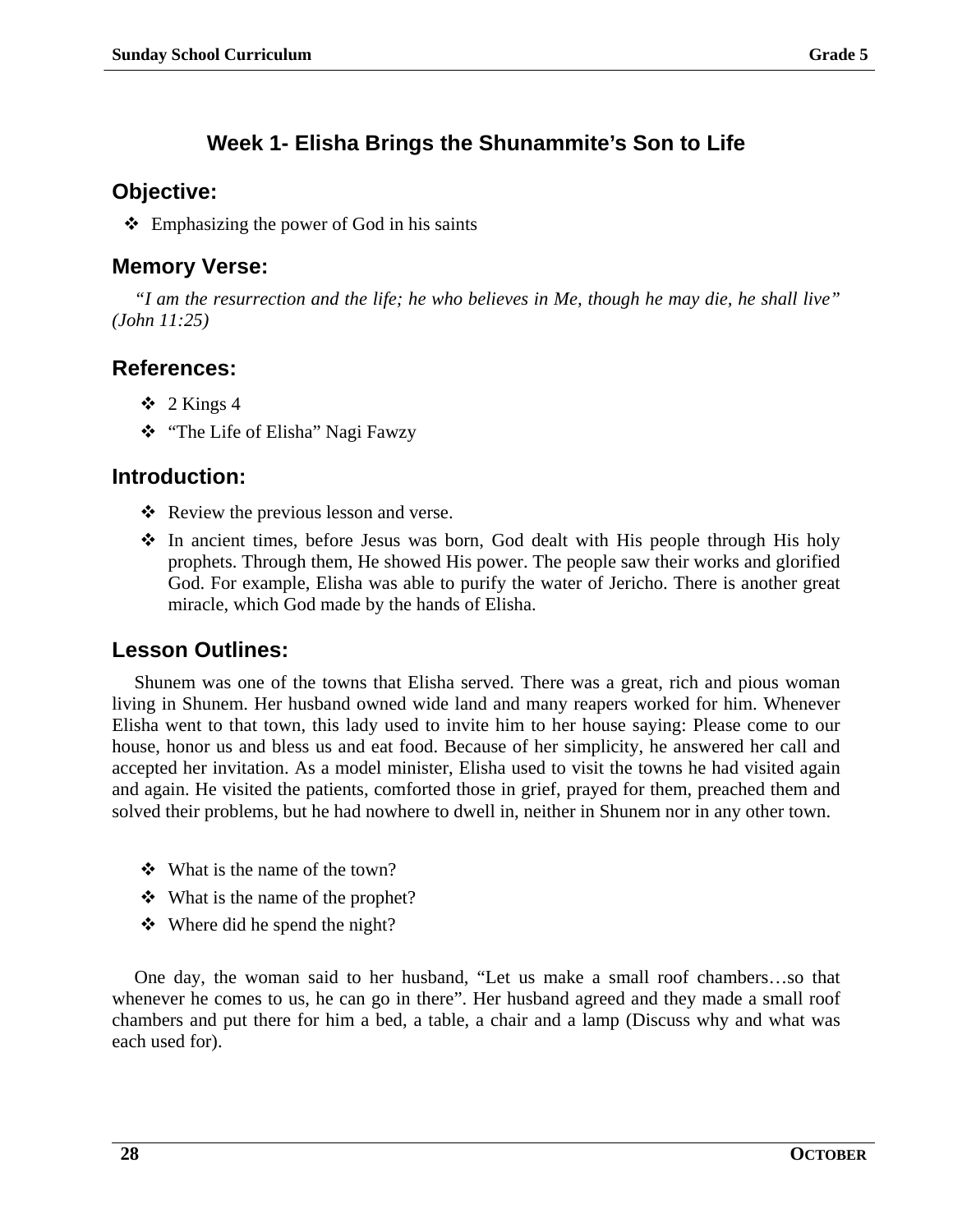# **Week 1- Elisha Brings the Shunammite's Son to Life**

#### **Objective:**

 $\triangleleft$  Emphasizing the power of God in his saints

### **Memory Verse:**

*"I am the resurrection and the life; he who believes in Me, though he may die, he shall live" (John 11:25)* 

## **References:**

- $\div$  2 Kings 4
- "The Life of Elisha" Nagi Fawzy

## **Introduction:**

- $\triangleleft$  Review the previous lesson and verse.
- In ancient times, before Jesus was born, God dealt with His people through His holy prophets. Through them, He showed His power. The people saw their works and glorified God. For example, Elisha was able to purify the water of Jericho. There is another great miracle, which God made by the hands of Elisha.

# **Lesson Outlines:**

Shunem was one of the towns that Elisha served. There was a great, rich and pious woman living in Shunem. Her husband owned wide land and many reapers worked for him. Whenever Elisha went to that town, this lady used to invite him to her house saying: Please come to our house, honor us and bless us and eat food. Because of her simplicity, he answered her call and accepted her invitation. As a model minister, Elisha used to visit the towns he had visited again and again. He visited the patients, comforted those in grief, prayed for them, preached them and solved their problems, but he had nowhere to dwell in, neither in Shunem nor in any other town.

- What is the name of the town?
- What is the name of the prophet?
- Where did he spend the night?

One day, the woman said to her husband, "Let us make a small roof chambers…so that whenever he comes to us, he can go in there". Her husband agreed and they made a small roof chambers and put there for him a bed, a table, a chair and a lamp (Discuss why and what was each used for).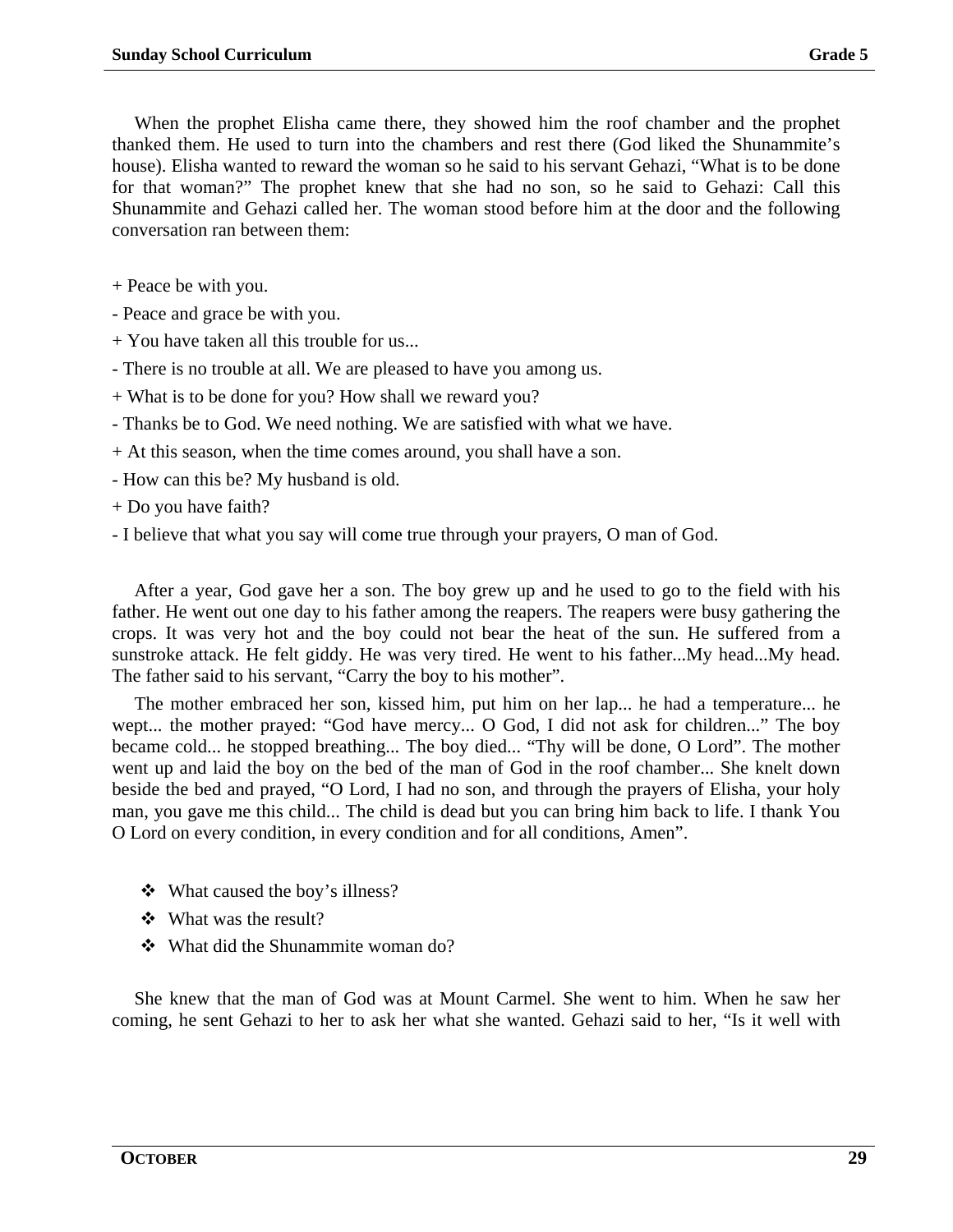When the prophet Elisha came there, they showed him the roof chamber and the prophet thanked them. He used to turn into the chambers and rest there (God liked the Shunammite's house). Elisha wanted to reward the woman so he said to his servant Gehazi, "What is to be done for that woman?" The prophet knew that she had no son, so he said to Gehazi: Call this Shunammite and Gehazi called her. The woman stood before him at the door and the following conversation ran between them:

- + Peace be with you.
- Peace and grace be with you.
- + You have taken all this trouble for us...
- There is no trouble at all. We are pleased to have you among us.
- + What is to be done for you? How shall we reward you?
- Thanks be to God. We need nothing. We are satisfied with what we have.
- + At this season, when the time comes around, you shall have a son.
- How can this be? My husband is old.
- + Do you have faith?
- I believe that what you say will come true through your prayers, O man of God.

After a year, God gave her a son. The boy grew up and he used to go to the field with his father. He went out one day to his father among the reapers. The reapers were busy gathering the crops. It was very hot and the boy could not bear the heat of the sun. He suffered from a sunstroke attack. He felt giddy. He was very tired. He went to his father...My head...My head. The father said to his servant, "Carry the boy to his mother".

The mother embraced her son, kissed him, put him on her lap... he had a temperature... he wept... the mother prayed: "God have mercy... O God, I did not ask for children..." The boy became cold... he stopped breathing... The boy died... "Thy will be done, O Lord". The mother went up and laid the boy on the bed of the man of God in the roof chamber... She knelt down beside the bed and prayed, "O Lord, I had no son, and through the prayers of Elisha, your holy man, you gave me this child... The child is dead but you can bring him back to life. I thank You O Lord on every condition, in every condition and for all conditions, Amen".

- What caused the boy's illness?
- What was the result?
- What did the Shunammite woman do?

She knew that the man of God was at Mount Carmel. She went to him. When he saw her coming, he sent Gehazi to her to ask her what she wanted. Gehazi said to her, "Is it well with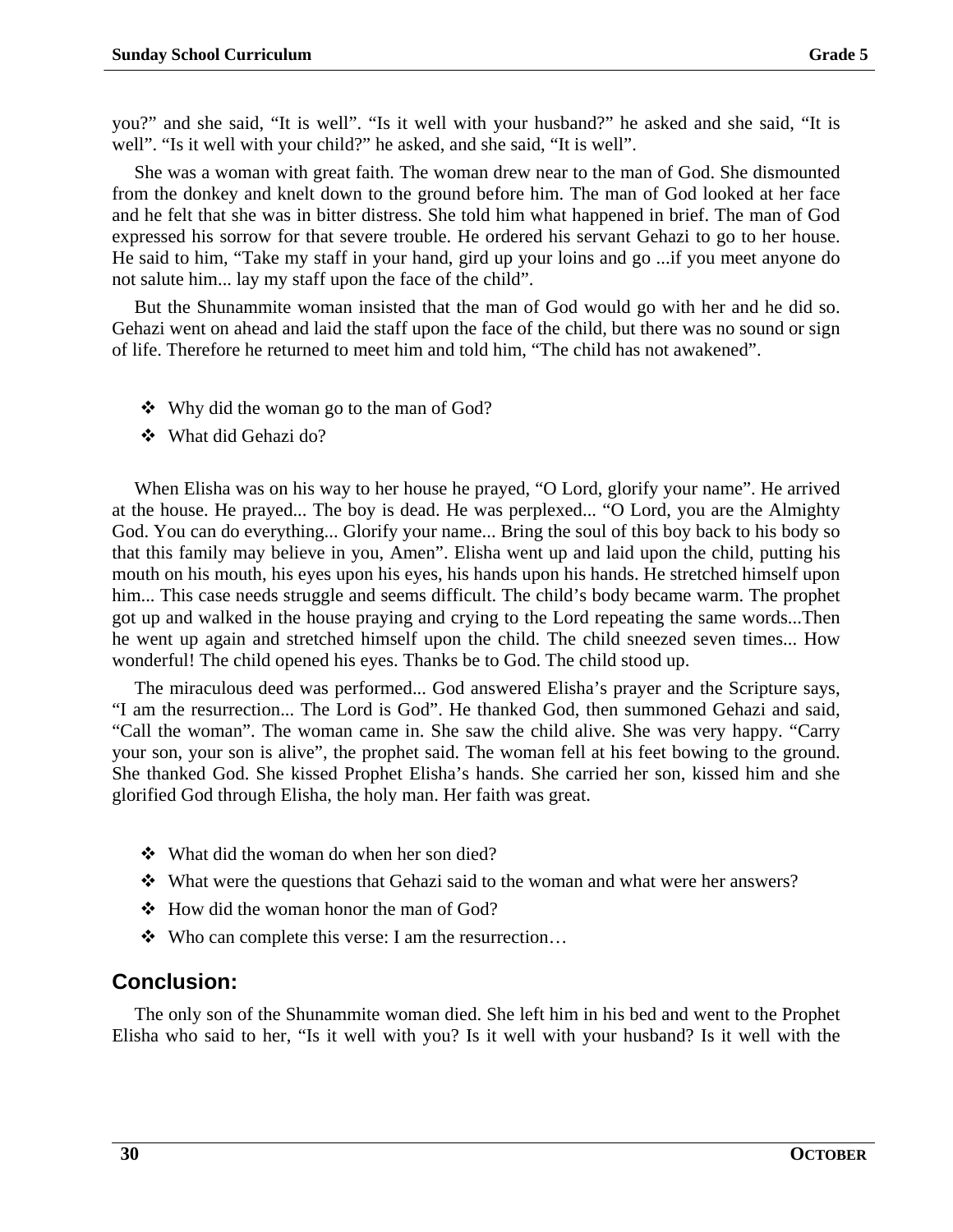you?" and she said, "It is well". "Is it well with your husband?" he asked and she said, "It is well". "Is it well with your child?" he asked, and she said, "It is well".

She was a woman with great faith. The woman drew near to the man of God. She dismounted from the donkey and knelt down to the ground before him. The man of God looked at her face and he felt that she was in bitter distress. She told him what happened in brief. The man of God expressed his sorrow for that severe trouble. He ordered his servant Gehazi to go to her house. He said to him, "Take my staff in your hand, gird up your loins and go ...if you meet anyone do not salute him... lay my staff upon the face of the child".

But the Shunammite woman insisted that the man of God would go with her and he did so. Gehazi went on ahead and laid the staff upon the face of the child, but there was no sound or sign of life. Therefore he returned to meet him and told him, "The child has not awakened".

- Why did the woman go to the man of God?
- What did Gehazi do?

When Elisha was on his way to her house he prayed, "O Lord, glorify your name". He arrived at the house. He prayed... The boy is dead. He was perplexed... "O Lord, you are the Almighty God. You can do everything... Glorify your name... Bring the soul of this boy back to his body so that this family may believe in you, Amen". Elisha went up and laid upon the child, putting his mouth on his mouth, his eyes upon his eyes, his hands upon his hands. He stretched himself upon him... This case needs struggle and seems difficult. The child's body became warm. The prophet got up and walked in the house praying and crying to the Lord repeating the same words...Then he went up again and stretched himself upon the child. The child sneezed seven times... How wonderful! The child opened his eyes. Thanks be to God. The child stood up.

The miraculous deed was performed... God answered Elisha's prayer and the Scripture says, "I am the resurrection... The Lord is God". He thanked God, then summoned Gehazi and said, "Call the woman". The woman came in. She saw the child alive. She was very happy. "Carry your son, your son is alive", the prophet said. The woman fell at his feet bowing to the ground. She thanked God. She kissed Prophet Elisha's hands. She carried her son, kissed him and she glorified God through Elisha, the holy man. Her faith was great.

- What did the woman do when her son died?
- What were the questions that Gehazi said to the woman and what were her answers?
- ◆ How did the woman honor the man of God?
- $\triangleleft$  Who can complete this verse: I am the resurrection...

#### **Conclusion:**

The only son of the Shunammite woman died. She left him in his bed and went to the Prophet Elisha who said to her, "Is it well with you? Is it well with your husband? Is it well with the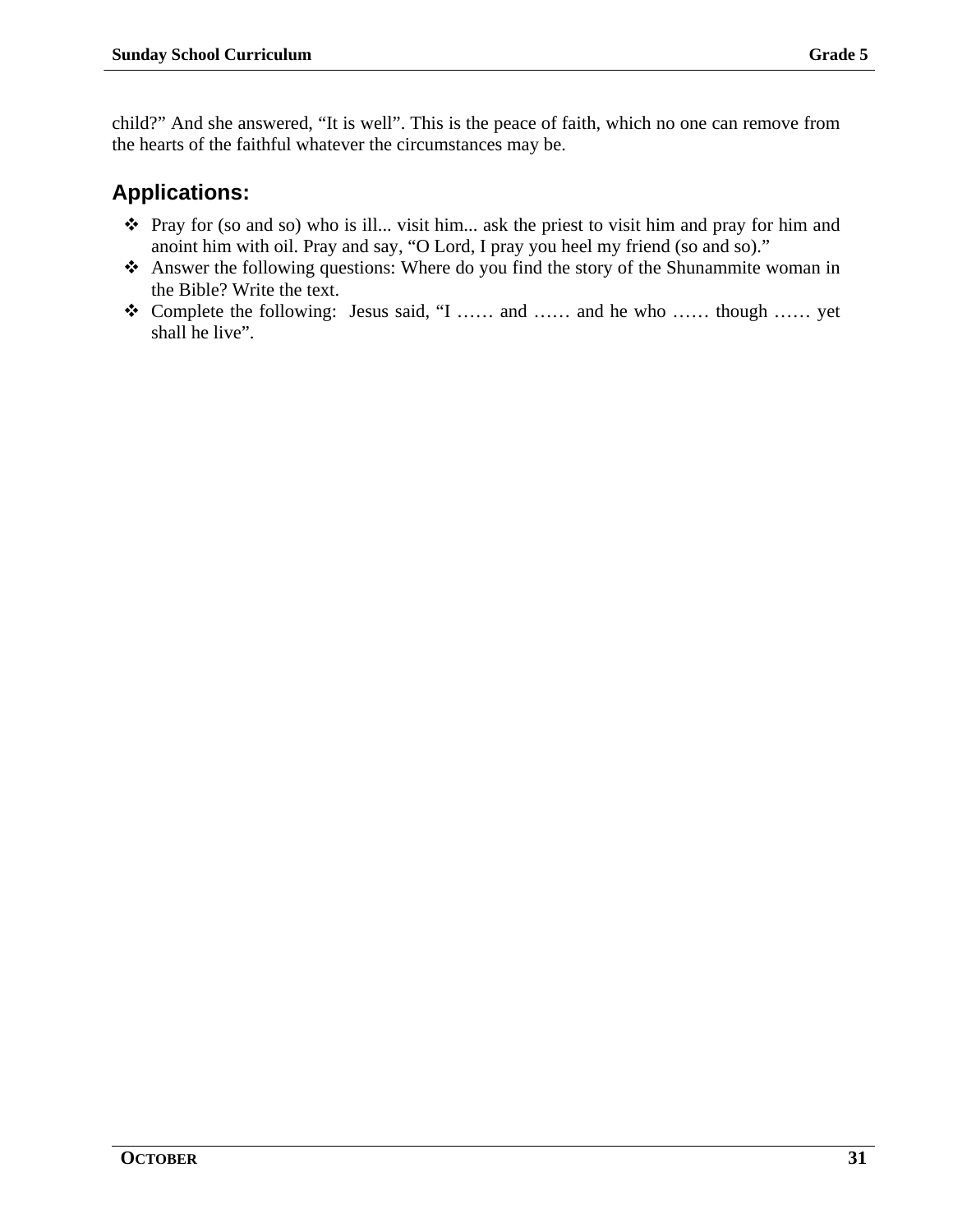child?" And she answered, "It is well". This is the peace of faith, which no one can remove from the hearts of the faithful whatever the circumstances may be.

- Pray for (so and so) who is ill... visit him... ask the priest to visit him and pray for him and anoint him with oil. Pray and say, "O Lord, I pray you heel my friend (so and so)."
- Answer the following questions: Where do you find the story of the Shunammite woman in the Bible? Write the text.
- Complete the following: Jesus said, "I …… and …… and he who …… though …… yet shall he live".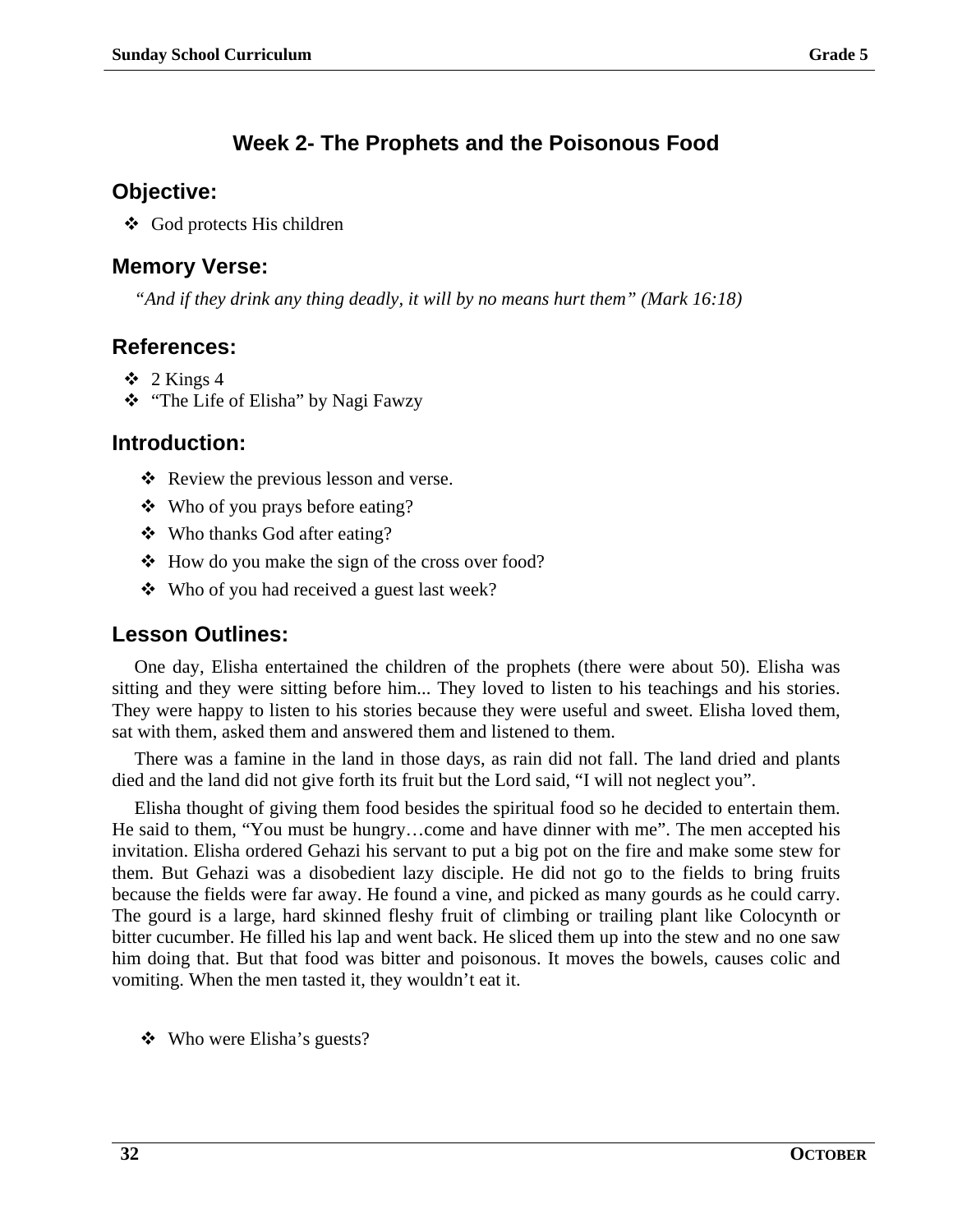# **Week 2- The Prophets and the Poisonous Food**

#### **Objective:**

God protects His children

### **Memory Verse:**

*"And if they drink any thing deadly, it will by no means hurt them" (Mark 16:18)*

## **References:**

- $\div$  2 Kings 4
- \* "The Life of Elisha" by Nagi Fawzy

## **Introduction:**

- $\triangleleft$  Review the previous lesson and verse.
- Who of you prays before eating?
- Who thanks God after eating?
- $\triangleleft$  How do you make the sign of the cross over food?
- Who of you had received a guest last week?

## **Lesson Outlines:**

One day, Elisha entertained the children of the prophets (there were about 50). Elisha was sitting and they were sitting before him... They loved to listen to his teachings and his stories. They were happy to listen to his stories because they were useful and sweet. Elisha loved them, sat with them, asked them and answered them and listened to them.

There was a famine in the land in those days, as rain did not fall. The land dried and plants died and the land did not give forth its fruit but the Lord said, "I will not neglect you".

Elisha thought of giving them food besides the spiritual food so he decided to entertain them. He said to them, "You must be hungry…come and have dinner with me". The men accepted his invitation. Elisha ordered Gehazi his servant to put a big pot on the fire and make some stew for them. But Gehazi was a disobedient lazy disciple. He did not go to the fields to bring fruits because the fields were far away. He found a vine, and picked as many gourds as he could carry. The gourd is a large, hard skinned fleshy fruit of climbing or trailing plant like Colocynth or bitter cucumber. He filled his lap and went back. He sliced them up into the stew and no one saw him doing that. But that food was bitter and poisonous. It moves the bowels, causes colic and vomiting. When the men tasted it, they wouldn't eat it.

Who were Elisha's guests?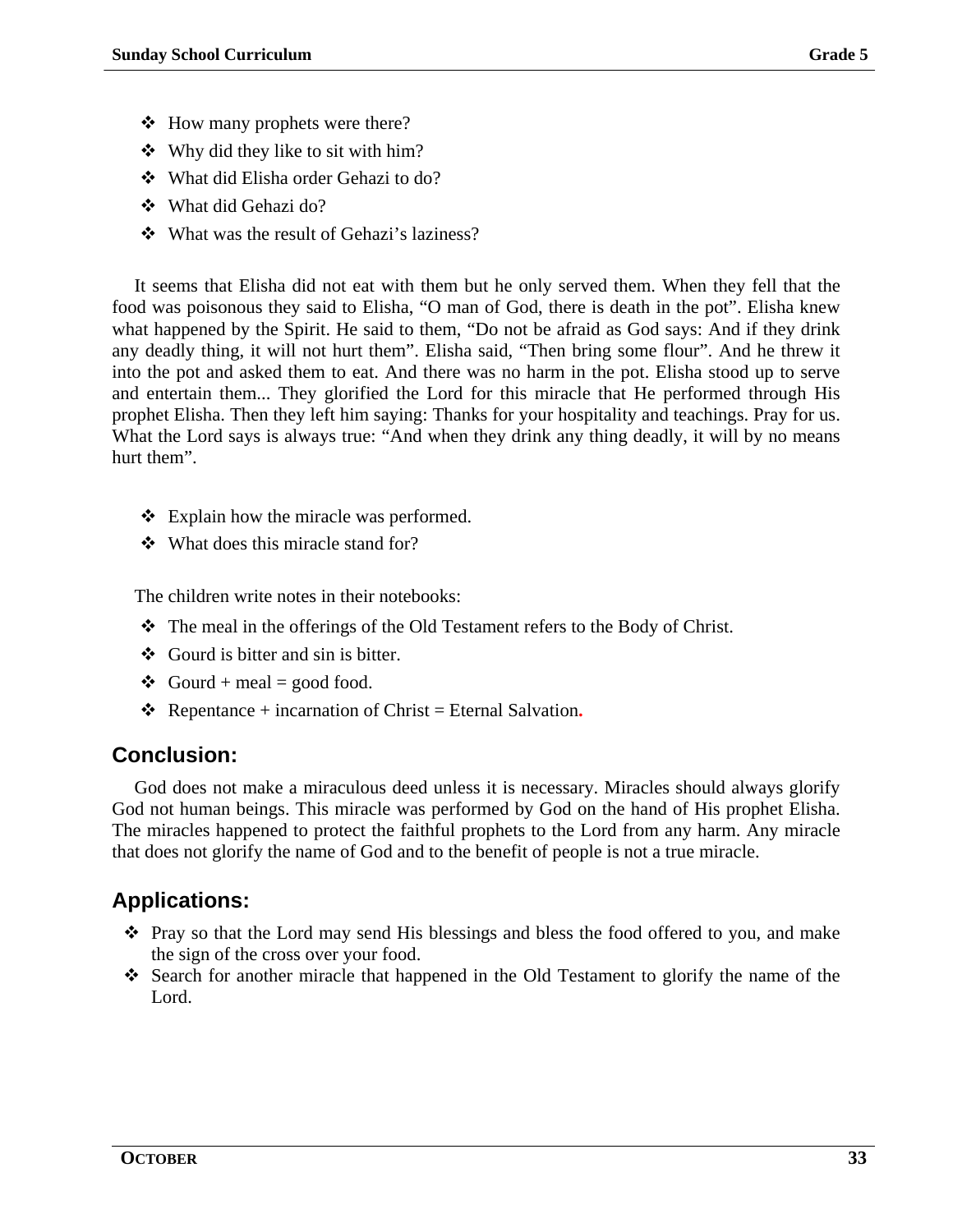- ❖ How many prophets were there?
- Why did they like to sit with him?
- What did Elisha order Gehazi to do?
- What did Gehazi do?
- What was the result of Gehazi's laziness?

It seems that Elisha did not eat with them but he only served them. When they fell that the food was poisonous they said to Elisha, "O man of God, there is death in the pot". Elisha knew what happened by the Spirit. He said to them, "Do not be afraid as God says: And if they drink any deadly thing, it will not hurt them". Elisha said, "Then bring some flour". And he threw it into the pot and asked them to eat. And there was no harm in the pot. Elisha stood up to serve and entertain them... They glorified the Lord for this miracle that He performed through His prophet Elisha. Then they left him saying: Thanks for your hospitality and teachings. Pray for us. What the Lord says is always true: "And when they drink any thing deadly, it will by no means hurt them".

- Explain how the miracle was performed.
- What does this miracle stand for?

The children write notes in their notebooks:

- The meal in the offerings of the Old Testament refers to the Body of Christ.
- Gourd is bitter and sin is bitter.
- $\triangleleft$  Gourd + meal = good food.
- Repentance + incarnation of Christ = Eternal Salvation**.**

#### **Conclusion:**

God does not make a miraculous deed unless it is necessary. Miracles should always glorify God not human beings. This miracle was performed by God on the hand of His prophet Elisha. The miracles happened to protect the faithful prophets to the Lord from any harm. Any miracle that does not glorify the name of God and to the benefit of people is not a true miracle.

- \* Pray so that the Lord may send His blessings and bless the food offered to you, and make the sign of the cross over your food.
- Search for another miracle that happened in the Old Testament to glorify the name of the Lord.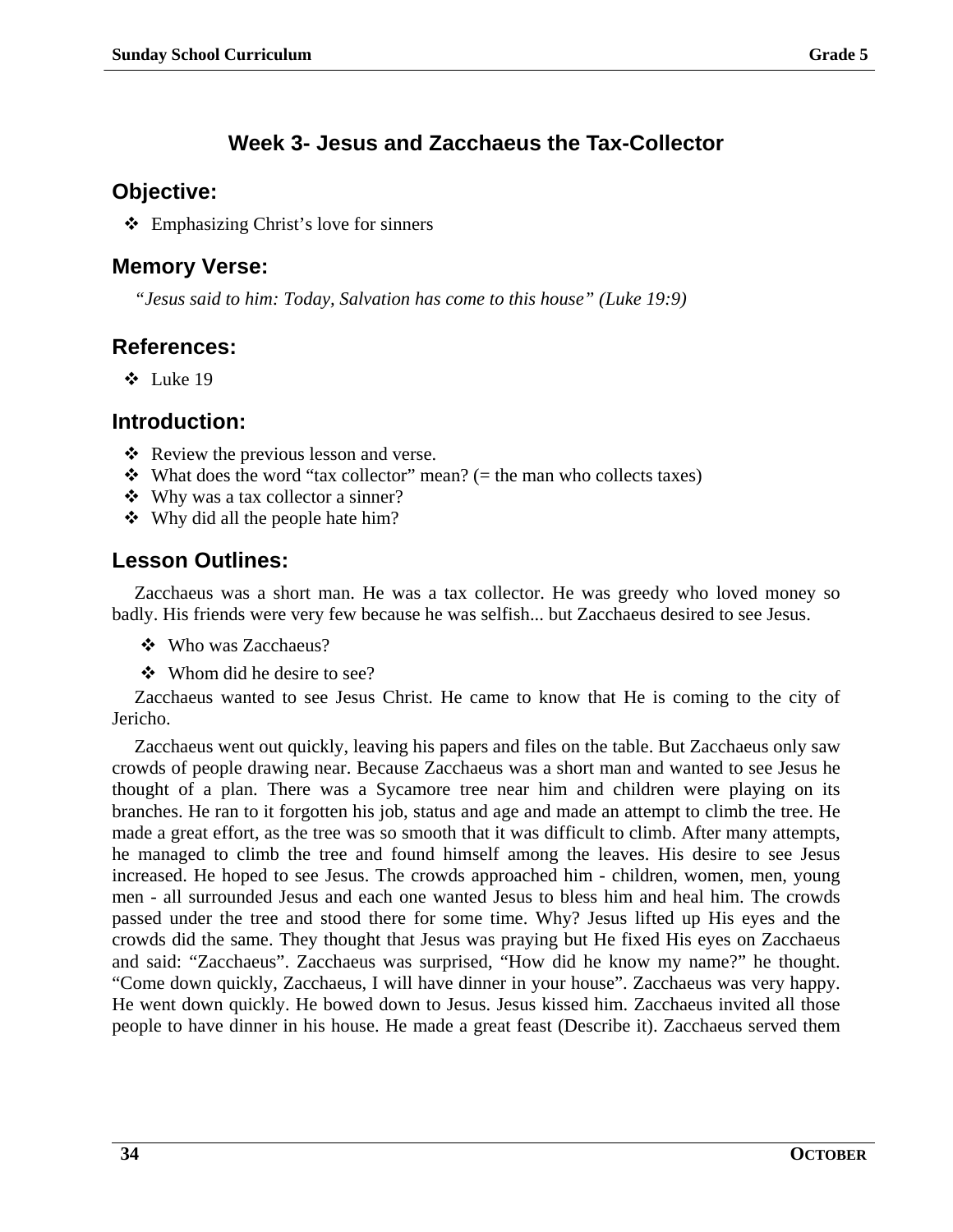# **Week 3- Jesus and Zacchaeus the Tax-Collector**

#### **Objective:**

Emphasizing Christ's love for sinners

#### **Memory Verse:**

*"Jesus said to him: Today, Salvation has come to this house" (Luke 19:9)*

## **References:**

Luke 19

#### **Introduction:**

- ❖ Review the previous lesson and verse.
- $\triangleleft$  What does the word "tax collector" mean? (= the man who collects taxes)
- Why was a tax collector a sinner?
- Why did all the people hate him?

## **Lesson Outlines:**

Zacchaeus was a short man. He was a tax collector. He was greedy who loved money so badly. His friends were very few because he was selfish... but Zacchaeus desired to see Jesus.

- Who was Zacchaeus?
- Whom did he desire to see?

Zacchaeus wanted to see Jesus Christ. He came to know that He is coming to the city of Jericho.

Zacchaeus went out quickly, leaving his papers and files on the table. But Zacchaeus only saw crowds of people drawing near. Because Zacchaeus was a short man and wanted to see Jesus he thought of a plan. There was a Sycamore tree near him and children were playing on its branches. He ran to it forgotten his job, status and age and made an attempt to climb the tree. He made a great effort, as the tree was so smooth that it was difficult to climb. After many attempts, he managed to climb the tree and found himself among the leaves. His desire to see Jesus increased. He hoped to see Jesus. The crowds approached him - children, women, men, young men - all surrounded Jesus and each one wanted Jesus to bless him and heal him. The crowds passed under the tree and stood there for some time. Why? Jesus lifted up His eyes and the crowds did the same. They thought that Jesus was praying but He fixed His eyes on Zacchaeus and said: "Zacchaeus". Zacchaeus was surprised, "How did he know my name?" he thought. "Come down quickly, Zacchaeus, I will have dinner in your house". Zacchaeus was very happy. He went down quickly. He bowed down to Jesus. Jesus kissed him. Zacchaeus invited all those people to have dinner in his house. He made a great feast (Describe it). Zacchaeus served them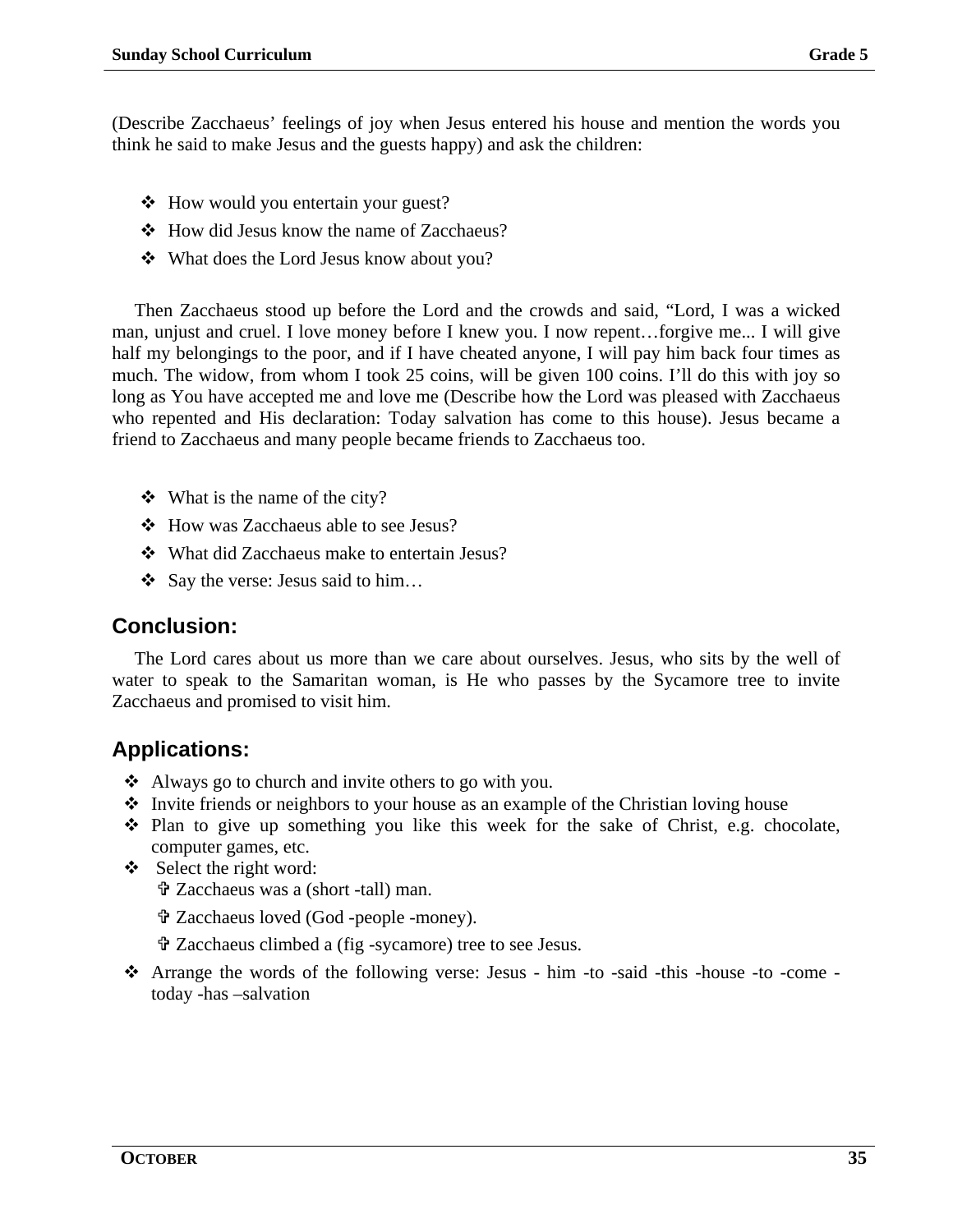(Describe Zacchaeus' feelings of joy when Jesus entered his house and mention the words you think he said to make Jesus and the guests happy) and ask the children:

- ❖ How would you entertain your guest?
- How did Jesus know the name of Zacchaeus?
- What does the Lord Jesus know about you?

Then Zacchaeus stood up before the Lord and the crowds and said, "Lord, I was a wicked man, unjust and cruel. I love money before I knew you. I now repent…forgive me... I will give half my belongings to the poor, and if I have cheated anyone, I will pay him back four times as much. The widow, from whom I took 25 coins, will be given 100 coins. I'll do this with joy so long as You have accepted me and love me (Describe how the Lord was pleased with Zacchaeus who repented and His declaration: Today salvation has come to this house). Jesus became a friend to Zacchaeus and many people became friends to Zacchaeus too.

- What is the name of the city?
- How was Zacchaeus able to see Jesus?
- What did Zacchaeus make to entertain Jesus?
- $\div$  Say the verse: Jesus said to him...

#### **Conclusion:**

The Lord cares about us more than we care about ourselves. Jesus, who sits by the well of water to speak to the Samaritan woman, is He who passes by the Sycamore tree to invite Zacchaeus and promised to visit him.

- Always go to church and invite others to go with you.
- Invite friends or neighbors to your house as an example of the Christian loving house
- Plan to give up something you like this week for the sake of Christ, e.g. chocolate, computer games, etc.
- $\div$  Select the right word:
	- = Zacchaeus was a (short -tall) man.
	- = Zacchaeus loved (God -people -money).
	- = Zacchaeus climbed a (fig -sycamore) tree to see Jesus.
- Arrange the words of the following verse: Jesus him -to -said -this -house -to -come today -has –salvation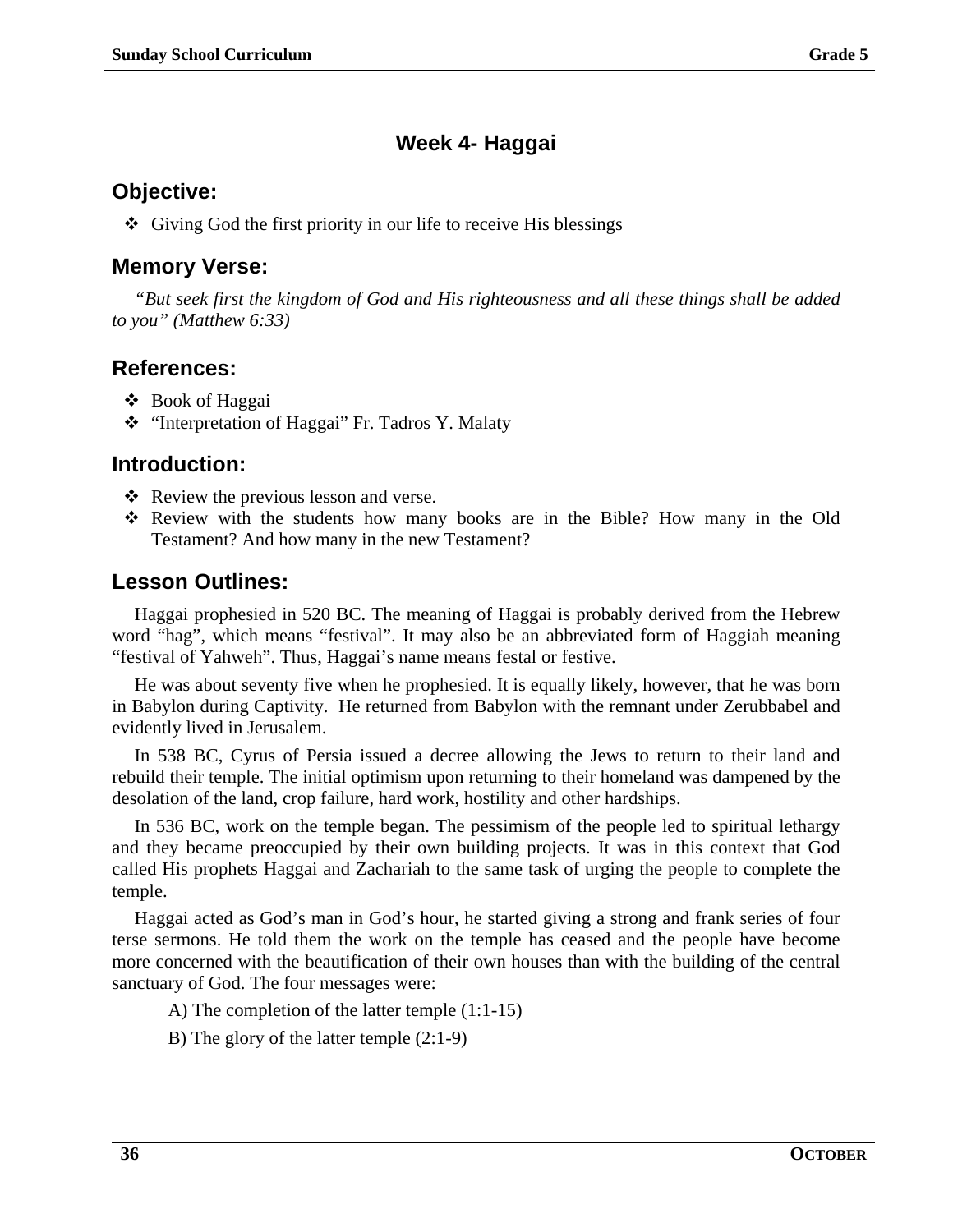# **Week 4- Haggai**

#### **Objective:**

 $\triangleleft$  Giving God the first priority in our life to receive His blessings

### **Memory Verse:**

*"But seek first the kingdom of God and His righteousness and all these things shall be added to you" (Matthew 6:33)*

## **References:**

- Book of Haggai
- \* "Interpretation of Haggai" Fr. Tadros Y. Malaty

#### **Introduction:**

- ❖ Review the previous lesson and verse.
- Review with the students how many books are in the Bible? How many in the Old Testament? And how many in the new Testament?

#### **Lesson Outlines:**

Haggai prophesied in 520 BC. The meaning of Haggai is probably derived from the Hebrew word "hag", which means "festival". It may also be an abbreviated form of Haggiah meaning "festival of Yahweh". Thus, Haggai's name means festal or festive.

He was about seventy five when he prophesied. It is equally likely, however, that he was born in Babylon during Captivity. He returned from Babylon with the remnant under Zerubbabel and evidently lived in Jerusalem.

In 538 BC, Cyrus of Persia issued a decree allowing the Jews to return to their land and rebuild their temple. The initial optimism upon returning to their homeland was dampened by the desolation of the land, crop failure, hard work, hostility and other hardships.

In 536 BC, work on the temple began. The pessimism of the people led to spiritual lethargy and they became preoccupied by their own building projects. It was in this context that God called His prophets Haggai and Zachariah to the same task of urging the people to complete the temple.

Haggai acted as God's man in God's hour, he started giving a strong and frank series of four terse sermons. He told them the work on the temple has ceased and the people have become more concerned with the beautification of their own houses than with the building of the central sanctuary of God. The four messages were:

A) The completion of the latter temple (1:1-15)

B) The glory of the latter temple (2:1-9)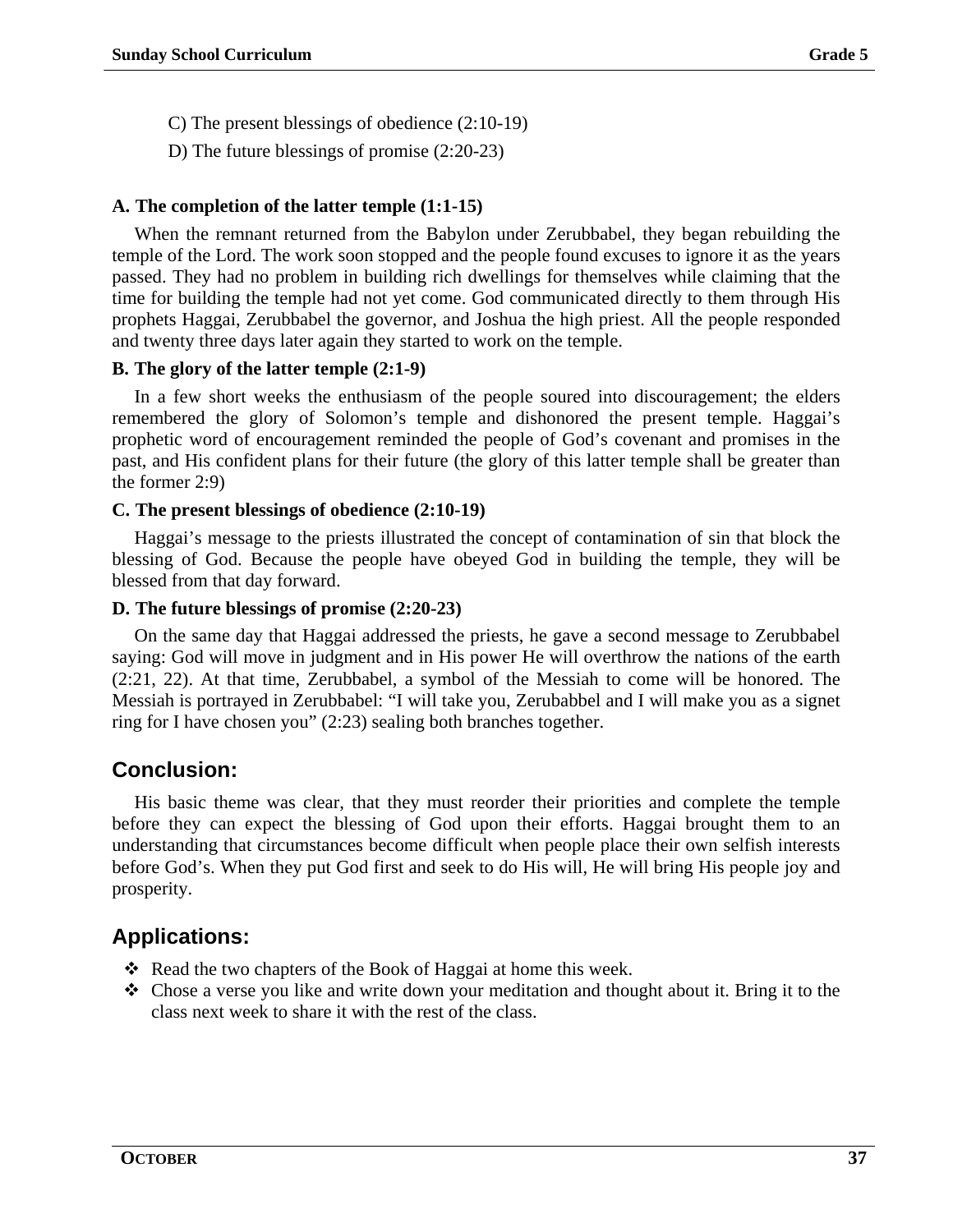- C) The present blessings of obedience (2:10-19)
- D) The future blessings of promise (2:20-23)

#### **A. The completion of the latter temple (1:1-15)**

When the remnant returned from the Babylon under Zerubbabel, they began rebuilding the temple of the Lord. The work soon stopped and the people found excuses to ignore it as the years passed. They had no problem in building rich dwellings for themselves while claiming that the time for building the temple had not yet come. God communicated directly to them through His prophets Haggai, Zerubbabel the governor, and Joshua the high priest. All the people responded and twenty three days later again they started to work on the temple.

#### **B. The glory of the latter temple (2:1-9)**

In a few short weeks the enthusiasm of the people soured into discouragement; the elders remembered the glory of Solomon's temple and dishonored the present temple. Haggai's prophetic word of encouragement reminded the people of God's covenant and promises in the past, and His confident plans for their future (the glory of this latter temple shall be greater than the former 2:9)

#### **C. The present blessings of obedience (2:10-19)**

Haggai's message to the priests illustrated the concept of contamination of sin that block the blessing of God. Because the people have obeyed God in building the temple, they will be blessed from that day forward.

#### **D. The future blessings of promise (2:20-23)**

On the same day that Haggai addressed the priests, he gave a second message to Zerubbabel saying: God will move in judgment and in His power He will overthrow the nations of the earth (2:21, 22). At that time, Zerubbabel, a symbol of the Messiah to come will be honored. The Messiah is portrayed in Zerubbabel: "I will take you, Zerubabbel and I will make you as a signet ring for I have chosen you" (2:23) sealing both branches together.

## **Conclusion:**

His basic theme was clear, that they must reorder their priorities and complete the temple before they can expect the blessing of God upon their efforts. Haggai brought them to an understanding that circumstances become difficult when people place their own selfish interests before God's. When they put God first and seek to do His will, He will bring His people joy and prosperity.

- $\triangleleft$  Read the two chapters of the Book of Haggai at home this week.
- $\triangle$  Chose a verse you like and write down your meditation and thought about it. Bring it to the class next week to share it with the rest of the class.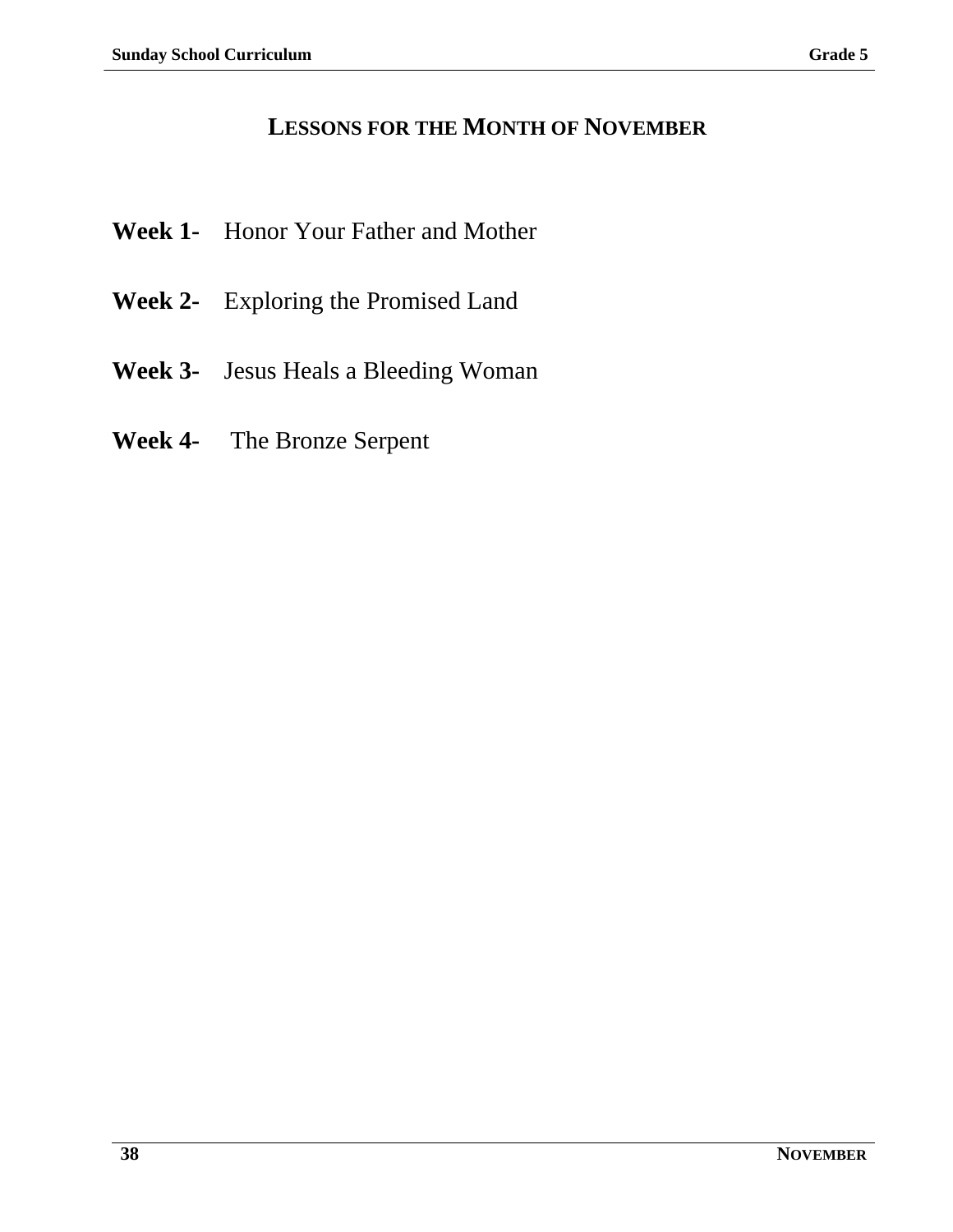# **LESSONS FOR THE MONTH OF NOVEMBER**

- **Week 1-** Honor Your Father and Mother
- **Week 2-** Exploring the Promised Land
- **Week 3-** Jesus Heals a Bleeding Woman
- **Week 4-** The Bronze Serpent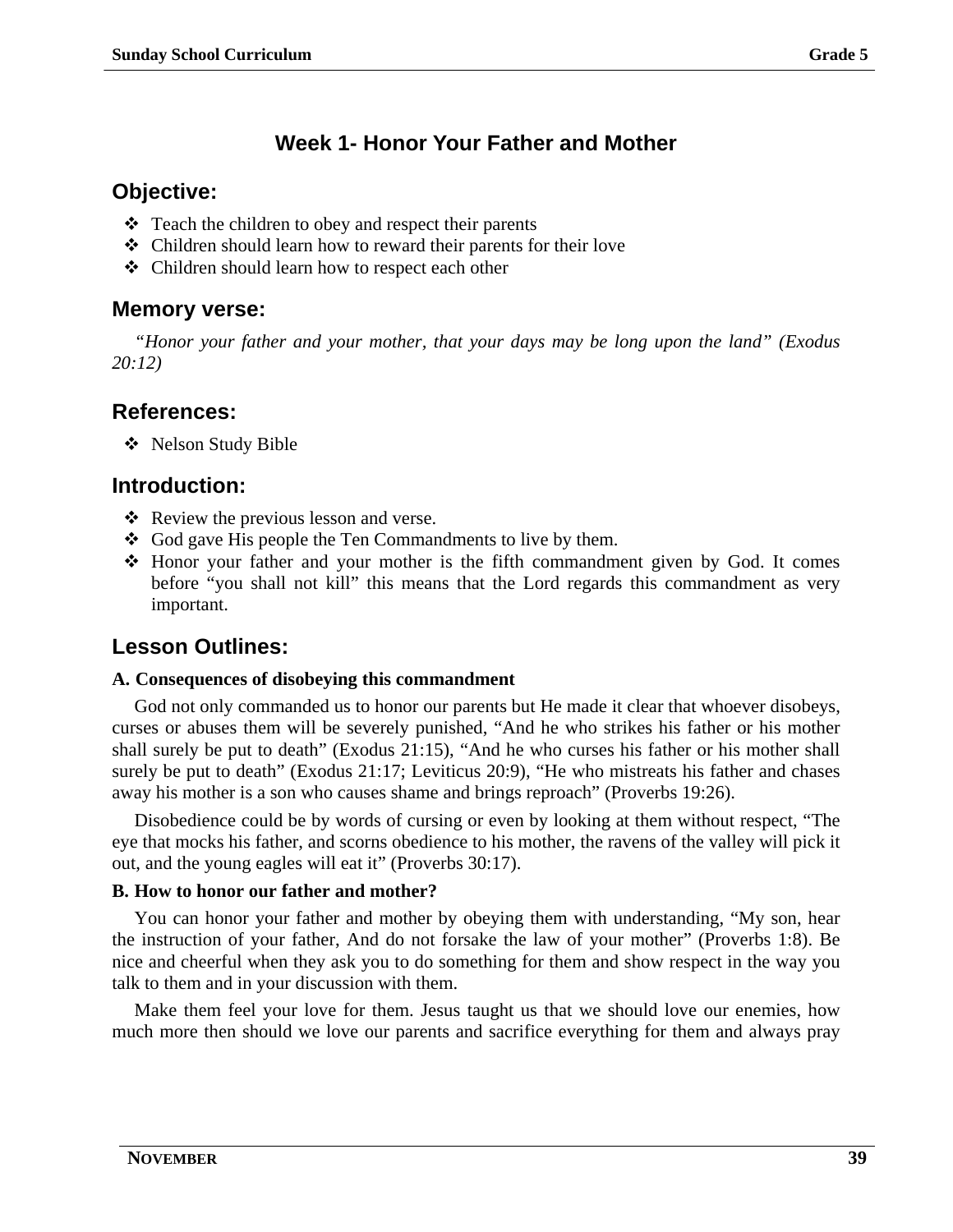# **Week 1- Honor Your Father and Mother**

#### **Objective:**

- Teach the children to obey and respect their parents
- Children should learn how to reward their parents for their love
- Children should learn how to respect each other

#### **Memory verse:**

*"Honor your father and your mother, that your days may be long upon the land" (Exodus 20:12)*

#### **References:**

Nelson Study Bible

#### **Introduction:**

- ❖ Review the previous lesson and verse.
- God gave His people the Ten Commandments to live by them.
- Honor your father and your mother is the fifth commandment given by God. It comes before "you shall not kill" this means that the Lord regards this commandment as very important.

# **Lesson Outlines:**

#### **A. Consequences of disobeying this commandment**

God not only commanded us to honor our parents but He made it clear that whoever disobeys, curses or abuses them will be severely punished, "And he who strikes his father or his mother shall surely be put to death" (Exodus 21:15), "And he who curses his father or his mother shall surely be put to death" (Exodus 21:17; Leviticus 20:9), "He who mistreats his father and chases away his mother is a son who causes shame and brings reproach" (Proverbs 19:26).

Disobedience could be by words of cursing or even by looking at them without respect, "The eye that mocks his father, and scorns obedience to his mother, the ravens of the valley will pick it out, and the young eagles will eat it" (Proverbs 30:17).

#### **B. How to honor our father and mother?**

You can honor your father and mother by obeying them with understanding, "My son, hear the instruction of your father, And do not forsake the law of your mother" (Proverbs 1:8). Be nice and cheerful when they ask you to do something for them and show respect in the way you talk to them and in your discussion with them.

Make them feel your love for them. Jesus taught us that we should love our enemies, how much more then should we love our parents and sacrifice everything for them and always pray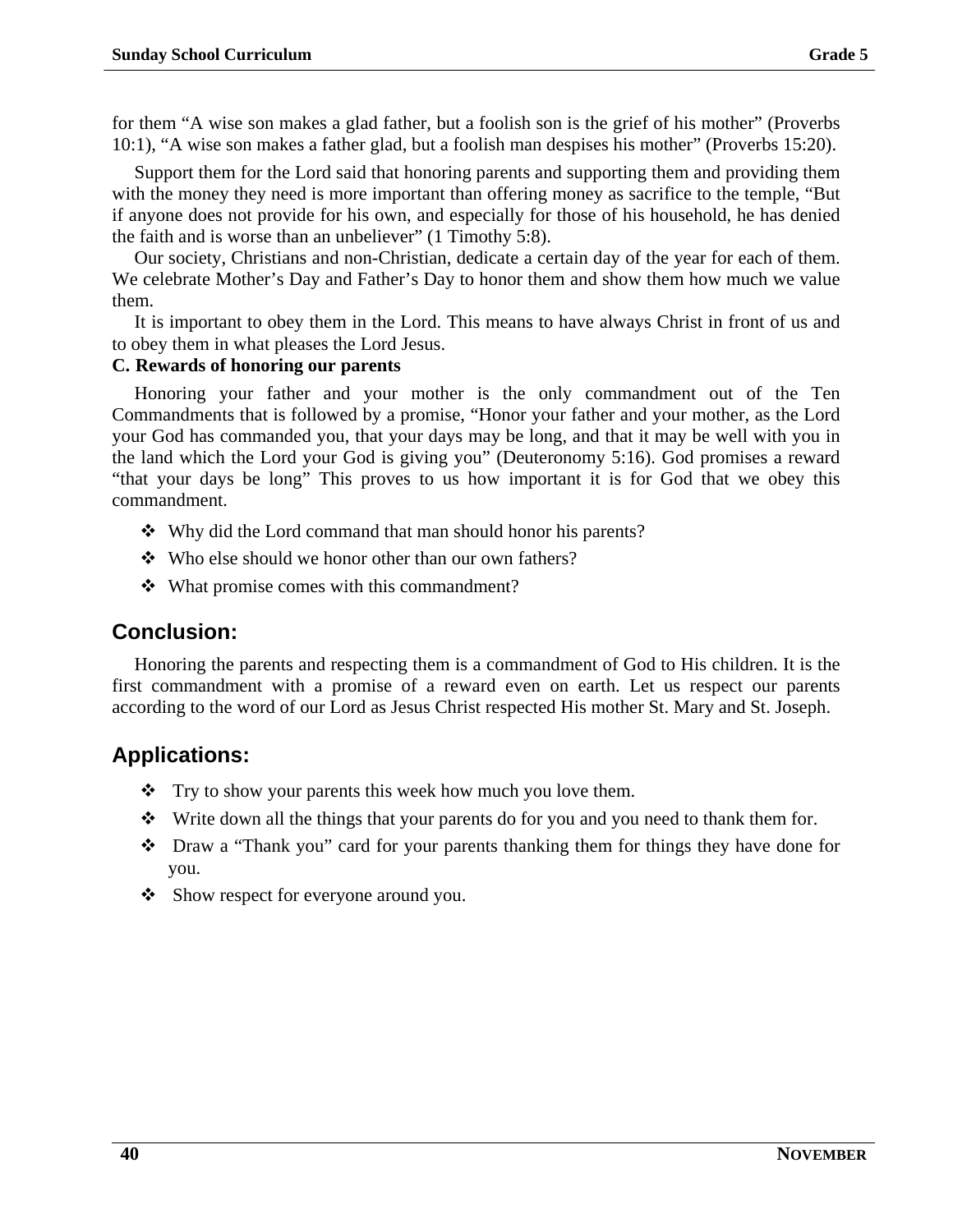for them "A wise son makes a glad father, but a foolish son is the grief of his mother" (Proverbs 10:1), "A wise son makes a father glad, but a foolish man despises his mother" (Proverbs 15:20).

Support them for the Lord said that honoring parents and supporting them and providing them with the money they need is more important than offering money as sacrifice to the temple, "But if anyone does not provide for his own, and especially for those of his household, he has denied the faith and is worse than an unbeliever" (1 Timothy 5:8).

Our society, Christians and non-Christian, dedicate a certain day of the year for each of them. We celebrate Mother's Day and Father's Day to honor them and show them how much we value them.

It is important to obey them in the Lord. This means to have always Christ in front of us and to obey them in what pleases the Lord Jesus.

#### **C. Rewards of honoring our parents**

Honoring your father and your mother is the only commandment out of the Ten Commandments that is followed by a promise, "Honor your father and your mother, as the Lord your God has commanded you, that your days may be long, and that it may be well with you in the land which the Lord your God is giving you" (Deuteronomy 5:16). God promises a reward "that your days be long" This proves to us how important it is for God that we obey this commandment.

- ◆ Why did the Lord command that man should honor his parents?
- Who else should we honor other than our own fathers?
- ❖ What promise comes with this commandment?

## **Conclusion:**

Honoring the parents and respecting them is a commandment of God to His children. It is the first commandment with a promise of a reward even on earth. Let us respect our parents according to the word of our Lord as Jesus Christ respected His mother St. Mary and St. Joseph.

- \* Try to show your parents this week how much you love them.
- Write down all the things that your parents do for you and you need to thank them for.
- Draw a "Thank you" card for your parents thanking them for things they have done for you.
- Show respect for everyone around you.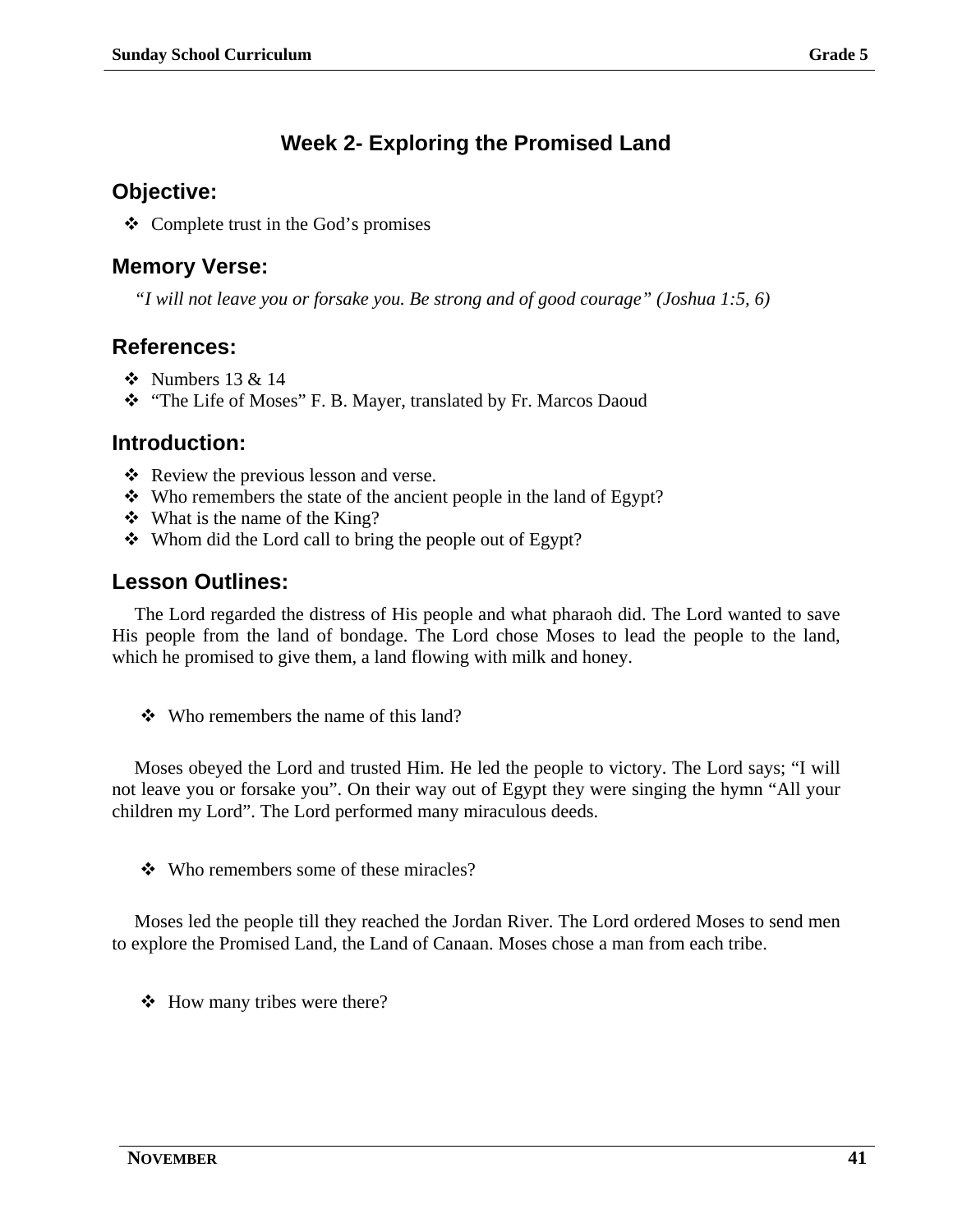# **Week 2- Exploring the Promised Land**

#### **Objective:**

 $\triangleleft$  Complete trust in the God's promises

## **Memory Verse:**

*"I will not leave you or forsake you. Be strong and of good courage" (Joshua 1:5, 6)* 

## **References:**

- $\div$  Numbers 13 & 14
- \* "The Life of Moses" F. B. Mayer, translated by Fr. Marcos Daoud

## **Introduction:**

- ❖ Review the previous lesson and verse.
- Who remembers the state of the ancient people in the land of Egypt?
- $\triangleleft$  What is the name of the King?
- Whom did the Lord call to bring the people out of Egypt?

## **Lesson Outlines:**

The Lord regarded the distress of His people and what pharaoh did. The Lord wanted to save His people from the land of bondage. The Lord chose Moses to lead the people to the land, which he promised to give them, a land flowing with milk and honey.

Who remembers the name of this land?

Moses obeyed the Lord and trusted Him. He led the people to victory. The Lord says; "I will not leave you or forsake you". On their way out of Egypt they were singing the hymn "All your children my Lord". The Lord performed many miraculous deeds.

**❖** Who remembers some of these miracles?

Moses led the people till they reached the Jordan River. The Lord ordered Moses to send men to explore the Promised Land, the Land of Canaan. Moses chose a man from each tribe.

 $\triangleleft$  How many tribes were there?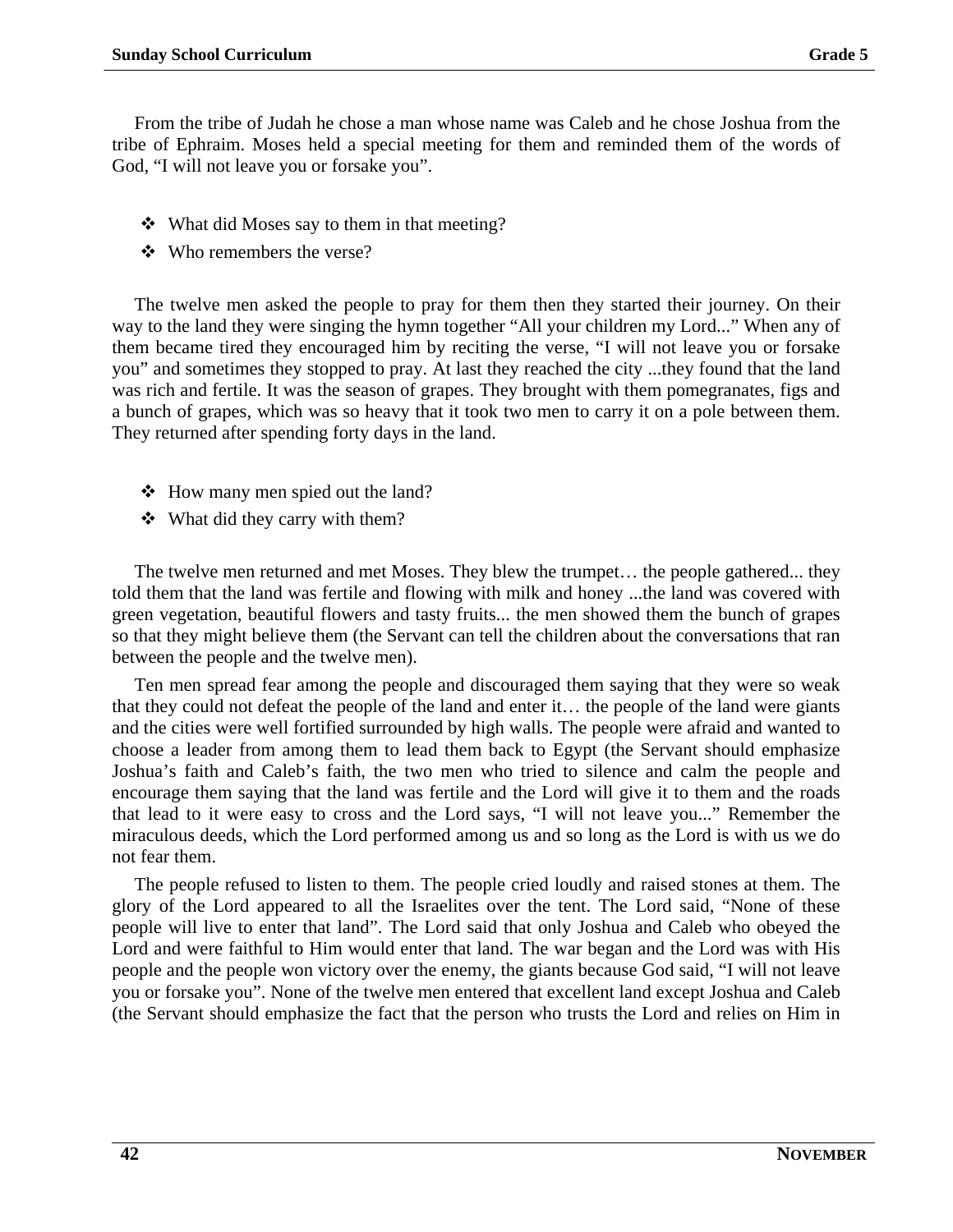From the tribe of Judah he chose a man whose name was Caleb and he chose Joshua from the tribe of Ephraim. Moses held a special meeting for them and reminded them of the words of God, "I will not leave you or forsake you".

- ❖ What did Moses say to them in that meeting?
- Who remembers the verse?

The twelve men asked the people to pray for them then they started their journey. On their way to the land they were singing the hymn together "All your children my Lord..." When any of them became tired they encouraged him by reciting the verse, "I will not leave you or forsake you" and sometimes they stopped to pray. At last they reached the city ...they found that the land was rich and fertile. It was the season of grapes. They brought with them pomegranates, figs and a bunch of grapes, which was so heavy that it took two men to carry it on a pole between them. They returned after spending forty days in the land.

- ❖ How many men spied out the land?
- What did they carry with them?

The twelve men returned and met Moses. They blew the trumpet… the people gathered... they told them that the land was fertile and flowing with milk and honey ...the land was covered with green vegetation, beautiful flowers and tasty fruits... the men showed them the bunch of grapes so that they might believe them (the Servant can tell the children about the conversations that ran between the people and the twelve men).

Ten men spread fear among the people and discouraged them saying that they were so weak that they could not defeat the people of the land and enter it… the people of the land were giants and the cities were well fortified surrounded by high walls. The people were afraid and wanted to choose a leader from among them to lead them back to Egypt (the Servant should emphasize Joshua's faith and Caleb's faith, the two men who tried to silence and calm the people and encourage them saying that the land was fertile and the Lord will give it to them and the roads that lead to it were easy to cross and the Lord says, "I will not leave you..." Remember the miraculous deeds, which the Lord performed among us and so long as the Lord is with us we do not fear them.

The people refused to listen to them. The people cried loudly and raised stones at them. The glory of the Lord appeared to all the Israelites over the tent. The Lord said, "None of these people will live to enter that land". The Lord said that only Joshua and Caleb who obeyed the Lord and were faithful to Him would enter that land. The war began and the Lord was with His people and the people won victory over the enemy, the giants because God said, "I will not leave you or forsake you". None of the twelve men entered that excellent land except Joshua and Caleb (the Servant should emphasize the fact that the person who trusts the Lord and relies on Him in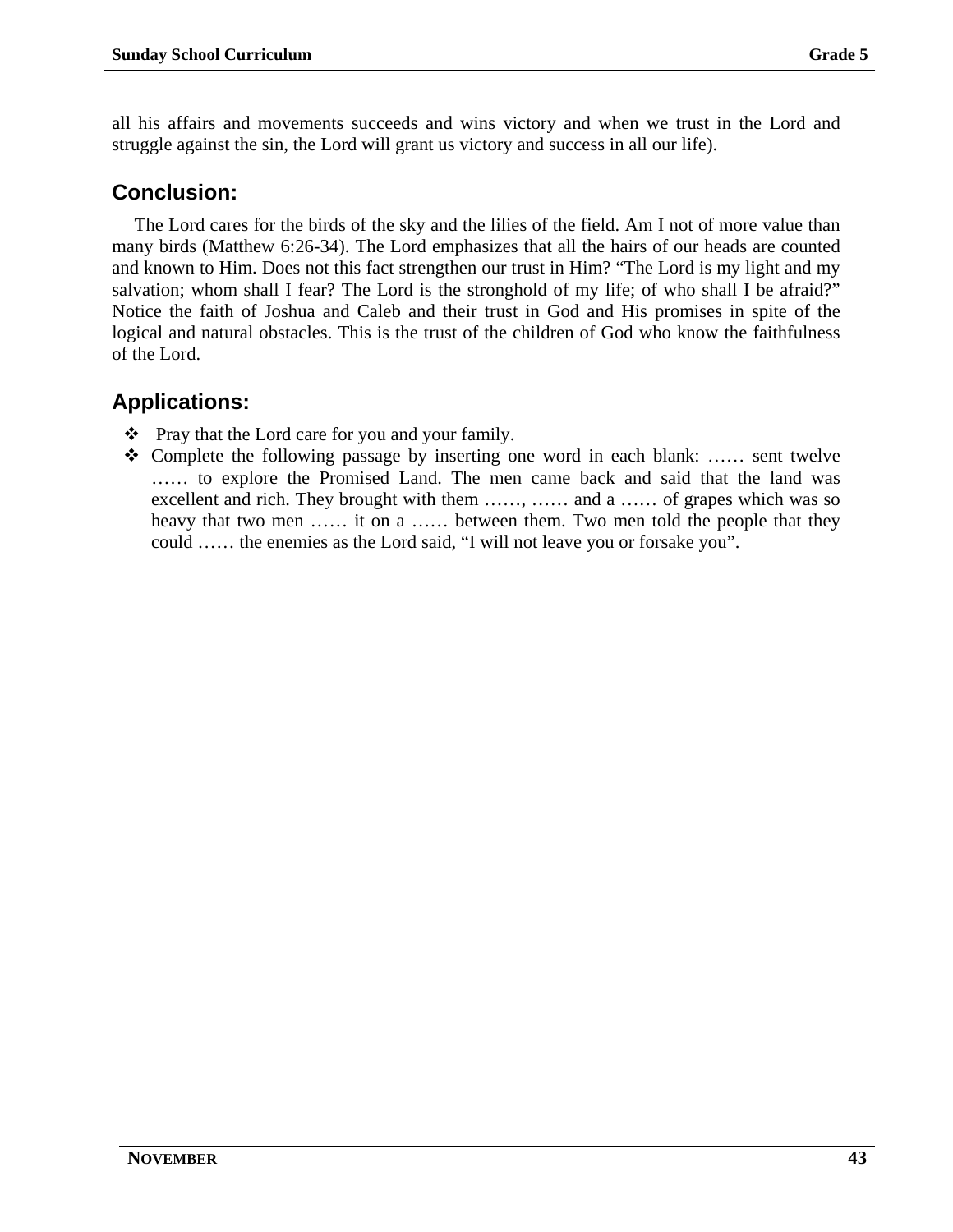all his affairs and movements succeeds and wins victory and when we trust in the Lord and struggle against the sin, the Lord will grant us victory and success in all our life).

### **Conclusion:**

The Lord cares for the birds of the sky and the lilies of the field. Am I not of more value than many birds (Matthew 6:26-34). The Lord emphasizes that all the hairs of our heads are counted and known to Him. Does not this fact strengthen our trust in Him? "The Lord is my light and my salvation; whom shall I fear? The Lord is the stronghold of my life; of who shall I be afraid?" Notice the faith of Joshua and Caleb and their trust in God and His promises in spite of the logical and natural obstacles. This is the trust of the children of God who know the faithfulness of the Lord.

- $\triangleleft$  Pray that the Lord care for you and your family.
- Complete the following passage by inserting one word in each blank: …… sent twelve …… to explore the Promised Land. The men came back and said that the land was excellent and rich. They brought with them ……, …… and a …… of grapes which was so heavy that two men …… it on a …… between them. Two men told the people that they could …… the enemies as the Lord said, "I will not leave you or forsake you".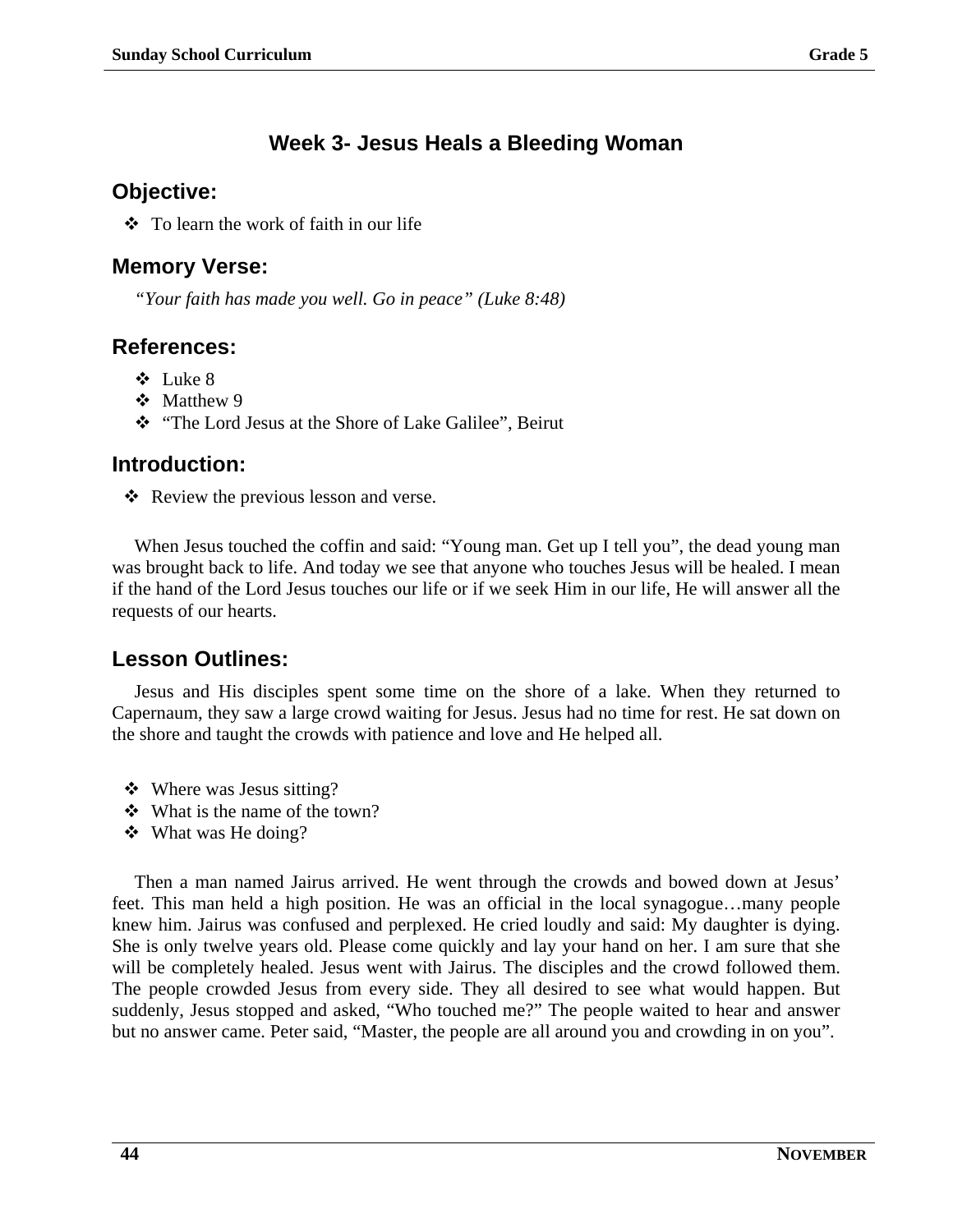# **Week 3- Jesus Heals a Bleeding Woman**

#### **Objective:**

To learn the work of faith in our life

### **Memory Verse:**

*"Your faith has made you well. Go in peace" (Luke 8:48)*

## **References:**

- Luke 8
- ❖ Matthew 9
- \* "The Lord Jesus at the Shore of Lake Galilee", Beirut

#### **Introduction:**

❖ Review the previous lesson and verse.

When Jesus touched the coffin and said: "Young man. Get up I tell you", the dead young man was brought back to life. And today we see that anyone who touches Jesus will be healed. I mean if the hand of the Lord Jesus touches our life or if we seek Him in our life, He will answer all the requests of our hearts.

## **Lesson Outlines:**

Jesus and His disciples spent some time on the shore of a lake. When they returned to Capernaum, they saw a large crowd waiting for Jesus. Jesus had no time for rest. He sat down on the shore and taught the crowds with patience and love and He helped all.

- ◆ Where was Jesus sitting?
- $\triangleleft$  What is the name of the town?
- What was He doing?

Then a man named Jairus arrived. He went through the crowds and bowed down at Jesus' feet. This man held a high position. He was an official in the local synagogue…many people knew him. Jairus was confused and perplexed. He cried loudly and said: My daughter is dying. She is only twelve years old. Please come quickly and lay your hand on her. I am sure that she will be completely healed. Jesus went with Jairus. The disciples and the crowd followed them. The people crowded Jesus from every side. They all desired to see what would happen. But suddenly, Jesus stopped and asked, "Who touched me?" The people waited to hear and answer but no answer came. Peter said, "Master, the people are all around you and crowding in on you".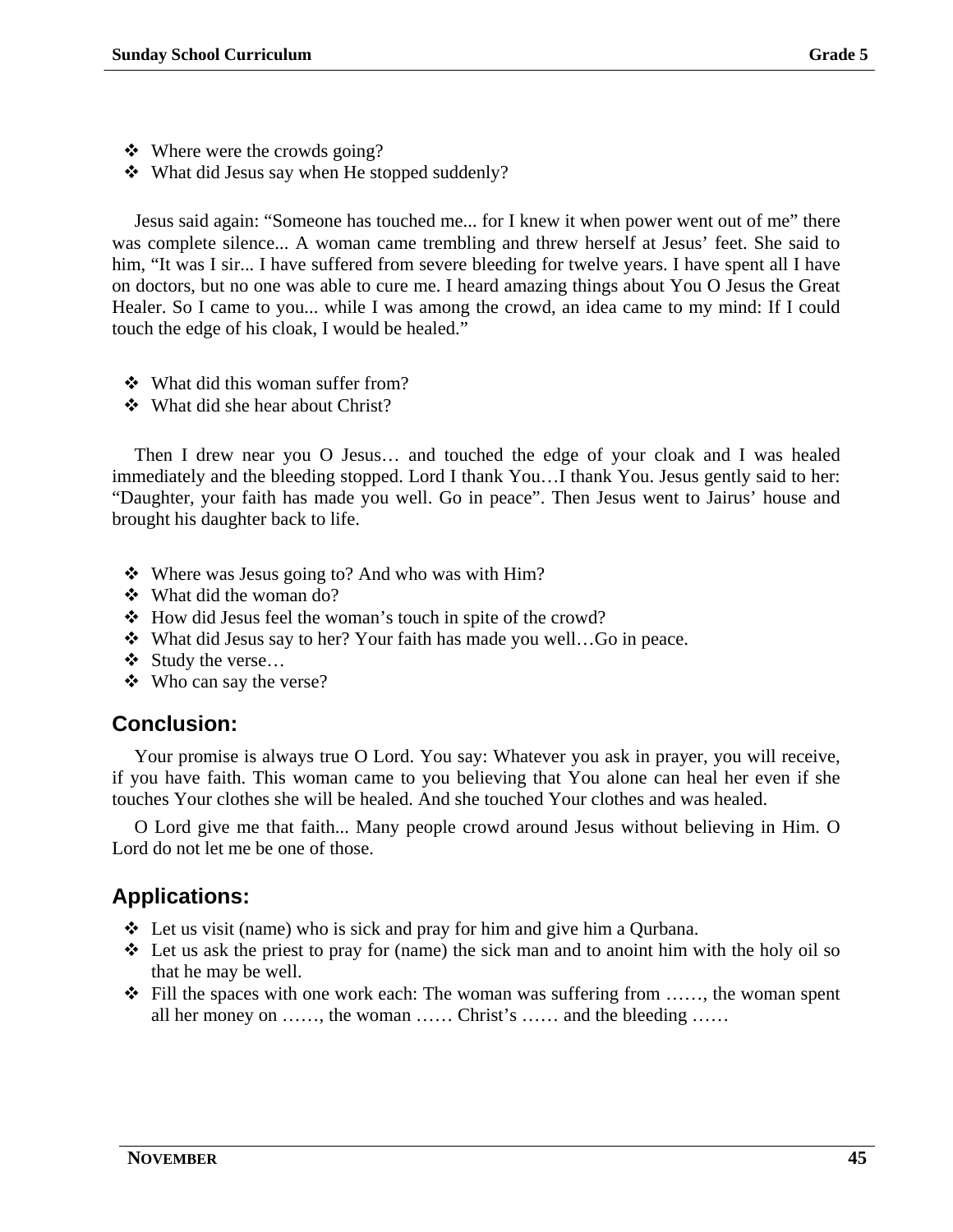- ❖ Where were the crowds going?
- What did Jesus say when He stopped suddenly?

Jesus said again: "Someone has touched me... for I knew it when power went out of me" there was complete silence... A woman came trembling and threw herself at Jesus' feet. She said to him, "It was I sir... I have suffered from severe bleeding for twelve years. I have spent all I have on doctors, but no one was able to cure me. I heard amazing things about You O Jesus the Great Healer. So I came to you... while I was among the crowd, an idea came to my mind: If I could touch the edge of his cloak, I would be healed."

- What did this woman suffer from?
- What did she hear about Christ?

Then I drew near you O Jesus… and touched the edge of your cloak and I was healed immediately and the bleeding stopped. Lord I thank You…I thank You. Jesus gently said to her: "Daughter, your faith has made you well. Go in peace". Then Jesus went to Jairus' house and brought his daughter back to life.

- Where was Jesus going to? And who was with Him?
- What did the woman do?
- How did Jesus feel the woman's touch in spite of the crowd?
- What did Jesus say to her? Your faith has made you well…Go in peace.
- Study the verse…
- Who can say the verse?

#### **Conclusion:**

Your promise is always true O Lord. You say: Whatever you ask in prayer, you will receive, if you have faith. This woman came to you believing that You alone can heal her even if she touches Your clothes she will be healed. And she touched Your clothes and was healed.

O Lord give me that faith... Many people crowd around Jesus without believing in Him. O Lord do not let me be one of those.

- Let us visit (name) who is sick and pray for him and give him a Qurbana.
- Let us ask the priest to pray for (name) the sick man and to anoint him with the holy oil so that he may be well.
- Fill the spaces with one work each: The woman was suffering from ……, the woman spent all her money on ……, the woman …… Christ's …… and the bleeding ……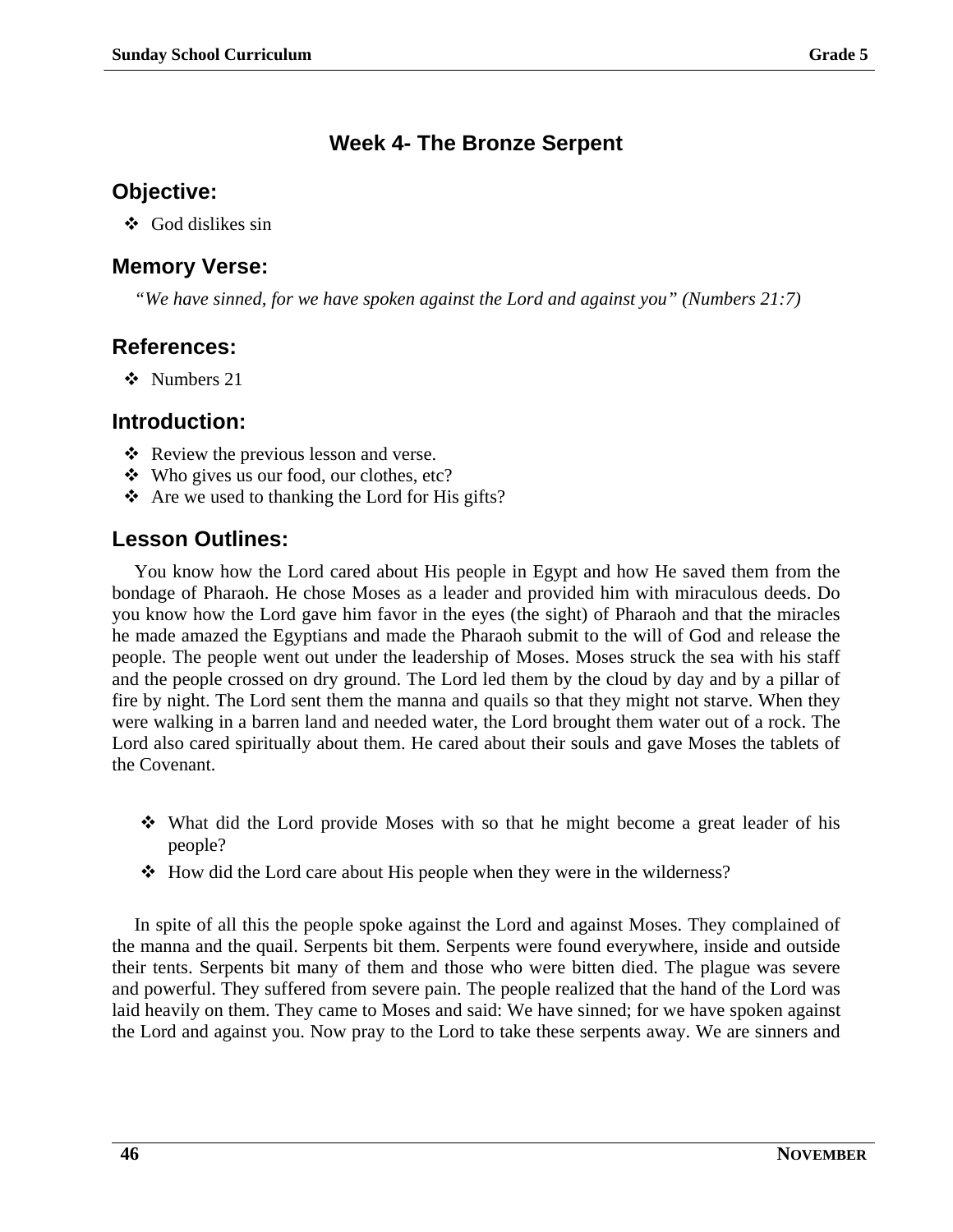## **Week 4- The Bronze Serpent**

#### **Objective:**

God dislikes sin

#### **Memory Verse:**

*"We have sinned, for we have spoken against the Lord and against you" (Numbers 21:7)*

#### **References:**

❖ Numbers 21

#### **Introduction:**

- ❖ Review the previous lesson and verse.
- Who gives us our food, our clothes, etc?
- Are we used to thanking the Lord for His gifts?

## **Lesson Outlines:**

You know how the Lord cared about His people in Egypt and how He saved them from the bondage of Pharaoh. He chose Moses as a leader and provided him with miraculous deeds. Do you know how the Lord gave him favor in the eyes (the sight) of Pharaoh and that the miracles he made amazed the Egyptians and made the Pharaoh submit to the will of God and release the people. The people went out under the leadership of Moses. Moses struck the sea with his staff and the people crossed on dry ground. The Lord led them by the cloud by day and by a pillar of fire by night. The Lord sent them the manna and quails so that they might not starve. When they were walking in a barren land and needed water, the Lord brought them water out of a rock. The Lord also cared spiritually about them. He cared about their souls and gave Moses the tablets of the Covenant.

- What did the Lord provide Moses with so that he might become a great leader of his people?
- ◆ How did the Lord care about His people when they were in the wilderness?

In spite of all this the people spoke against the Lord and against Moses. They complained of the manna and the quail. Serpents bit them. Serpents were found everywhere, inside and outside their tents. Serpents bit many of them and those who were bitten died. The plague was severe and powerful. They suffered from severe pain. The people realized that the hand of the Lord was laid heavily on them. They came to Moses and said: We have sinned; for we have spoken against the Lord and against you. Now pray to the Lord to take these serpents away. We are sinners and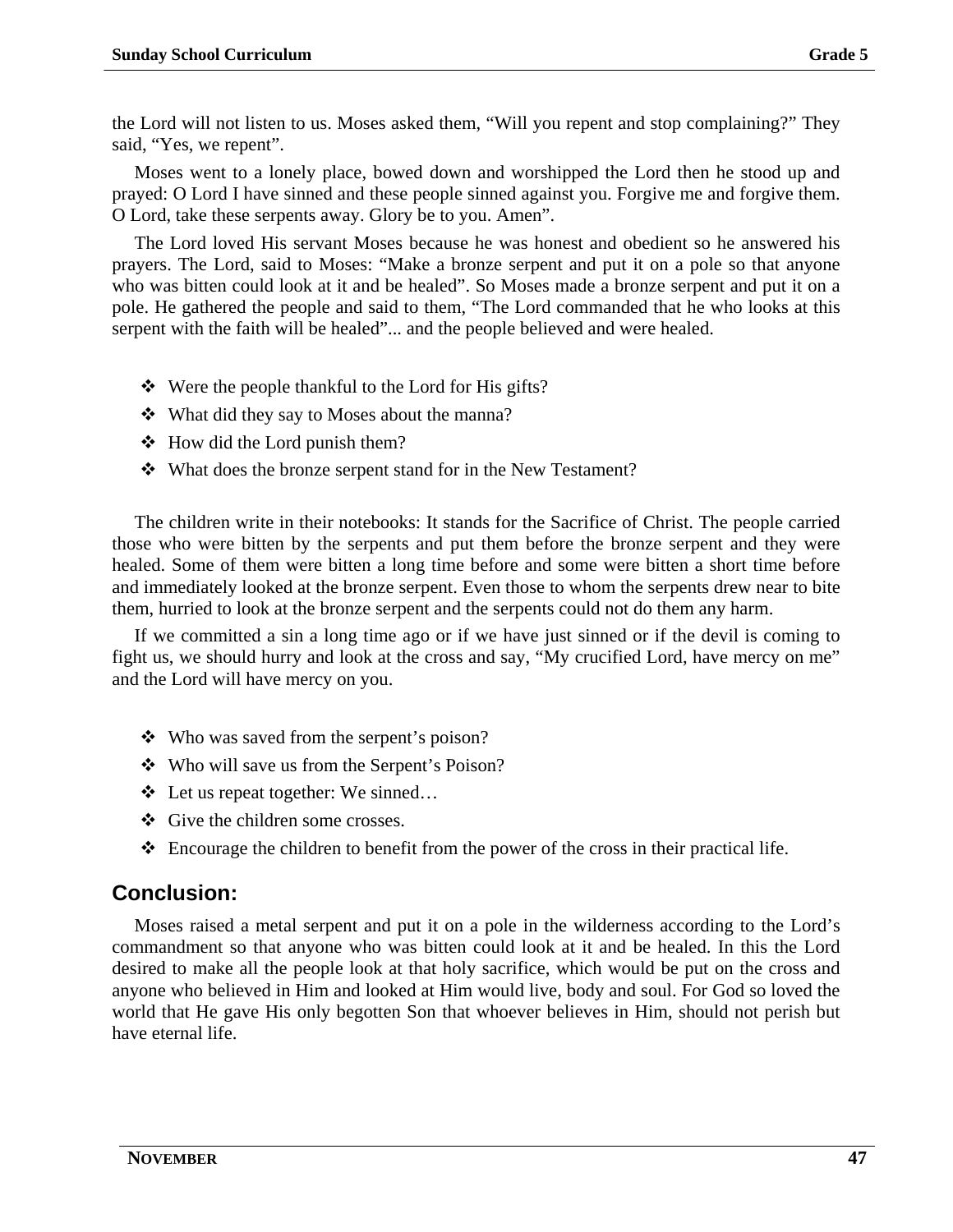the Lord will not listen to us. Moses asked them, "Will you repent and stop complaining?" They said, "Yes, we repent".

Moses went to a lonely place, bowed down and worshipped the Lord then he stood up and prayed: O Lord I have sinned and these people sinned against you. Forgive me and forgive them. O Lord, take these serpents away. Glory be to you. Amen".

The Lord loved His servant Moses because he was honest and obedient so he answered his prayers. The Lord, said to Moses: "Make a bronze serpent and put it on a pole so that anyone who was bitten could look at it and be healed". So Moses made a bronze serpent and put it on a pole. He gathered the people and said to them, "The Lord commanded that he who looks at this serpent with the faith will be healed"... and the people believed and were healed.

- Were the people thankful to the Lord for His gifts?
- What did they say to Moses about the manna?
- $\triangleleft$  How did the Lord punish them?
- What does the bronze serpent stand for in the New Testament?

The children write in their notebooks: It stands for the Sacrifice of Christ. The people carried those who were bitten by the serpents and put them before the bronze serpent and they were healed. Some of them were bitten a long time before and some were bitten a short time before and immediately looked at the bronze serpent. Even those to whom the serpents drew near to bite them, hurried to look at the bronze serpent and the serpents could not do them any harm.

If we committed a sin a long time ago or if we have just sinned or if the devil is coming to fight us, we should hurry and look at the cross and say, "My crucified Lord, have mercy on me" and the Lord will have mercy on you.

- Who was saved from the serpent's poison?
- Who will save us from the Serpent's Poison?
- $\triangleleft$  Let us repeat together: We sinned...
- Give the children some crosses.
- $\triangleleft$  Encourage the children to benefit from the power of the cross in their practical life.

## **Conclusion:**

Moses raised a metal serpent and put it on a pole in the wilderness according to the Lord's commandment so that anyone who was bitten could look at it and be healed. In this the Lord desired to make all the people look at that holy sacrifice, which would be put on the cross and anyone who believed in Him and looked at Him would live, body and soul. For God so loved the world that He gave His only begotten Son that whoever believes in Him, should not perish but have eternal life.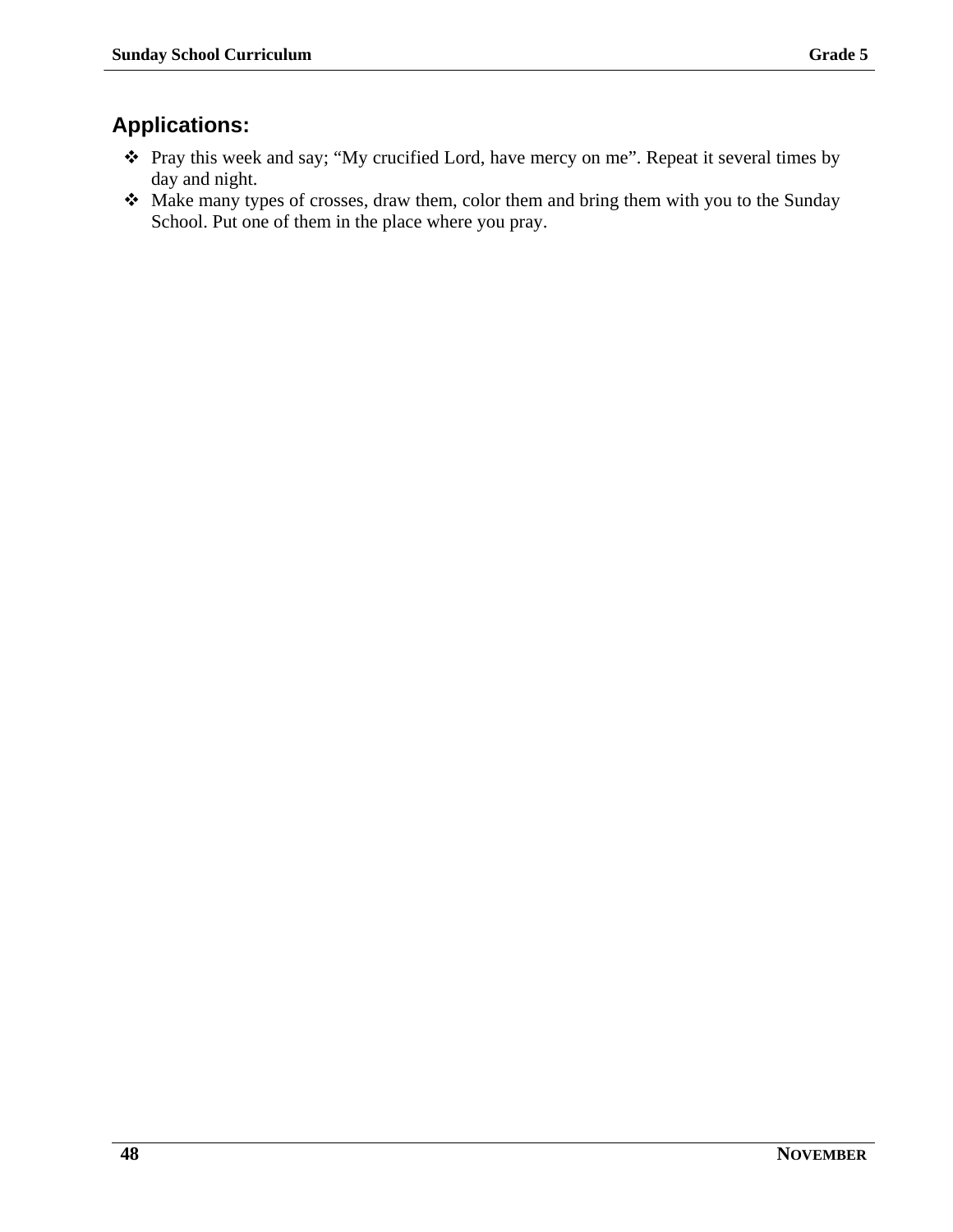- \* Pray this week and say; "My crucified Lord, have mercy on me". Repeat it several times by day and night.
- Make many types of crosses, draw them, color them and bring them with you to the Sunday School. Put one of them in the place where you pray.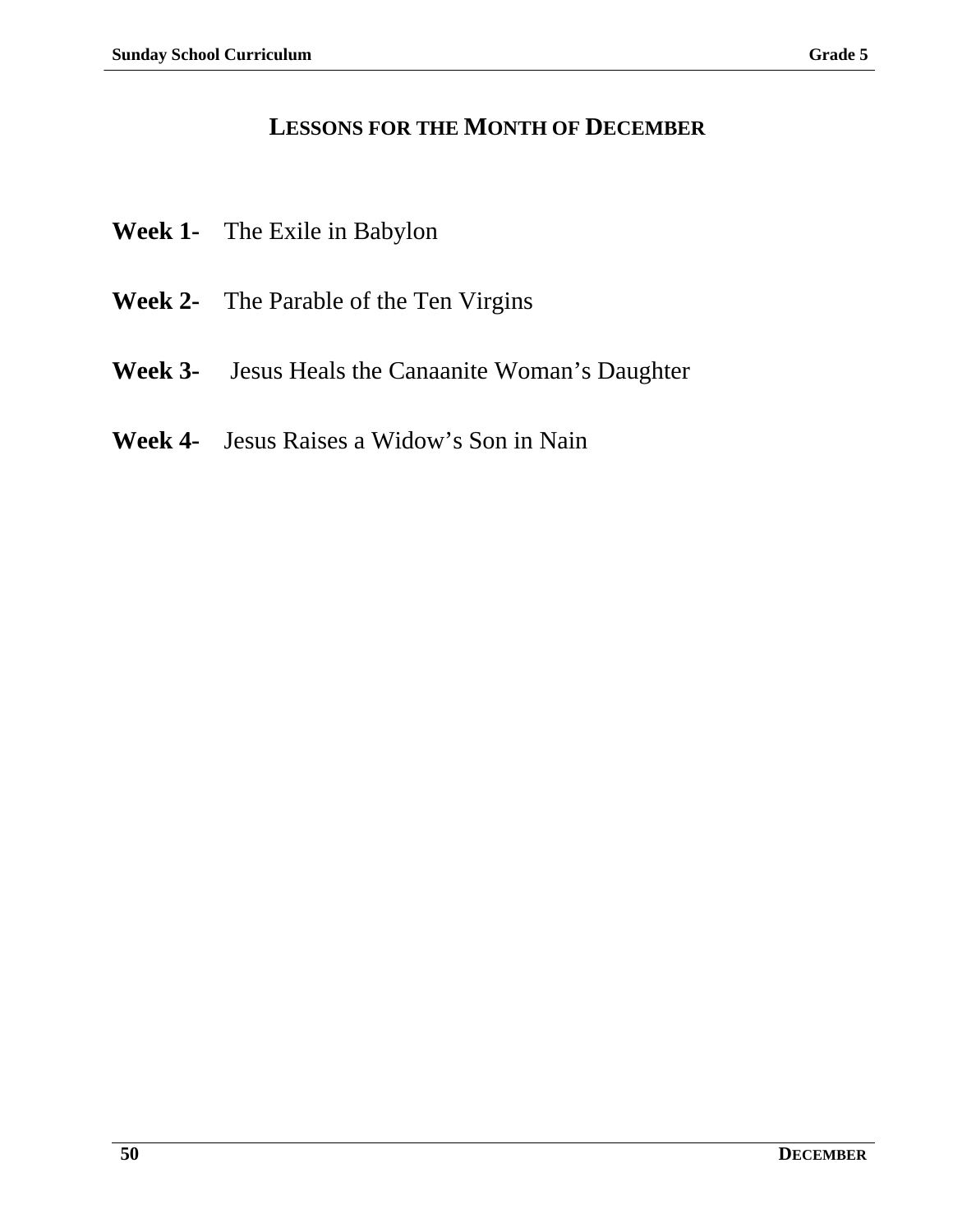# **LESSONS FOR THE MONTH OF DECEMBER**

- **Week 1-** The Exile in Babylon
- **Week 2-** The Parable of the Ten Virgins
- **Week 3-** Jesus Heals the Canaanite Woman's Daughter
- **Week 4-** Jesus Raises a Widow's Son in Nain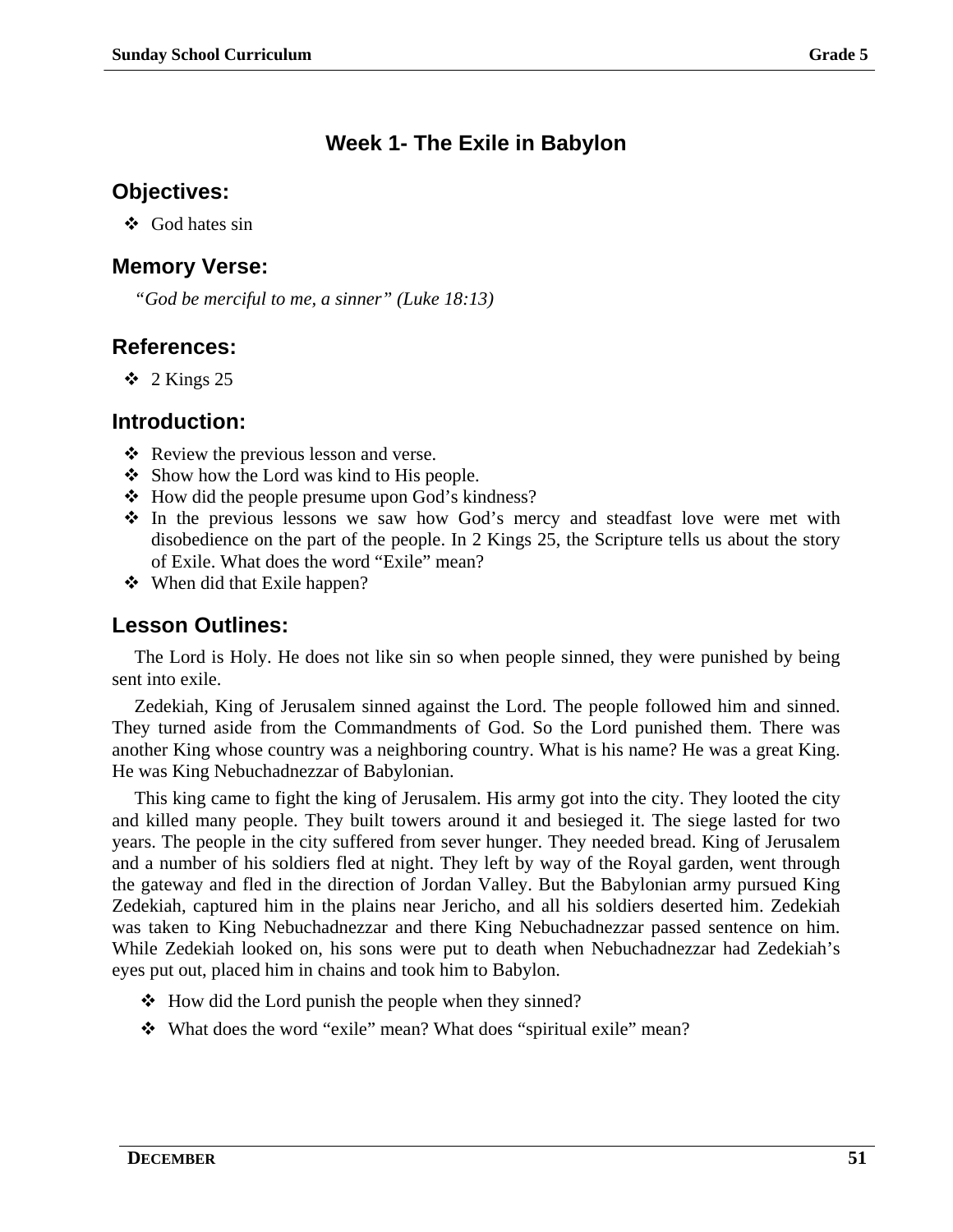# **Week 1- The Exile in Babylon**

### **Objectives:**

God hates sin

### **Memory Verse:**

*"God be merciful to me, a sinner" (Luke 18:13)*

#### **References:**

 $\div$  2 Kings 25

#### **Introduction:**

- ❖ Review the previous lesson and verse.
- $\triangleleft$  Show how the Lord was kind to His people.
- How did the people presume upon God's kindness?
- \* In the previous lessons we saw how God's mercy and steadfast love were met with disobedience on the part of the people. In 2 Kings 25, the Scripture tells us about the story of Exile. What does the word "Exile" mean?
- **❖** When did that Exile happen?

### **Lesson Outlines:**

The Lord is Holy. He does not like sin so when people sinned, they were punished by being sent into exile.

Zedekiah, King of Jerusalem sinned against the Lord. The people followed him and sinned. They turned aside from the Commandments of God. So the Lord punished them. There was another King whose country was a neighboring country. What is his name? He was a great King. He was King Nebuchadnezzar of Babylonian.

This king came to fight the king of Jerusalem. His army got into the city. They looted the city and killed many people. They built towers around it and besieged it. The siege lasted for two years. The people in the city suffered from sever hunger. They needed bread. King of Jerusalem and a number of his soldiers fled at night. They left by way of the Royal garden, went through the gateway and fled in the direction of Jordan Valley. But the Babylonian army pursued King Zedekiah, captured him in the plains near Jericho, and all his soldiers deserted him. Zedekiah was taken to King Nebuchadnezzar and there King Nebuchadnezzar passed sentence on him. While Zedekiah looked on, his sons were put to death when Nebuchadnezzar had Zedekiah's eyes put out, placed him in chains and took him to Babylon.

- $\cdot \cdot$  How did the Lord punish the people when they sinned?
- What does the word "exile" mean? What does "spiritual exile" mean?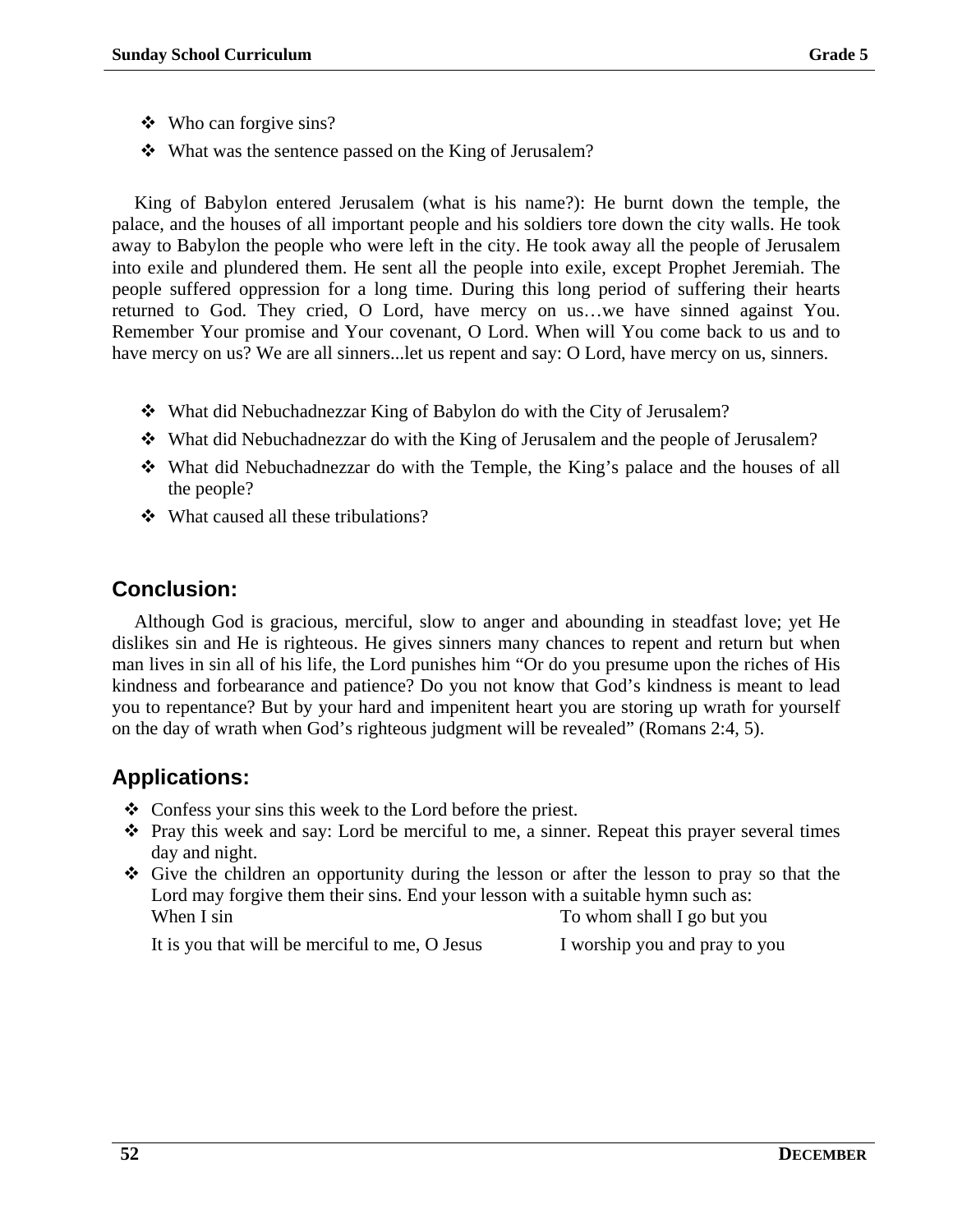- Who can forgive sins?
- What was the sentence passed on the King of Jerusalem?

King of Babylon entered Jerusalem (what is his name?): He burnt down the temple, the palace, and the houses of all important people and his soldiers tore down the city walls. He took away to Babylon the people who were left in the city. He took away all the people of Jerusalem into exile and plundered them. He sent all the people into exile, except Prophet Jeremiah. The people suffered oppression for a long time. During this long period of suffering their hearts returned to God. They cried, O Lord, have mercy on us…we have sinned against You. Remember Your promise and Your covenant, O Lord. When will You come back to us and to have mercy on us? We are all sinners...let us repent and say: O Lord, have mercy on us, sinners.

- What did Nebuchadnezzar King of Babylon do with the City of Jerusalem?
- What did Nebuchadnezzar do with the King of Jerusalem and the people of Jerusalem?
- What did Nebuchadnezzar do with the Temple, the King's palace and the houses of all the people?
- What caused all these tribulations?

#### **Conclusion:**

Although God is gracious, merciful, slow to anger and abounding in steadfast love; yet He dislikes sin and He is righteous. He gives sinners many chances to repent and return but when man lives in sin all of his life, the Lord punishes him "Or do you presume upon the riches of His kindness and forbearance and patience? Do you not know that God's kindness is meant to lead you to repentance? But by your hard and impenitent heart you are storing up wrath for yourself on the day of wrath when God's righteous judgment will be revealed" (Romans 2:4, 5).

## **Applications:**

- ❖ Confess your sins this week to the Lord before the priest.
- Pray this week and say: Lord be merciful to me, a sinner. Repeat this prayer several times day and night.
- Give the children an opportunity during the lesson or after the lesson to pray so that the Lord may forgive them their sins. End your lesson with a suitable hymn such as: When I sin To whom shall I go but you

It is you that will be merciful to me, O Jesus I worship you and pray to you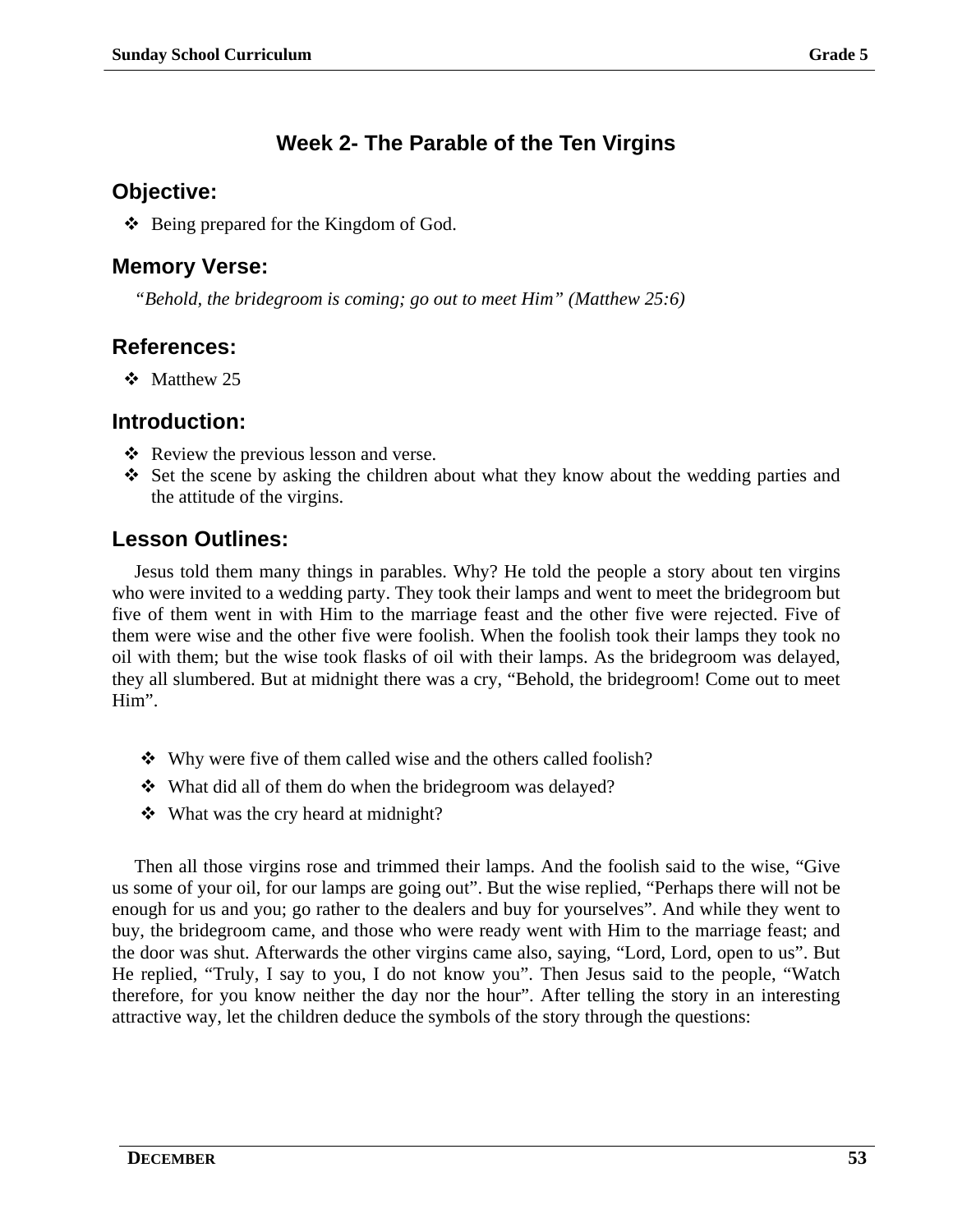# **Week 2- The Parable of the Ten Virgins**

#### **Objective:**

❖ Being prepared for the Kingdom of God.

#### **Memory Verse:**

*"Behold, the bridegroom is coming; go out to meet Him" (Matthew 25:6)*

## **References:**

❖ Matthew 25

#### **Introduction:**

- ❖ Review the previous lesson and verse.
- \* Set the scene by asking the children about what they know about the wedding parties and the attitude of the virgins.

# **Lesson Outlines:**

Jesus told them many things in parables. Why? He told the people a story about ten virgins who were invited to a wedding party. They took their lamps and went to meet the bridegroom but five of them went in with Him to the marriage feast and the other five were rejected. Five of them were wise and the other five were foolish. When the foolish took their lamps they took no oil with them; but the wise took flasks of oil with their lamps. As the bridegroom was delayed, they all slumbered. But at midnight there was a cry, "Behold, the bridegroom! Come out to meet Him".

- ◆ Why were five of them called wise and the others called foolish?
- What did all of them do when the bridegroom was delayed?
- $\bullet$  What was the cry heard at midnight?

Then all those virgins rose and trimmed their lamps. And the foolish said to the wise, "Give us some of your oil, for our lamps are going out". But the wise replied, "Perhaps there will not be enough for us and you; go rather to the dealers and buy for yourselves". And while they went to buy, the bridegroom came, and those who were ready went with Him to the marriage feast; and the door was shut. Afterwards the other virgins came also, saying, "Lord, Lord, open to us". But He replied, "Truly, I say to you, I do not know you". Then Jesus said to the people, "Watch therefore, for you know neither the day nor the hour". After telling the story in an interesting attractive way, let the children deduce the symbols of the story through the questions: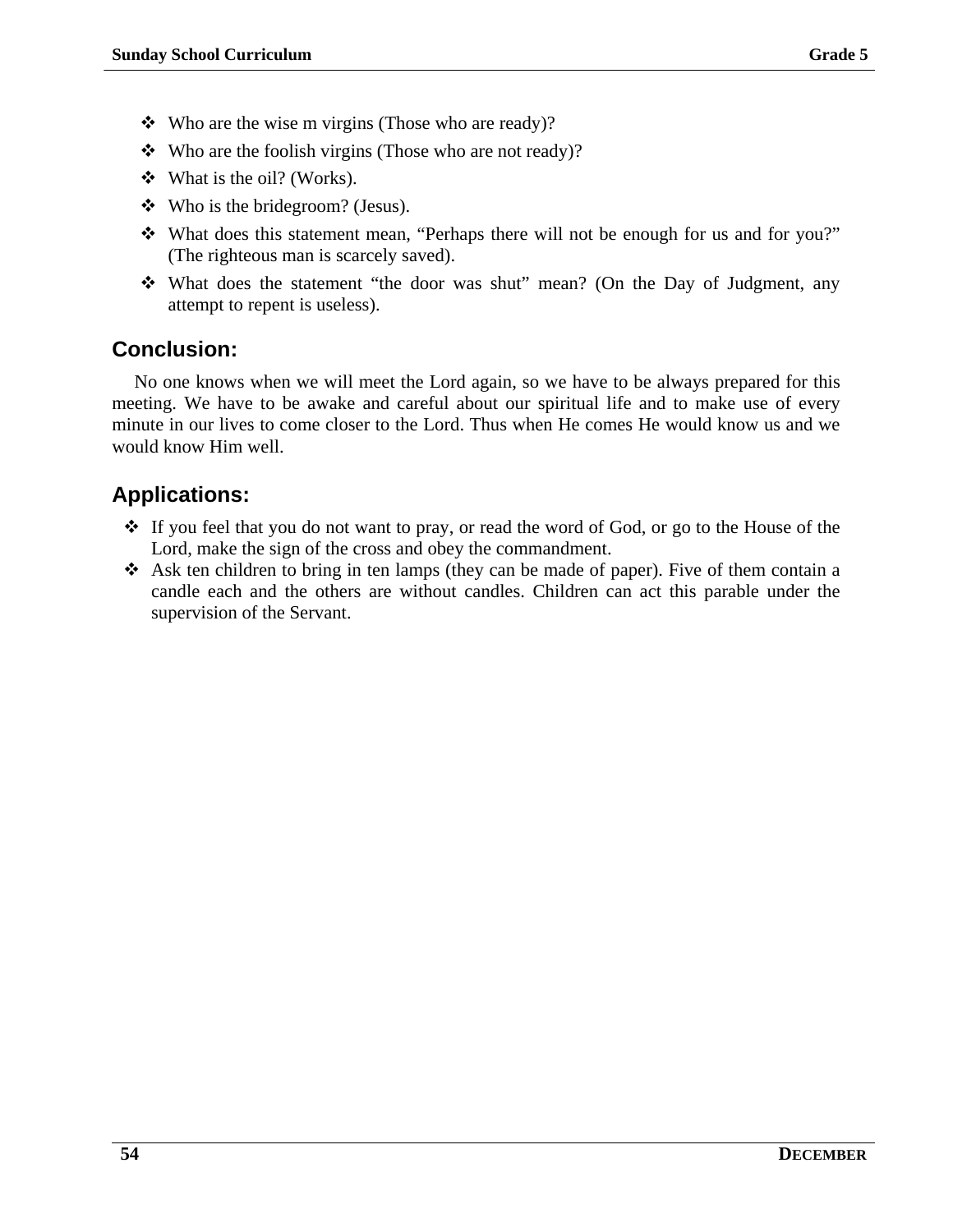- $\triangleleft$  Who are the wise m virgins (Those who are ready)?
- Who are the foolish virgins (Those who are not ready)?
- What is the oil? (Works).
- Who is the bridegroom? (Jesus).
- What does this statement mean, "Perhaps there will not be enough for us and for you?" (The righteous man is scarcely saved).
- What does the statement "the door was shut" mean? (On the Day of Judgment, any attempt to repent is useless).

#### **Conclusion:**

No one knows when we will meet the Lord again, so we have to be always prepared for this meeting. We have to be awake and careful about our spiritual life and to make use of every minute in our lives to come closer to the Lord. Thus when He comes He would know us and we would know Him well.

- If you feel that you do not want to pray, or read the word of God, or go to the House of the Lord, make the sign of the cross and obey the commandment.
- $\triangle$  Ask ten children to bring in ten lamps (they can be made of paper). Five of them contain a candle each and the others are without candles. Children can act this parable under the supervision of the Servant.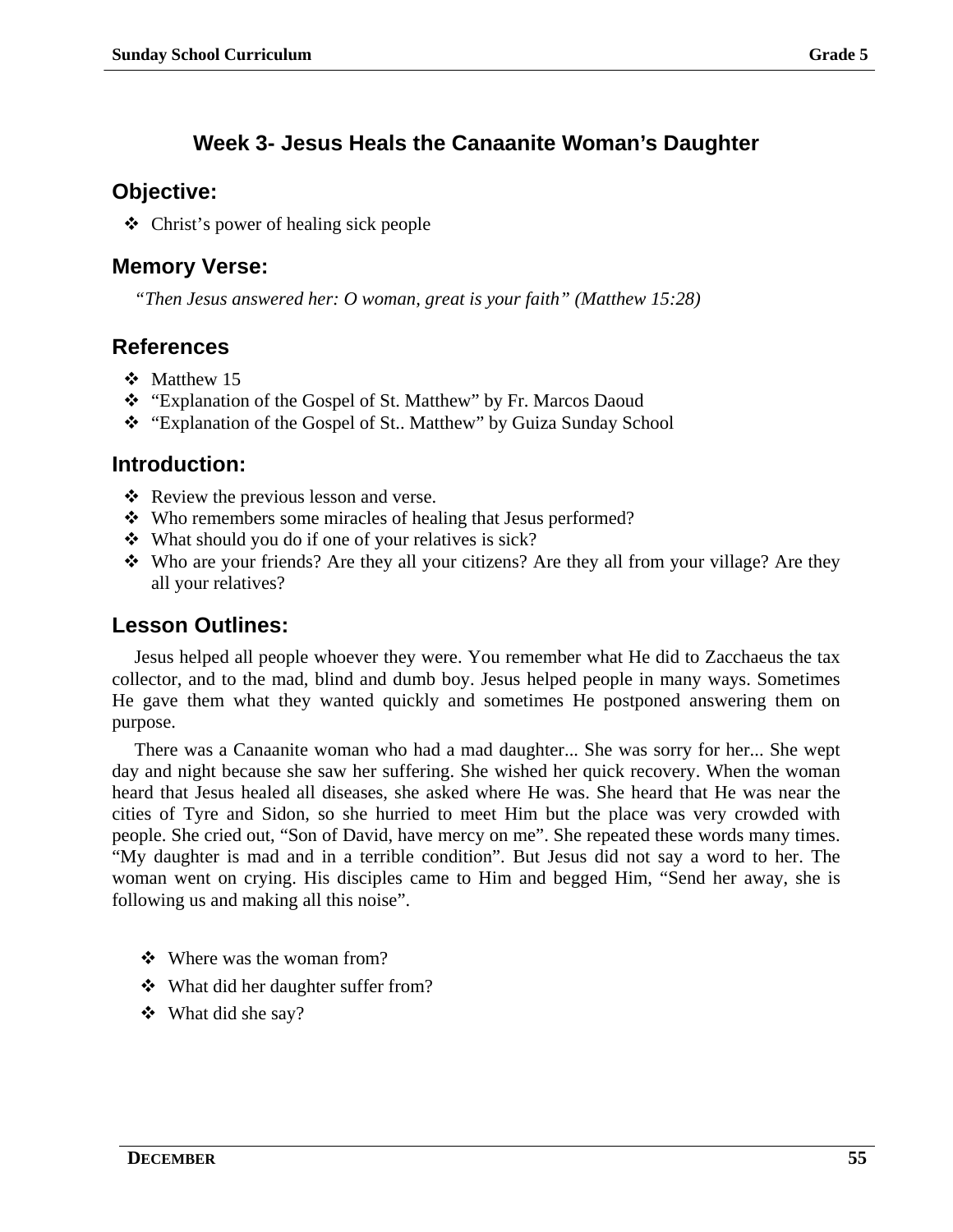## **Week 3- Jesus Heals the Canaanite Woman's Daughter**

#### **Objective:**

Christ's power of healing sick people

### **Memory Verse:**

*"Then Jesus answered her: O woman, great is your faith" (Matthew 15:28)*

## **References**

- ❖ Matthew 15
- "Explanation of the Gospel of St. Matthew" by Fr. Marcos Daoud
- \* "Explanation of the Gospel of St.. Matthew" by Guiza Sunday School

#### **Introduction:**

- ❖ Review the previous lesson and verse.
- Who remembers some miracles of healing that Jesus performed?
- What should you do if one of your relatives is sick?
- Who are your friends? Are they all your citizens? Are they all from your village? Are they all your relatives?

# **Lesson Outlines:**

Jesus helped all people whoever they were. You remember what He did to Zacchaeus the tax collector, and to the mad, blind and dumb boy. Jesus helped people in many ways. Sometimes He gave them what they wanted quickly and sometimes He postponed answering them on purpose.

There was a Canaanite woman who had a mad daughter... She was sorry for her... She wept day and night because she saw her suffering. She wished her quick recovery. When the woman heard that Jesus healed all diseases, she asked where He was. She heard that He was near the cities of Tyre and Sidon, so she hurried to meet Him but the place was very crowded with people. She cried out, "Son of David, have mercy on me". She repeated these words many times. "My daughter is mad and in a terrible condition". But Jesus did not say a word to her. The woman went on crying. His disciples came to Him and begged Him, "Send her away, she is following us and making all this noise".

- Where was the woman from?
- What did her daughter suffer from?
- What did she say?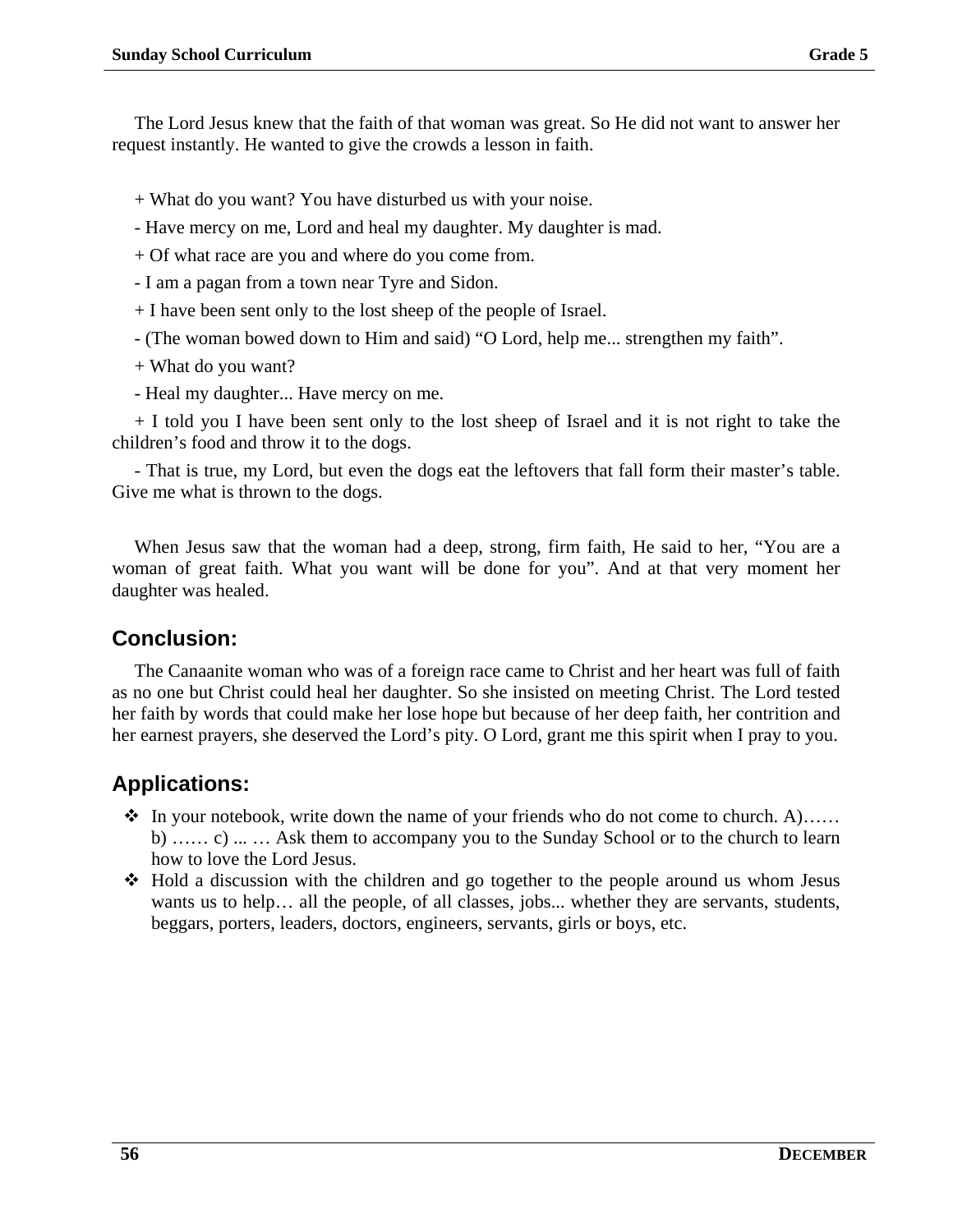The Lord Jesus knew that the faith of that woman was great. So He did not want to answer her request instantly. He wanted to give the crowds a lesson in faith.

+ What do you want? You have disturbed us with your noise.

- Have mercy on me, Lord and heal my daughter. My daughter is mad.
- + Of what race are you and where do you come from.
- I am a pagan from a town near Tyre and Sidon.
- + I have been sent only to the lost sheep of the people of Israel.
- (The woman bowed down to Him and said) "O Lord, help me... strengthen my faith".
- + What do you want?
- Heal my daughter... Have mercy on me.

+ I told you I have been sent only to the lost sheep of Israel and it is not right to take the children's food and throw it to the dogs.

- That is true, my Lord, but even the dogs eat the leftovers that fall form their master's table. Give me what is thrown to the dogs.

When Jesus saw that the woman had a deep, strong, firm faith, He said to her, "You are a woman of great faith. What you want will be done for you". And at that very moment her daughter was healed.

#### **Conclusion:**

The Canaanite woman who was of a foreign race came to Christ and her heart was full of faith as no one but Christ could heal her daughter. So she insisted on meeting Christ. The Lord tested her faith by words that could make her lose hope but because of her deep faith, her contrition and her earnest prayers, she deserved the Lord's pity. O Lord, grant me this spirit when I pray to you.

- $\triangleleft$  In your notebook, write down the name of your friends who do not come to church. A)…… b) …… c) ... … Ask them to accompany you to the Sunday School or to the church to learn how to love the Lord Jesus.
- $\triangleleft$  Hold a discussion with the children and go together to the people around us whom Jesus wants us to help… all the people, of all classes, jobs... whether they are servants, students, beggars, porters, leaders, doctors, engineers, servants, girls or boys, etc.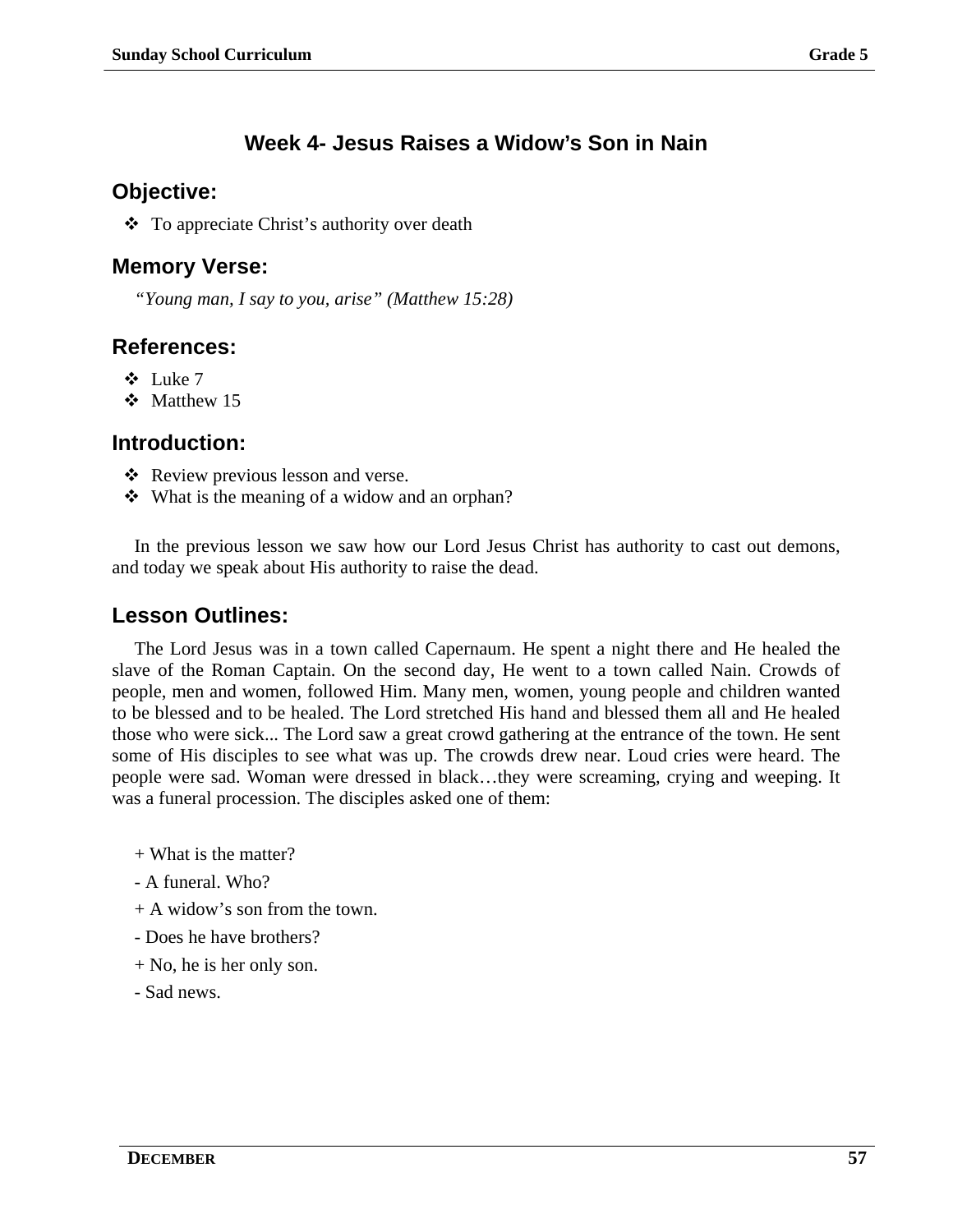# **Week 4- Jesus Raises a Widow's Son in Nain**

#### **Objective:**

❖ To appreciate Christ's authority over death

### **Memory Verse:**

*"Young man, I say to you, arise" (Matthew 15:28)*

## **References:**

- Luke 7
- ❖ Matthew 15

#### **Introduction:**

- ❖ Review previous lesson and verse.
- What is the meaning of a widow and an orphan?

In the previous lesson we saw how our Lord Jesus Christ has authority to cast out demons, and today we speak about His authority to raise the dead.

#### **Lesson Outlines:**

The Lord Jesus was in a town called Capernaum. He spent a night there and He healed the slave of the Roman Captain. On the second day, He went to a town called Nain. Crowds of people, men and women, followed Him. Many men, women, young people and children wanted to be blessed and to be healed. The Lord stretched His hand and blessed them all and He healed those who were sick... The Lord saw a great crowd gathering at the entrance of the town. He sent some of His disciples to see what was up. The crowds drew near. Loud cries were heard. The people were sad. Woman were dressed in black…they were screaming, crying and weeping. It was a funeral procession. The disciples asked one of them:

- $+$  What is the matter?
- A funeral. Who?
- $+$  A widow's son from the town.
- Does he have brothers?
- + No, he is her only son.
- Sad news.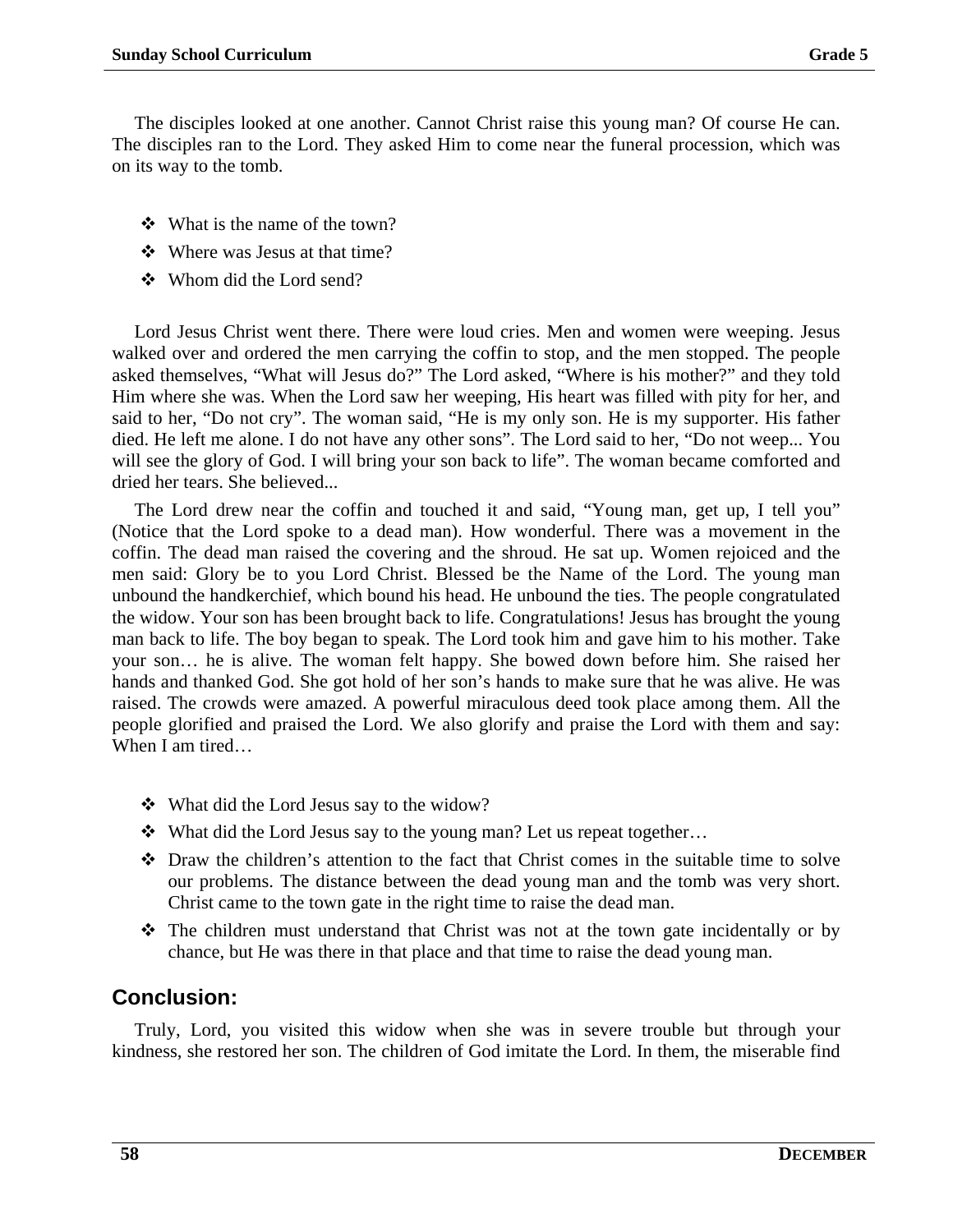The disciples looked at one another. Cannot Christ raise this young man? Of course He can. The disciples ran to the Lord. They asked Him to come near the funeral procession, which was on its way to the tomb.

- What is the name of the town?
- Where was Jesus at that time?
- ❖ Whom did the Lord send?

Lord Jesus Christ went there. There were loud cries. Men and women were weeping. Jesus walked over and ordered the men carrying the coffin to stop, and the men stopped. The people asked themselves, "What will Jesus do?" The Lord asked, "Where is his mother?" and they told Him where she was. When the Lord saw her weeping, His heart was filled with pity for her, and said to her, "Do not cry". The woman said, "He is my only son. He is my supporter. His father died. He left me alone. I do not have any other sons". The Lord said to her, "Do not weep... You will see the glory of God. I will bring your son back to life". The woman became comforted and dried her tears. She believed...

The Lord drew near the coffin and touched it and said, "Young man, get up, I tell you" (Notice that the Lord spoke to a dead man). How wonderful. There was a movement in the coffin. The dead man raised the covering and the shroud. He sat up. Women rejoiced and the men said: Glory be to you Lord Christ. Blessed be the Name of the Lord. The young man unbound the handkerchief, which bound his head. He unbound the ties. The people congratulated the widow. Your son has been brought back to life. Congratulations! Jesus has brought the young man back to life. The boy began to speak. The Lord took him and gave him to his mother. Take your son… he is alive. The woman felt happy. She bowed down before him. She raised her hands and thanked God. She got hold of her son's hands to make sure that he was alive. He was raised. The crowds were amazed. A powerful miraculous deed took place among them. All the people glorified and praised the Lord. We also glorify and praise the Lord with them and say: When I am tired…

- What did the Lord Jesus say to the widow?
- What did the Lord Jesus say to the young man? Let us repeat together…
- Draw the children's attention to the fact that Christ comes in the suitable time to solve our problems. The distance between the dead young man and the tomb was very short. Christ came to the town gate in the right time to raise the dead man.
- $\hat{\mathbf{v}}$  The children must understand that Christ was not at the town gate incidentally or by chance, but He was there in that place and that time to raise the dead young man.

#### **Conclusion:**

Truly, Lord, you visited this widow when she was in severe trouble but through your kindness, she restored her son. The children of God imitate the Lord. In them, the miserable find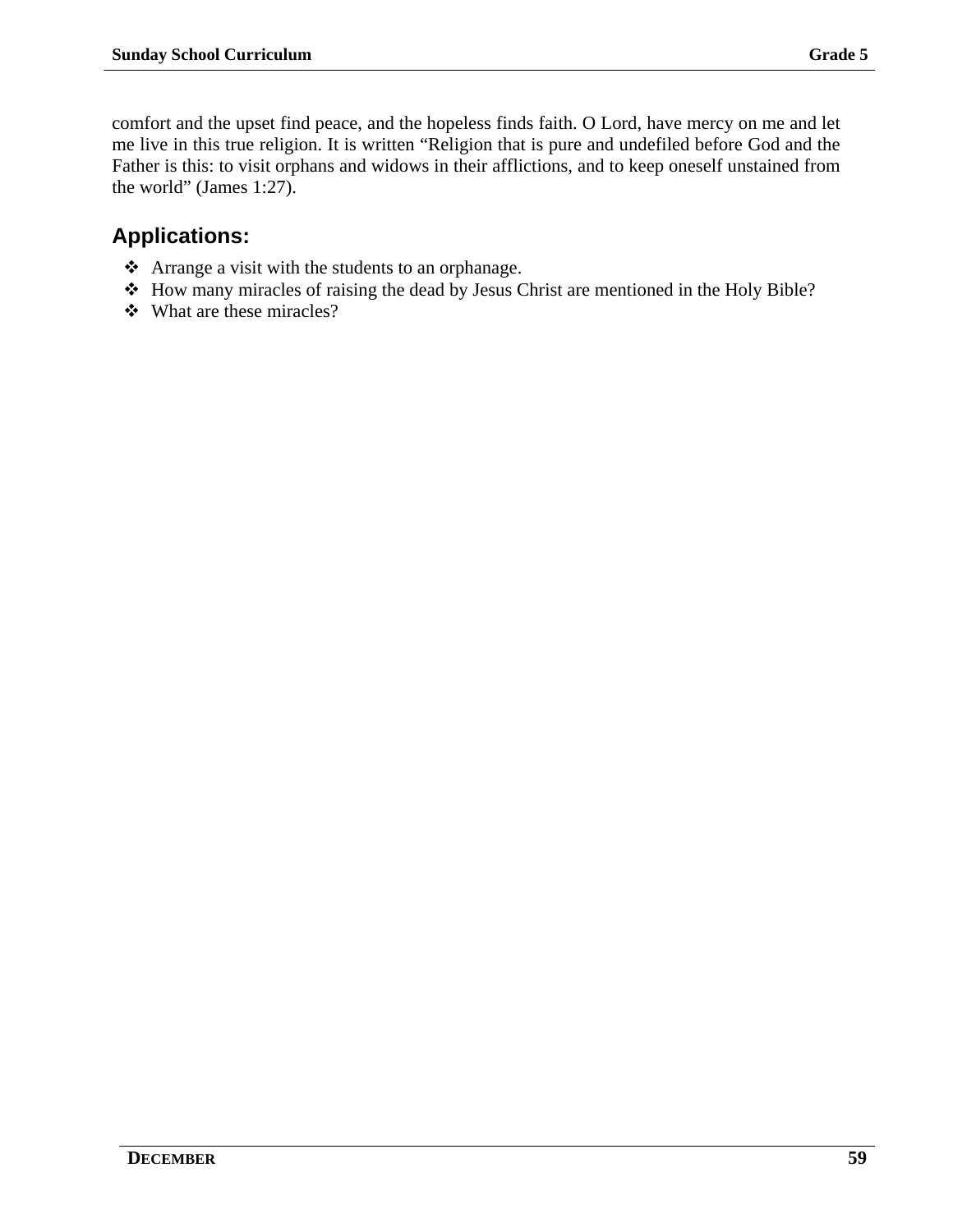comfort and the upset find peace, and the hopeless finds faith. O Lord, have mercy on me and let me live in this true religion. It is written "Religion that is pure and undefiled before God and the Father is this: to visit orphans and widows in their afflictions, and to keep oneself unstained from the world" (James 1:27).

- Arrange a visit with the students to an orphanage.
- How many miracles of raising the dead by Jesus Christ are mentioned in the Holy Bible?
- What are these miracles?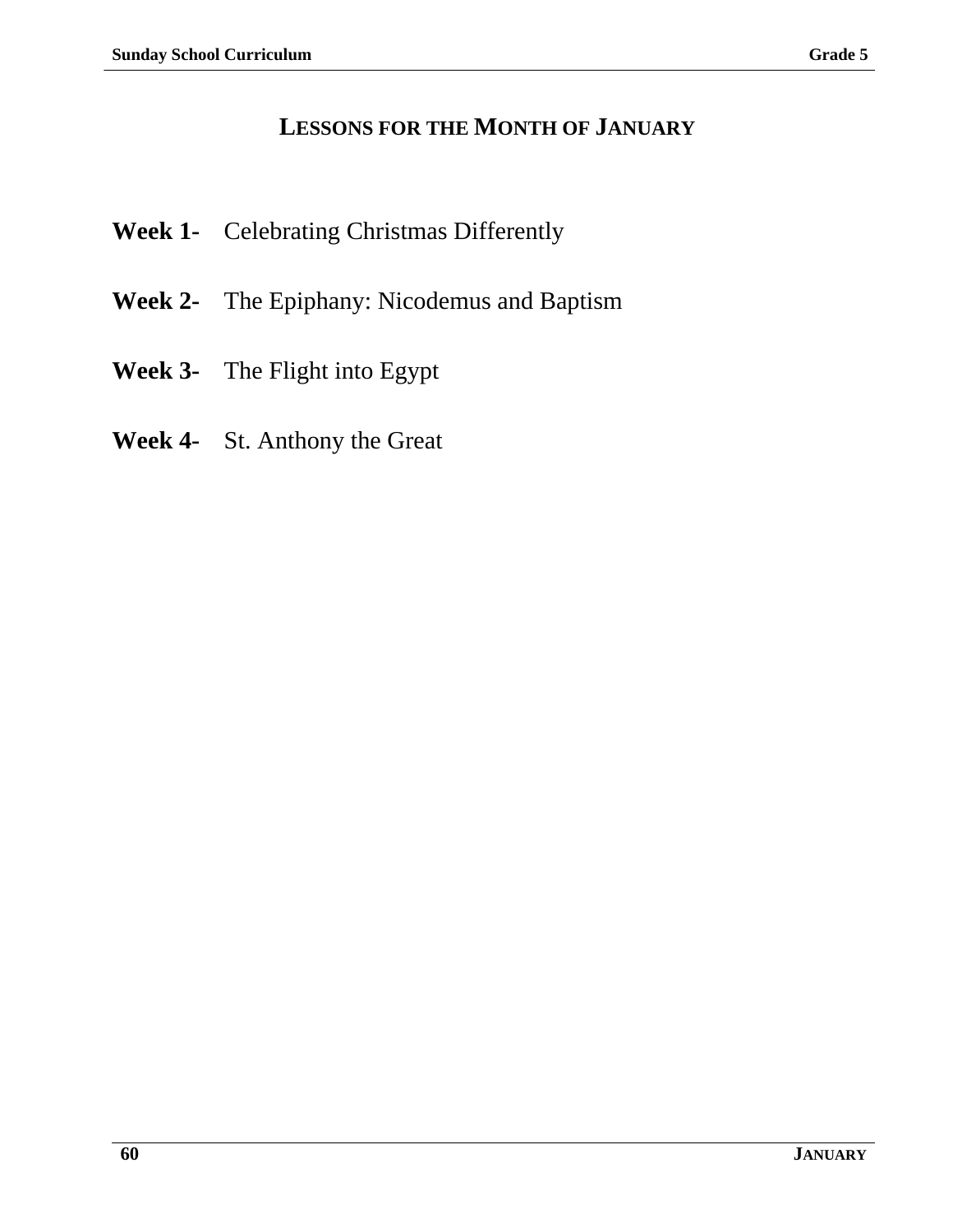# **LESSONS FOR THE MONTH OF JANUARY**

- **Week 1-** Celebrating Christmas Differently
- **Week 2-** The Epiphany: Nicodemus and Baptism
- **Week 3-** The Flight into Egypt
- **Week 4-** St. Anthony the Great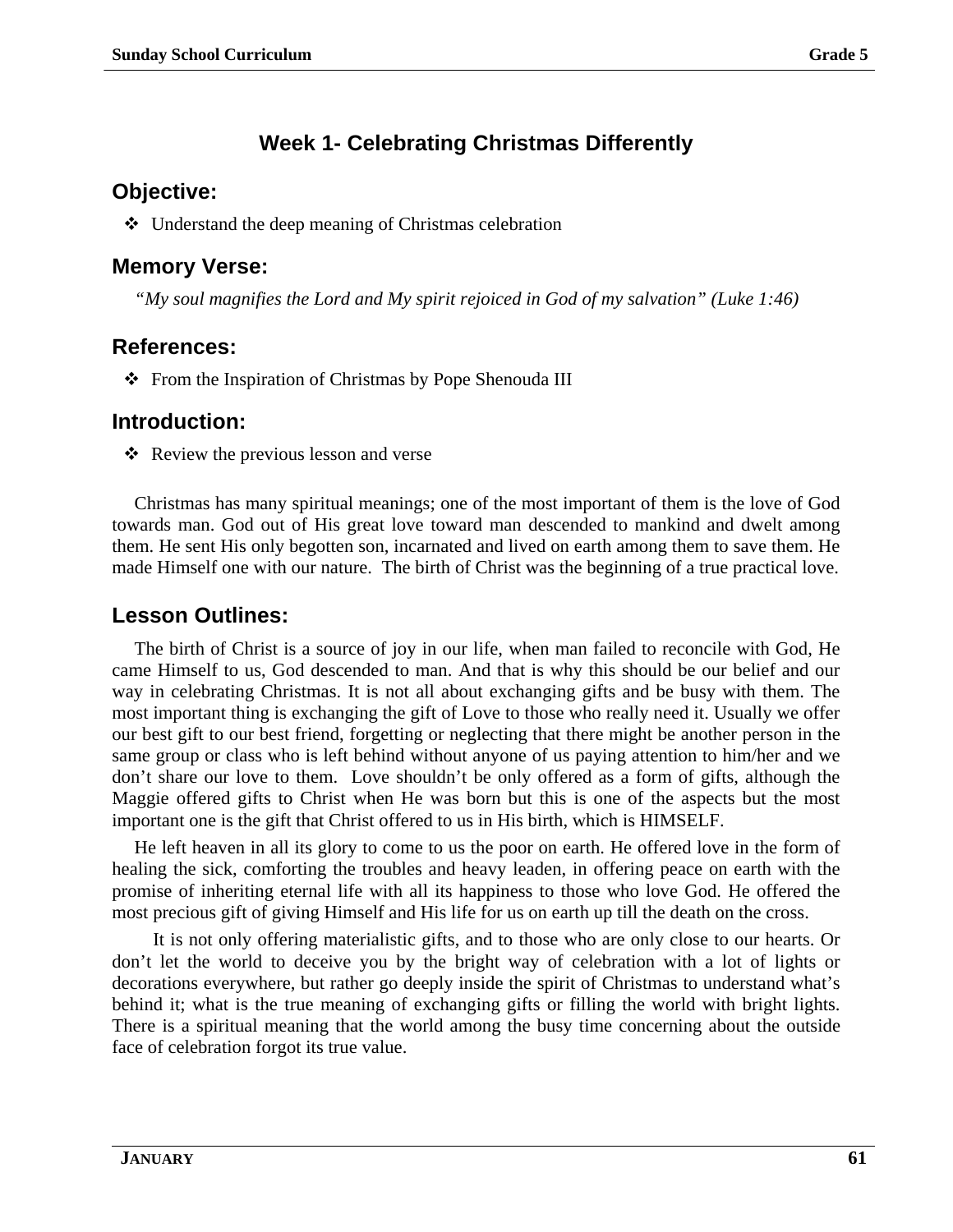# **Week 1- Celebrating Christmas Differently**

### **Objective:**

Understand the deep meaning of Christmas celebration

### **Memory Verse:**

*"My soul magnifies the Lord and My spirit rejoiced in God of my salvation" (Luke 1:46)*

## **References:**

From the Inspiration of Christmas by Pope Shenouda III

### **Introduction:**

 $\triangleleft$  Review the previous lesson and verse

Christmas has many spiritual meanings; one of the most important of them is the love of God towards man. God out of His great love toward man descended to mankind and dwelt among them. He sent His only begotten son, incarnated and lived on earth among them to save them. He made Himself one with our nature. The birth of Christ was the beginning of a true practical love.

### **Lesson Outlines:**

The birth of Christ is a source of joy in our life, when man failed to reconcile with God, He came Himself to us, God descended to man. And that is why this should be our belief and our way in celebrating Christmas. It is not all about exchanging gifts and be busy with them. The most important thing is exchanging the gift of Love to those who really need it. Usually we offer our best gift to our best friend, forgetting or neglecting that there might be another person in the same group or class who is left behind without anyone of us paying attention to him/her and we don't share our love to them. Love shouldn't be only offered as a form of gifts, although the Maggie offered gifts to Christ when He was born but this is one of the aspects but the most important one is the gift that Christ offered to us in His birth, which is HIMSELF.

He left heaven in all its glory to come to us the poor on earth. He offered love in the form of healing the sick, comforting the troubles and heavy leaden, in offering peace on earth with the promise of inheriting eternal life with all its happiness to those who love God. He offered the most precious gift of giving Himself and His life for us on earth up till the death on the cross.

It is not only offering materialistic gifts, and to those who are only close to our hearts. Or don't let the world to deceive you by the bright way of celebration with a lot of lights or decorations everywhere, but rather go deeply inside the spirit of Christmas to understand what's behind it; what is the true meaning of exchanging gifts or filling the world with bright lights. There is a spiritual meaning that the world among the busy time concerning about the outside face of celebration forgot its true value.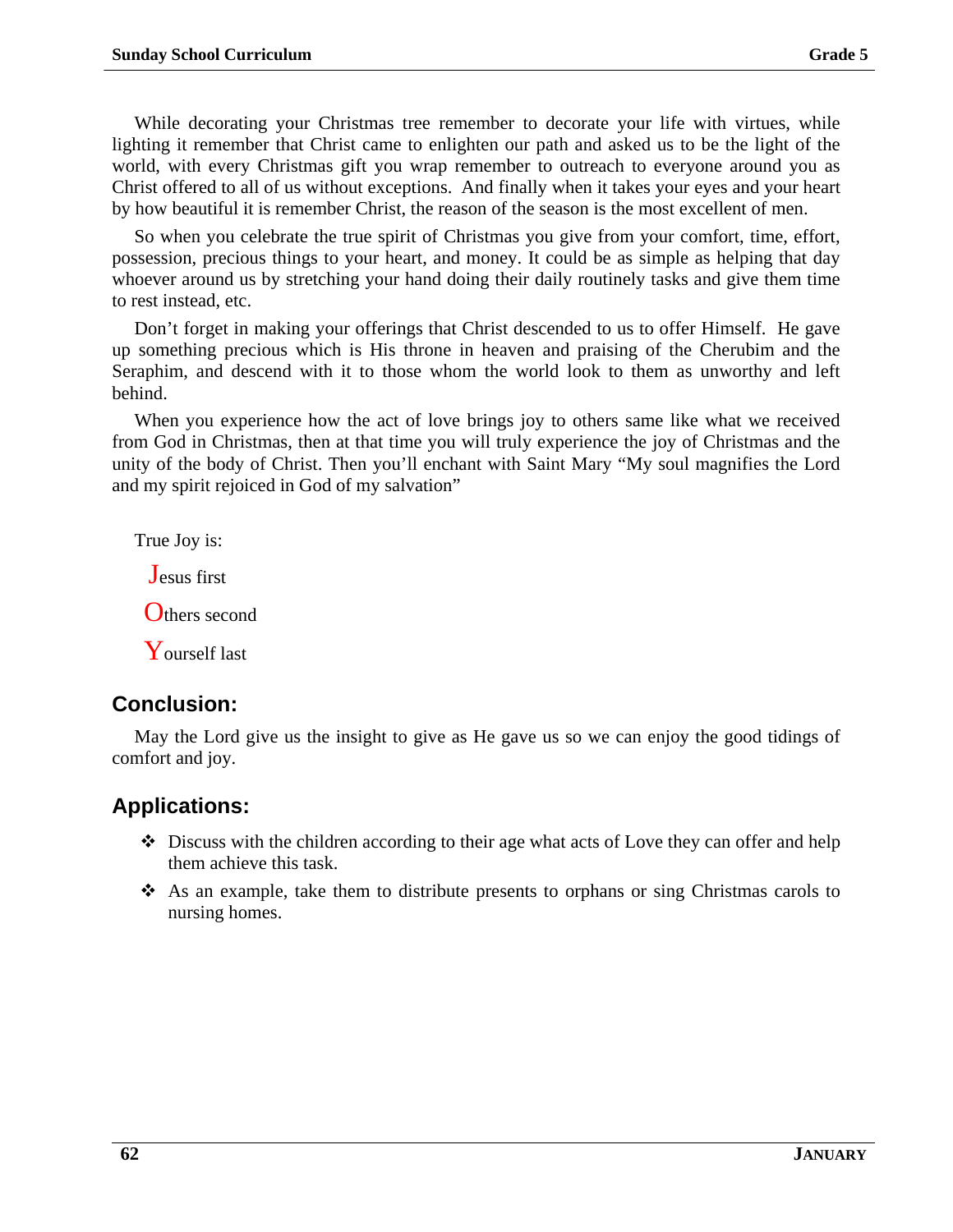While decorating your Christmas tree remember to decorate your life with virtues, while lighting it remember that Christ came to enlighten our path and asked us to be the light of the world, with every Christmas gift you wrap remember to outreach to everyone around you as Christ offered to all of us without exceptions. And finally when it takes your eyes and your heart by how beautiful it is remember Christ, the reason of the season is the most excellent of men.

So when you celebrate the true spirit of Christmas you give from your comfort, time, effort, possession, precious things to your heart, and money. It could be as simple as helping that day whoever around us by stretching your hand doing their daily routinely tasks and give them time to rest instead, etc.

Don't forget in making your offerings that Christ descended to us to offer Himself. He gave up something precious which is His throne in heaven and praising of the Cherubim and the Seraphim, and descend with it to those whom the world look to them as unworthy and left behind.

When you experience how the act of love brings joy to others same like what we received from God in Christmas, then at that time you will truly experience the joy of Christmas and the unity of the body of Christ. Then you'll enchant with Saint Mary "My soul magnifies the Lord and my spirit rejoiced in God of my salvation"

True Joy is:

Jesus first

Others second

Yourself last

## **Conclusion:**

May the Lord give us the insight to give as He gave us so we can enjoy the good tidings of comfort and joy.

- $\bullet$  Discuss with the children according to their age what acts of Love they can offer and help them achieve this task.
- $\hat{\mathbf{\cdot}}$  As an example, take them to distribute presents to orphans or sing Christmas carols to nursing homes.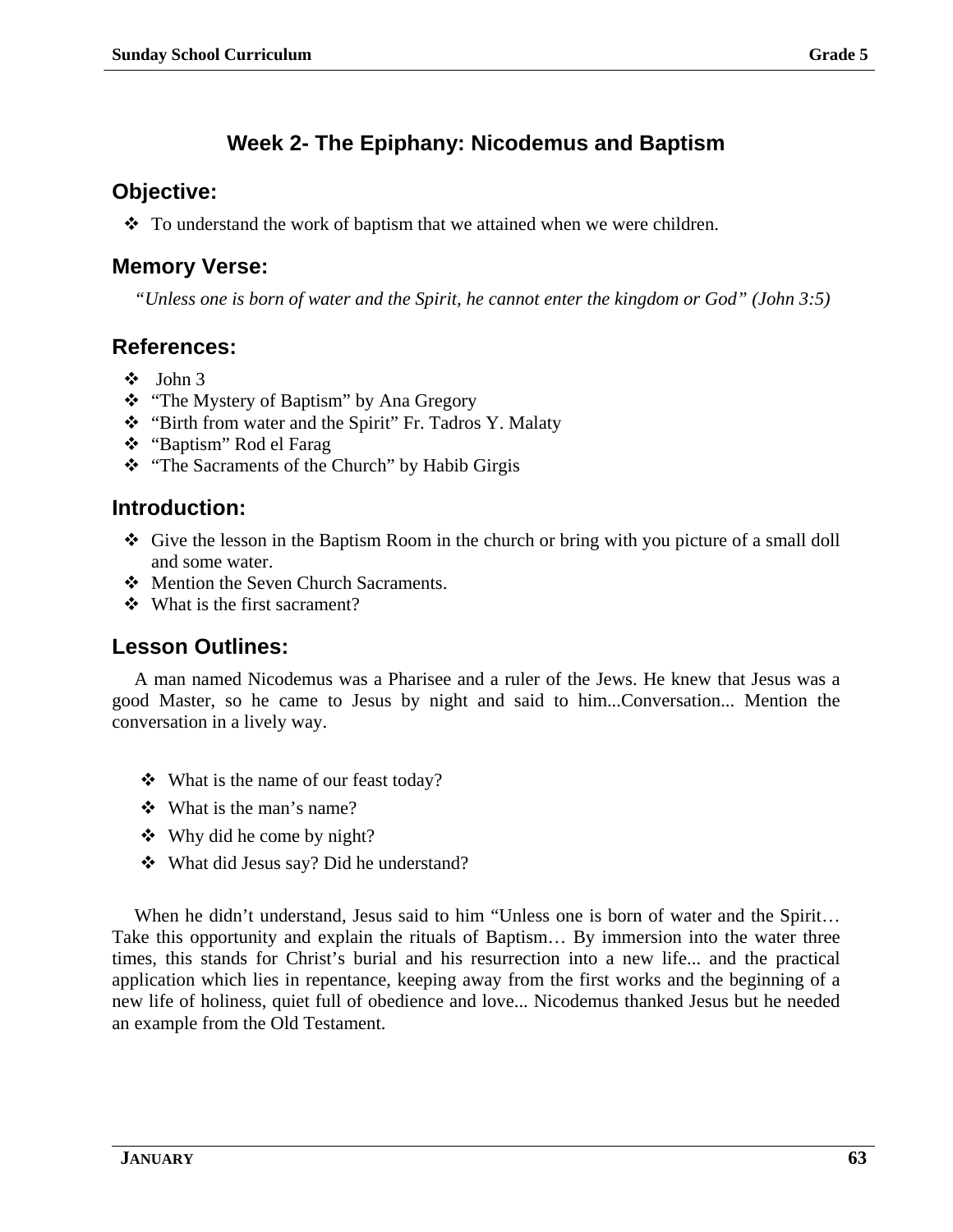# **Week 2- The Epiphany: Nicodemus and Baptism**

### **Objective:**

 $\mathbf{\hat{P}}$  To understand the work of baptism that we attained when we were children.

### **Memory Verse:**

*"Unless one is born of water and the Spirit, he cannot enter the kingdom or God" (John 3:5)*

## **References:**

- John 3
- \* "The Mystery of Baptism" by Ana Gregory
- "Birth from water and the Spirit" Fr. Tadros Y. Malaty
- "Baptism" Rod el Farag
- \* "The Sacraments of the Church" by Habib Girgis

## **Introduction:**

- Give the lesson in the Baptism Room in the church or bring with you picture of a small doll and some water.
- ❖ Mention the Seven Church Sacraments.
- What is the first sacrament?

## **Lesson Outlines:**

A man named Nicodemus was a Pharisee and a ruler of the Jews. He knew that Jesus was a good Master, so he came to Jesus by night and said to him...Conversation... Mention the conversation in a lively way.

- What is the name of our feast today?
- What is the man's name?
- Why did he come by night?
- What did Jesus say? Did he understand?

When he didn't understand, Jesus said to him "Unless one is born of water and the Spirit... Take this opportunity and explain the rituals of Baptism… By immersion into the water three times, this stands for Christ's burial and his resurrection into a new life... and the practical application which lies in repentance, keeping away from the first works and the beginning of a new life of holiness, quiet full of obedience and love... Nicodemus thanked Jesus but he needed an example from the Old Testament.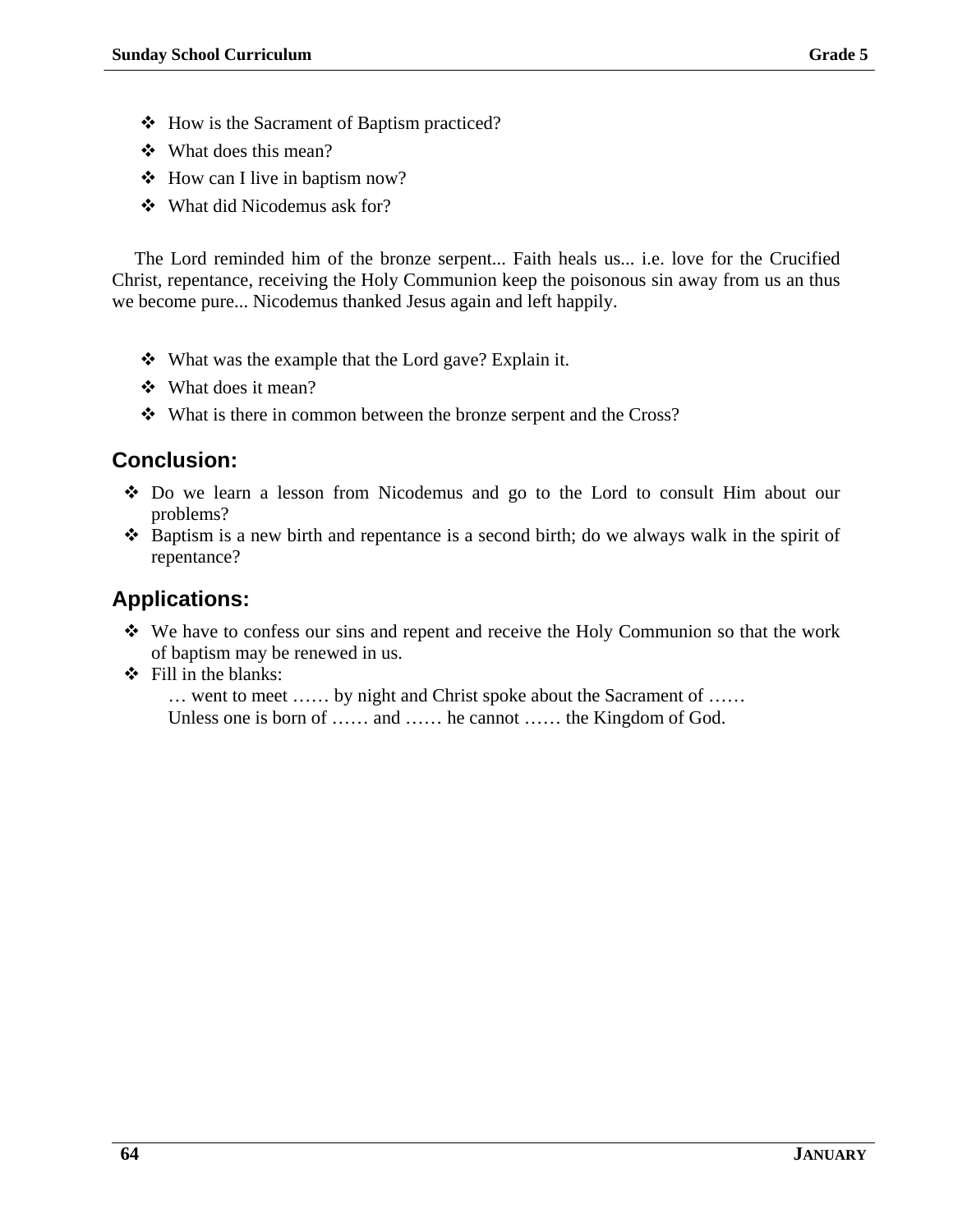- ❖ How is the Sacrament of Baptism practiced?
- What does this mean?
- How can I live in baptism now?
- What did Nicodemus ask for?

The Lord reminded him of the bronze serpent... Faith heals us... i.e. love for the Crucified Christ, repentance, receiving the Holy Communion keep the poisonous sin away from us an thus we become pure... Nicodemus thanked Jesus again and left happily.

- What was the example that the Lord gave? Explain it.
- What does it mean?
- What is there in common between the bronze serpent and the Cross?

### **Conclusion:**

- Do we learn a lesson from Nicodemus and go to the Lord to consult Him about our problems?
- Baptism is a new birth and repentance is a second birth; do we always walk in the spirit of repentance?

### **Applications:**

- We have to confess our sins and repent and receive the Holy Communion so that the work of baptism may be renewed in us.
- Fill in the blanks:

 … went to meet …… by night and Christ spoke about the Sacrament of …… Unless one is born of …… and …… he cannot …… the Kingdom of God.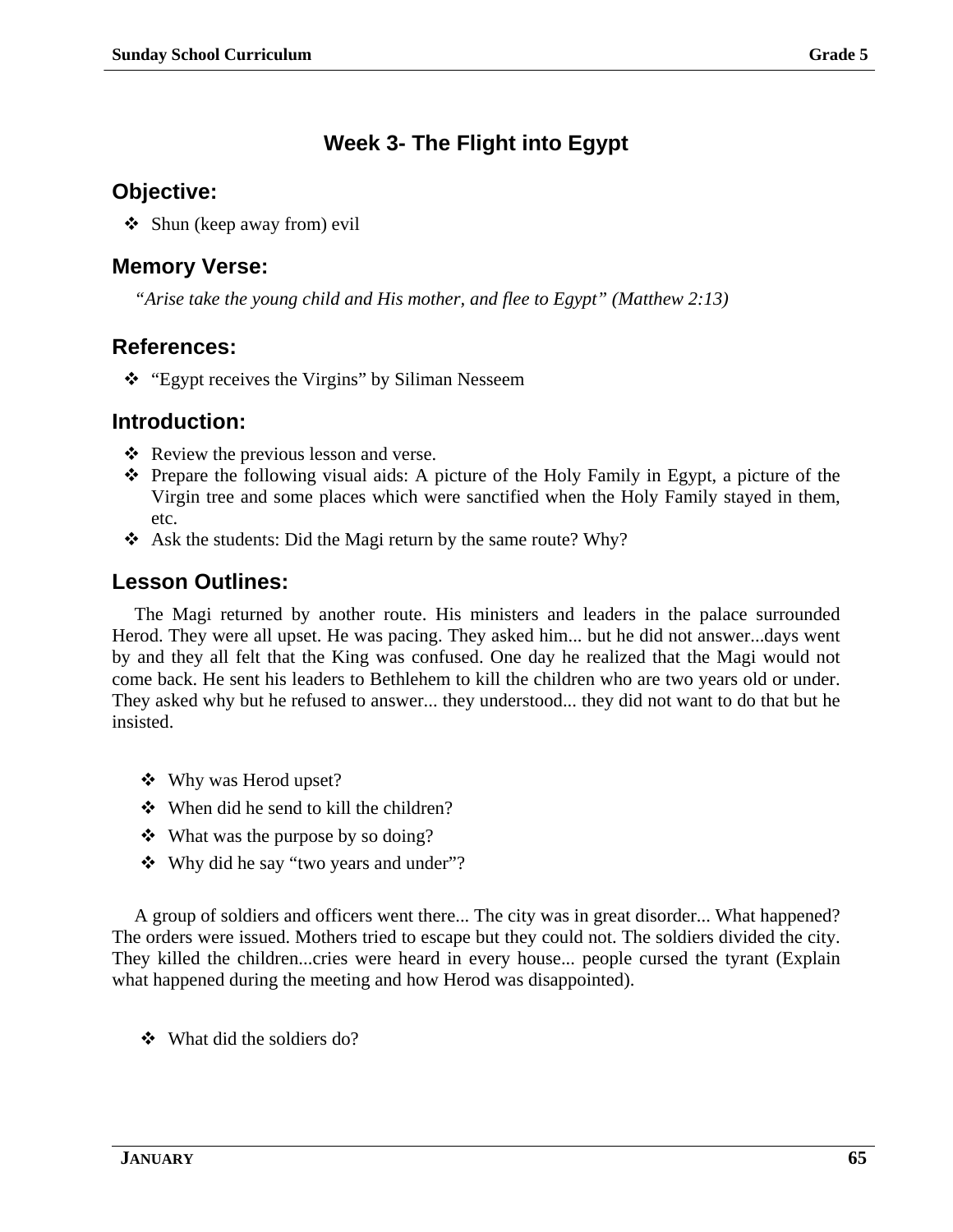# **Week 3- The Flight into Egypt**

### **Objective:**

 $\triangleleft$  Shun (keep away from) evil

### **Memory Verse:**

*"Arise take the young child and His mother, and flee to Egypt" (Matthew 2:13)*

### **References:**

"Egypt receives the Virgins" by Siliman Nesseem

### **Introduction:**

- ❖ Review the previous lesson and verse.
- Prepare the following visual aids: A picture of the Holy Family in Egypt, a picture of the Virgin tree and some places which were sanctified when the Holy Family stayed in them, etc.
- Ask the students: Did the Magi return by the same route? Why?

## **Lesson Outlines:**

The Magi returned by another route. His ministers and leaders in the palace surrounded Herod. They were all upset. He was pacing. They asked him... but he did not answer...days went by and they all felt that the King was confused. One day he realized that the Magi would not come back. He sent his leaders to Bethlehem to kill the children who are two years old or under. They asked why but he refused to answer... they understood... they did not want to do that but he insisted.

- Why was Herod upset?
- When did he send to kill the children?
- What was the purpose by so doing?
- Why did he say "two years and under"?

A group of soldiers and officers went there... The city was in great disorder... What happened? The orders were issued. Mothers tried to escape but they could not. The soldiers divided the city. They killed the children...cries were heard in every house... people cursed the tyrant (Explain what happened during the meeting and how Herod was disappointed).

What did the soldiers do?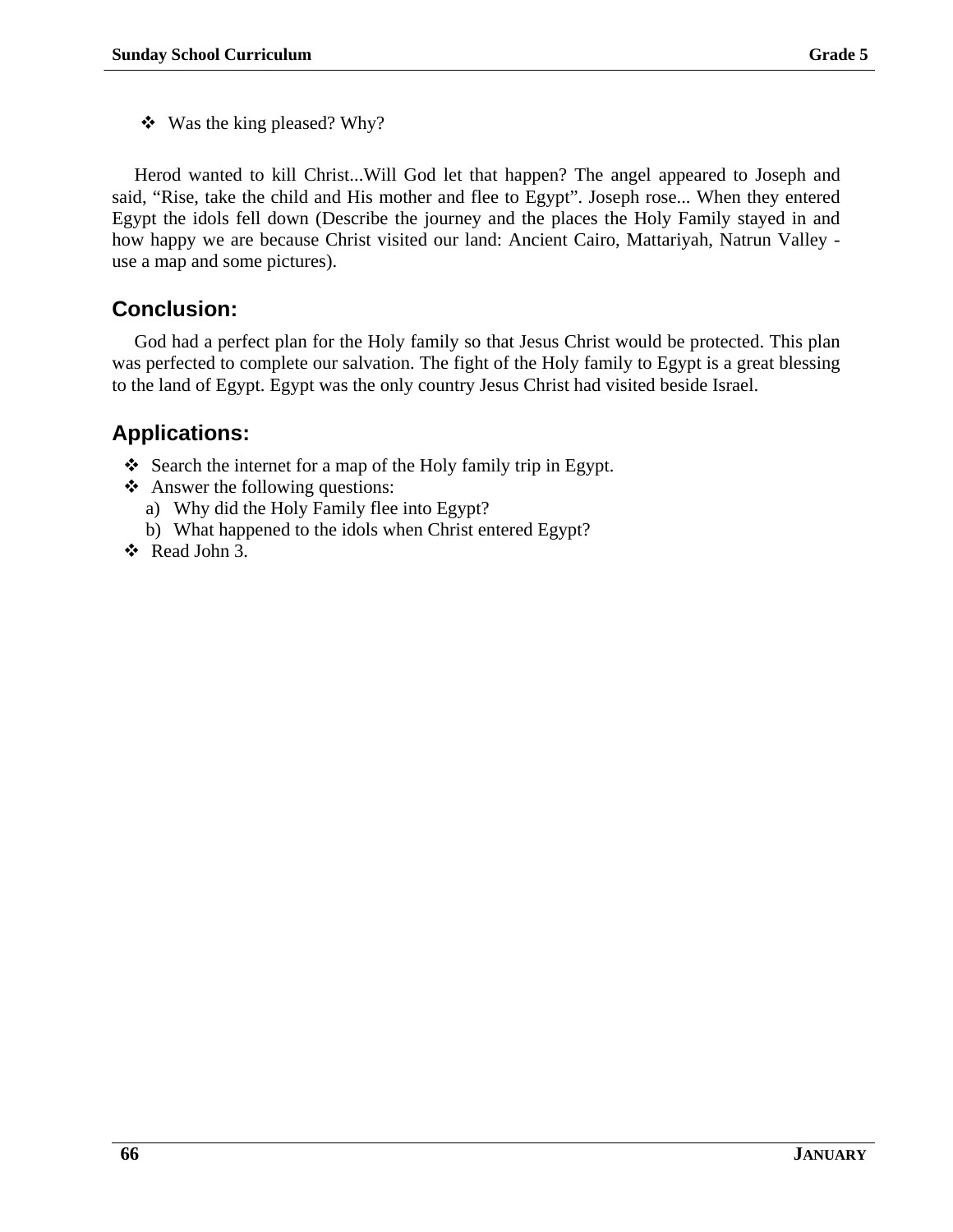Was the king pleased? Why?

Herod wanted to kill Christ...Will God let that happen? The angel appeared to Joseph and said, "Rise, take the child and His mother and flee to Egypt". Joseph rose... When they entered Egypt the idols fell down (Describe the journey and the places the Holy Family stayed in and how happy we are because Christ visited our land: Ancient Cairo, Mattariyah, Natrun Valley use a map and some pictures).

## **Conclusion:**

God had a perfect plan for the Holy family so that Jesus Christ would be protected. This plan was perfected to complete our salvation. The fight of the Holy family to Egypt is a great blessing to the land of Egypt. Egypt was the only country Jesus Christ had visited beside Israel.

- Search the internet for a map of the Holy family trip in Egypt.
- ❖ Answer the following questions:
	- a) Why did the Holy Family flee into Egypt?
	- b) What happened to the idols when Christ entered Egypt?
- Read John 3.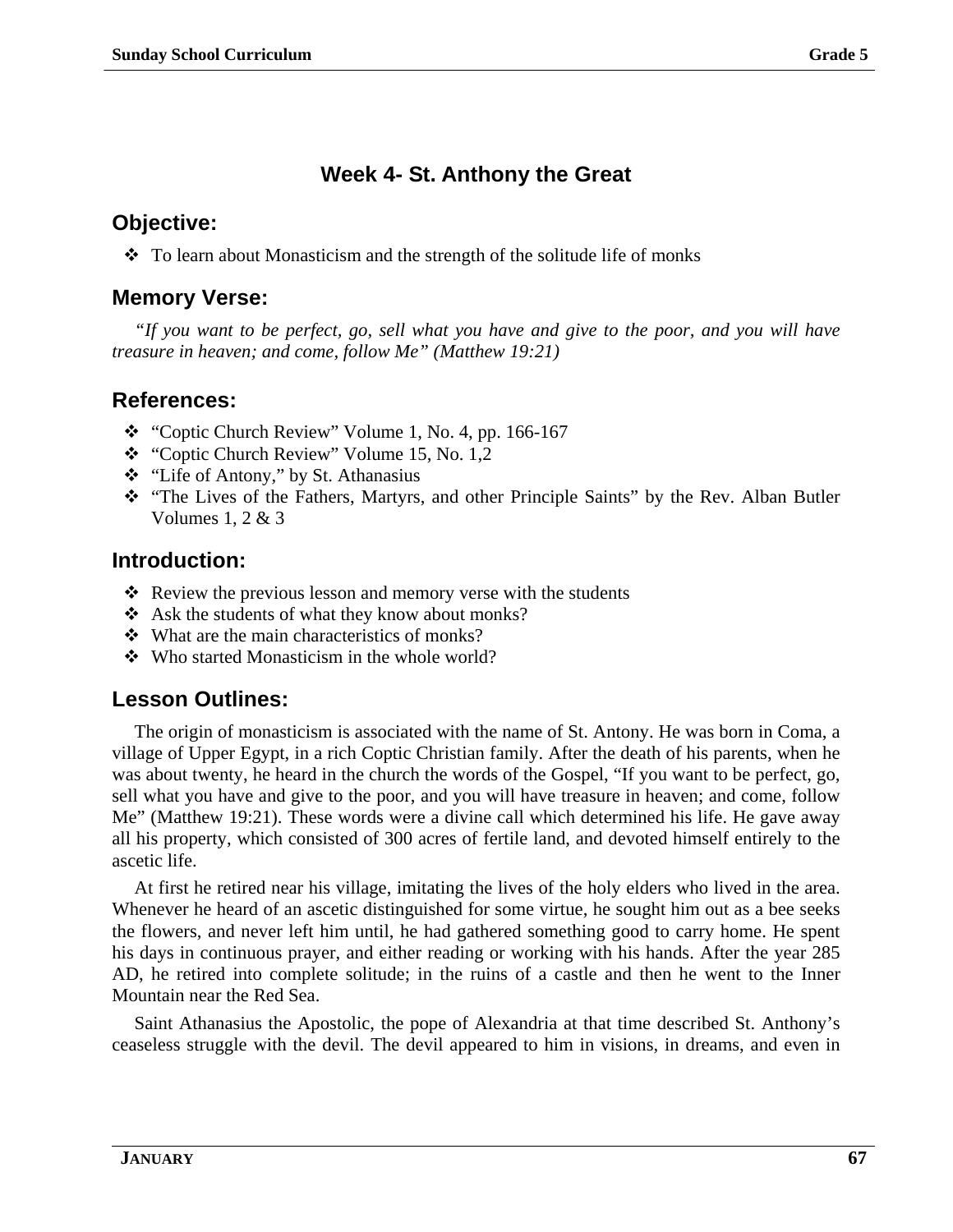## **Week 4- St. Anthony the Great**

## **Objective:**

To learn about Monasticism and the strength of the solitude life of monks

### **Memory Verse:**

*"If you want to be perfect, go, sell what you have and give to the poor, and you will have treasure in heaven; and come, follow Me" (Matthew 19:21)*

## **References:**

- \* "Coptic Church Review" Volume 1, No. 4, pp. 166-167
- \* "Coptic Church Review" Volume 15, No. 1,2
- "Life of Antony," by St. Athanasius
- \* "The Lives of the Fathers, Martyrs, and other Principle Saints" by the Rev. Alban Butler Volumes 1, 2 & 3

#### **Introduction:**

- Review the previous lesson and memory verse with the students
- \* Ask the students of what they know about monks?
- ◆ What are the main characteristics of monks?
- Who started Monasticism in the whole world?

## **Lesson Outlines:**

The origin of monasticism is associated with the name of St. Antony. He was born in Coma, a village of Upper Egypt, in a rich Coptic Christian family. After the death of his parents, when he was about twenty, he heard in the church the words of the Gospel, "If you want to be perfect, go, sell what you have and give to the poor, and you will have treasure in heaven; and come, follow Me" (Matthew 19:21). These words were a divine call which determined his life. He gave away all his property, which consisted of 300 acres of fertile land, and devoted himself entirely to the ascetic life.

At first he retired near his village, imitating the lives of the holy elders who lived in the area. Whenever he heard of an ascetic distinguished for some virtue, he sought him out as a bee seeks the flowers, and never left him until, he had gathered something good to carry home. He spent his days in continuous prayer, and either reading or working with his hands. After the year 285 AD, he retired into complete solitude; in the ruins of a castle and then he went to the Inner Mountain near the Red Sea.

Saint Athanasius the Apostolic, the pope of Alexandria at that time described St. Anthony's ceaseless struggle with the devil. The devil appeared to him in visions, in dreams, and even in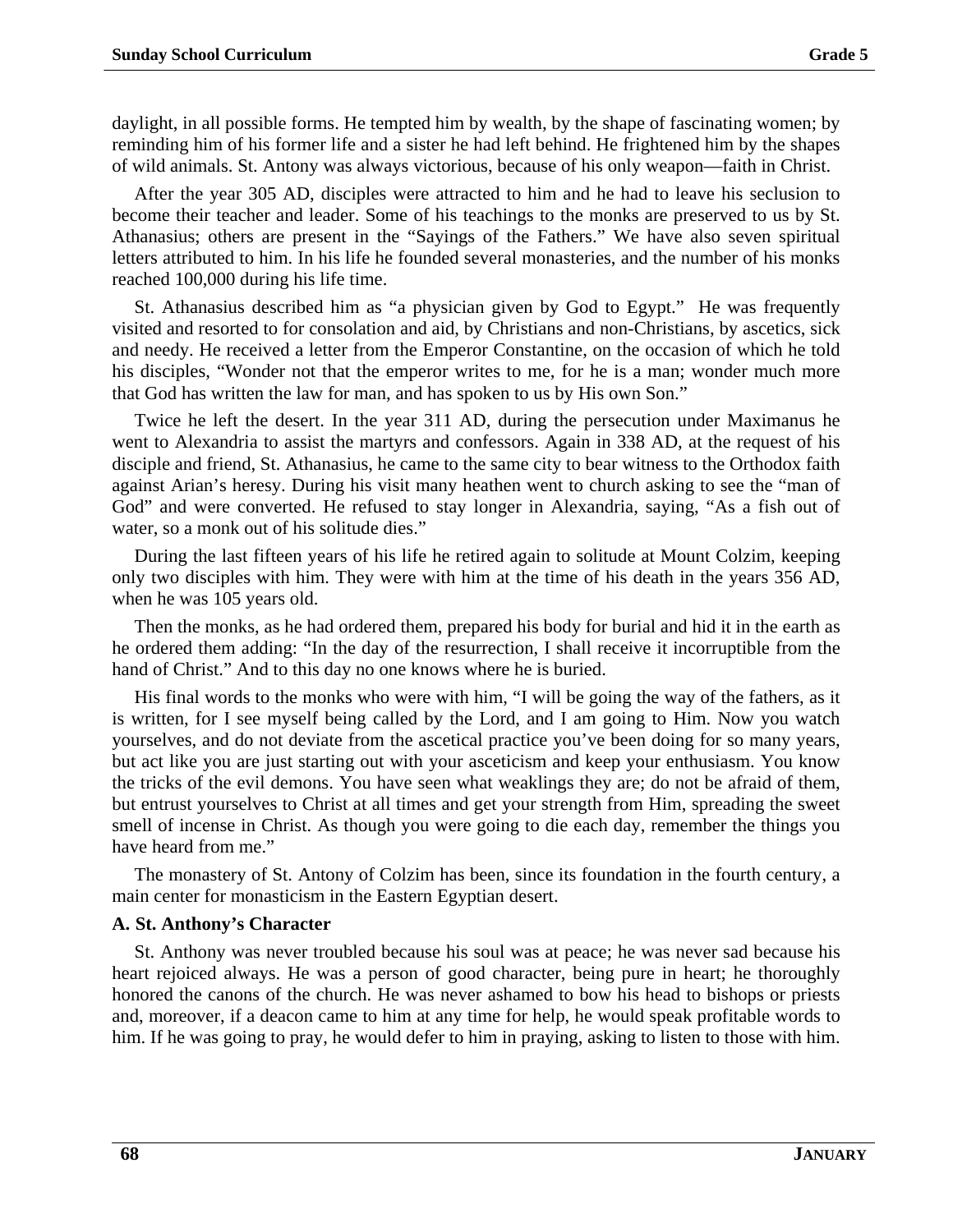daylight, in all possible forms. He tempted him by wealth, by the shape of fascinating women; by reminding him of his former life and a sister he had left behind. He frightened him by the shapes of wild animals. St. Antony was always victorious, because of his only weapon—faith in Christ.

After the year 305 AD, disciples were attracted to him and he had to leave his seclusion to become their teacher and leader. Some of his teachings to the monks are preserved to us by St. Athanasius; others are present in the "Sayings of the Fathers." We have also seven spiritual letters attributed to him. In his life he founded several monasteries, and the number of his monks reached 100,000 during his life time.

St. Athanasius described him as "a physician given by God to Egypt." He was frequently visited and resorted to for consolation and aid, by Christians and non-Christians, by ascetics, sick and needy. He received a letter from the Emperor Constantine, on the occasion of which he told his disciples, "Wonder not that the emperor writes to me, for he is a man; wonder much more that God has written the law for man, and has spoken to us by His own Son."

Twice he left the desert. In the year 311 AD, during the persecution under Maximanus he went to Alexandria to assist the martyrs and confessors. Again in 338 AD, at the request of his disciple and friend, St. Athanasius, he came to the same city to bear witness to the Orthodox faith against Arian's heresy. During his visit many heathen went to church asking to see the "man of God" and were converted. He refused to stay longer in Alexandria, saying, "As a fish out of water, so a monk out of his solitude dies."

During the last fifteen years of his life he retired again to solitude at Mount Colzim, keeping only two disciples with him. They were with him at the time of his death in the years 356 AD, when he was 105 years old.

Then the monks, as he had ordered them, prepared his body for burial and hid it in the earth as he ordered them adding: "In the day of the resurrection, I shall receive it incorruptible from the hand of Christ." And to this day no one knows where he is buried.

His final words to the monks who were with him, "I will be going the way of the fathers, as it is written, for I see myself being called by the Lord, and I am going to Him. Now you watch yourselves, and do not deviate from the ascetical practice you've been doing for so many years, but act like you are just starting out with your asceticism and keep your enthusiasm. You know the tricks of the evil demons. You have seen what weaklings they are; do not be afraid of them, but entrust yourselves to Christ at all times and get your strength from Him, spreading the sweet smell of incense in Christ. As though you were going to die each day, remember the things you have heard from me."

The monastery of St. Antony of Colzim has been, since its foundation in the fourth century, a main center for monasticism in the Eastern Egyptian desert.

#### **A. St. Anthony's Character**

St. Anthony was never troubled because his soul was at peace; he was never sad because his heart rejoiced always. He was a person of good character, being pure in heart; he thoroughly honored the canons of the church. He was never ashamed to bow his head to bishops or priests and, moreover, if a deacon came to him at any time for help, he would speak profitable words to him. If he was going to pray, he would defer to him in praying, asking to listen to those with him.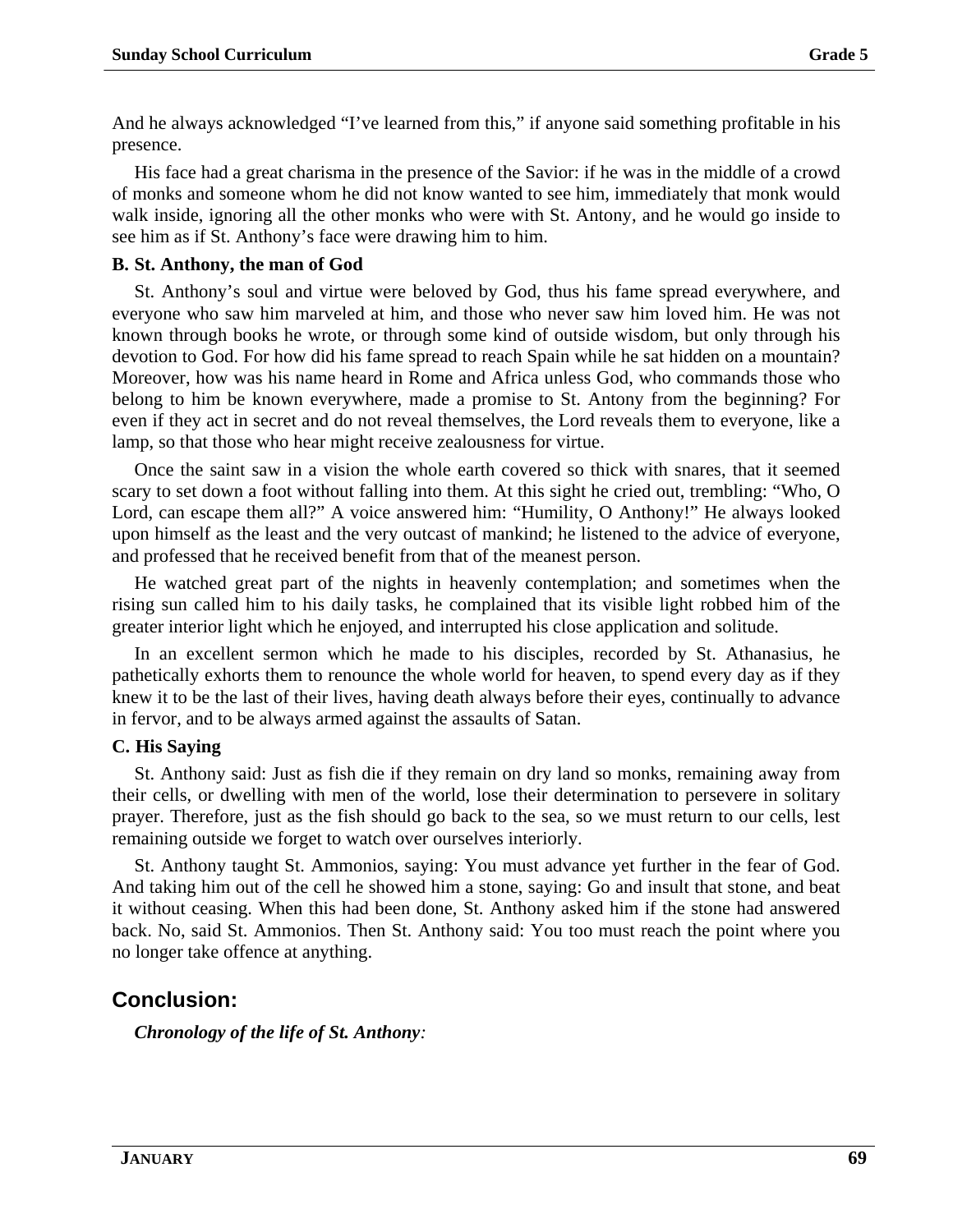And he always acknowledged "I've learned from this," if anyone said something profitable in his presence.

His face had a great charisma in the presence of the Savior: if he was in the middle of a crowd of monks and someone whom he did not know wanted to see him, immediately that monk would walk inside, ignoring all the other monks who were with St. Antony, and he would go inside to see him as if St. Anthony's face were drawing him to him.

#### **B. St. Anthony, the man of God**

St. Anthony's soul and virtue were beloved by God, thus his fame spread everywhere, and everyone who saw him marveled at him, and those who never saw him loved him. He was not known through books he wrote, or through some kind of outside wisdom, but only through his devotion to God. For how did his fame spread to reach Spain while he sat hidden on a mountain? Moreover, how was his name heard in Rome and Africa unless God, who commands those who belong to him be known everywhere, made a promise to St. Antony from the beginning? For even if they act in secret and do not reveal themselves, the Lord reveals them to everyone, like a lamp, so that those who hear might receive zealousness for virtue.

Once the saint saw in a vision the whole earth covered so thick with snares, that it seemed scary to set down a foot without falling into them. At this sight he cried out, trembling: "Who, O Lord, can escape them all?" A voice answered him: "Humility, O Anthony!" He always looked upon himself as the least and the very outcast of mankind; he listened to the advice of everyone, and professed that he received benefit from that of the meanest person.

He watched great part of the nights in heavenly contemplation; and sometimes when the rising sun called him to his daily tasks, he complained that its visible light robbed him of the greater interior light which he enjoyed, and interrupted his close application and solitude.

In an excellent sermon which he made to his disciples, recorded by St. Athanasius, he pathetically exhorts them to renounce the whole world for heaven, to spend every day as if they knew it to be the last of their lives, having death always before their eyes, continually to advance in fervor, and to be always armed against the assaults of Satan.

#### **C. His Saying**

St. Anthony said: Just as fish die if they remain on dry land so monks, remaining away from their cells, or dwelling with men of the world, lose their determination to persevere in solitary prayer. Therefore, just as the fish should go back to the sea, so we must return to our cells, lest remaining outside we forget to watch over ourselves interiorly.

St. Anthony taught St. Ammonios, saying: You must advance yet further in the fear of God. And taking him out of the cell he showed him a stone, saying: Go and insult that stone, and beat it without ceasing. When this had been done, St. Anthony asked him if the stone had answered back. No, said St. Ammonios. Then St. Anthony said: You too must reach the point where you no longer take offence at anything.

## **Conclusion:**

*Chronology of the life of St. Anthony:*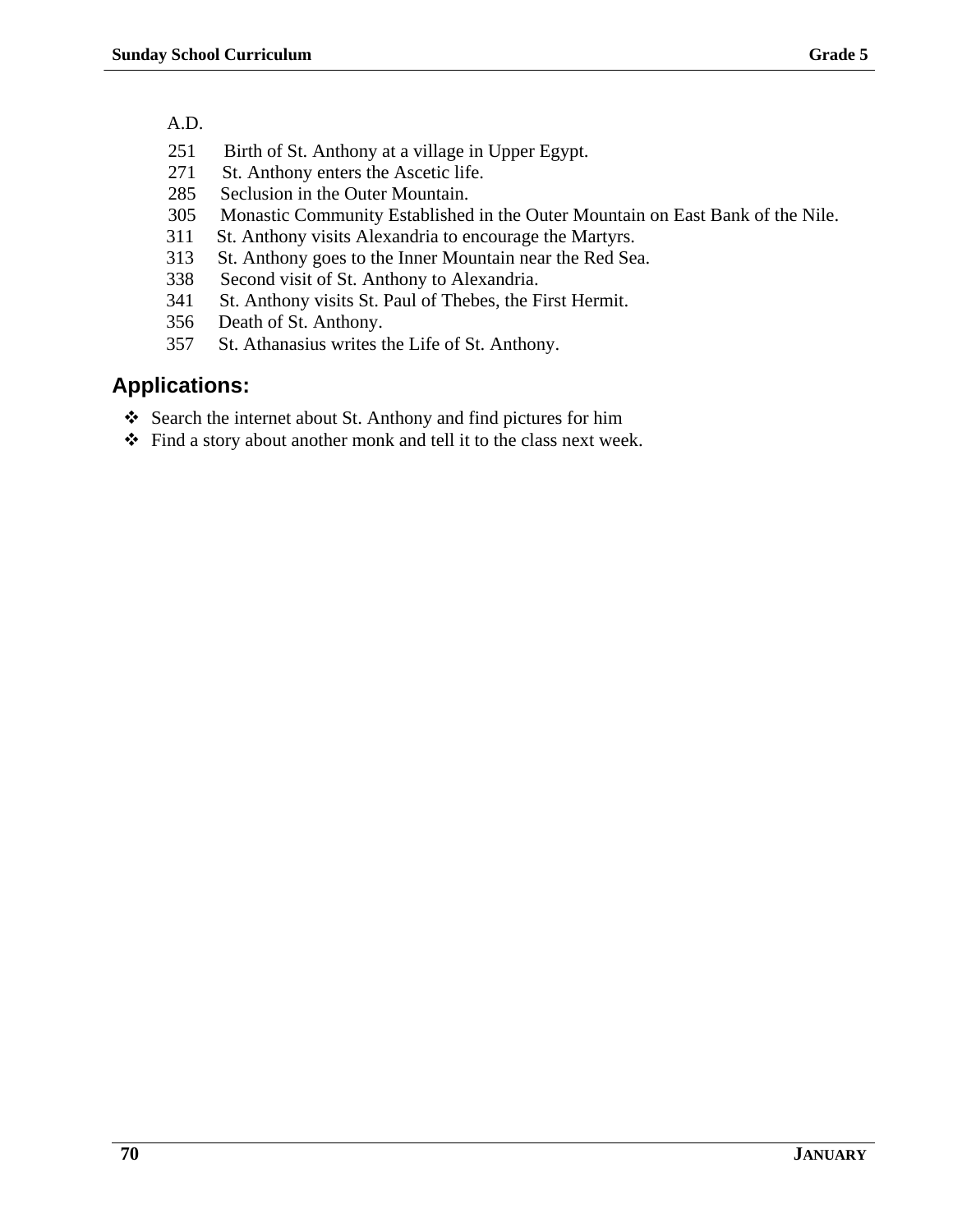A.D.

- 251 Birth of St. Anthony at a village in Upper Egypt.
- 271 St. Anthony enters the Ascetic life.
- 285 Seclusion in the Outer Mountain.
- 305 Monastic Community Established in the Outer Mountain on East Bank of the Nile.
- 311 St. Anthony visits Alexandria to encourage the Martyrs.
- 313 St. Anthony goes to the Inner Mountain near the Red Sea.
- 338 Second visit of St. Anthony to Alexandria.
- 341 St. Anthony visits St. Paul of Thebes, the First Hermit.
- 356 Death of St. Anthony.
- 357 St. Athanasius writes the Life of St. Anthony.

- Search the internet about St. Anthony and find pictures for him
- Find a story about another monk and tell it to the class next week.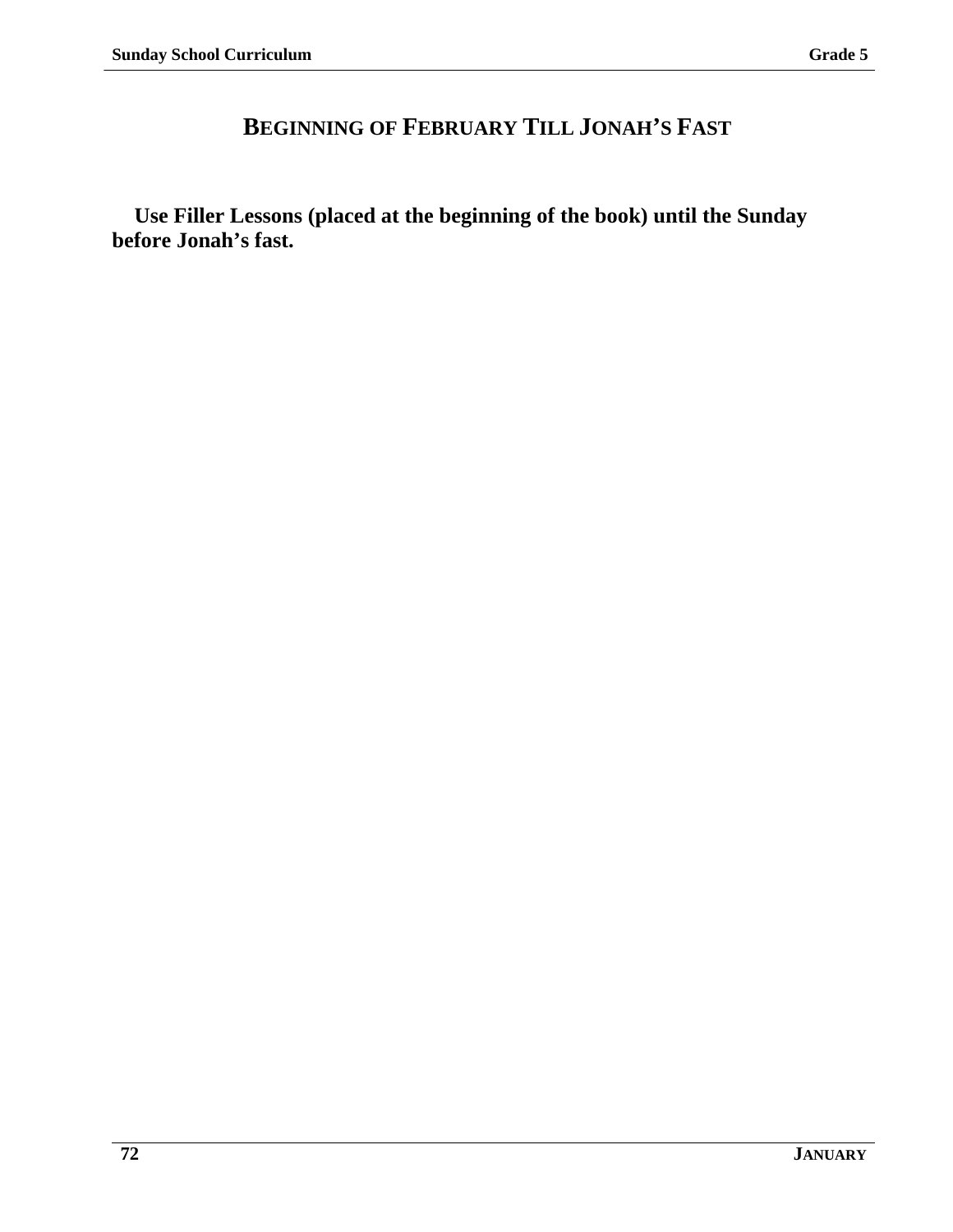# **BEGINNING OF FEBRUARY TILL JONAH'S FAST**

**Use Filler Lessons (placed at the beginning of the book) until the Sunday before Jonah's fast.**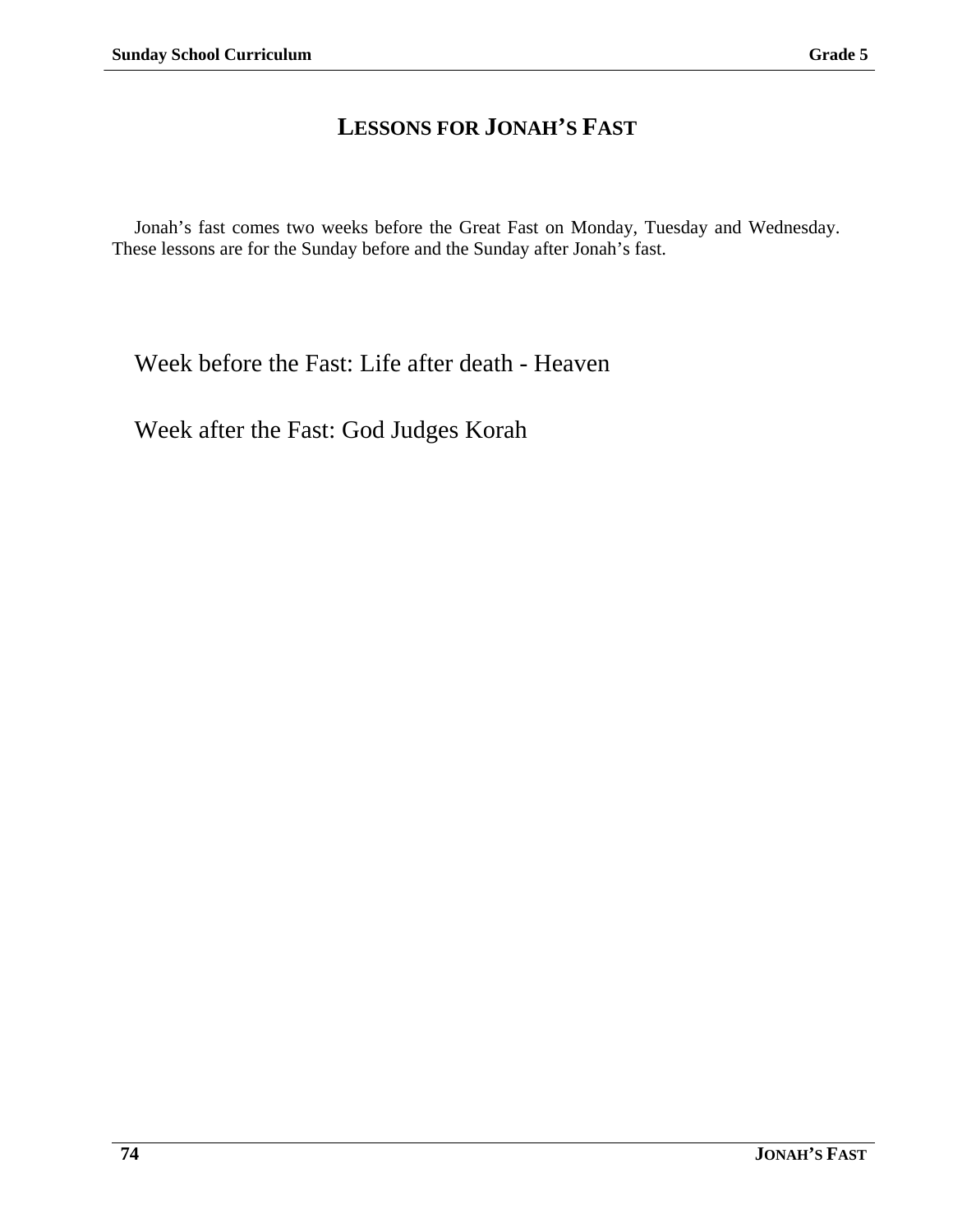# **LESSONS FOR JONAH'S FAST**

Jonah's fast comes two weeks before the Great Fast on Monday, Tuesday and Wednesday. These lessons are for the Sunday before and the Sunday after Jonah's fast.

Week before the Fast: Life after death - Heaven

Week after the Fast: God Judges Korah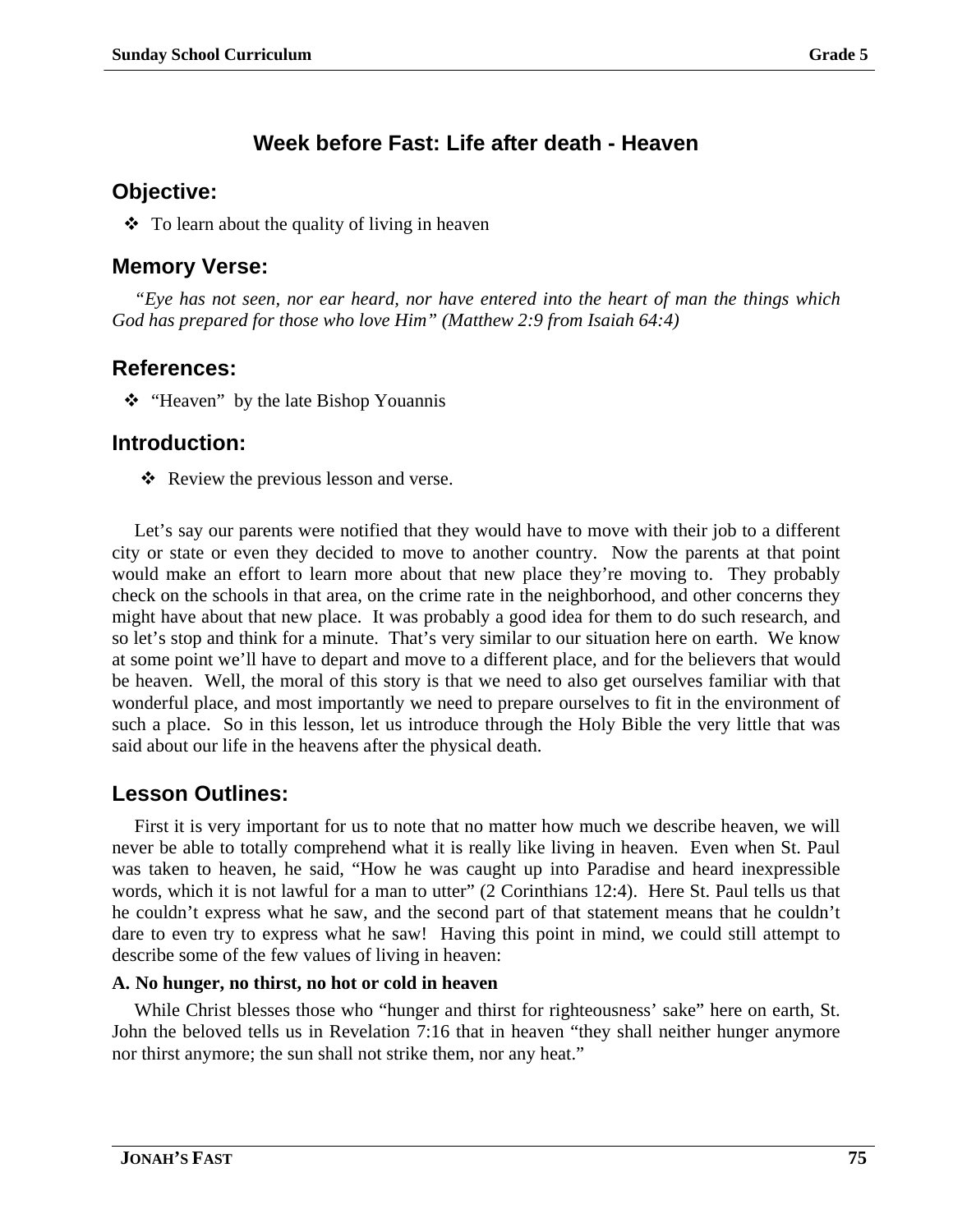## **Week before Fast: Life after death - Heaven**

### **Objective:**

 $\cdot \cdot$  To learn about the quality of living in heaven

### **Memory Verse:**

*"Eye has not seen, nor ear heard, nor have entered into the heart of man the things which God has prepared for those who love Him" (Matthew 2:9 from Isaiah 64:4)*

## **References:**

\* "Heaven" by the late Bishop Youannis

## **Introduction:**

 $\triangleleft$  Review the previous lesson and verse.

Let's say our parents were notified that they would have to move with their job to a different city or state or even they decided to move to another country. Now the parents at that point would make an effort to learn more about that new place they're moving to. They probably check on the schools in that area, on the crime rate in the neighborhood, and other concerns they might have about that new place. It was probably a good idea for them to do such research, and so let's stop and think for a minute. That's very similar to our situation here on earth. We know at some point we'll have to depart and move to a different place, and for the believers that would be heaven. Well, the moral of this story is that we need to also get ourselves familiar with that wonderful place, and most importantly we need to prepare ourselves to fit in the environment of such a place. So in this lesson, let us introduce through the Holy Bible the very little that was said about our life in the heavens after the physical death.

## **Lesson Outlines:**

First it is very important for us to note that no matter how much we describe heaven, we will never be able to totally comprehend what it is really like living in heaven. Even when St. Paul was taken to heaven, he said, "How he was caught up into Paradise and heard inexpressible words, which it is not lawful for a man to utter" (2 Corinthians 12:4). Here St. Paul tells us that he couldn't express what he saw, and the second part of that statement means that he couldn't dare to even try to express what he saw! Having this point in mind, we could still attempt to describe some of the few values of living in heaven:

#### **A. No hunger, no thirst, no hot or cold in heaven**

While Christ blesses those who "hunger and thirst for righteousness' sake" here on earth, St. John the beloved tells us in Revelation 7:16 that in heaven "they shall neither hunger anymore nor thirst anymore; the sun shall not strike them, nor any heat."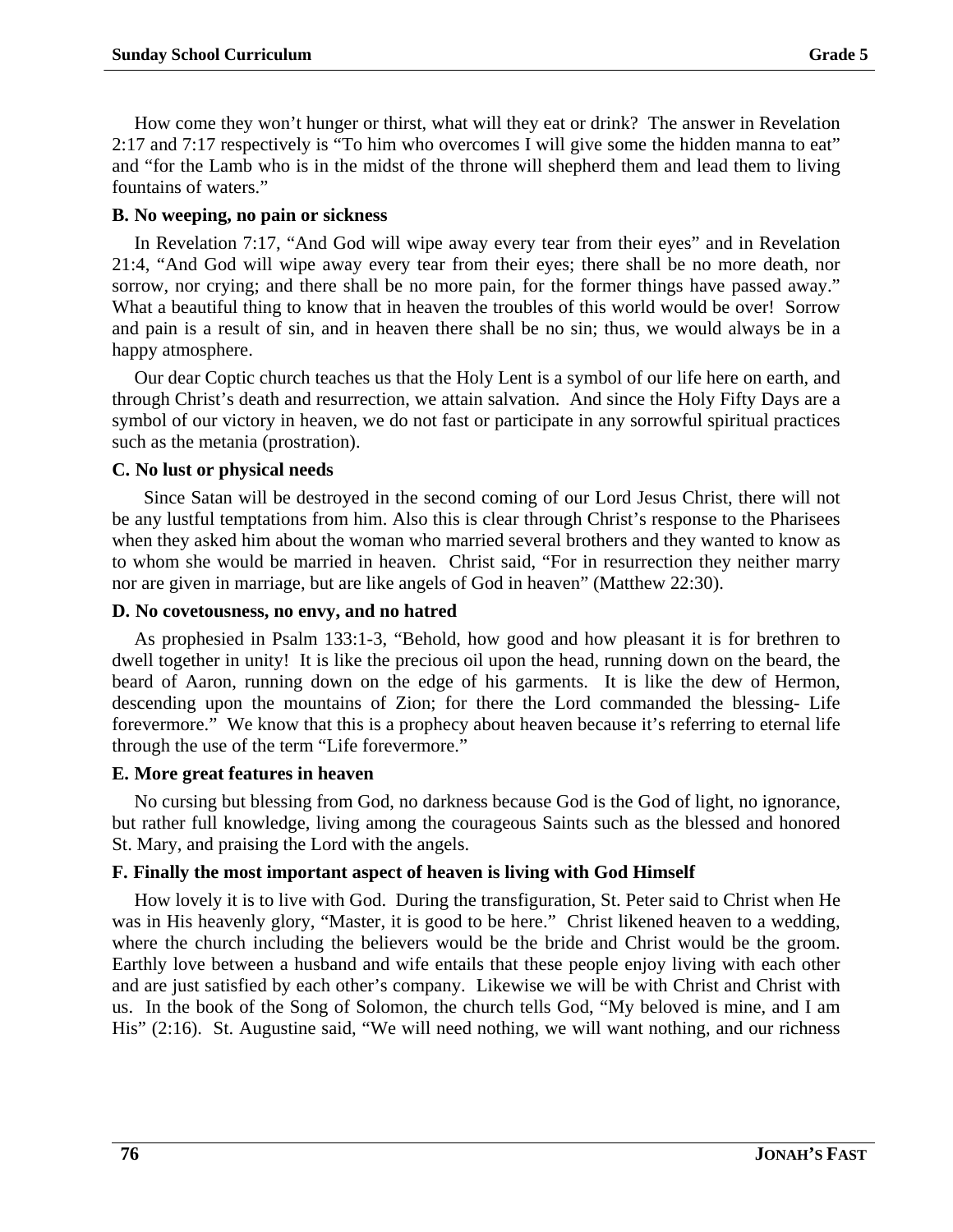How come they won't hunger or thirst, what will they eat or drink? The answer in Revelation 2:17 and 7:17 respectively is "To him who overcomes I will give some the hidden manna to eat" and "for the Lamb who is in the midst of the throne will shepherd them and lead them to living fountains of waters."

#### **B. No weeping, no pain or sickness**

In Revelation 7:17, "And God will wipe away every tear from their eyes" and in Revelation 21:4, "And God will wipe away every tear from their eyes; there shall be no more death, nor sorrow, nor crying; and there shall be no more pain, for the former things have passed away." What a beautiful thing to know that in heaven the troubles of this world would be over! Sorrow and pain is a result of sin, and in heaven there shall be no sin; thus, we would always be in a happy atmosphere.

Our dear Coptic church teaches us that the Holy Lent is a symbol of our life here on earth, and through Christ's death and resurrection, we attain salvation. And since the Holy Fifty Days are a symbol of our victory in heaven, we do not fast or participate in any sorrowful spiritual practices such as the metania (prostration).

#### **C. No lust or physical needs**

Since Satan will be destroyed in the second coming of our Lord Jesus Christ, there will not be any lustful temptations from him. Also this is clear through Christ's response to the Pharisees when they asked him about the woman who married several brothers and they wanted to know as to whom she would be married in heaven. Christ said, "For in resurrection they neither marry nor are given in marriage, but are like angels of God in heaven" (Matthew 22:30).

#### **D. No covetousness, no envy, and no hatred**

As prophesied in Psalm 133:1-3, "Behold, how good and how pleasant it is for brethren to dwell together in unity! It is like the precious oil upon the head, running down on the beard, the beard of Aaron, running down on the edge of his garments. It is like the dew of Hermon, descending upon the mountains of Zion; for there the Lord commanded the blessing- Life forevermore." We know that this is a prophecy about heaven because it's referring to eternal life through the use of the term "Life forevermore."

#### **E. More great features in heaven**

No cursing but blessing from God, no darkness because God is the God of light, no ignorance, but rather full knowledge, living among the courageous Saints such as the blessed and honored St. Mary, and praising the Lord with the angels.

#### **F. Finally the most important aspect of heaven is living with God Himself**

How lovely it is to live with God. During the transfiguration, St. Peter said to Christ when He was in His heavenly glory, "Master, it is good to be here." Christ likened heaven to a wedding, where the church including the believers would be the bride and Christ would be the groom. Earthly love between a husband and wife entails that these people enjoy living with each other and are just satisfied by each other's company. Likewise we will be with Christ and Christ with us. In the book of the Song of Solomon, the church tells God, "My beloved is mine, and I am His" (2:16). St. Augustine said, "We will need nothing, we will want nothing, and our richness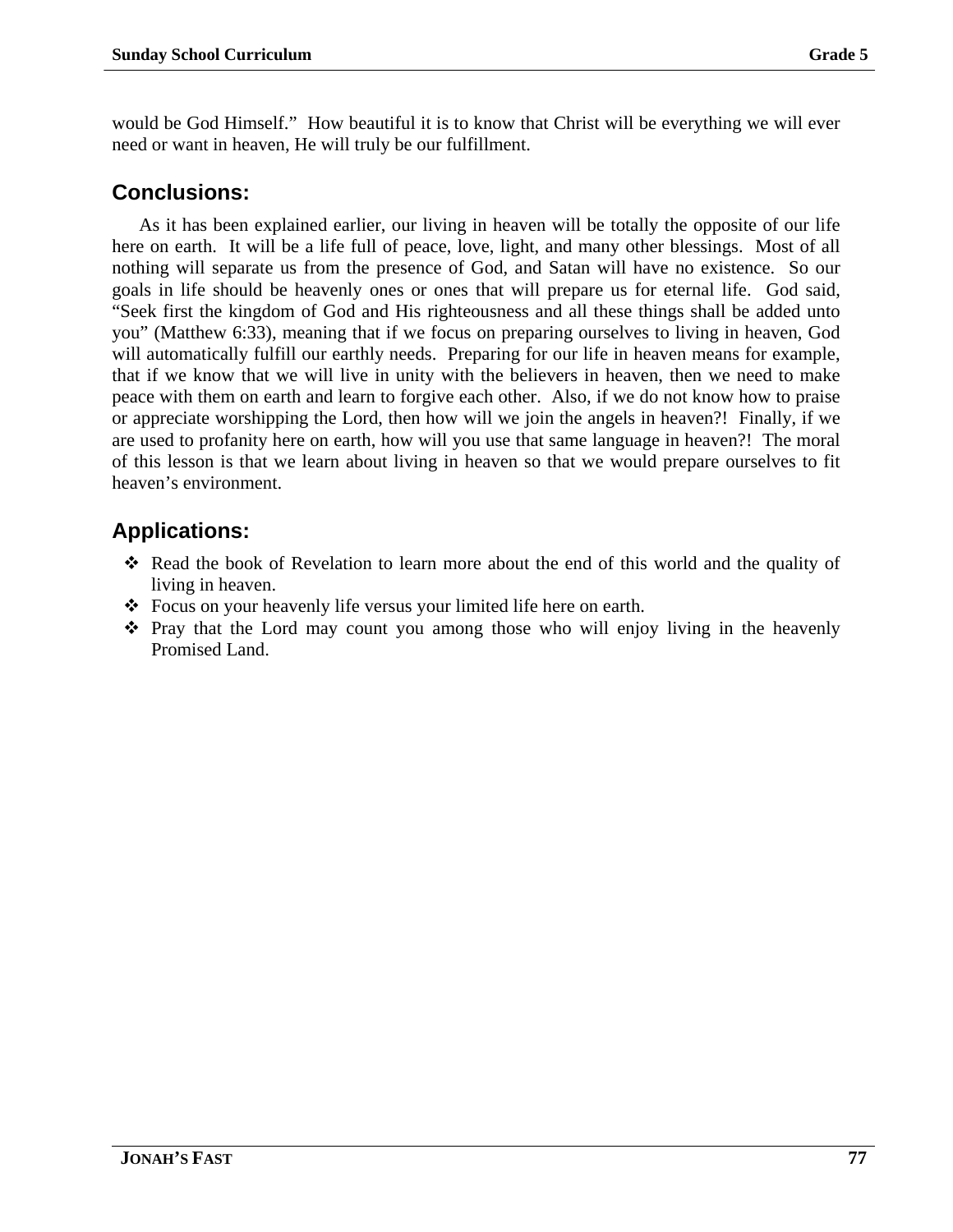would be God Himself." How beautiful it is to know that Christ will be everything we will ever need or want in heaven, He will truly be our fulfillment.

### **Conclusions:**

As it has been explained earlier, our living in heaven will be totally the opposite of our life here on earth. It will be a life full of peace, love, light, and many other blessings. Most of all nothing will separate us from the presence of God, and Satan will have no existence. So our goals in life should be heavenly ones or ones that will prepare us for eternal life. God said, "Seek first the kingdom of God and His righteousness and all these things shall be added unto you" (Matthew 6:33), meaning that if we focus on preparing ourselves to living in heaven, God will automatically fulfill our earthly needs. Preparing for our life in heaven means for example, that if we know that we will live in unity with the believers in heaven, then we need to make peace with them on earth and learn to forgive each other. Also, if we do not know how to praise or appreciate worshipping the Lord, then how will we join the angels in heaven?! Finally, if we are used to profanity here on earth, how will you use that same language in heaven?! The moral of this lesson is that we learn about living in heaven so that we would prepare ourselves to fit heaven's environment.

- \* Read the book of Revelation to learn more about the end of this world and the quality of living in heaven.
- Focus on your heavenly life versus your limited life here on earth.
- \* Pray that the Lord may count you among those who will enjoy living in the heavenly Promised Land.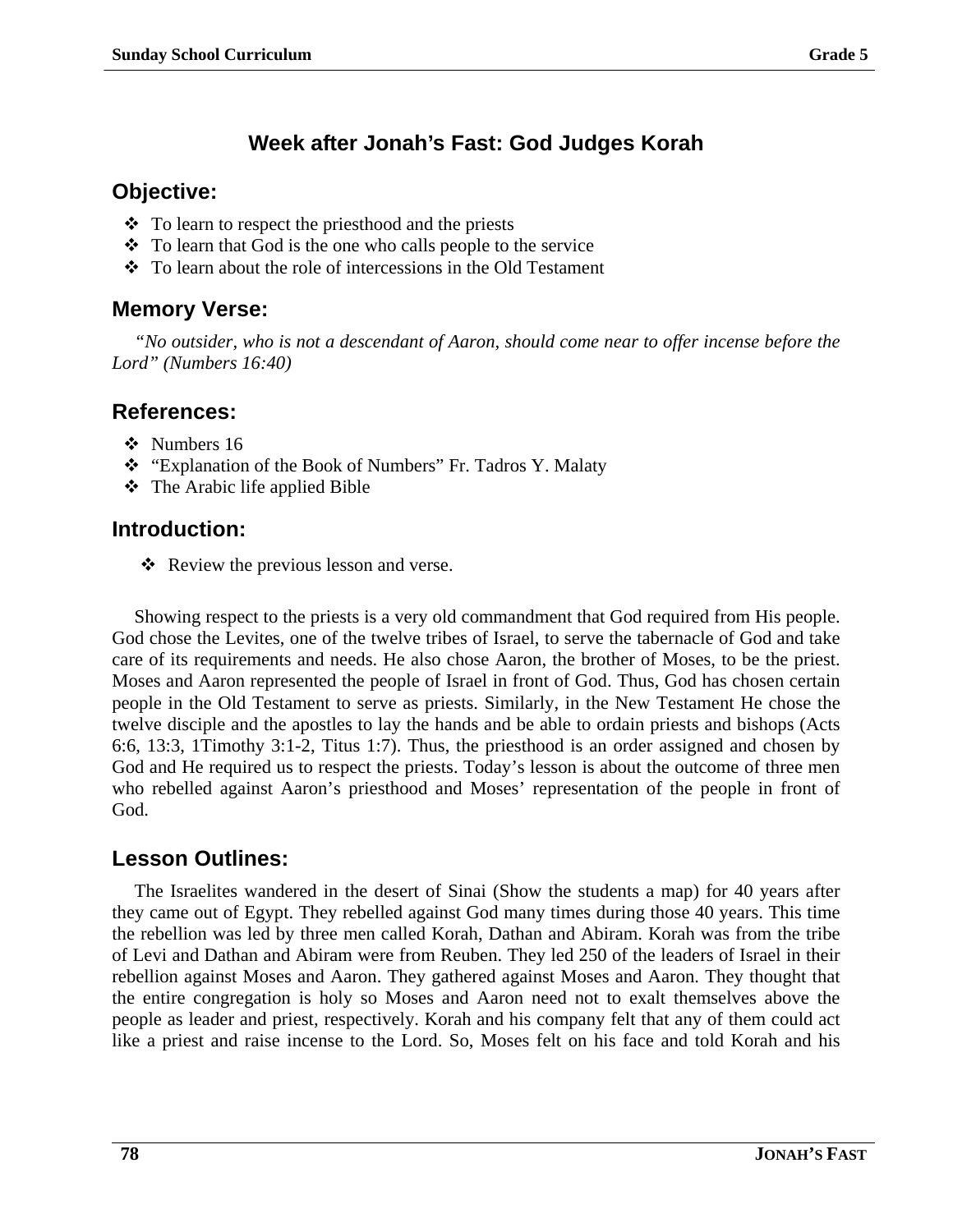## **Week after Jonah's Fast: God Judges Korah**

### **Objective:**

- $\cdot \cdot$  To learn to respect the priesthood and the priests
- To learn that God is the one who calls people to the service
- To learn about the role of intercessions in the Old Testament

## **Memory Verse:**

*"No outsider, who is not a descendant of Aaron, should come near to offer incense before the Lord" (Numbers 16:40)* 

## **References:**

- Numbers 16
- \* "Explanation of the Book of Numbers" Fr. Tadros Y. Malaty
- The Arabic life applied Bible

## **Introduction:**

 $\triangleleft$  Review the previous lesson and verse.

Showing respect to the priests is a very old commandment that God required from His people. God chose the Levites, one of the twelve tribes of Israel, to serve the tabernacle of God and take care of its requirements and needs. He also chose Aaron, the brother of Moses, to be the priest. Moses and Aaron represented the people of Israel in front of God. Thus, God has chosen certain people in the Old Testament to serve as priests. Similarly, in the New Testament He chose the twelve disciple and the apostles to lay the hands and be able to ordain priests and bishops (Acts 6:6, 13:3, 1Timothy 3:1-2, Titus 1:7). Thus, the priesthood is an order assigned and chosen by God and He required us to respect the priests. Today's lesson is about the outcome of three men who rebelled against Aaron's priesthood and Moses' representation of the people in front of God.

## **Lesson Outlines:**

The Israelites wandered in the desert of Sinai (Show the students a map) for 40 years after they came out of Egypt. They rebelled against God many times during those 40 years. This time the rebellion was led by three men called Korah, Dathan and Abiram. Korah was from the tribe of Levi and Dathan and Abiram were from Reuben. They led 250 of the leaders of Israel in their rebellion against Moses and Aaron. They gathered against Moses and Aaron. They thought that the entire congregation is holy so Moses and Aaron need not to exalt themselves above the people as leader and priest, respectively. Korah and his company felt that any of them could act like a priest and raise incense to the Lord. So, Moses felt on his face and told Korah and his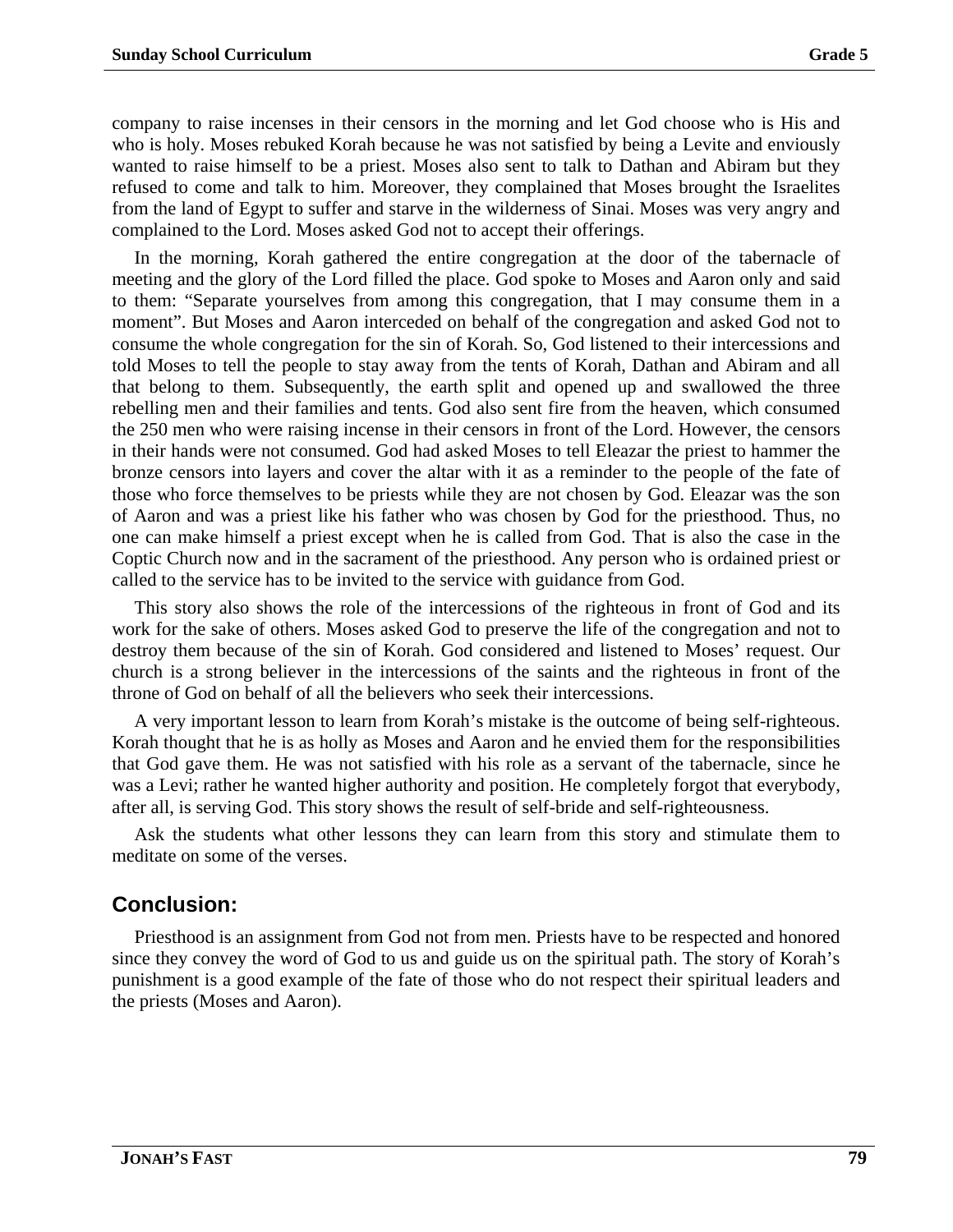company to raise incenses in their censors in the morning and let God choose who is His and who is holy. Moses rebuked Korah because he was not satisfied by being a Levite and enviously wanted to raise himself to be a priest. Moses also sent to talk to Dathan and Abiram but they refused to come and talk to him. Moreover, they complained that Moses brought the Israelites from the land of Egypt to suffer and starve in the wilderness of Sinai. Moses was very angry and complained to the Lord. Moses asked God not to accept their offerings.

In the morning, Korah gathered the entire congregation at the door of the tabernacle of meeting and the glory of the Lord filled the place. God spoke to Moses and Aaron only and said to them: "Separate yourselves from among this congregation, that I may consume them in a moment". But Moses and Aaron interceded on behalf of the congregation and asked God not to consume the whole congregation for the sin of Korah. So, God listened to their intercessions and told Moses to tell the people to stay away from the tents of Korah, Dathan and Abiram and all that belong to them. Subsequently, the earth split and opened up and swallowed the three rebelling men and their families and tents. God also sent fire from the heaven, which consumed the 250 men who were raising incense in their censors in front of the Lord. However, the censors in their hands were not consumed. God had asked Moses to tell Eleazar the priest to hammer the bronze censors into layers and cover the altar with it as a reminder to the people of the fate of those who force themselves to be priests while they are not chosen by God. Eleazar was the son of Aaron and was a priest like his father who was chosen by God for the priesthood. Thus, no one can make himself a priest except when he is called from God. That is also the case in the Coptic Church now and in the sacrament of the priesthood. Any person who is ordained priest or called to the service has to be invited to the service with guidance from God.

This story also shows the role of the intercessions of the righteous in front of God and its work for the sake of others. Moses asked God to preserve the life of the congregation and not to destroy them because of the sin of Korah. God considered and listened to Moses' request. Our church is a strong believer in the intercessions of the saints and the righteous in front of the throne of God on behalf of all the believers who seek their intercessions.

A very important lesson to learn from Korah's mistake is the outcome of being self-righteous. Korah thought that he is as holly as Moses and Aaron and he envied them for the responsibilities that God gave them. He was not satisfied with his role as a servant of the tabernacle, since he was a Levi; rather he wanted higher authority and position. He completely forgot that everybody, after all, is serving God. This story shows the result of self-bride and self-righteousness.

Ask the students what other lessons they can learn from this story and stimulate them to meditate on some of the verses.

## **Conclusion:**

Priesthood is an assignment from God not from men. Priests have to be respected and honored since they convey the word of God to us and guide us on the spiritual path. The story of Korah's punishment is a good example of the fate of those who do not respect their spiritual leaders and the priests (Moses and Aaron).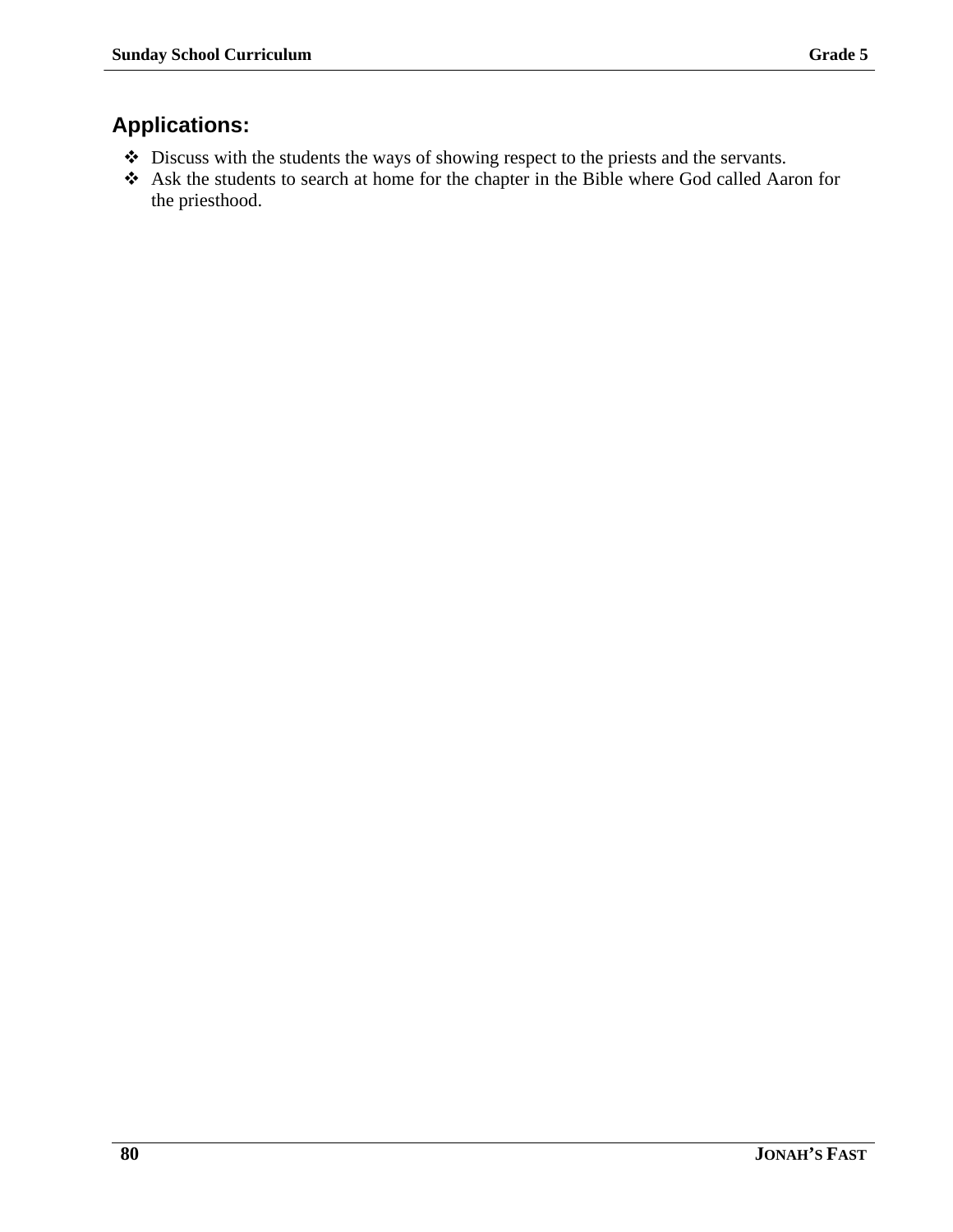- $\triangleleft$  Discuss with the students the ways of showing respect to the priests and the servants.
- Ask the students to search at home for the chapter in the Bible where God called Aaron for the priesthood.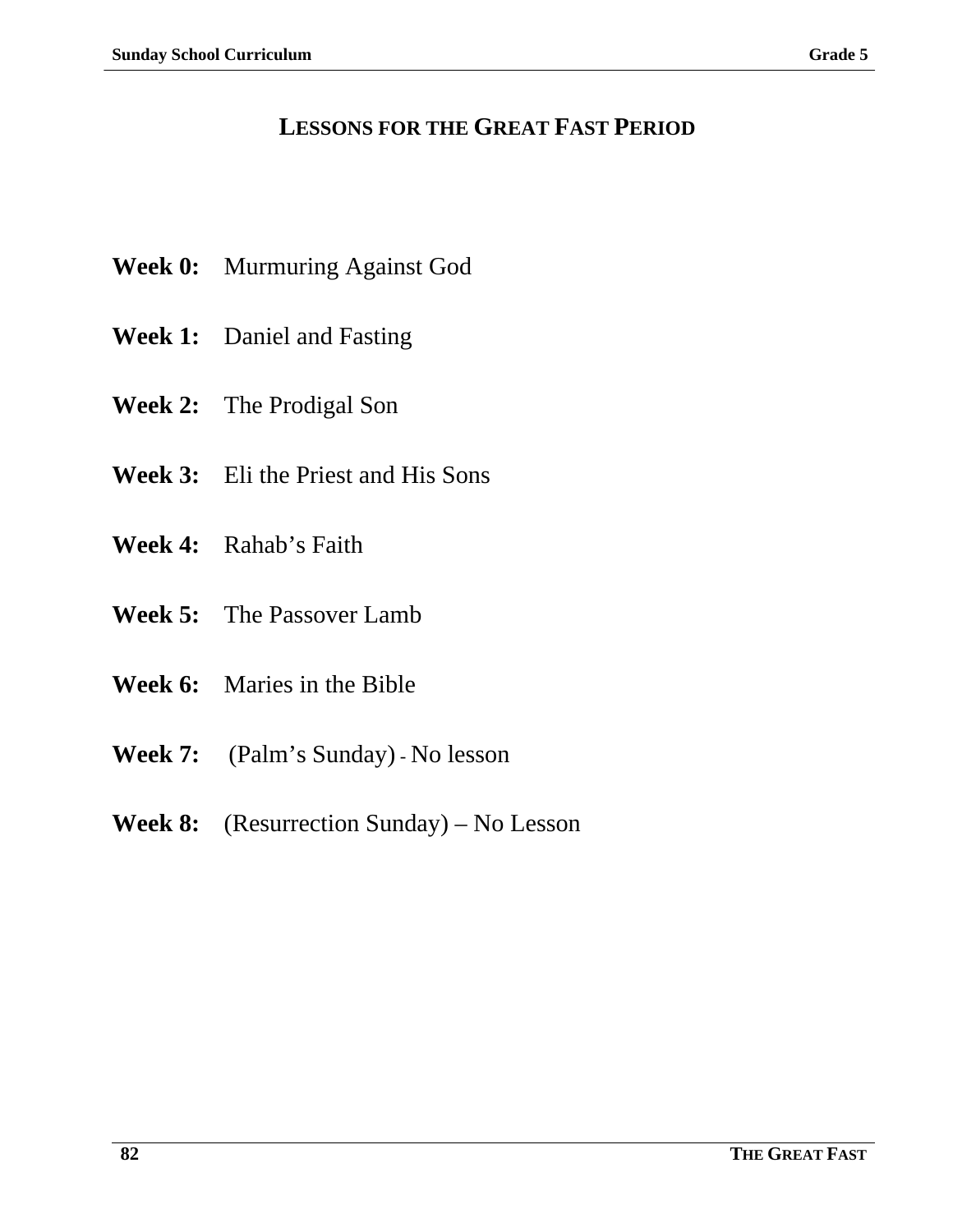# **LESSONS FOR THE GREAT FAST PERIOD**

- **Week 0:** Murmuring Against God
- **Week 1:** Daniel and Fasting
- **Week 2:** The Prodigal Son
- **Week 3:** Eli the Priest and His Sons
- **Week 4:** Rahab's Faith
- **Week 5:** The Passover Lamb
- **Week 6:** Maries in the Bible
- **Week 7:** (Palm's Sunday) No lesson
- **Week 8:** (Resurrection Sunday) No Lesson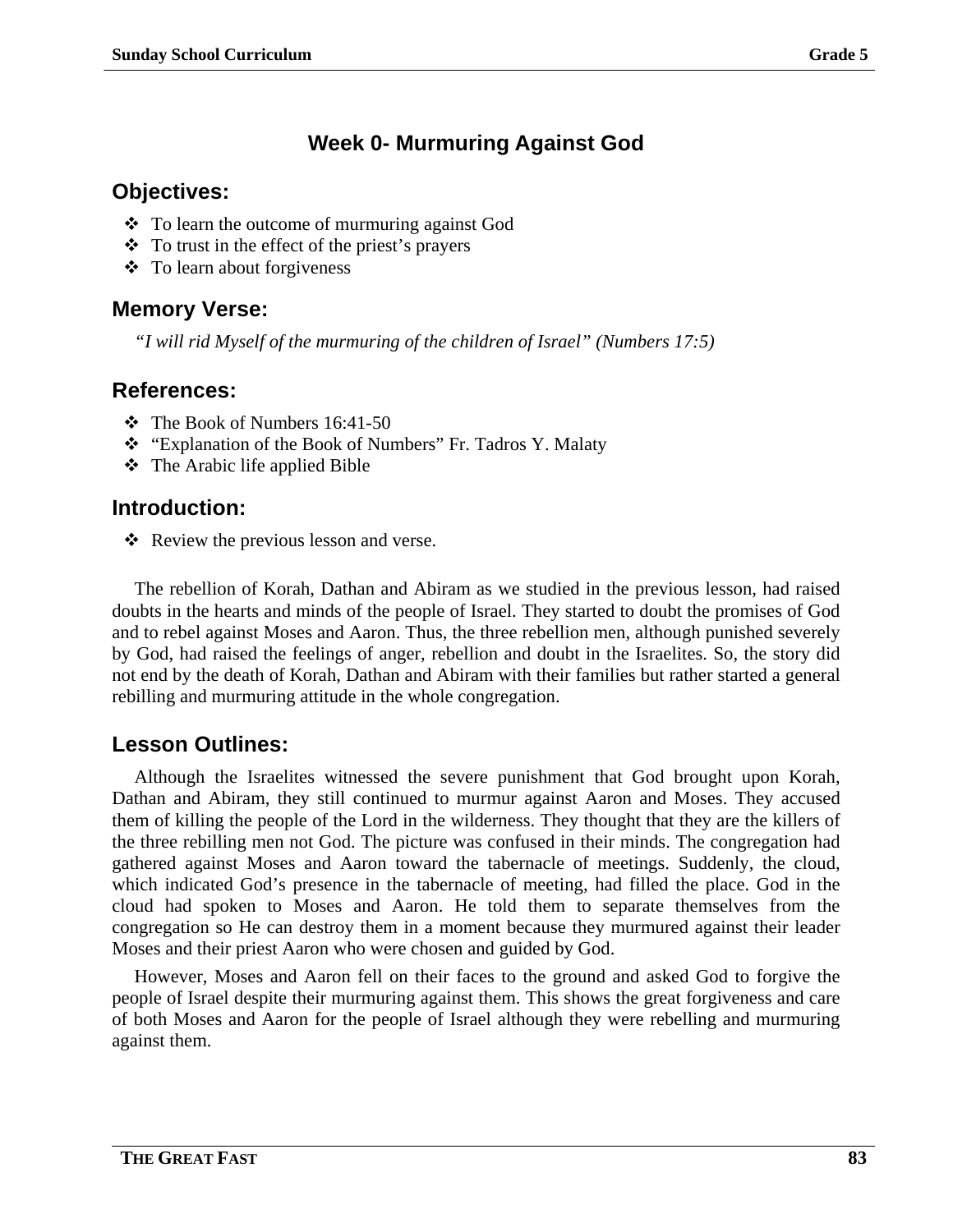# **Week 0- Murmuring Against God**

### **Objectives:**

- To learn the outcome of murmuring against God
- $\div$  To trust in the effect of the priest's prayers
- To learn about forgiveness

## **Memory Verse:**

*"I will rid Myself of the murmuring of the children of Israel" (Numbers 17:5)*

## **References:**

- $\div$  The Book of Numbers 16:41-50
- "Explanation of the Book of Numbers" Fr. Tadros Y. Malaty
- The Arabic life applied Bible

## **Introduction:**

❖ Review the previous lesson and verse.

The rebellion of Korah, Dathan and Abiram as we studied in the previous lesson, had raised doubts in the hearts and minds of the people of Israel. They started to doubt the promises of God and to rebel against Moses and Aaron. Thus, the three rebellion men, although punished severely by God, had raised the feelings of anger, rebellion and doubt in the Israelites. So, the story did not end by the death of Korah, Dathan and Abiram with their families but rather started a general rebilling and murmuring attitude in the whole congregation.

## **Lesson Outlines:**

Although the Israelites witnessed the severe punishment that God brought upon Korah, Dathan and Abiram, they still continued to murmur against Aaron and Moses. They accused them of killing the people of the Lord in the wilderness. They thought that they are the killers of the three rebilling men not God. The picture was confused in their minds. The congregation had gathered against Moses and Aaron toward the tabernacle of meetings. Suddenly, the cloud, which indicated God's presence in the tabernacle of meeting, had filled the place. God in the cloud had spoken to Moses and Aaron. He told them to separate themselves from the congregation so He can destroy them in a moment because they murmured against their leader Moses and their priest Aaron who were chosen and guided by God.

However, Moses and Aaron fell on their faces to the ground and asked God to forgive the people of Israel despite their murmuring against them. This shows the great forgiveness and care of both Moses and Aaron for the people of Israel although they were rebelling and murmuring against them.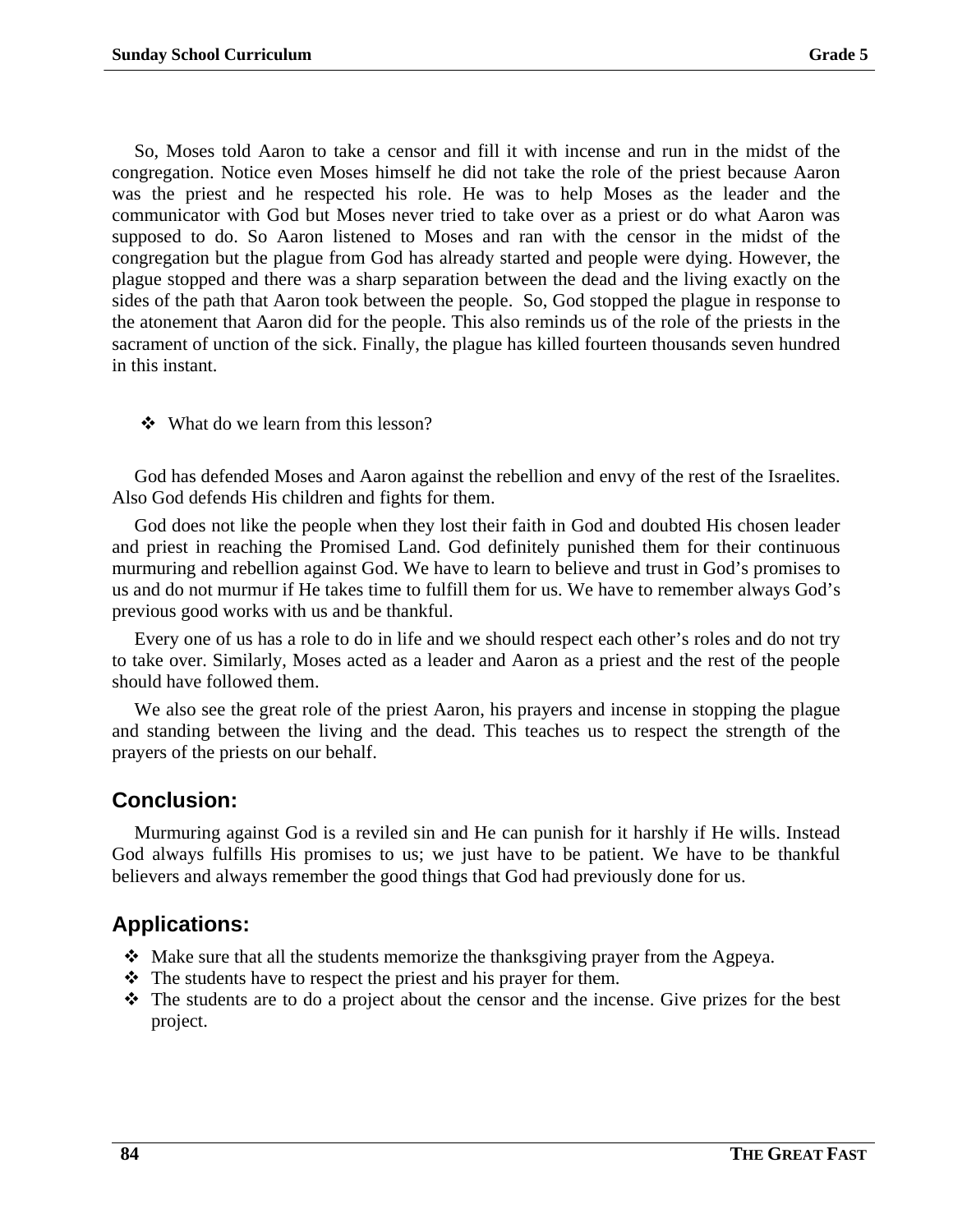So, Moses told Aaron to take a censor and fill it with incense and run in the midst of the congregation. Notice even Moses himself he did not take the role of the priest because Aaron was the priest and he respected his role. He was to help Moses as the leader and the communicator with God but Moses never tried to take over as a priest or do what Aaron was supposed to do. So Aaron listened to Moses and ran with the censor in the midst of the congregation but the plague from God has already started and people were dying. However, the plague stopped and there was a sharp separation between the dead and the living exactly on the sides of the path that Aaron took between the people. So, God stopped the plague in response to the atonement that Aaron did for the people. This also reminds us of the role of the priests in the sacrament of unction of the sick. Finally, the plague has killed fourteen thousands seven hundred in this instant.

❖ What do we learn from this lesson?

God has defended Moses and Aaron against the rebellion and envy of the rest of the Israelites. Also God defends His children and fights for them.

God does not like the people when they lost their faith in God and doubted His chosen leader and priest in reaching the Promised Land. God definitely punished them for their continuous murmuring and rebellion against God. We have to learn to believe and trust in God's promises to us and do not murmur if He takes time to fulfill them for us. We have to remember always God's previous good works with us and be thankful.

Every one of us has a role to do in life and we should respect each other's roles and do not try to take over. Similarly, Moses acted as a leader and Aaron as a priest and the rest of the people should have followed them.

We also see the great role of the priest Aaron, his prayers and incense in stopping the plague and standing between the living and the dead. This teaches us to respect the strength of the prayers of the priests on our behalf.

### **Conclusion:**

Murmuring against God is a reviled sin and He can punish for it harshly if He wills. Instead God always fulfills His promises to us; we just have to be patient. We have to be thankful believers and always remember the good things that God had previously done for us.

- Make sure that all the students memorize the thanksgiving prayer from the Agpeya.
- The students have to respect the priest and his prayer for them.
- The students are to do a project about the censor and the incense. Give prizes for the best project.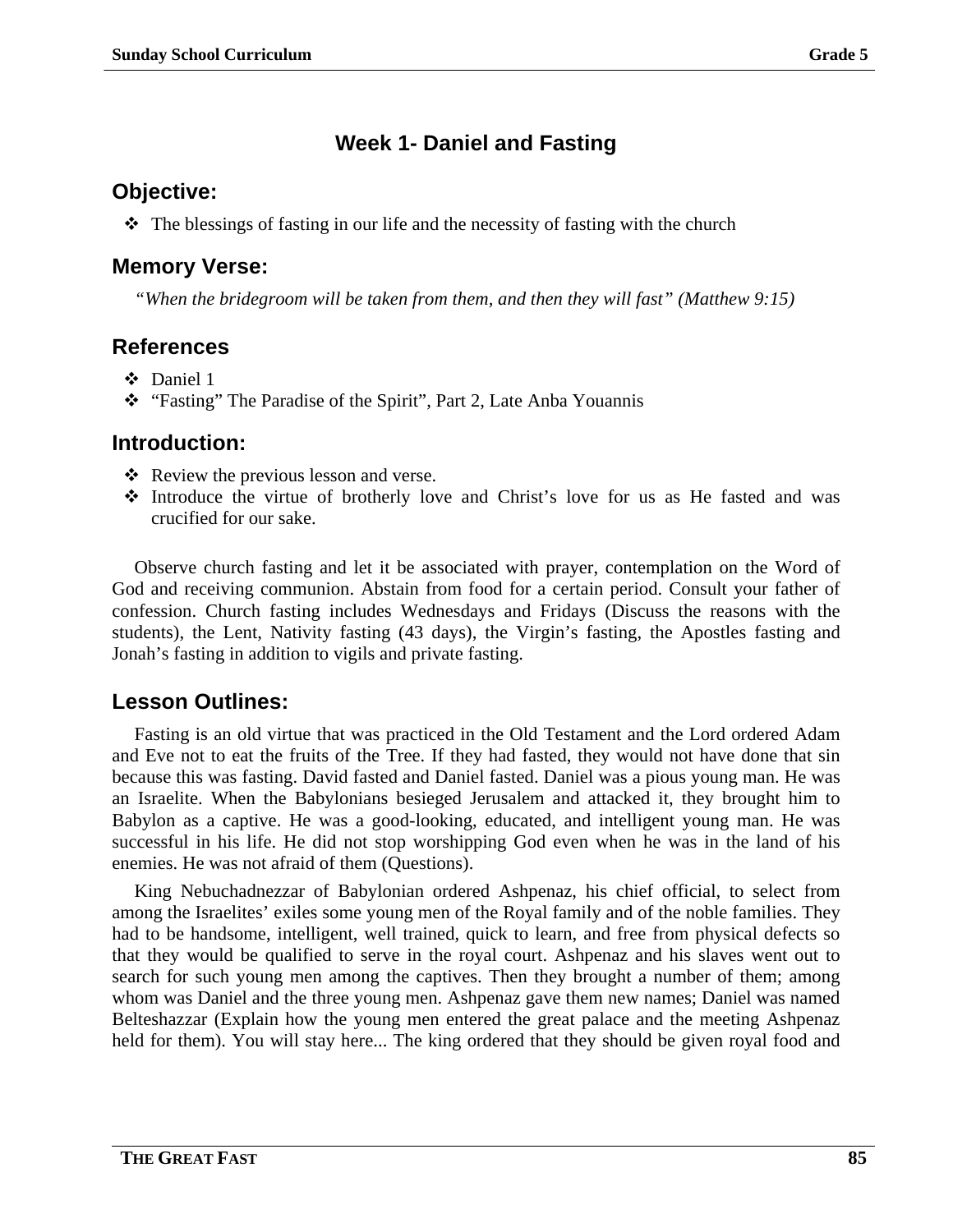## **Week 1- Daniel and Fasting**

### **Objective:**

 $\mathbf{\hat{P}}$  The blessings of fasting in our life and the necessity of fasting with the church

### **Memory Verse:**

*"When the bridegroom will be taken from them, and then they will fast" (Matthew 9:15)*

## **References**

- Daniel 1
- \* "Fasting" The Paradise of the Spirit", Part 2, Late Anba Youannis

## **Introduction:**

- ❖ Review the previous lesson and verse.
- Introduce the virtue of brotherly love and Christ's love for us as He fasted and was crucified for our sake.

Observe church fasting and let it be associated with prayer, contemplation on the Word of God and receiving communion. Abstain from food for a certain period. Consult your father of confession. Church fasting includes Wednesdays and Fridays (Discuss the reasons with the students), the Lent, Nativity fasting (43 days), the Virgin's fasting, the Apostles fasting and Jonah's fasting in addition to vigils and private fasting.

## **Lesson Outlines:**

Fasting is an old virtue that was practiced in the Old Testament and the Lord ordered Adam and Eve not to eat the fruits of the Tree. If they had fasted, they would not have done that sin because this was fasting. David fasted and Daniel fasted. Daniel was a pious young man. He was an Israelite. When the Babylonians besieged Jerusalem and attacked it, they brought him to Babylon as a captive. He was a good-looking, educated, and intelligent young man. He was successful in his life. He did not stop worshipping God even when he was in the land of his enemies. He was not afraid of them (Questions).

King Nebuchadnezzar of Babylonian ordered Ashpenaz, his chief official, to select from among the Israelites' exiles some young men of the Royal family and of the noble families. They had to be handsome, intelligent, well trained, quick to learn, and free from physical defects so that they would be qualified to serve in the royal court. Ashpenaz and his slaves went out to search for such young men among the captives. Then they brought a number of them; among whom was Daniel and the three young men. Ashpenaz gave them new names; Daniel was named Belteshazzar (Explain how the young men entered the great palace and the meeting Ashpenaz held for them). You will stay here... The king ordered that they should be given royal food and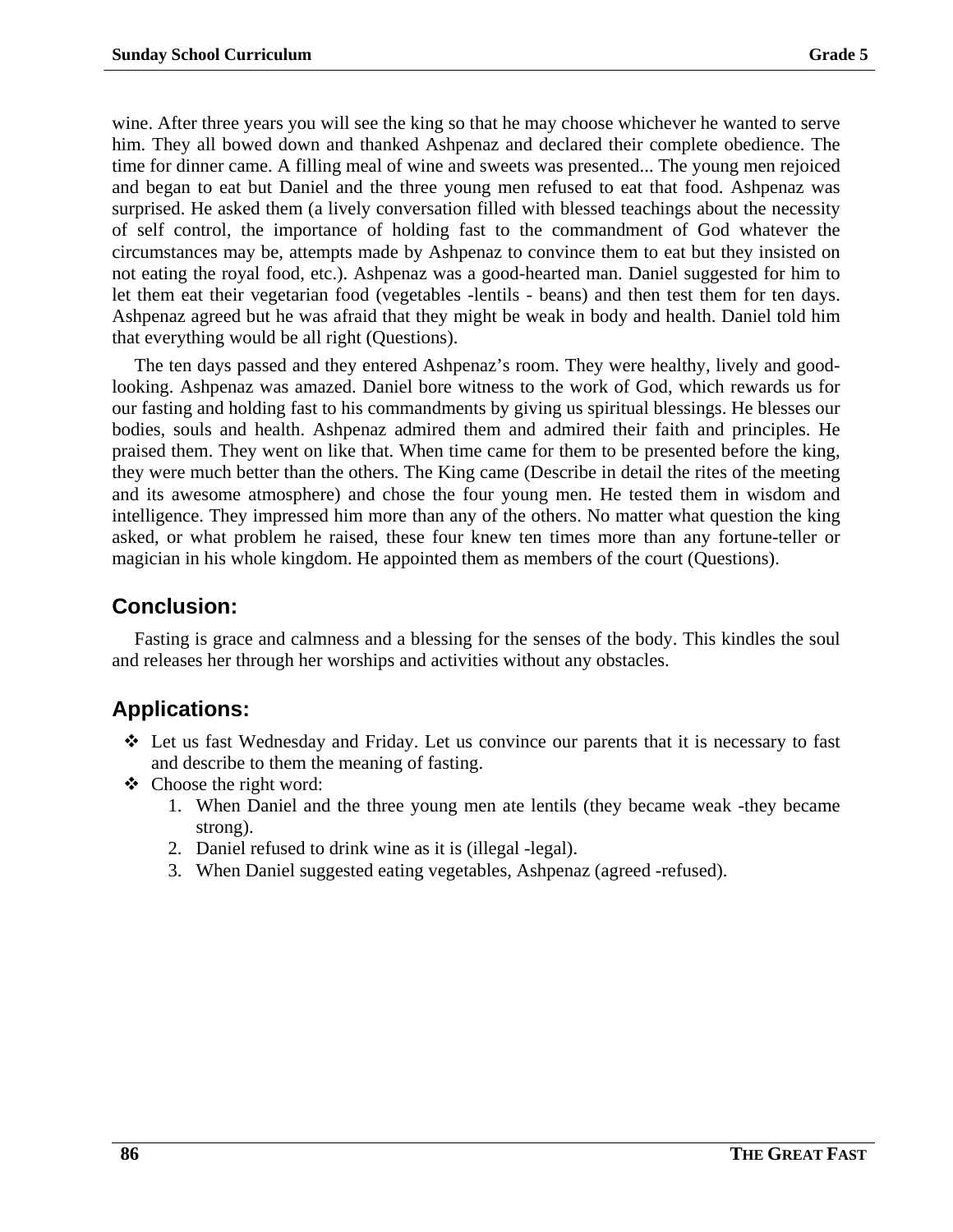wine. After three years you will see the king so that he may choose whichever he wanted to serve him. They all bowed down and thanked Ashpenaz and declared their complete obedience. The time for dinner came. A filling meal of wine and sweets was presented... The young men rejoiced and began to eat but Daniel and the three young men refused to eat that food. Ashpenaz was surprised. He asked them (a lively conversation filled with blessed teachings about the necessity of self control, the importance of holding fast to the commandment of God whatever the circumstances may be, attempts made by Ashpenaz to convince them to eat but they insisted on not eating the royal food, etc.). Ashpenaz was a good-hearted man. Daniel suggested for him to let them eat their vegetarian food (vegetables -lentils - beans) and then test them for ten days. Ashpenaz agreed but he was afraid that they might be weak in body and health. Daniel told him that everything would be all right (Questions).

The ten days passed and they entered Ashpenaz's room. They were healthy, lively and goodlooking. Ashpenaz was amazed. Daniel bore witness to the work of God, which rewards us for our fasting and holding fast to his commandments by giving us spiritual blessings. He blesses our bodies, souls and health. Ashpenaz admired them and admired their faith and principles. He praised them. They went on like that. When time came for them to be presented before the king, they were much better than the others. The King came (Describe in detail the rites of the meeting and its awesome atmosphere) and chose the four young men. He tested them in wisdom and intelligence. They impressed him more than any of the others. No matter what question the king asked, or what problem he raised, these four knew ten times more than any fortune-teller or magician in his whole kingdom. He appointed them as members of the court (Questions).

### **Conclusion:**

Fasting is grace and calmness and a blessing for the senses of the body. This kindles the soul and releases her through her worships and activities without any obstacles.

- Let us fast Wednesday and Friday. Let us convince our parents that it is necessary to fast and describe to them the meaning of fasting.
- Choose the right word:
	- 1. When Daniel and the three young men ate lentils (they became weak -they became strong).
	- 2. Daniel refused to drink wine as it is (illegal -legal).
	- 3. When Daniel suggested eating vegetables, Ashpenaz (agreed -refused).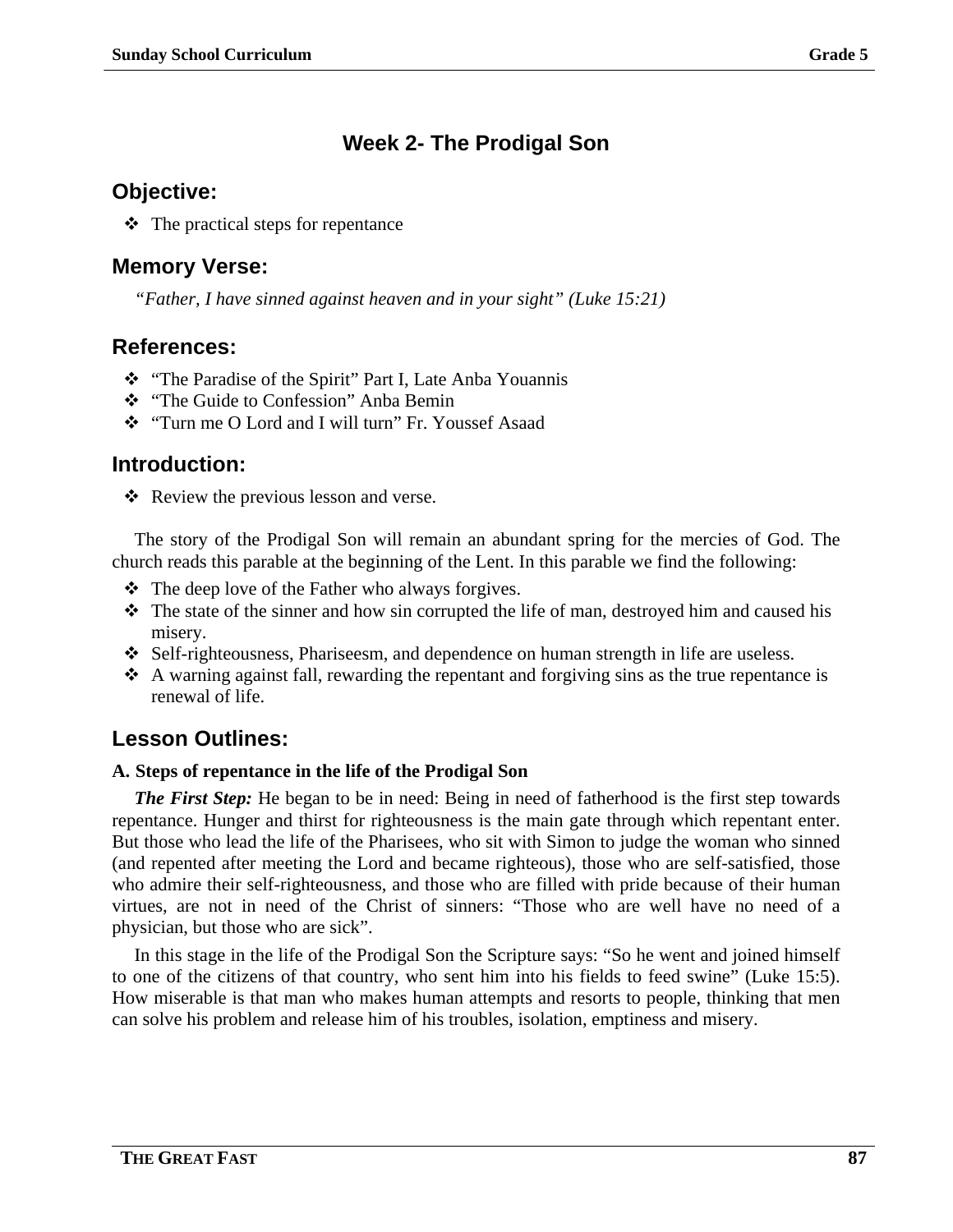## **Week 2- The Prodigal Son**

### **Objective:**

 $\triangleleft$  The practical steps for repentance

## **Memory Verse:**

*"Father, I have sinned against heaven and in your sight" (Luke 15:21)*

## **References:**

- \* "The Paradise of the Spirit" Part I, Late Anba Youannis
- \* "The Guide to Confession" Anba Bemin
- "Turn me O Lord and I will turn" Fr. Youssef Asaad

### **Introduction:**

❖ Review the previous lesson and verse.

The story of the Prodigal Son will remain an abundant spring for the mercies of God. The church reads this parable at the beginning of the Lent. In this parable we find the following:

- The deep love of the Father who always forgives.
- The state of the sinner and how sin corrupted the life of man, destroyed him and caused his misery.
- Self-righteousness, Phariseesm, and dependence on human strength in life are useless.
- A warning against fall, rewarding the repentant and forgiving sins as the true repentance is renewal of life.

# **Lesson Outlines:**

#### **A. Steps of repentance in the life of the Prodigal Son**

*The First Step:* He began to be in need: Being in need of fatherhood is the first step towards repentance. Hunger and thirst for righteousness is the main gate through which repentant enter. But those who lead the life of the Pharisees, who sit with Simon to judge the woman who sinned (and repented after meeting the Lord and became righteous), those who are self-satisfied, those who admire their self-righteousness, and those who are filled with pride because of their human virtues, are not in need of the Christ of sinners: "Those who are well have no need of a physician, but those who are sick".

In this stage in the life of the Prodigal Son the Scripture says: "So he went and joined himself to one of the citizens of that country, who sent him into his fields to feed swine" (Luke 15:5). How miserable is that man who makes human attempts and resorts to people, thinking that men can solve his problem and release him of his troubles, isolation, emptiness and misery.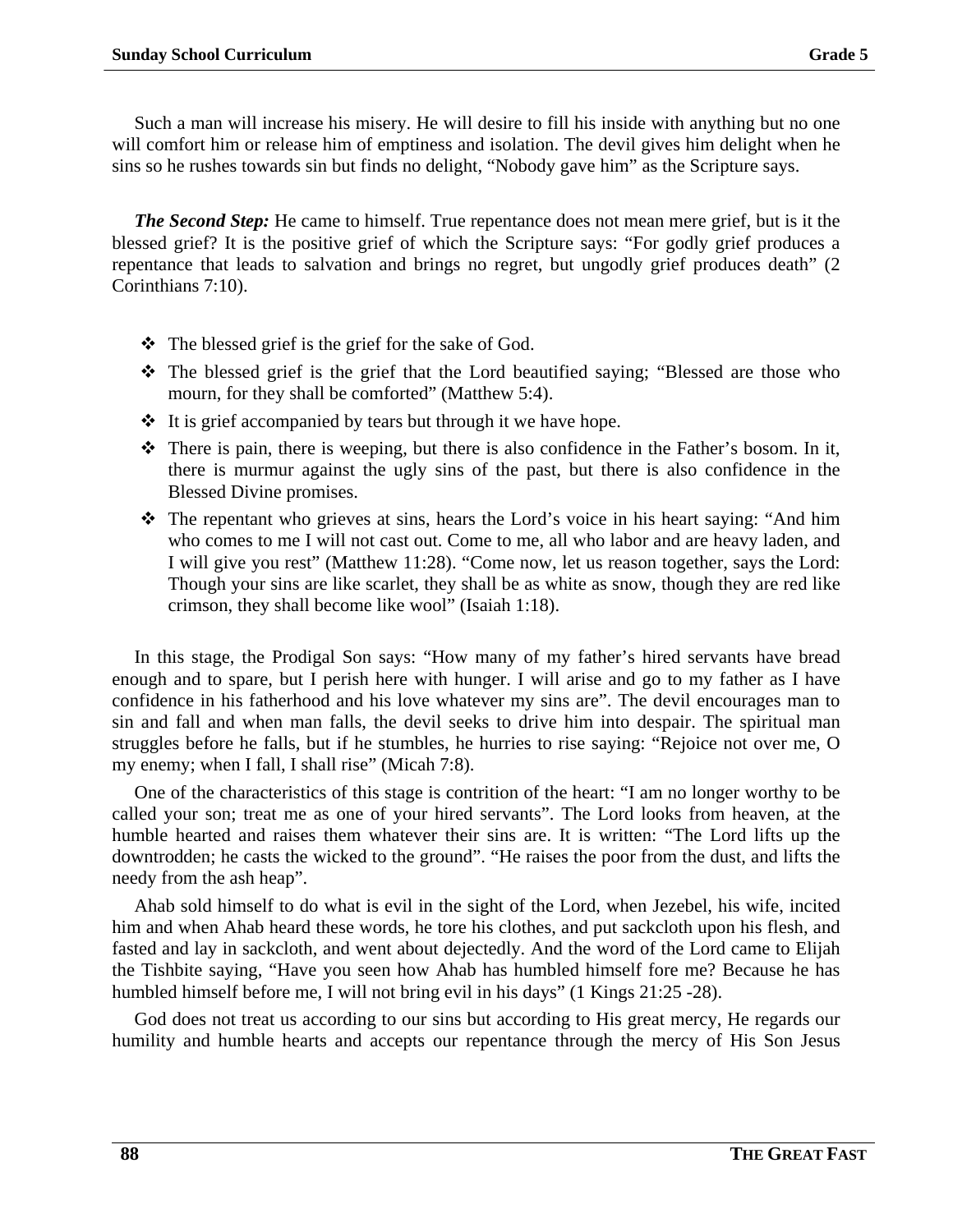Such a man will increase his misery. He will desire to fill his inside with anything but no one will comfort him or release him of emptiness and isolation. The devil gives him delight when he sins so he rushes towards sin but finds no delight, "Nobody gave him" as the Scripture says.

*The Second Step:* He came to himself. True repentance does not mean mere grief, but is it the blessed grief? It is the positive grief of which the Scripture says: "For godly grief produces a repentance that leads to salvation and brings no regret, but ungodly grief produces death" (2 Corinthians 7:10).

- $\triangle$  The blessed grief is the grief for the sake of God.
- The blessed grief is the grief that the Lord beautified saying; "Blessed are those who mourn, for they shall be comforted" (Matthew 5:4).
- $\cdot \cdot$  It is grief accompanied by tears but through it we have hope.
- There is pain, there is weeping, but there is also confidence in the Father's bosom. In it, there is murmur against the ugly sins of the past, but there is also confidence in the Blessed Divine promises.
- $\hat{\mathbf{\cdot}}$  The repentant who grieves at sins, hears the Lord's voice in his heart saying: "And him who comes to me I will not cast out. Come to me, all who labor and are heavy laden, and I will give you rest" (Matthew 11:28). "Come now, let us reason together, says the Lord: Though your sins are like scarlet, they shall be as white as snow, though they are red like crimson, they shall become like wool" (Isaiah 1:18).

In this stage, the Prodigal Son says: "How many of my father's hired servants have bread enough and to spare, but I perish here with hunger. I will arise and go to my father as I have confidence in his fatherhood and his love whatever my sins are". The devil encourages man to sin and fall and when man falls, the devil seeks to drive him into despair. The spiritual man struggles before he falls, but if he stumbles, he hurries to rise saying: "Rejoice not over me, O my enemy; when I fall, I shall rise" (Micah 7:8).

One of the characteristics of this stage is contrition of the heart: "I am no longer worthy to be called your son; treat me as one of your hired servants". The Lord looks from heaven, at the humble hearted and raises them whatever their sins are. It is written: "The Lord lifts up the downtrodden; he casts the wicked to the ground". "He raises the poor from the dust, and lifts the needy from the ash heap".

Ahab sold himself to do what is evil in the sight of the Lord, when Jezebel, his wife, incited him and when Ahab heard these words, he tore his clothes, and put sackcloth upon his flesh, and fasted and lay in sackcloth, and went about dejectedly. And the word of the Lord came to Elijah the Tishbite saying, "Have you seen how Ahab has humbled himself fore me? Because he has humbled himself before me, I will not bring evil in his days" (1 Kings 21:25 -28).

God does not treat us according to our sins but according to His great mercy, He regards our humility and humble hearts and accepts our repentance through the mercy of His Son Jesus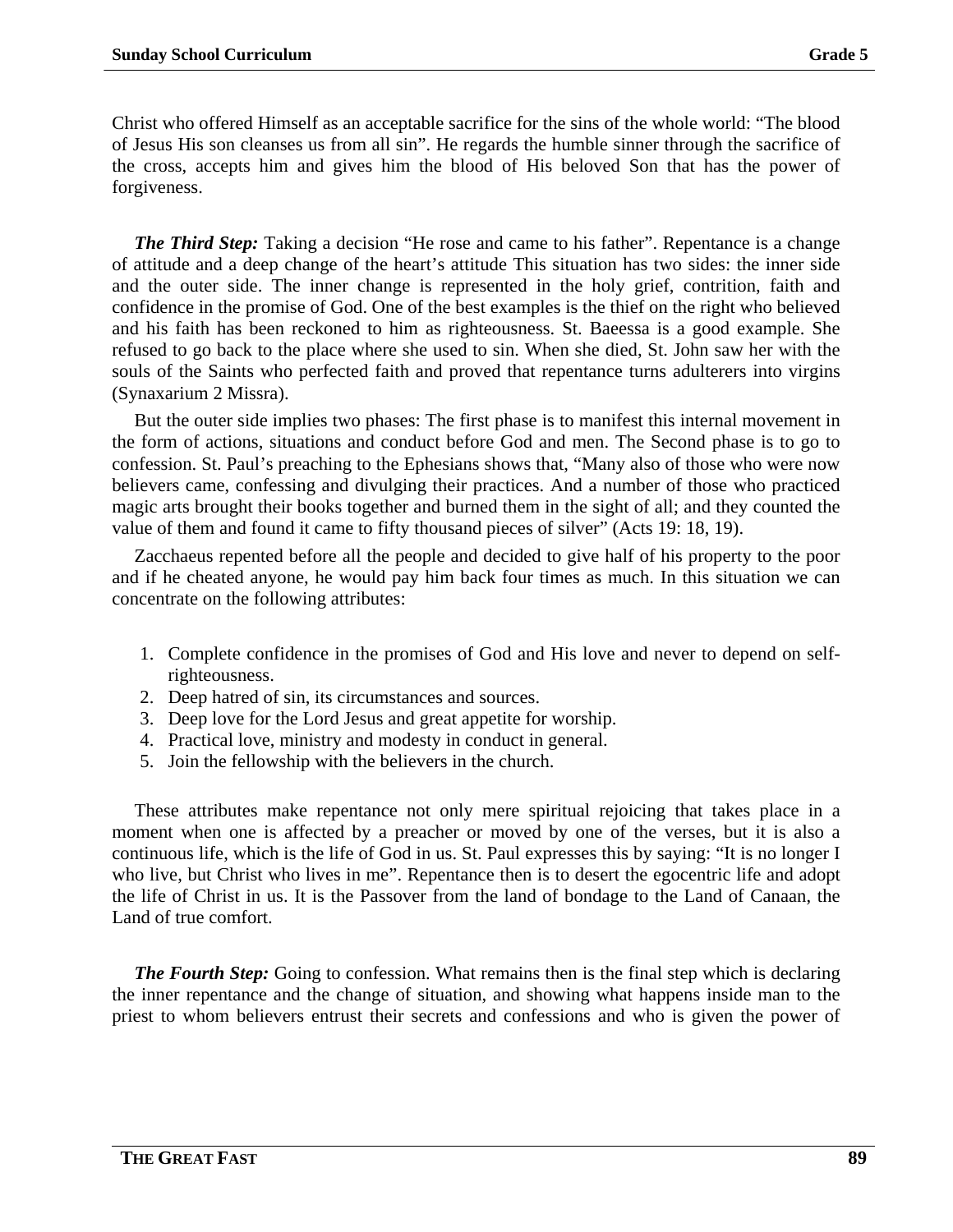Christ who offered Himself as an acceptable sacrifice for the sins of the whole world: "The blood of Jesus His son cleanses us from all sin". He regards the humble sinner through the sacrifice of the cross, accepts him and gives him the blood of His beloved Son that has the power of forgiveness.

*The Third Step:* Taking a decision "He rose and came to his father". Repentance is a change of attitude and a deep change of the heart's attitude This situation has two sides: the inner side and the outer side. The inner change is represented in the holy grief, contrition, faith and confidence in the promise of God. One of the best examples is the thief on the right who believed and his faith has been reckoned to him as righteousness. St. Baeessa is a good example. She refused to go back to the place where she used to sin. When she died, St. John saw her with the souls of the Saints who perfected faith and proved that repentance turns adulterers into virgins (Synaxarium 2 Missra).

But the outer side implies two phases: The first phase is to manifest this internal movement in the form of actions, situations and conduct before God and men. The Second phase is to go to confession. St. Paul's preaching to the Ephesians shows that, "Many also of those who were now believers came, confessing and divulging their practices. And a number of those who practiced magic arts brought their books together and burned them in the sight of all; and they counted the value of them and found it came to fifty thousand pieces of silver" (Acts 19: 18, 19).

Zacchaeus repented before all the people and decided to give half of his property to the poor and if he cheated anyone, he would pay him back four times as much. In this situation we can concentrate on the following attributes:

- 1. Complete confidence in the promises of God and His love and never to depend on selfrighteousness.
- 2. Deep hatred of sin, its circumstances and sources.
- 3. Deep love for the Lord Jesus and great appetite for worship.
- 4. Practical love, ministry and modesty in conduct in general.
- 5. Join the fellowship with the believers in the church.

These attributes make repentance not only mere spiritual rejoicing that takes place in a moment when one is affected by a preacher or moved by one of the verses, but it is also a continuous life, which is the life of God in us. St. Paul expresses this by saying: "It is no longer I who live, but Christ who lives in me". Repentance then is to desert the egocentric life and adopt the life of Christ in us. It is the Passover from the land of bondage to the Land of Canaan, the Land of true comfort.

*The Fourth Step:* Going to confession. What remains then is the final step which is declaring the inner repentance and the change of situation, and showing what happens inside man to the priest to whom believers entrust their secrets and confessions and who is given the power of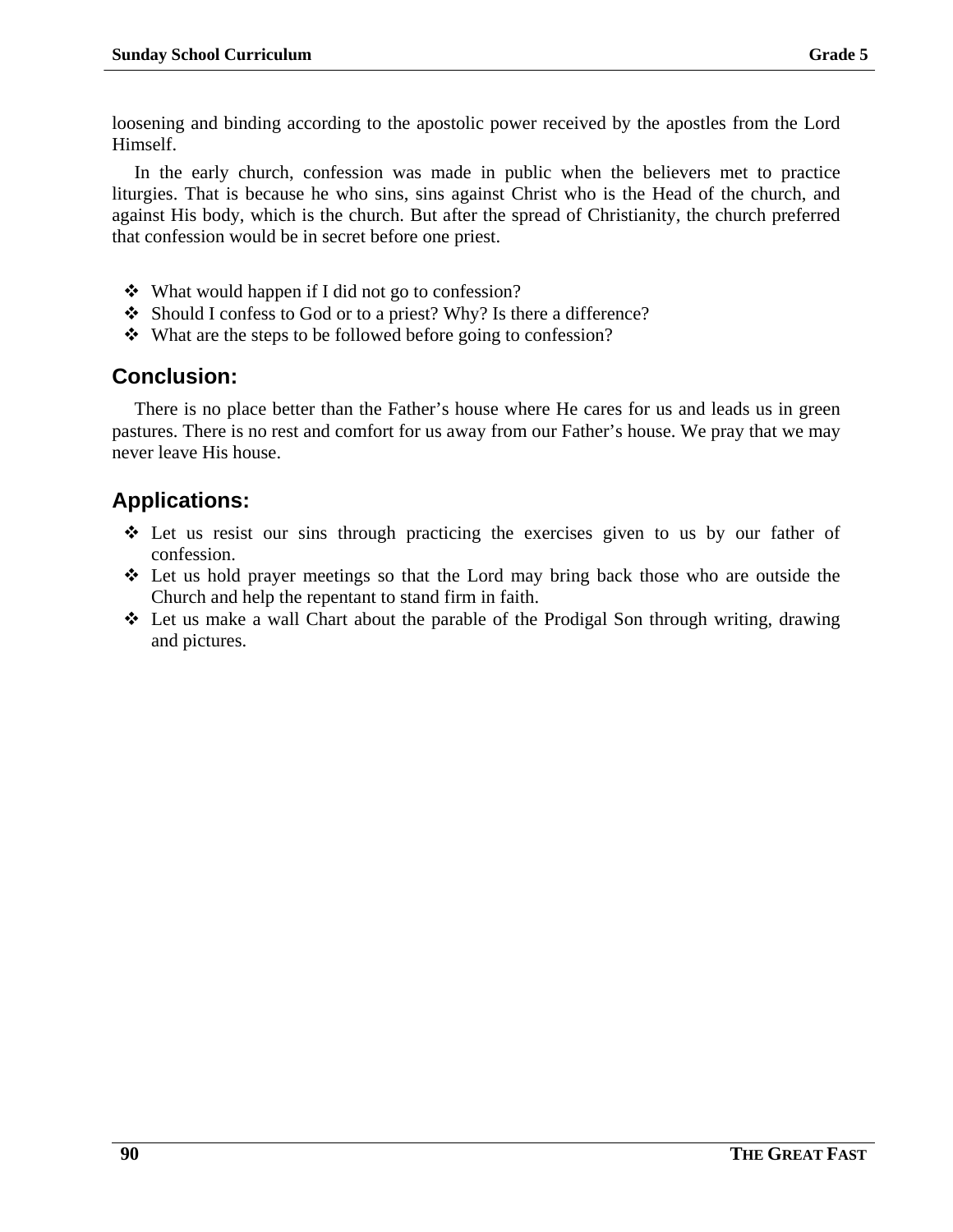loosening and binding according to the apostolic power received by the apostles from the Lord Himself.

In the early church, confession was made in public when the believers met to practice liturgies. That is because he who sins, sins against Christ who is the Head of the church, and against His body, which is the church. But after the spread of Christianity, the church preferred that confession would be in secret before one priest.

- What would happen if I did not go to confession?
- Should I confess to God or to a priest? Why? Is there a difference?
- What are the steps to be followed before going to confession?

#### **Conclusion:**

There is no place better than the Father's house where He cares for us and leads us in green pastures. There is no rest and comfort for us away from our Father's house. We pray that we may never leave His house.

- Let us resist our sins through practicing the exercises given to us by our father of confession.
- Let us hold prayer meetings so that the Lord may bring back those who are outside the Church and help the repentant to stand firm in faith.
- Let us make a wall Chart about the parable of the Prodigal Son through writing, drawing and pictures.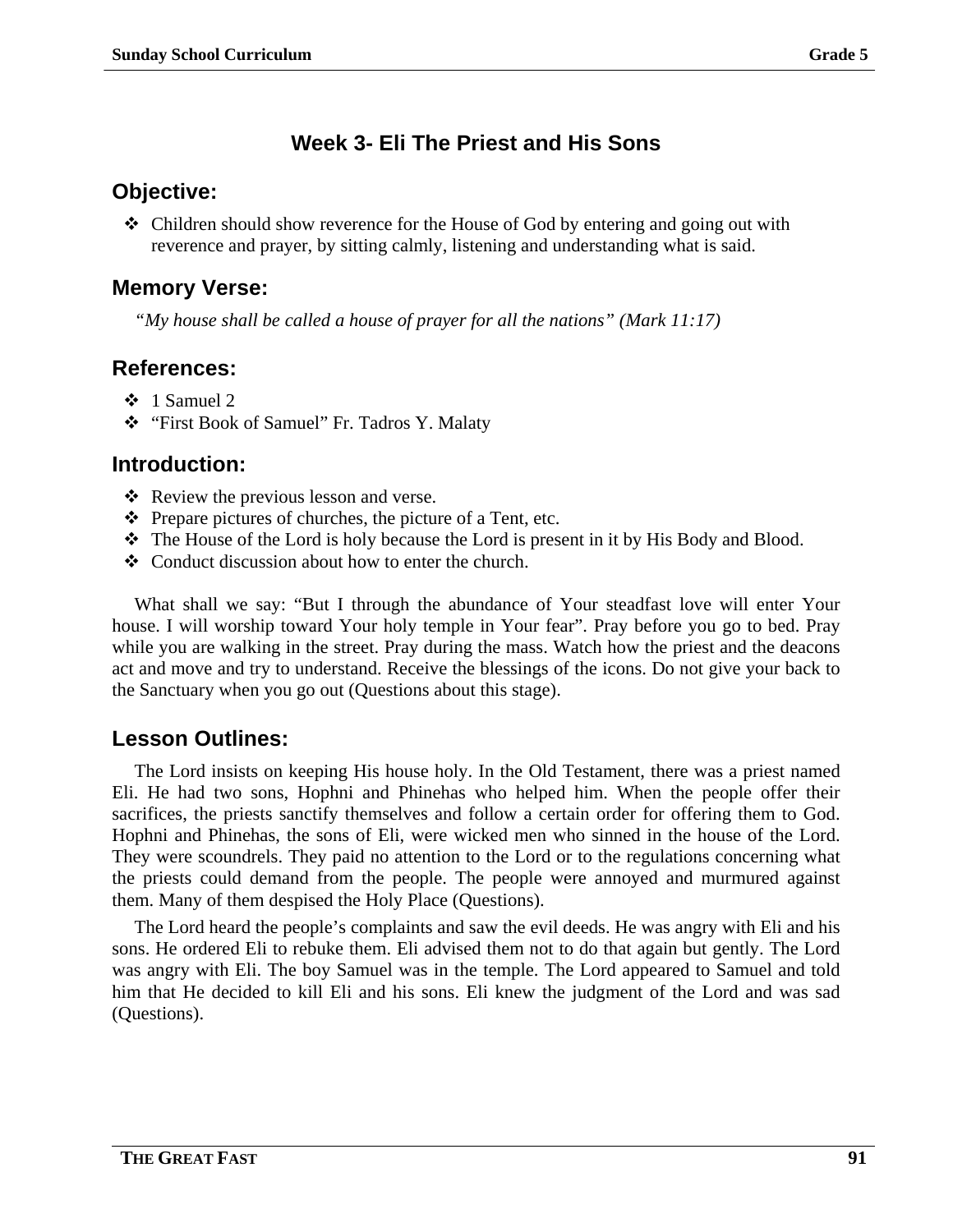# **Week 3- Eli The Priest and His Sons**

## **Objective:**

Children should show reverence for the House of God by entering and going out with reverence and prayer, by sitting calmly, listening and understanding what is said.

## **Memory Verse:**

*"My house shall be called a house of prayer for all the nations" (Mark 11:17)*

## **References:**

- $\div$  1 Samuel 2
- \* "First Book of Samuel" Fr. Tadros Y. Malaty

## **Introduction:**

- ❖ Review the previous lesson and verse.
- $\triangle$  Prepare pictures of churches, the picture of a Tent, etc.
- The House of the Lord is holy because the Lord is present in it by His Body and Blood.
- Conduct discussion about how to enter the church.

What shall we say: "But I through the abundance of Your steadfast love will enter Your house. I will worship toward Your holy temple in Your fear". Pray before you go to bed. Pray while you are walking in the street. Pray during the mass. Watch how the priest and the deacons act and move and try to understand. Receive the blessings of the icons. Do not give your back to the Sanctuary when you go out (Questions about this stage).

## **Lesson Outlines:**

The Lord insists on keeping His house holy. In the Old Testament, there was a priest named Eli. He had two sons, Hophni and Phinehas who helped him. When the people offer their sacrifices, the priests sanctify themselves and follow a certain order for offering them to God. Hophni and Phinehas, the sons of Eli, were wicked men who sinned in the house of the Lord. They were scoundrels. They paid no attention to the Lord or to the regulations concerning what the priests could demand from the people. The people were annoyed and murmured against them. Many of them despised the Holy Place (Questions).

The Lord heard the people's complaints and saw the evil deeds. He was angry with Eli and his sons. He ordered Eli to rebuke them. Eli advised them not to do that again but gently. The Lord was angry with Eli. The boy Samuel was in the temple. The Lord appeared to Samuel and told him that He decided to kill Eli and his sons. Eli knew the judgment of the Lord and was sad (Questions).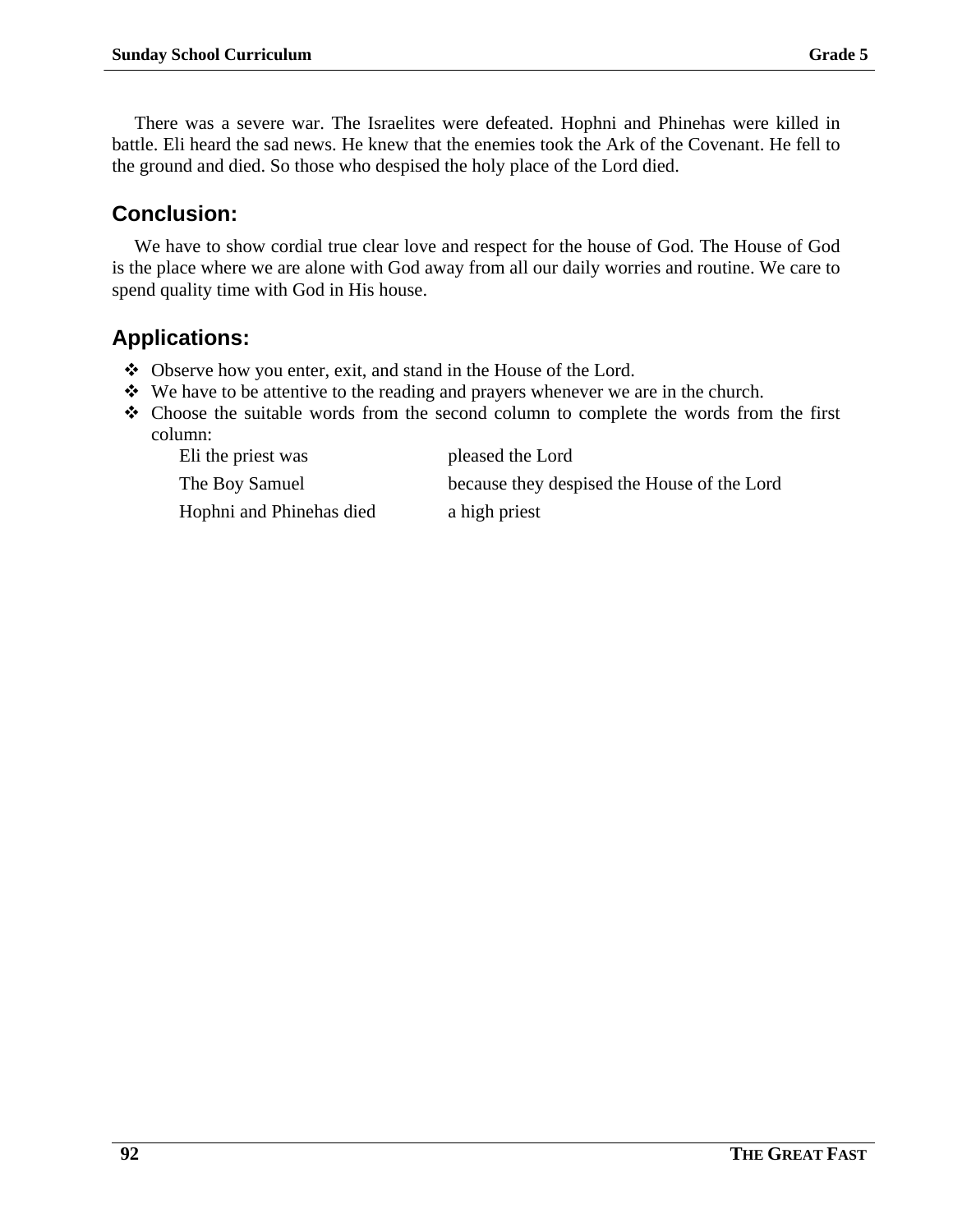There was a severe war. The Israelites were defeated. Hophni and Phinehas were killed in battle. Eli heard the sad news. He knew that the enemies took the Ark of the Covenant. He fell to the ground and died. So those who despised the holy place of the Lord died.

## **Conclusion:**

We have to show cordial true clear love and respect for the house of God. The House of God is the place where we are alone with God away from all our daily worries and routine. We care to spend quality time with God in His house.

## **Applications:**

- Observe how you enter, exit, and stand in the House of the Lord.
- We have to be attentive to the reading and prayers whenever we are in the church.
- Choose the suitable words from the second column to complete the words from the first column:

Eli the priest was pleased the Lord Hophni and Phinehas died a high priest

The Boy Samuel because they despised the House of the Lord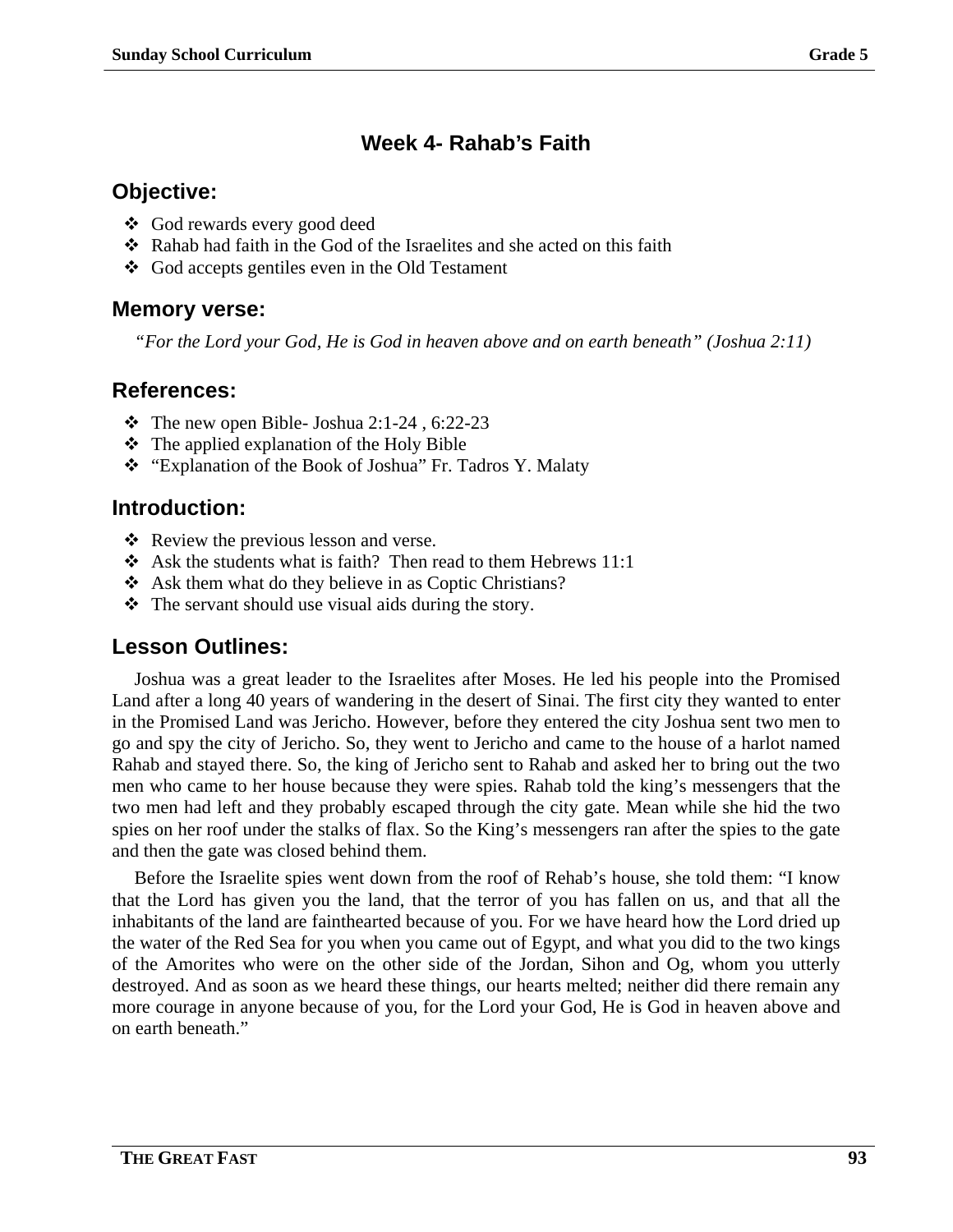## **Week 4- Rahab's Faith**

### **Objective:**

- God rewards every good deed
- Rahab had faith in the God of the Israelites and she acted on this faith
- God accepts gentiles even in the Old Testament

### **Memory verse:**

*"For the Lord your God, He is God in heaven above and on earth beneath" (Joshua 2:11)*

## **References:**

- $\bullet$  The new open Bible-Joshua 2:1-24, 6:22-23
- The applied explanation of the Holy Bible
- \* "Explanation of the Book of Joshua" Fr. Tadros Y. Malaty

## **Introduction:**

- ❖ Review the previous lesson and verse.
- Ask the students what is faith? Then read to them Hebrews 11:1
- Ask them what do they believe in as Coptic Christians?
- The servant should use visual aids during the story.

## **Lesson Outlines:**

Joshua was a great leader to the Israelites after Moses. He led his people into the Promised Land after a long 40 years of wandering in the desert of Sinai. The first city they wanted to enter in the Promised Land was Jericho. However, before they entered the city Joshua sent two men to go and spy the city of Jericho. So, they went to Jericho and came to the house of a harlot named Rahab and stayed there. So, the king of Jericho sent to Rahab and asked her to bring out the two men who came to her house because they were spies. Rahab told the king's messengers that the two men had left and they probably escaped through the city gate. Mean while she hid the two spies on her roof under the stalks of flax. So the King's messengers ran after the spies to the gate and then the gate was closed behind them.

Before the Israelite spies went down from the roof of Rehab's house, she told them: "I know that the Lord has given you the land, that the terror of you has fallen on us, and that all the inhabitants of the land are fainthearted because of you. For we have heard how the Lord dried up the water of the Red Sea for you when you came out of Egypt, and what you did to the two kings of the Amorites who were on the other side of the Jordan, Sihon and Og, whom you utterly destroyed. And as soon as we heard these things, our hearts melted; neither did there remain any more courage in anyone because of you, for the Lord your God, He is God in heaven above and on earth beneath."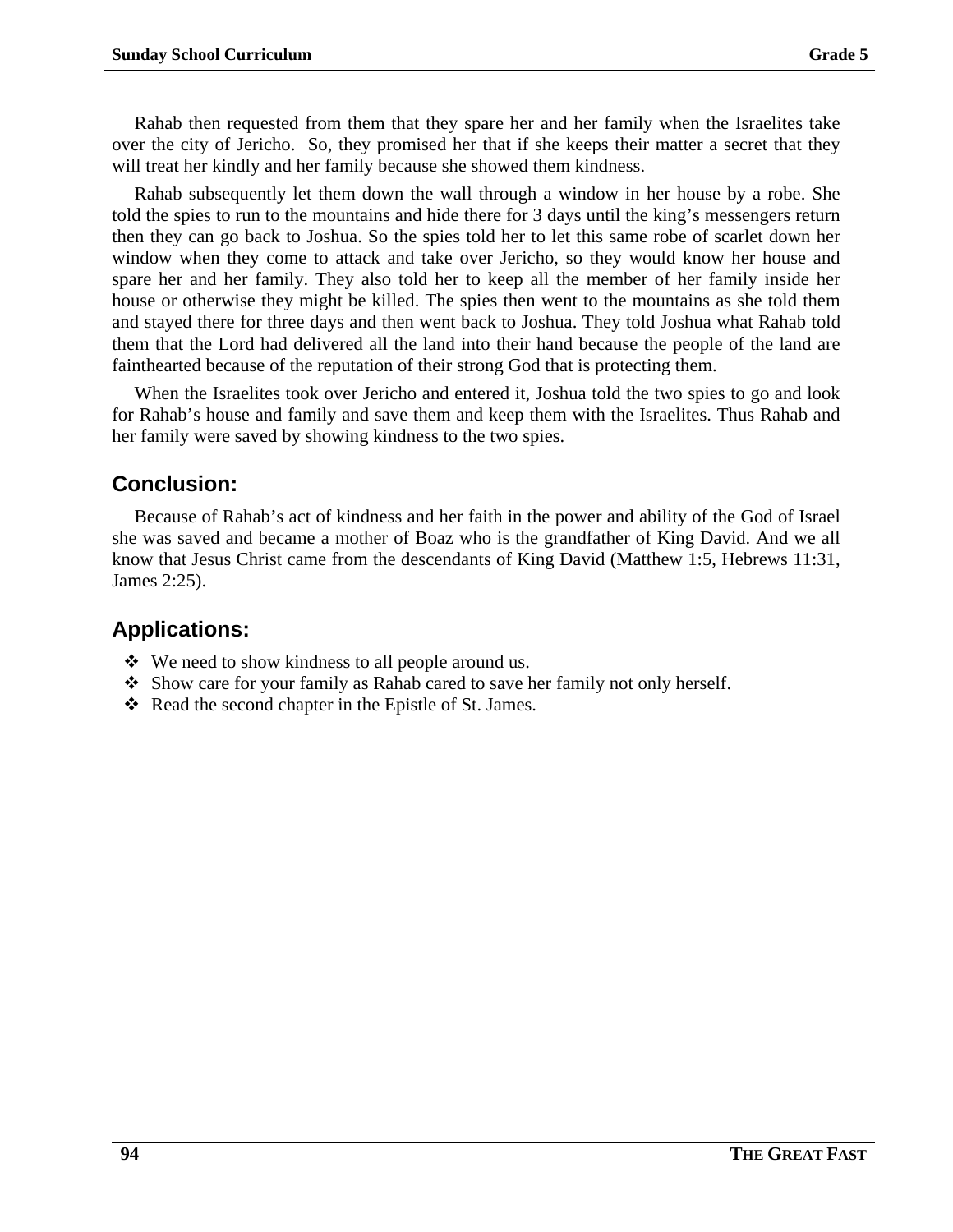Rahab then requested from them that they spare her and her family when the Israelites take over the city of Jericho. So, they promised her that if she keeps their matter a secret that they will treat her kindly and her family because she showed them kindness.

Rahab subsequently let them down the wall through a window in her house by a robe. She told the spies to run to the mountains and hide there for 3 days until the king's messengers return then they can go back to Joshua. So the spies told her to let this same robe of scarlet down her window when they come to attack and take over Jericho, so they would know her house and spare her and her family. They also told her to keep all the member of her family inside her house or otherwise they might be killed. The spies then went to the mountains as she told them and stayed there for three days and then went back to Joshua. They told Joshua what Rahab told them that the Lord had delivered all the land into their hand because the people of the land are fainthearted because of the reputation of their strong God that is protecting them.

When the Israelites took over Jericho and entered it, Joshua told the two spies to go and look for Rahab's house and family and save them and keep them with the Israelites. Thus Rahab and her family were saved by showing kindness to the two spies.

### **Conclusion:**

Because of Rahab's act of kindness and her faith in the power and ability of the God of Israel she was saved and became a mother of Boaz who is the grandfather of King David. And we all know that Jesus Christ came from the descendants of King David (Matthew 1:5, Hebrews 11:31, James 2:25).

- We need to show kindness to all people around us.
- Show care for your family as Rahab cared to save her family not only herself.
- \* Read the second chapter in the Epistle of St. James.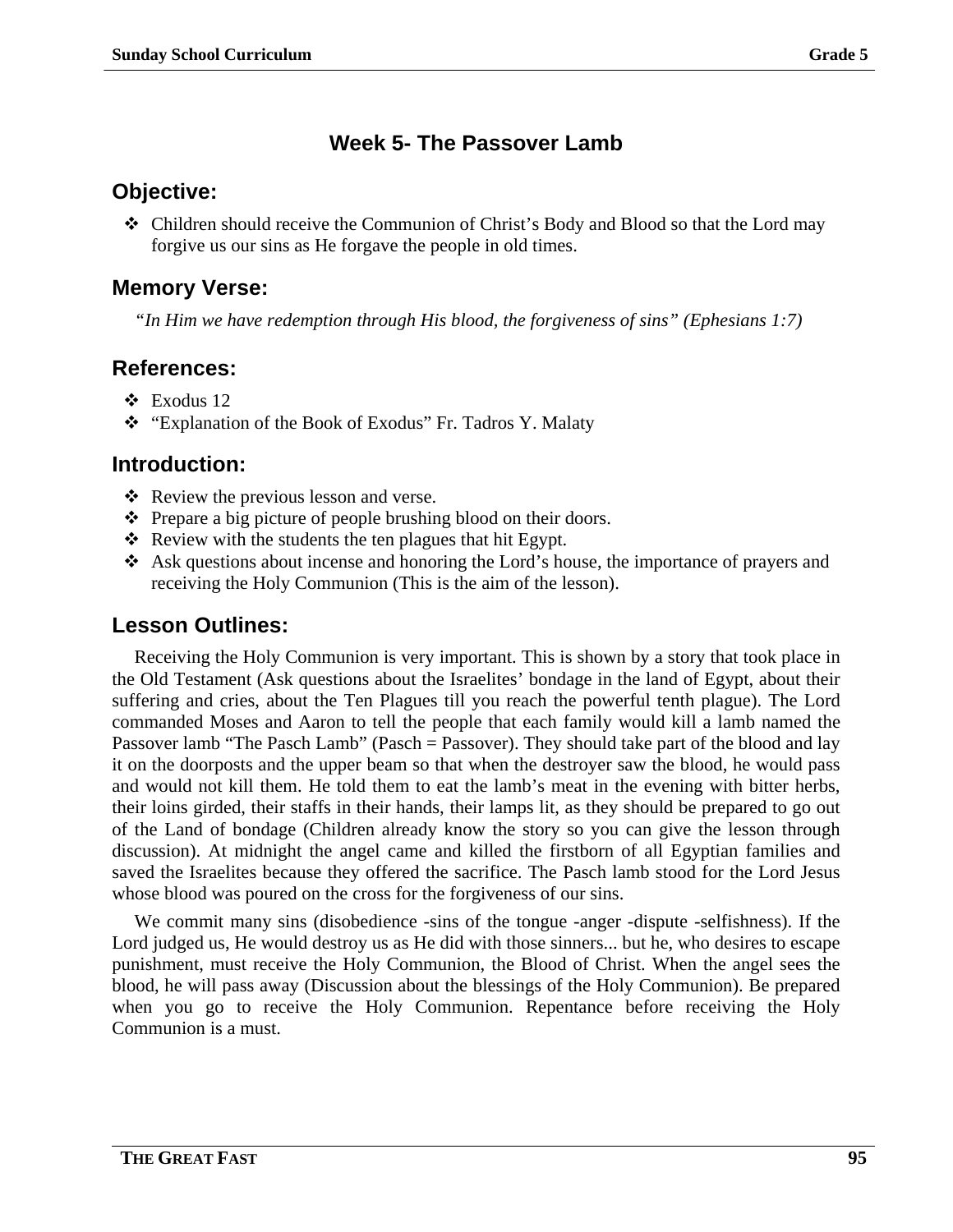## **Week 5- The Passover Lamb**

## **Objective:**

Children should receive the Communion of Christ's Body and Blood so that the Lord may forgive us our sins as He forgave the people in old times.

## **Memory Verse:**

*"In Him we have redemption through His blood, the forgiveness of sins" (Ephesians 1:7)*

# **References:**

- Exodus 12
- "Explanation of the Book of Exodus" Fr. Tadros Y. Malaty

## **Introduction:**

- ❖ Review the previous lesson and verse.
- Prepare a big picture of people brushing blood on their doors.
- Review with the students the ten plagues that hit Egypt.
- Ask questions about incense and honoring the Lord's house, the importance of prayers and receiving the Holy Communion (This is the aim of the lesson).

## **Lesson Outlines:**

Receiving the Holy Communion is very important. This is shown by a story that took place in the Old Testament (Ask questions about the Israelites' bondage in the land of Egypt, about their suffering and cries, about the Ten Plagues till you reach the powerful tenth plague). The Lord commanded Moses and Aaron to tell the people that each family would kill a lamb named the Passover lamb "The Pasch Lamb" (Pasch = Passover). They should take part of the blood and lay it on the doorposts and the upper beam so that when the destroyer saw the blood, he would pass and would not kill them. He told them to eat the lamb's meat in the evening with bitter herbs, their loins girded, their staffs in their hands, their lamps lit, as they should be prepared to go out of the Land of bondage (Children already know the story so you can give the lesson through discussion). At midnight the angel came and killed the firstborn of all Egyptian families and saved the Israelites because they offered the sacrifice. The Pasch lamb stood for the Lord Jesus whose blood was poured on the cross for the forgiveness of our sins.

We commit many sins (disobedience -sins of the tongue -anger -dispute -selfishness). If the Lord judged us, He would destroy us as He did with those sinners... but he, who desires to escape punishment, must receive the Holy Communion, the Blood of Christ. When the angel sees the blood, he will pass away (Discussion about the blessings of the Holy Communion). Be prepared when you go to receive the Holy Communion. Repentance before receiving the Holy Communion is a must.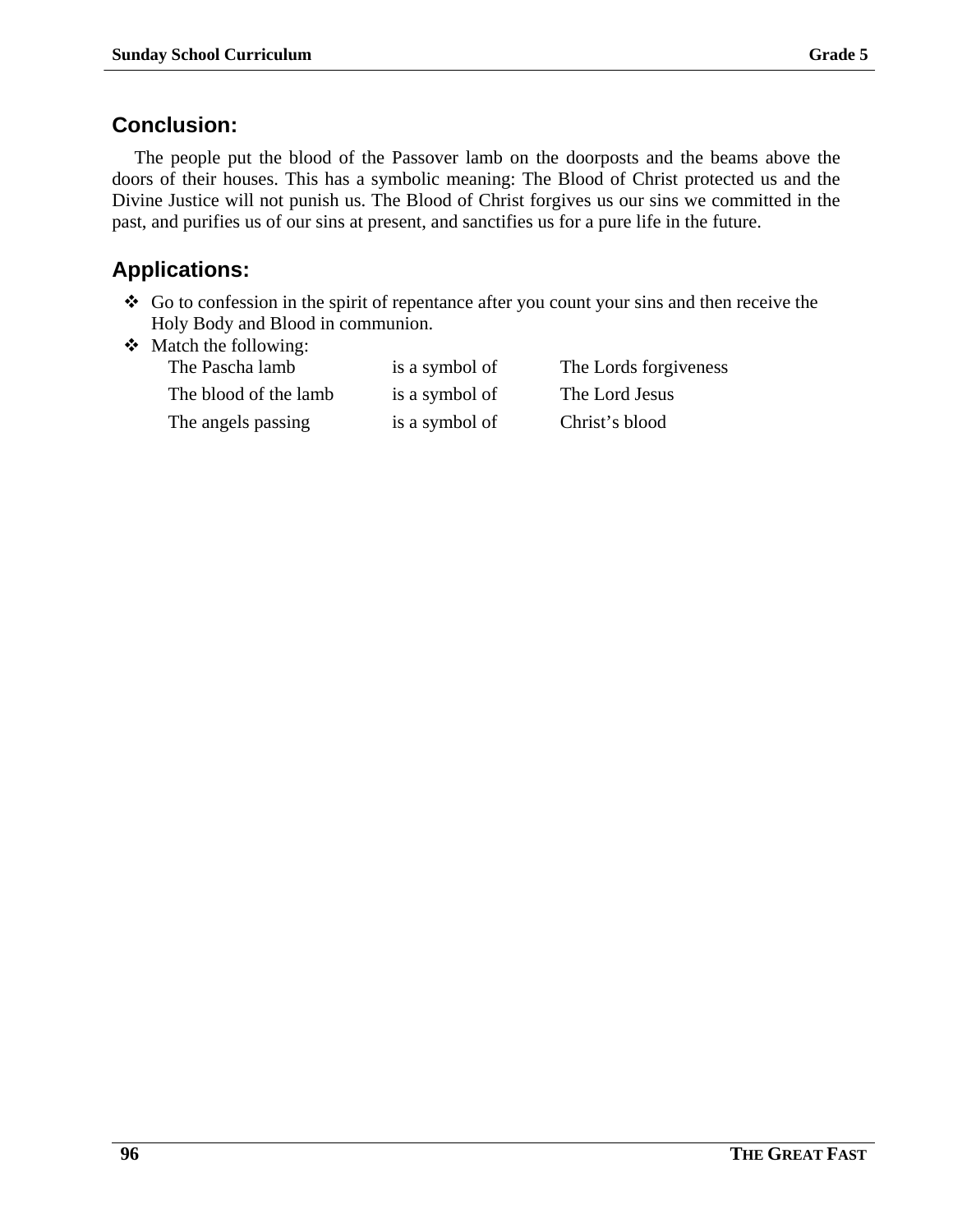## **Conclusion:**

The people put the blood of the Passover lamb on the doorposts and the beams above the doors of their houses. This has a symbolic meaning: The Blood of Christ protected us and the Divine Justice will not punish us. The Blood of Christ forgives us our sins we committed in the past, and purifies us of our sins at present, and sanctifies us for a pure life in the future.

- Go to confession in the spirit of repentance after you count your sins and then receive the Holy Body and Blood in communion.
- $\bullet$  Match the following:

| The Pascha lamb       | is a symbol of | The Lords for giveness |
|-----------------------|----------------|------------------------|
| The blood of the lamb | is a symbol of | The Lord Jesus         |
| The angels passing    | is a symbol of | Christ's blood         |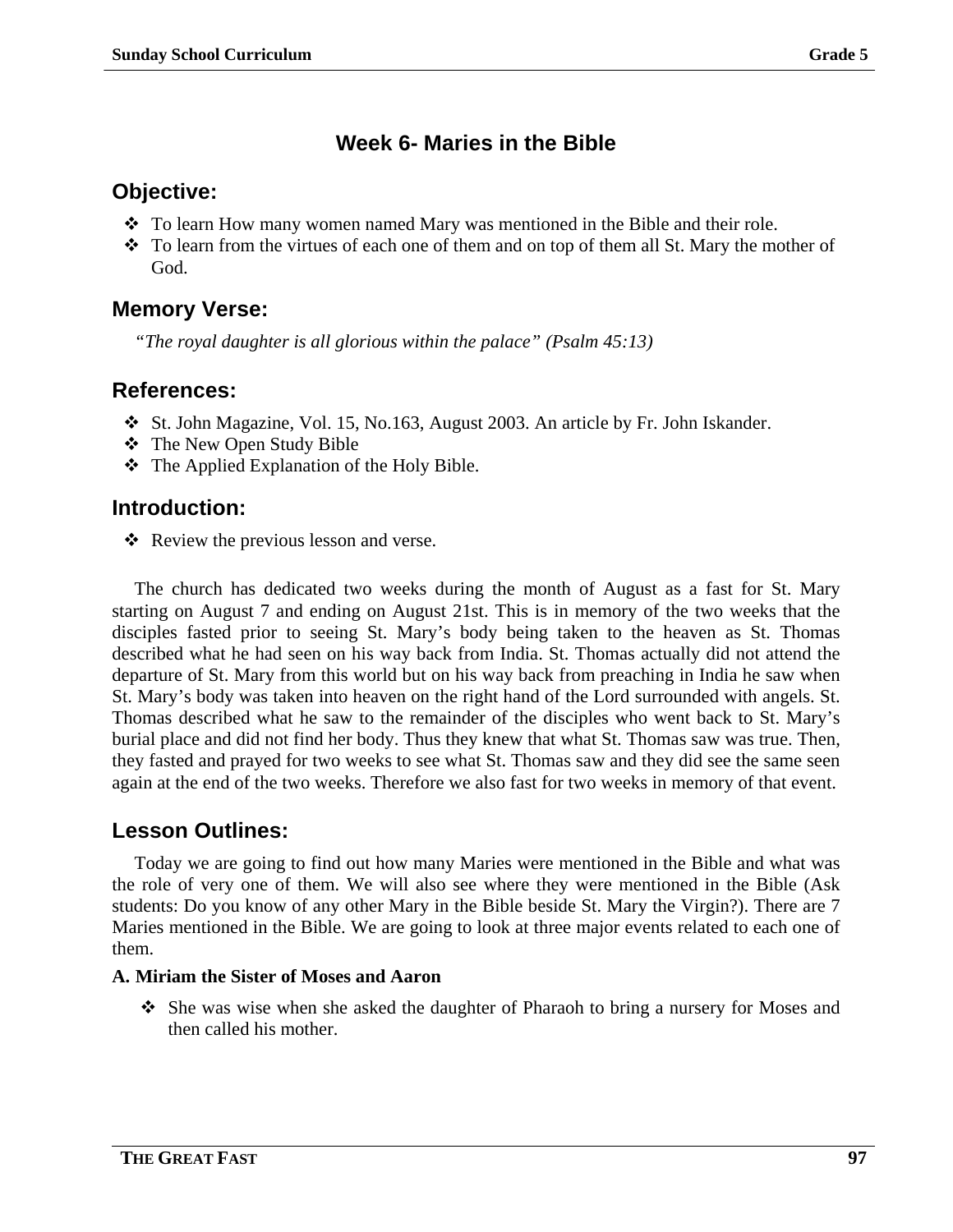## **Week 6- Maries in the Bible**

#### **Objective:**

- To learn How many women named Mary was mentioned in the Bible and their role.
- \* To learn from the virtues of each one of them and on top of them all St. Mary the mother of God.

### **Memory Verse:**

*"The royal daughter is all glorious within the palace" (Psalm 45:13)*

#### **References:**

- St. John Magazine, Vol. 15, No.163, August 2003. An article by Fr. John Iskander.
- The New Open Study Bible
- The Applied Explanation of the Holy Bible.

### **Introduction:**

❖ Review the previous lesson and verse.

The church has dedicated two weeks during the month of August as a fast for St. Mary starting on August 7 and ending on August 21st. This is in memory of the two weeks that the disciples fasted prior to seeing St. Mary's body being taken to the heaven as St. Thomas described what he had seen on his way back from India. St. Thomas actually did not attend the departure of St. Mary from this world but on his way back from preaching in India he saw when St. Mary's body was taken into heaven on the right hand of the Lord surrounded with angels. St. Thomas described what he saw to the remainder of the disciples who went back to St. Mary's burial place and did not find her body. Thus they knew that what St. Thomas saw was true. Then, they fasted and prayed for two weeks to see what St. Thomas saw and they did see the same seen again at the end of the two weeks. Therefore we also fast for two weeks in memory of that event.

## **Lesson Outlines:**

Today we are going to find out how many Maries were mentioned in the Bible and what was the role of very one of them. We will also see where they were mentioned in the Bible (Ask students: Do you know of any other Mary in the Bible beside St. Mary the Virgin?). There are 7 Maries mentioned in the Bible. We are going to look at three major events related to each one of them.

#### **A. Miriam the Sister of Moses and Aaron**

 $\hat{\mathbf{v}}$  She was wise when she asked the daughter of Pharaoh to bring a nursery for Moses and then called his mother.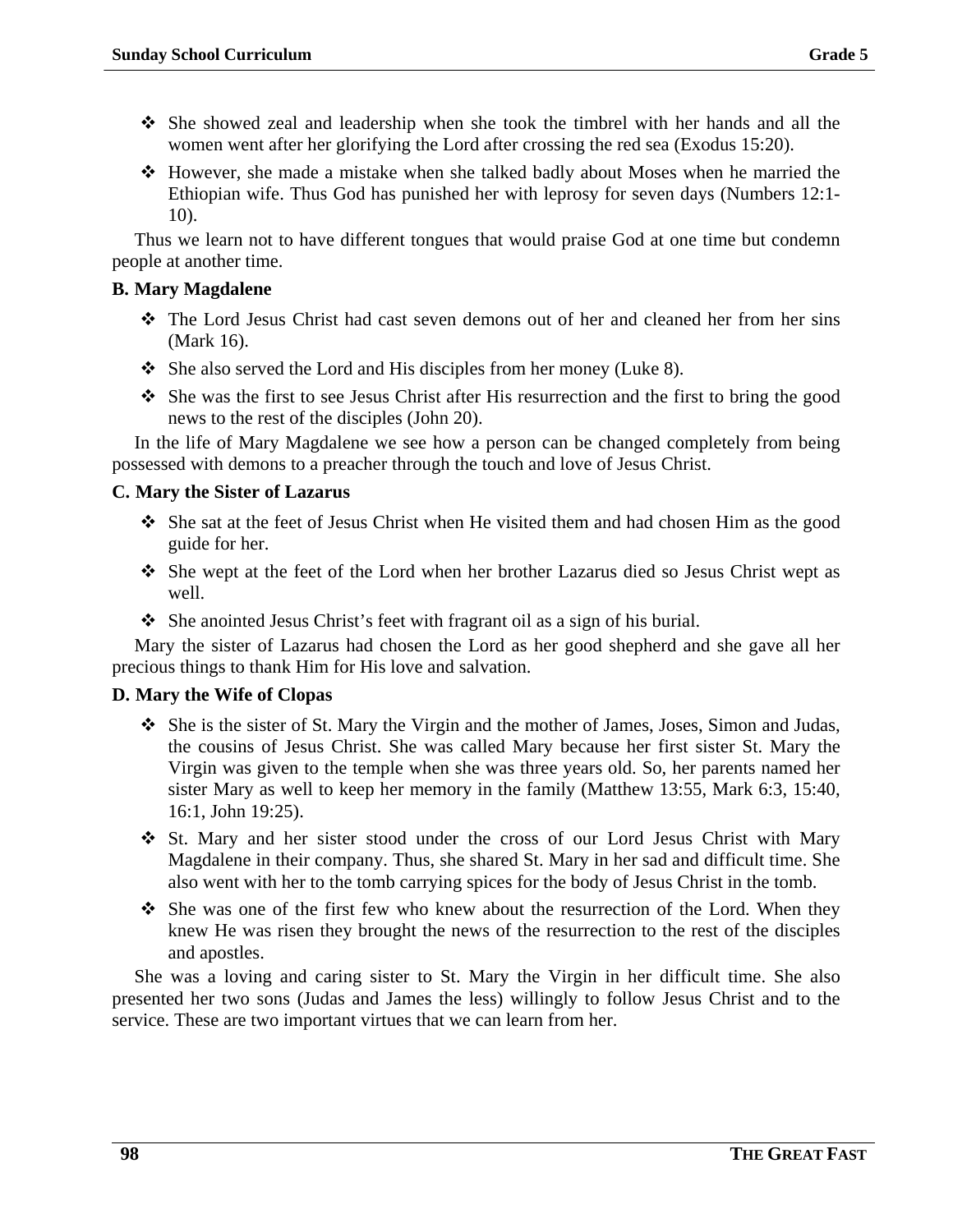- $\hat{\mathbf{v}}$  She showed zeal and leadership when she took the timbrel with her hands and all the women went after her glorifying the Lord after crossing the red sea (Exodus 15:20).
- However, she made a mistake when she talked badly about Moses when he married the Ethiopian wife. Thus God has punished her with leprosy for seven days (Numbers 12:1- 10).

Thus we learn not to have different tongues that would praise God at one time but condemn people at another time.

#### **B. Mary Magdalene**

- The Lord Jesus Christ had cast seven demons out of her and cleaned her from her sins (Mark 16).
- $\div$  She also served the Lord and His disciples from her money (Luke 8).
- She was the first to see Jesus Christ after His resurrection and the first to bring the good news to the rest of the disciples (John 20).

In the life of Mary Magdalene we see how a person can be changed completely from being possessed with demons to a preacher through the touch and love of Jesus Christ.

#### **C. Mary the Sister of Lazarus**

- $\div$  She sat at the feet of Jesus Christ when He visited them and had chosen Him as the good guide for her.
- She wept at the feet of the Lord when her brother Lazarus died so Jesus Christ wept as well.
- She anointed Jesus Christ's feet with fragrant oil as a sign of his burial.

Mary the sister of Lazarus had chosen the Lord as her good shepherd and she gave all her precious things to thank Him for His love and salvation.

#### **D. Mary the Wife of Clopas**

- $\clubsuit$  She is the sister of St. Mary the Virgin and the mother of James, Joses, Simon and Judas, the cousins of Jesus Christ. She was called Mary because her first sister St. Mary the Virgin was given to the temple when she was three years old. So, her parents named her sister Mary as well to keep her memory in the family (Matthew 13:55, Mark 6:3, 15:40, 16:1, John 19:25).
- St. Mary and her sister stood under the cross of our Lord Jesus Christ with Mary Magdalene in their company. Thus, she shared St. Mary in her sad and difficult time. She also went with her to the tomb carrying spices for the body of Jesus Christ in the tomb.
- $\hat{\mathbf{v}}$  She was one of the first few who knew about the resurrection of the Lord. When they knew He was risen they brought the news of the resurrection to the rest of the disciples and apostles.

She was a loving and caring sister to St. Mary the Virgin in her difficult time. She also presented her two sons (Judas and James the less) willingly to follow Jesus Christ and to the service. These are two important virtues that we can learn from her.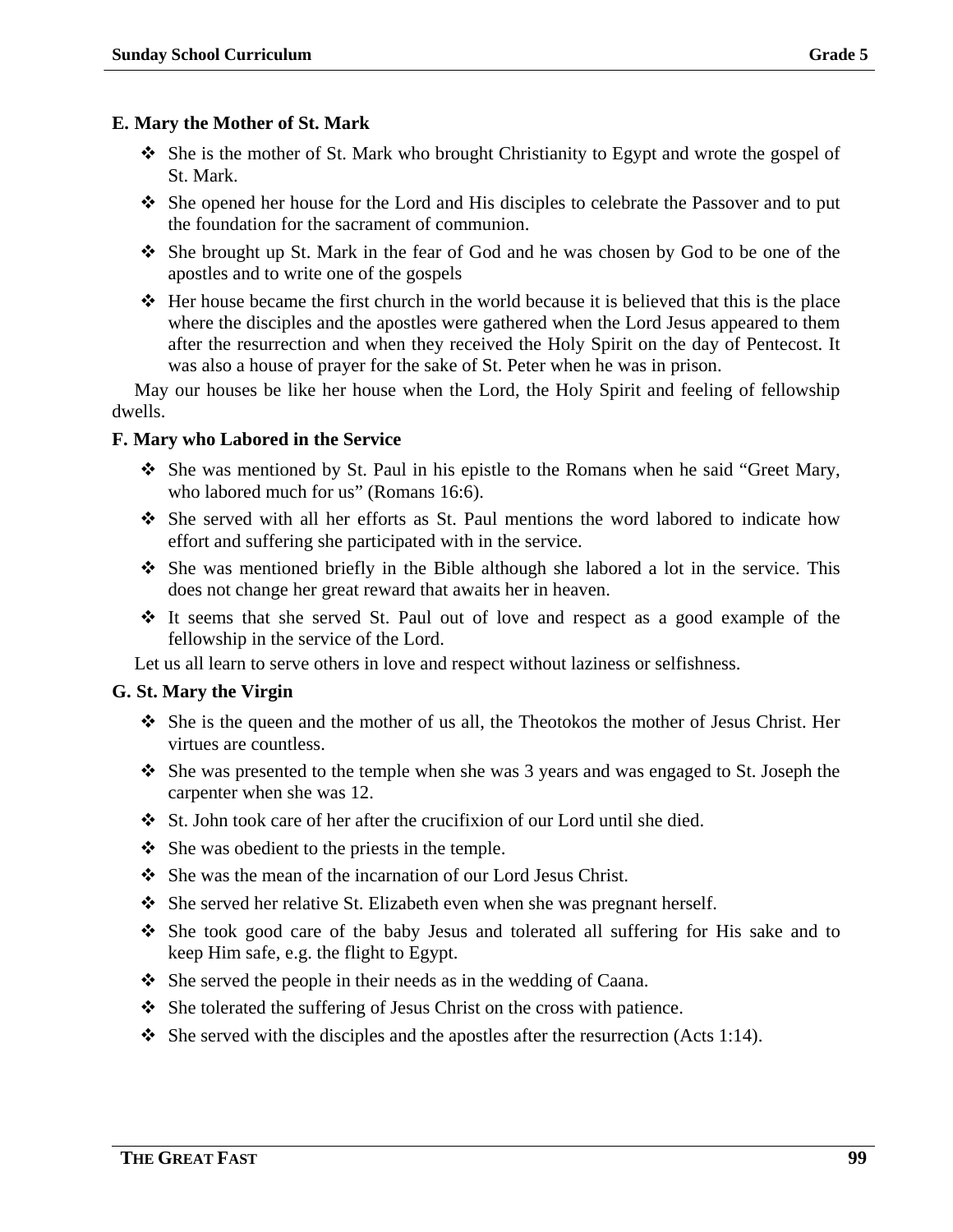#### **E. Mary the Mother of St. Mark**

- She is the mother of St. Mark who brought Christianity to Egypt and wrote the gospel of St. Mark.
- $\hat{\mathbf{v}}$  She opened her house for the Lord and His disciples to celebrate the Passover and to put the foundation for the sacrament of communion.
- She brought up St. Mark in the fear of God and he was chosen by God to be one of the apostles and to write one of the gospels
- $\div$  Her house became the first church in the world because it is believed that this is the place where the disciples and the apostles were gathered when the Lord Jesus appeared to them after the resurrection and when they received the Holy Spirit on the day of Pentecost. It was also a house of prayer for the sake of St. Peter when he was in prison.

May our houses be like her house when the Lord, the Holy Spirit and feeling of fellowship dwells.

#### **F. Mary who Labored in the Service**

- She was mentioned by St. Paul in his epistle to the Romans when he said "Greet Mary, who labored much for us" (Romans 16:6).
- She served with all her efforts as St. Paul mentions the word labored to indicate how effort and suffering she participated with in the service.
- She was mentioned briefly in the Bible although she labored a lot in the service. This does not change her great reward that awaits her in heaven.
- It seems that she served St. Paul out of love and respect as a good example of the fellowship in the service of the Lord.

Let us all learn to serve others in love and respect without laziness or selfishness.

#### **G. St. Mary the Virgin**

- $\hat{\mathbf{v}}$  She is the queen and the mother of us all, the Theotokos the mother of Jesus Christ. Her virtues are countless.
- $\div$  She was presented to the temple when she was 3 years and was engaged to St. Joseph the carpenter when she was 12.
- $\div$  St. John took care of her after the crucifixion of our Lord until she died.
- $\bullet$  She was obedient to the priests in the temple.
- She was the mean of the incarnation of our Lord Jesus Christ.
- $\triangle$  She served her relative St. Elizabeth even when she was pregnant herself.
- She took good care of the baby Jesus and tolerated all suffering for His sake and to keep Him safe, e.g. the flight to Egypt.
- $\bullet$  She served the people in their needs as in the wedding of Caana.
- She tolerated the suffering of Jesus Christ on the cross with patience.
- $\bullet$  She served with the disciples and the apostles after the resurrection (Acts 1:14).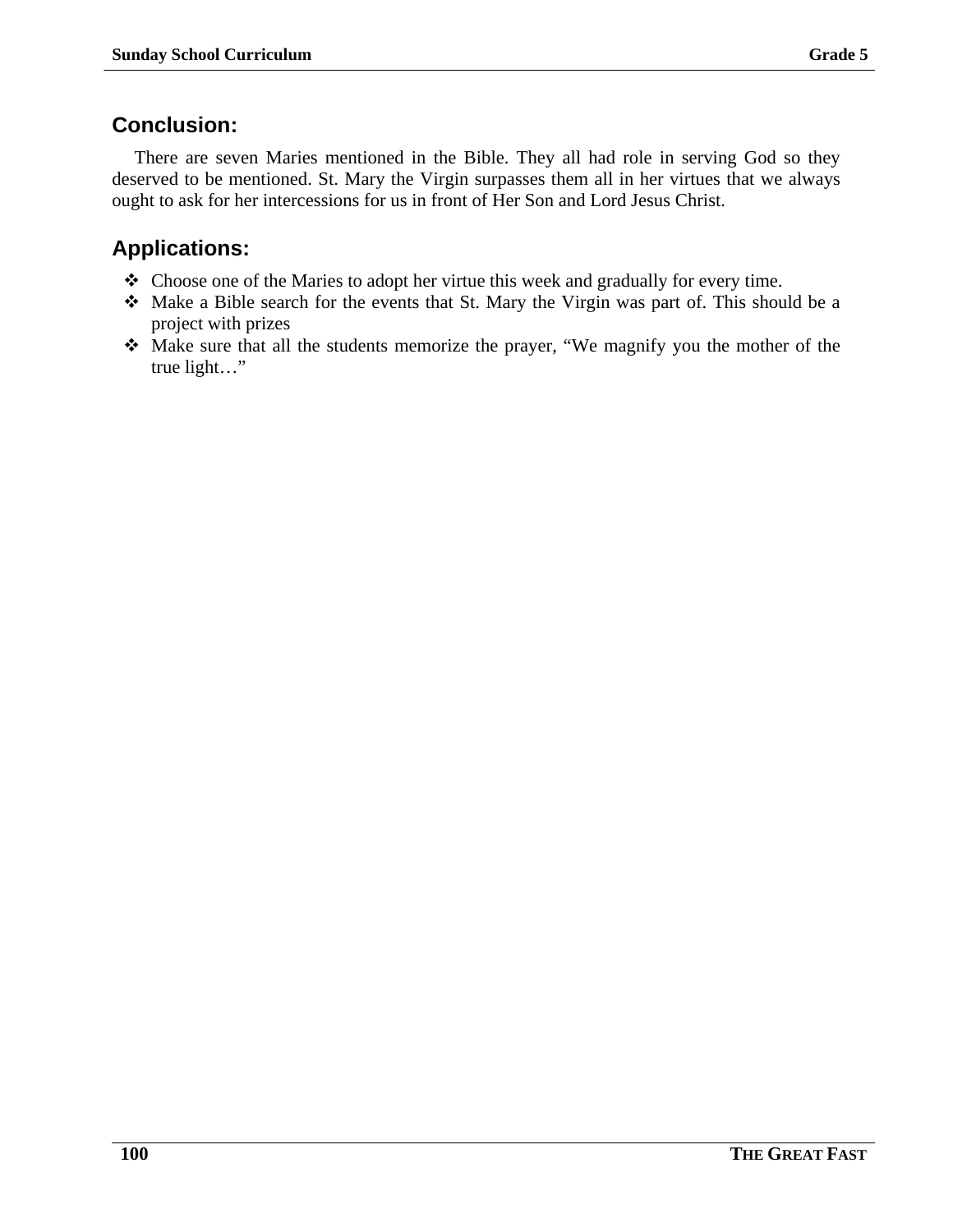### **Conclusion:**

There are seven Maries mentioned in the Bible. They all had role in serving God so they deserved to be mentioned. St. Mary the Virgin surpasses them all in her virtues that we always ought to ask for her intercessions for us in front of Her Son and Lord Jesus Christ.

- Choose one of the Maries to adopt her virtue this week and gradually for every time.
- Make a Bible search for the events that St. Mary the Virgin was part of. This should be a project with prizes
- Make sure that all the students memorize the prayer, "We magnify you the mother of the true light…"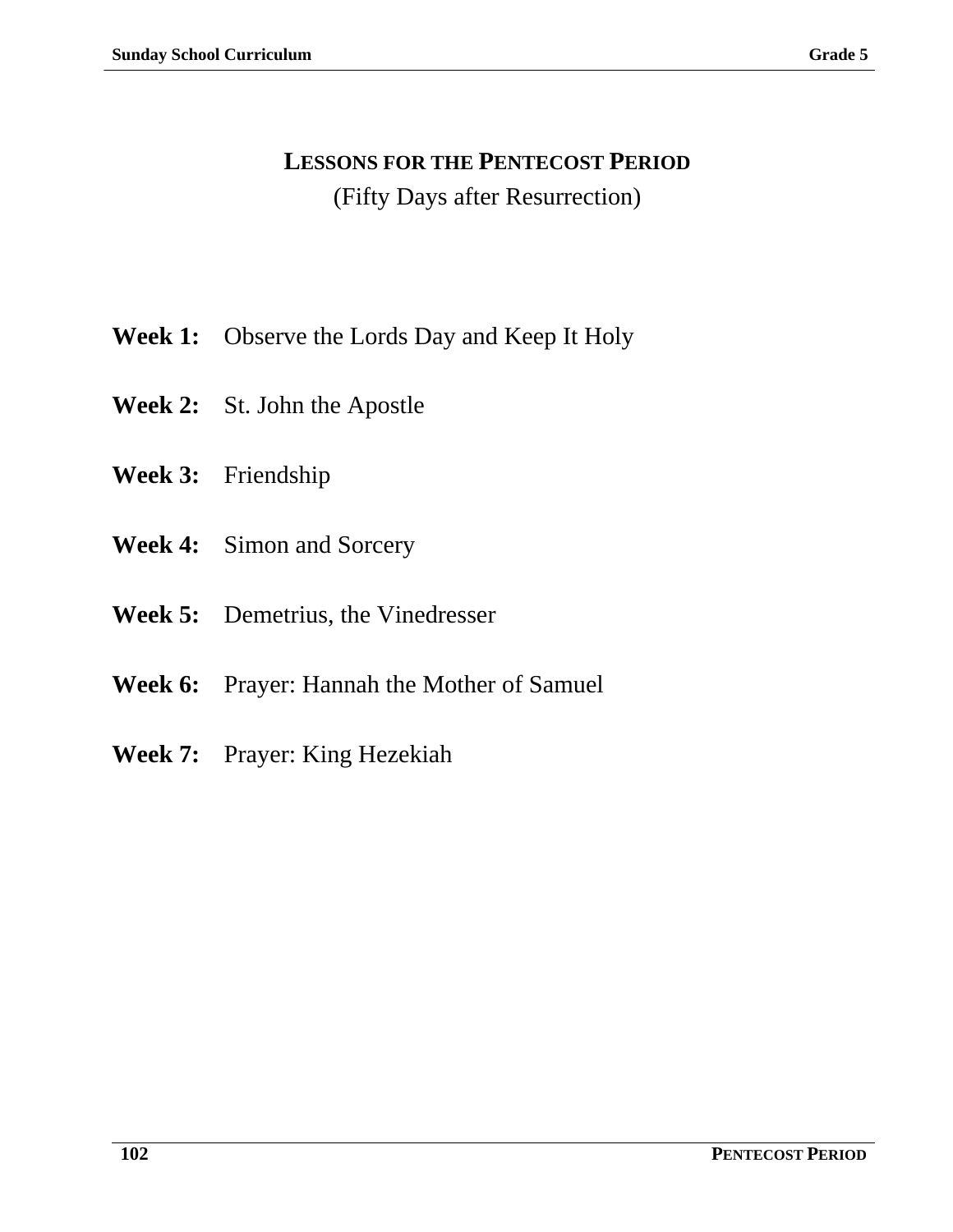# **LESSONS FOR THE PENTECOST PERIOD** (Fifty Days after Resurrection)

- **Week 1:** Observe the Lords Day and Keep It Holy
- **Week 2:** St. John the Apostle
- **Week 3:** Friendship
- **Week 4:** Simon and Sorcery
- **Week 5:** Demetrius, the Vinedresser
- **Week 6:** Prayer: Hannah the Mother of Samuel
- **Week 7:** Prayer: King Hezekiah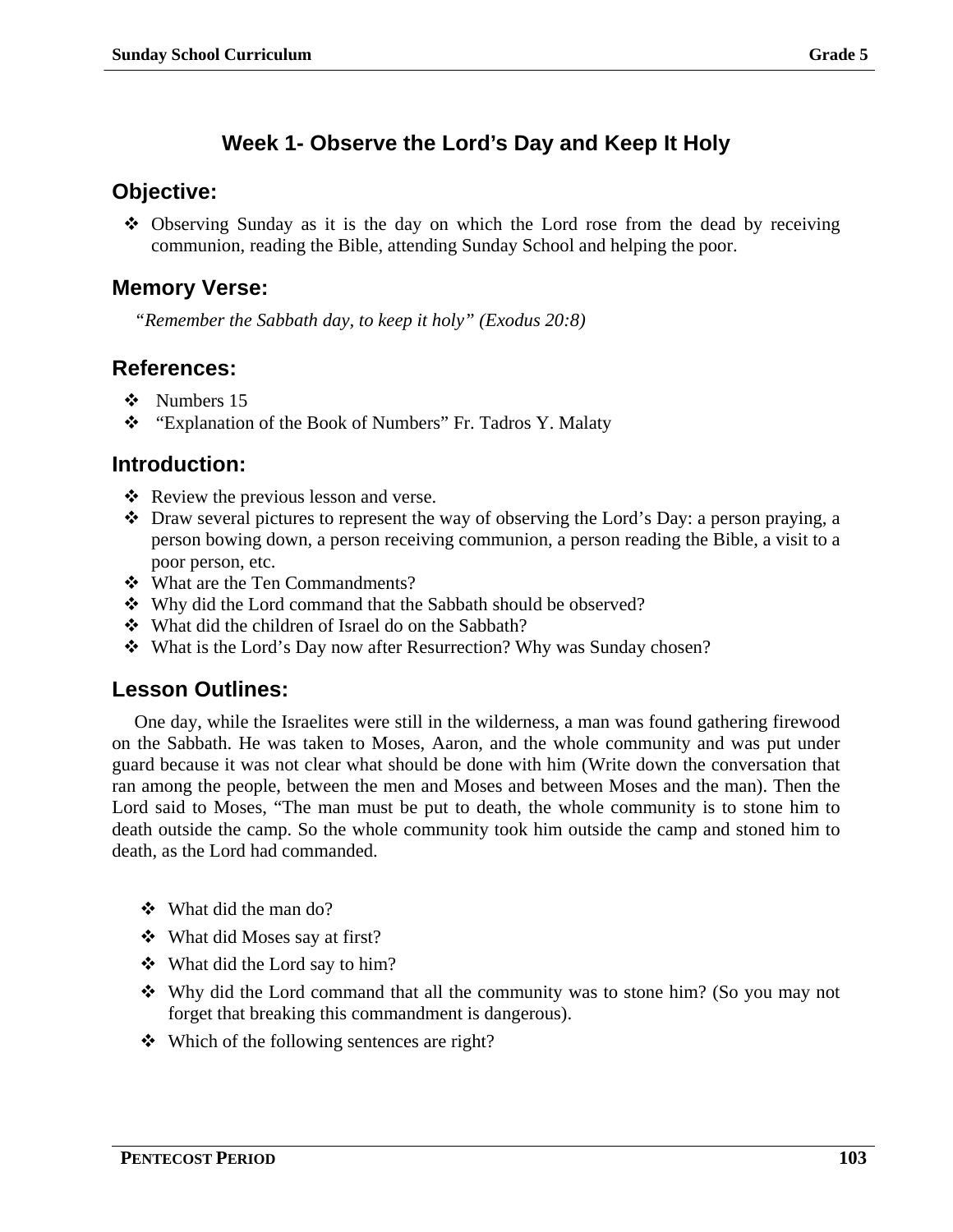## **Week 1- Observe the Lord's Day and Keep It Holy**

#### **Objective:**

Observing Sunday as it is the day on which the Lord rose from the dead by receiving communion, reading the Bible, attending Sunday School and helping the poor.

#### **Memory Verse:**

*"Remember the Sabbath day, to keep it holy" (Exodus 20:8)*

#### **References:**

- Numbers 15
- \* "Explanation of the Book of Numbers" Fr. Tadros Y. Malaty

#### **Introduction:**

- ❖ Review the previous lesson and verse.
- Draw several pictures to represent the way of observing the Lord's Day: a person praying, a person bowing down, a person receiving communion, a person reading the Bible, a visit to a poor person, etc.
- What are the Ten Commandments?
- Why did the Lord command that the Sabbath should be observed?
- What did the children of Israel do on the Sabbath?
- What is the Lord's Day now after Resurrection? Why was Sunday chosen?

#### **Lesson Outlines:**

One day, while the Israelites were still in the wilderness, a man was found gathering firewood on the Sabbath. He was taken to Moses, Aaron, and the whole community and was put under guard because it was not clear what should be done with him (Write down the conversation that ran among the people, between the men and Moses and between Moses and the man). Then the Lord said to Moses, "The man must be put to death, the whole community is to stone him to death outside the camp. So the whole community took him outside the camp and stoned him to death, as the Lord had commanded.

- What did the man do?
- What did Moses say at first?
- What did the Lord say to him?
- Why did the Lord command that all the community was to stone him? (So you may not forget that breaking this commandment is dangerous).
- Which of the following sentences are right?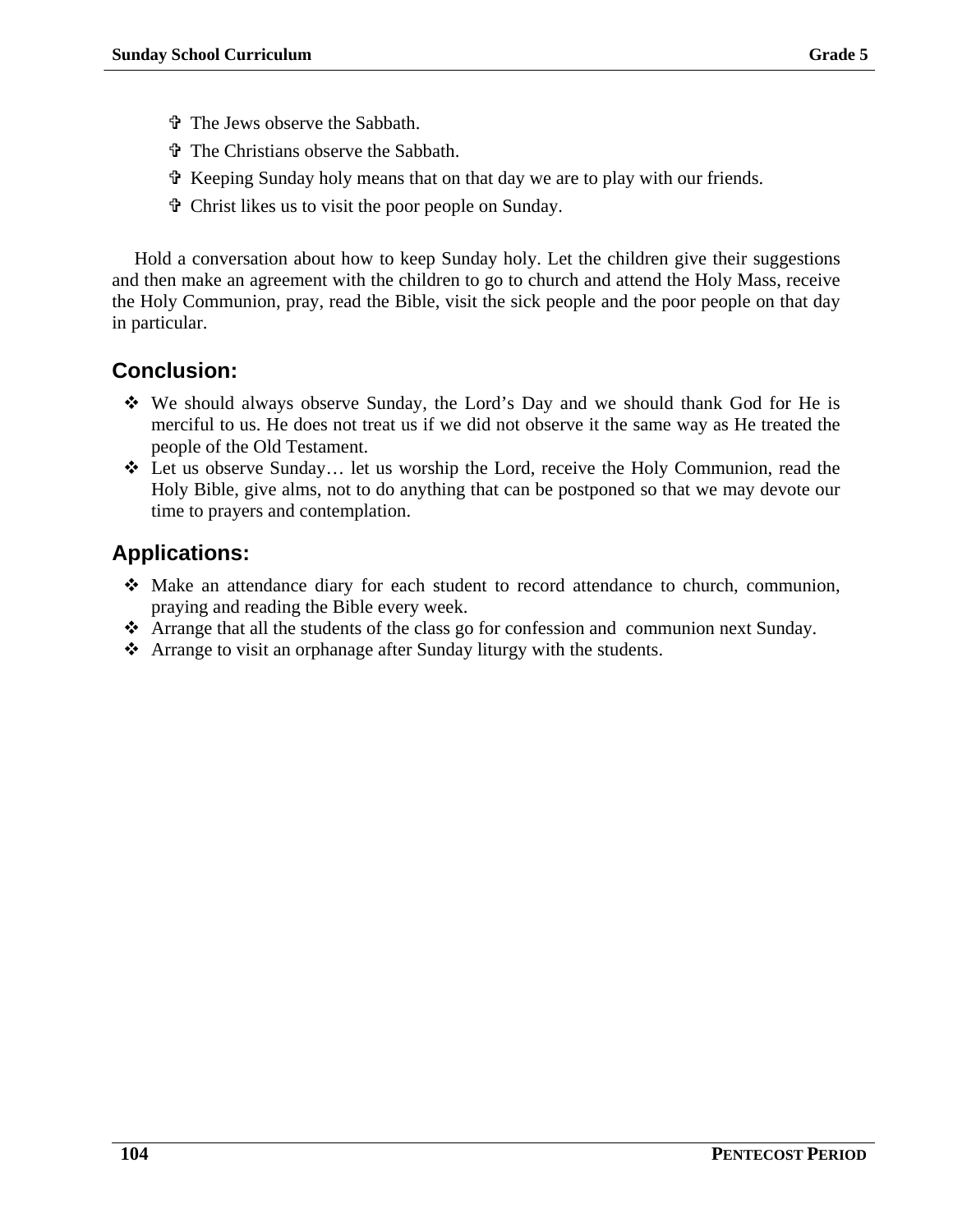- = The Jews observe the Sabbath.
- = The Christians observe the Sabbath.
- = Keeping Sunday holy means that on that day we are to play with our friends.
- = Christ likes us to visit the poor people on Sunday.

Hold a conversation about how to keep Sunday holy. Let the children give their suggestions and then make an agreement with the children to go to church and attend the Holy Mass, receive the Holy Communion, pray, read the Bible, visit the sick people and the poor people on that day in particular.

#### **Conclusion:**

- We should always observe Sunday, the Lord's Day and we should thank God for He is merciful to us. He does not treat us if we did not observe it the same way as He treated the people of the Old Testament.
- Let us observe Sunday… let us worship the Lord, receive the Holy Communion, read the Holy Bible, give alms, not to do anything that can be postponed so that we may devote our time to prayers and contemplation.

- Make an attendance diary for each student to record attendance to church, communion, praying and reading the Bible every week.
- Arrange that all the students of the class go for confession and communion next Sunday.
- Arrange to visit an orphanage after Sunday liturgy with the students.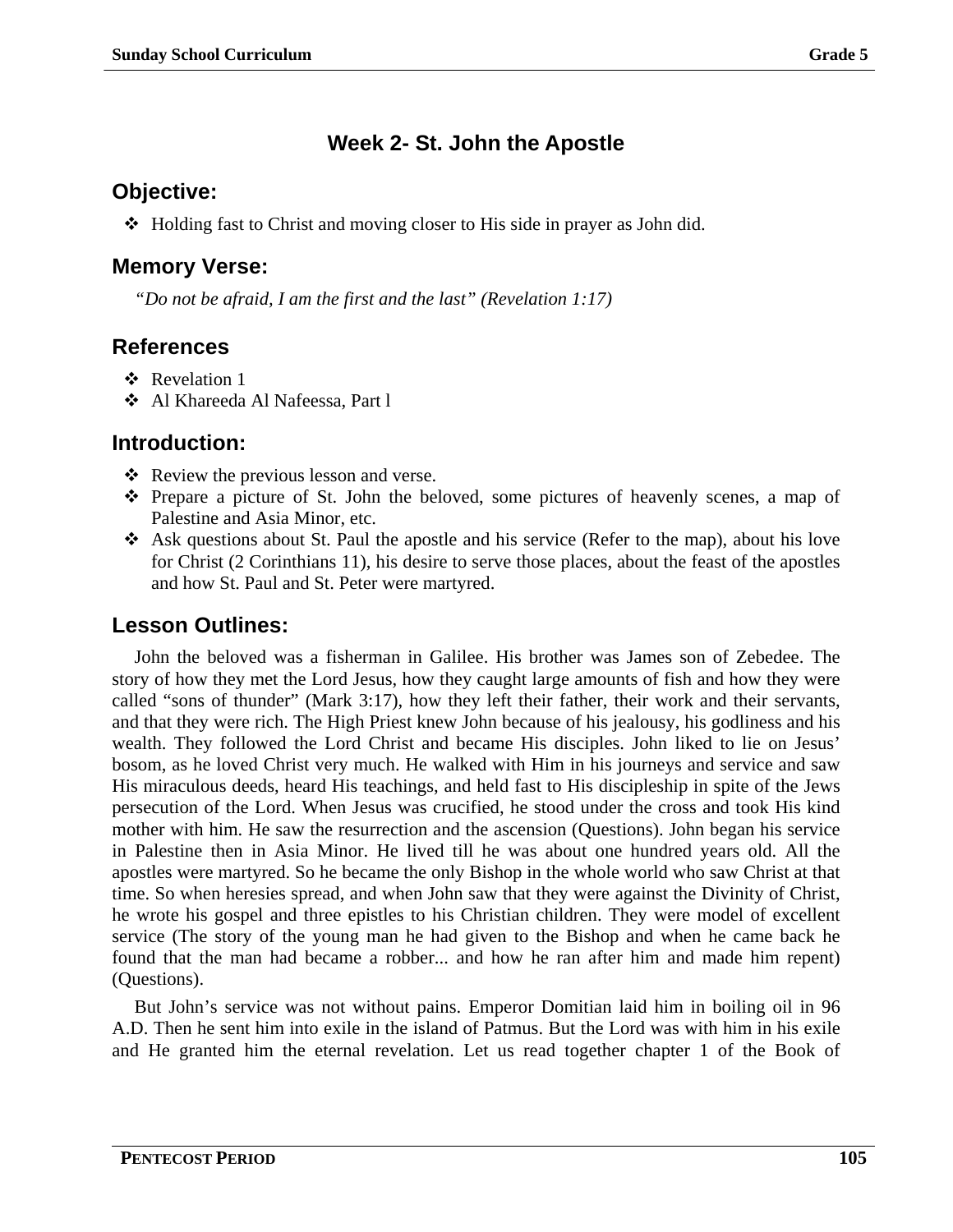### **Week 2- St. John the Apostle**

#### **Objective:**

Holding fast to Christ and moving closer to His side in prayer as John did.

#### **Memory Verse:**

*"Do not be afraid, I am the first and the last" (Revelation 1:17)*

### **References**

- Revelation 1
- Al Khareeda Al Nafeessa, Part l

#### **Introduction:**

- ❖ Review the previous lesson and verse.
- Prepare a picture of St. John the beloved, some pictures of heavenly scenes, a map of Palestine and Asia Minor, etc.
- Ask questions about St. Paul the apostle and his service (Refer to the map), about his love for Christ (2 Corinthians 11), his desire to serve those places, about the feast of the apostles and how St. Paul and St. Peter were martyred.

### **Lesson Outlines:**

John the beloved was a fisherman in Galilee. His brother was James son of Zebedee. The story of how they met the Lord Jesus, how they caught large amounts of fish and how they were called "sons of thunder" (Mark 3:17), how they left their father, their work and their servants, and that they were rich. The High Priest knew John because of his jealousy, his godliness and his wealth. They followed the Lord Christ and became His disciples. John liked to lie on Jesus' bosom, as he loved Christ very much. He walked with Him in his journeys and service and saw His miraculous deeds, heard His teachings, and held fast to His discipleship in spite of the Jews persecution of the Lord. When Jesus was crucified, he stood under the cross and took His kind mother with him. He saw the resurrection and the ascension (Questions). John began his service in Palestine then in Asia Minor. He lived till he was about one hundred years old. All the apostles were martyred. So he became the only Bishop in the whole world who saw Christ at that time. So when heresies spread, and when John saw that they were against the Divinity of Christ, he wrote his gospel and three epistles to his Christian children. They were model of excellent service (The story of the young man he had given to the Bishop and when he came back he found that the man had became a robber... and how he ran after him and made him repent) (Questions).

But John's service was not without pains. Emperor Domitian laid him in boiling oil in 96 A.D. Then he sent him into exile in the island of Patmus. But the Lord was with him in his exile and He granted him the eternal revelation. Let us read together chapter 1 of the Book of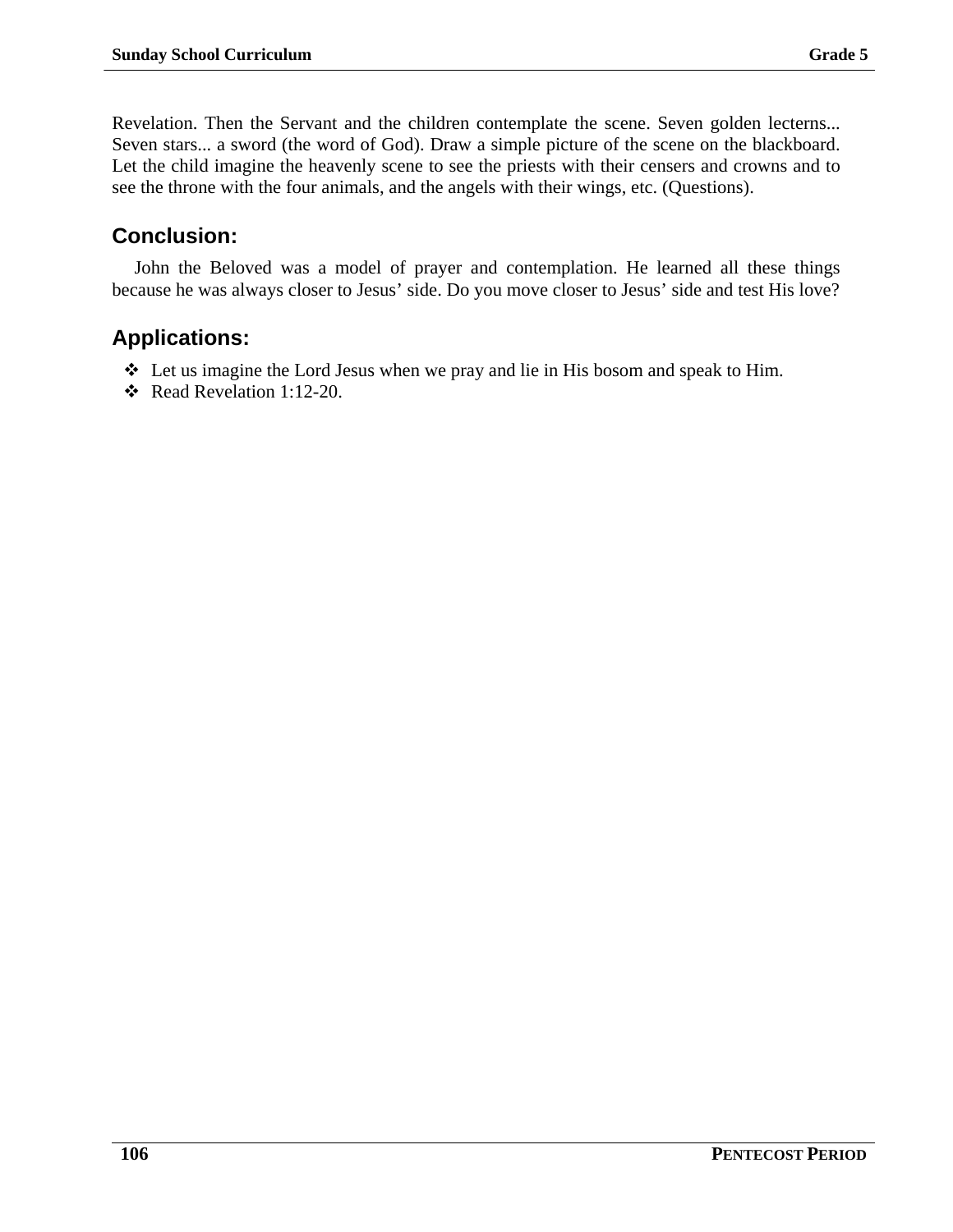Revelation. Then the Servant and the children contemplate the scene. Seven golden lecterns... Seven stars... a sword (the word of God). Draw a simple picture of the scene on the blackboard. Let the child imagine the heavenly scene to see the priests with their censers and crowns and to see the throne with the four animals, and the angels with their wings, etc. (Questions).

#### **Conclusion:**

John the Beloved was a model of prayer and contemplation. He learned all these things because he was always closer to Jesus' side. Do you move closer to Jesus' side and test His love?

- Let us imagine the Lord Jesus when we pray and lie in His bosom and speak to Him.
- $\bullet$  Read Revelation 1:12-20.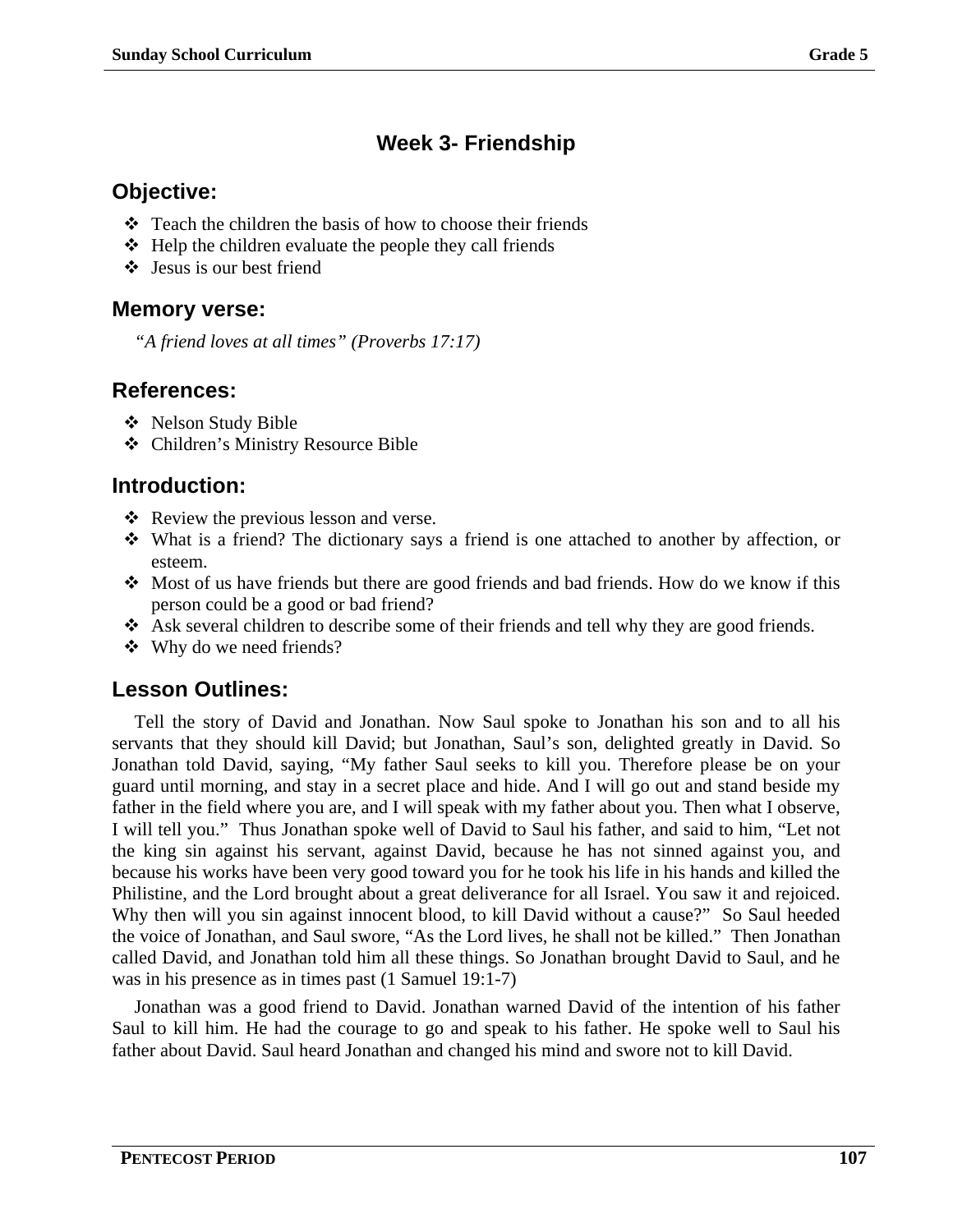## **Week 3- Friendship**

#### **Objective:**

- $\triangle$  Teach the children the basis of how to choose their friends
- $\triangleleft$  Help the children evaluate the people they call friends
- Jesus is our best friend

#### **Memory verse:**

*"A friend loves at all times" (Proverbs 17:17)*

#### **References:**

- Nelson Study Bible
- Children's Ministry Resource Bible

#### **Introduction:**

- ❖ Review the previous lesson and verse.
- What is a friend? The dictionary says a friend is one attached to another by affection, or esteem.
- Most of us have friends but there are good friends and bad friends. How do we know if this person could be a good or bad friend?
- Ask several children to describe some of their friends and tell why they are good friends.
- Why do we need friends?

#### **Lesson Outlines:**

Tell the story of David and Jonathan. Now Saul spoke to Jonathan his son and to all his servants that they should kill David; but Jonathan, Saul's son, delighted greatly in David. So Jonathan told David, saying, "My father Saul seeks to kill you. Therefore please be on your guard until morning, and stay in a secret place and hide. And I will go out and stand beside my father in the field where you are, and I will speak with my father about you. Then what I observe, I will tell you." Thus Jonathan spoke well of David to Saul his father, and said to him, "Let not the king sin against his servant, against David, because he has not sinned against you, and because his works have been very good toward you for he took his life in his hands and killed the Philistine, and the Lord brought about a great deliverance for all Israel. You saw it and rejoiced. Why then will you sin against innocent blood, to kill David without a cause?" So Saul heeded the voice of Jonathan, and Saul swore, "As the Lord lives, he shall not be killed." Then Jonathan called David, and Jonathan told him all these things. So Jonathan brought David to Saul, and he was in his presence as in times past (1 Samuel 19:1-7)

Jonathan was a good friend to David. Jonathan warned David of the intention of his father Saul to kill him. He had the courage to go and speak to his father. He spoke well to Saul his father about David. Saul heard Jonathan and changed his mind and swore not to kill David.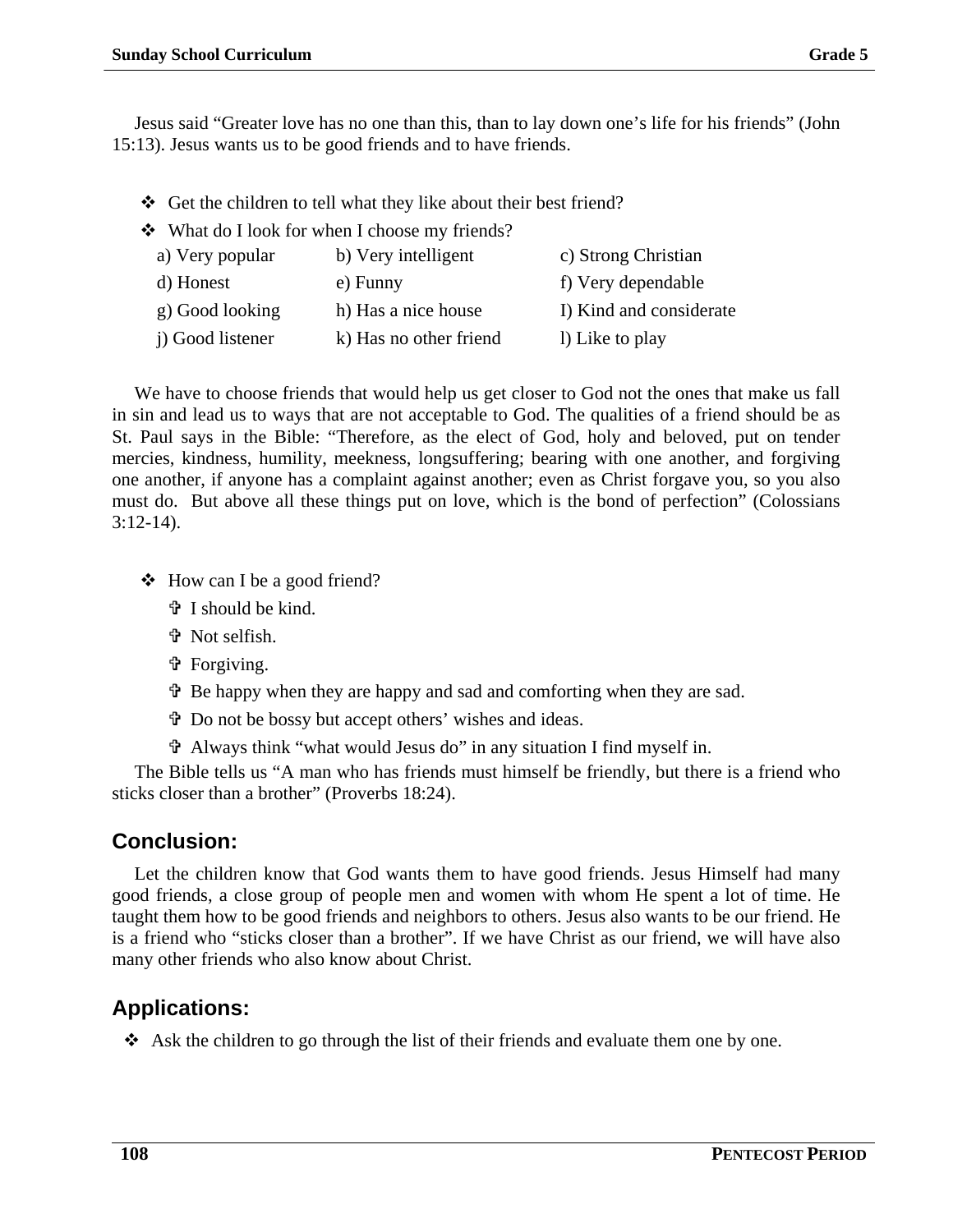Jesus said "Greater love has no one than this, than to lay down one's life for his friends" (John 15:13). Jesus wants us to be good friends and to have friends.

- Get the children to tell what they like about their best friend?
- What do I look for when I choose my friends?

| a) Very popular  | b) Very intelligent    | c) Strong Christian     |
|------------------|------------------------|-------------------------|
| d) Honest        | e) Funny               | f) Very dependable      |
| g) Good looking  | h) Has a nice house    | I) Kind and considerate |
| i) Good listener | k) Has no other friend | 1) Like to play         |

We have to choose friends that would help us get closer to God not the ones that make us fall in sin and lead us to ways that are not acceptable to God. The qualities of a friend should be as St. Paul says in the Bible: "Therefore, as the elect of God, holy and beloved, put on tender mercies, kindness, humility, meekness, longsuffering; bearing with one another, and forgiving one another, if anyone has a complaint against another; even as Christ forgave you, so you also must do. But above all these things put on love, which is the bond of perfection" (Colossians 3:12-14).

- How can I be a good friend?
	- = I should be kind.
	- = Not selfish.
	- **t** Forgiving.
	- $\ddot{\mathbf{r}}$  Be happy when they are happy and sad and comforting when they are sad.
	- = Do not be bossy but accept others' wishes and ideas.
	- = Always think "what would Jesus do" in any situation I find myself in.

The Bible tells us "A man who has friends must himself be friendly, but there is a friend who sticks closer than a brother" (Proverbs 18:24).

## **Conclusion:**

Let the children know that God wants them to have good friends. Jesus Himself had many good friends, a close group of people men and women with whom He spent a lot of time. He taught them how to be good friends and neighbors to others. Jesus also wants to be our friend. He is a friend who "sticks closer than a brother". If we have Christ as our friend, we will have also many other friends who also know about Christ.

## **Applications:**

 $\triangleleft$  Ask the children to go through the list of their friends and evaluate them one by one.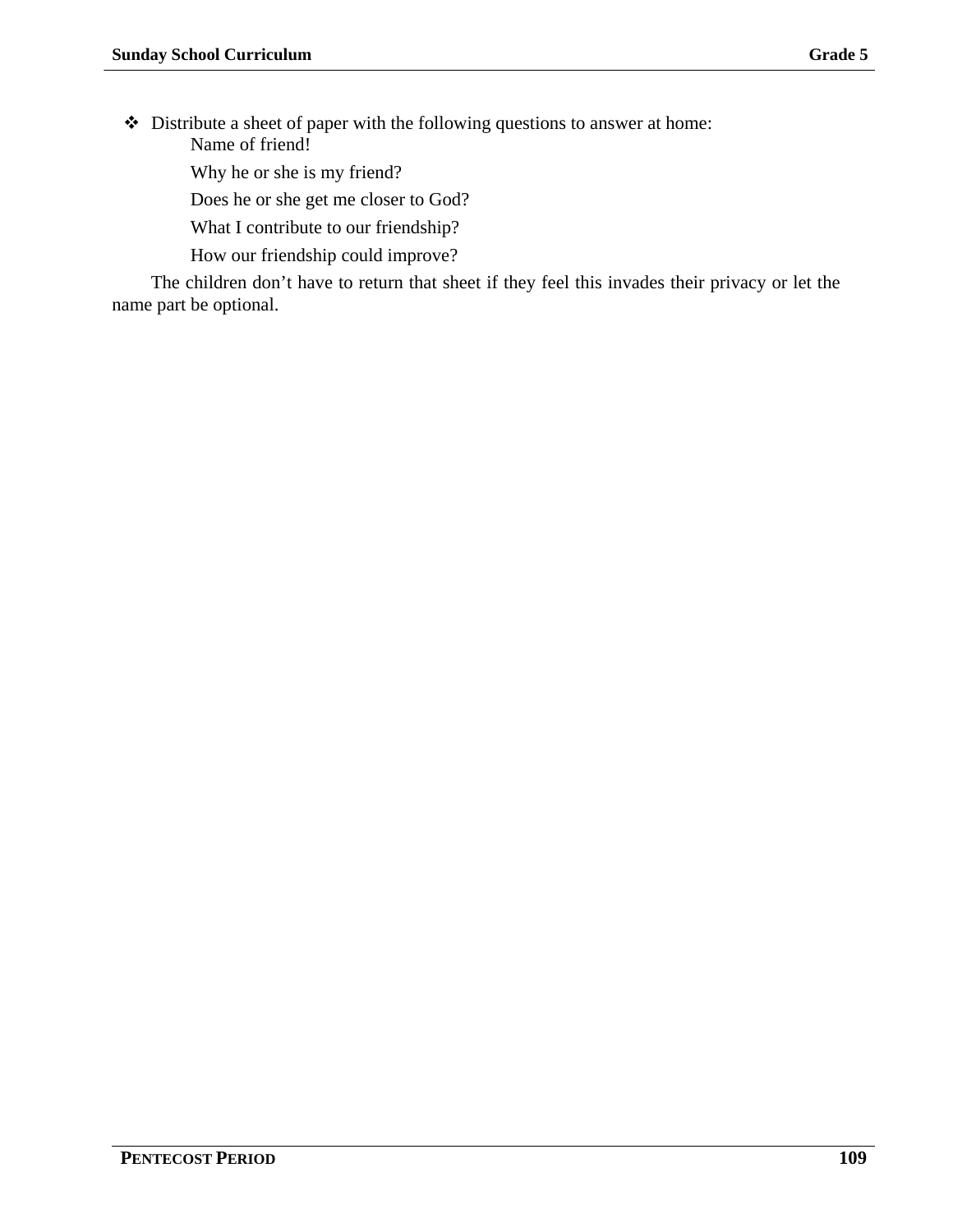Distribute a sheet of paper with the following questions to answer at home:

Name of friend!

Why he or she is my friend?

Does he or she get me closer to God?

What I contribute to our friendship?

How our friendship could improve?

The children don't have to return that sheet if they feel this invades their privacy or let the name part be optional.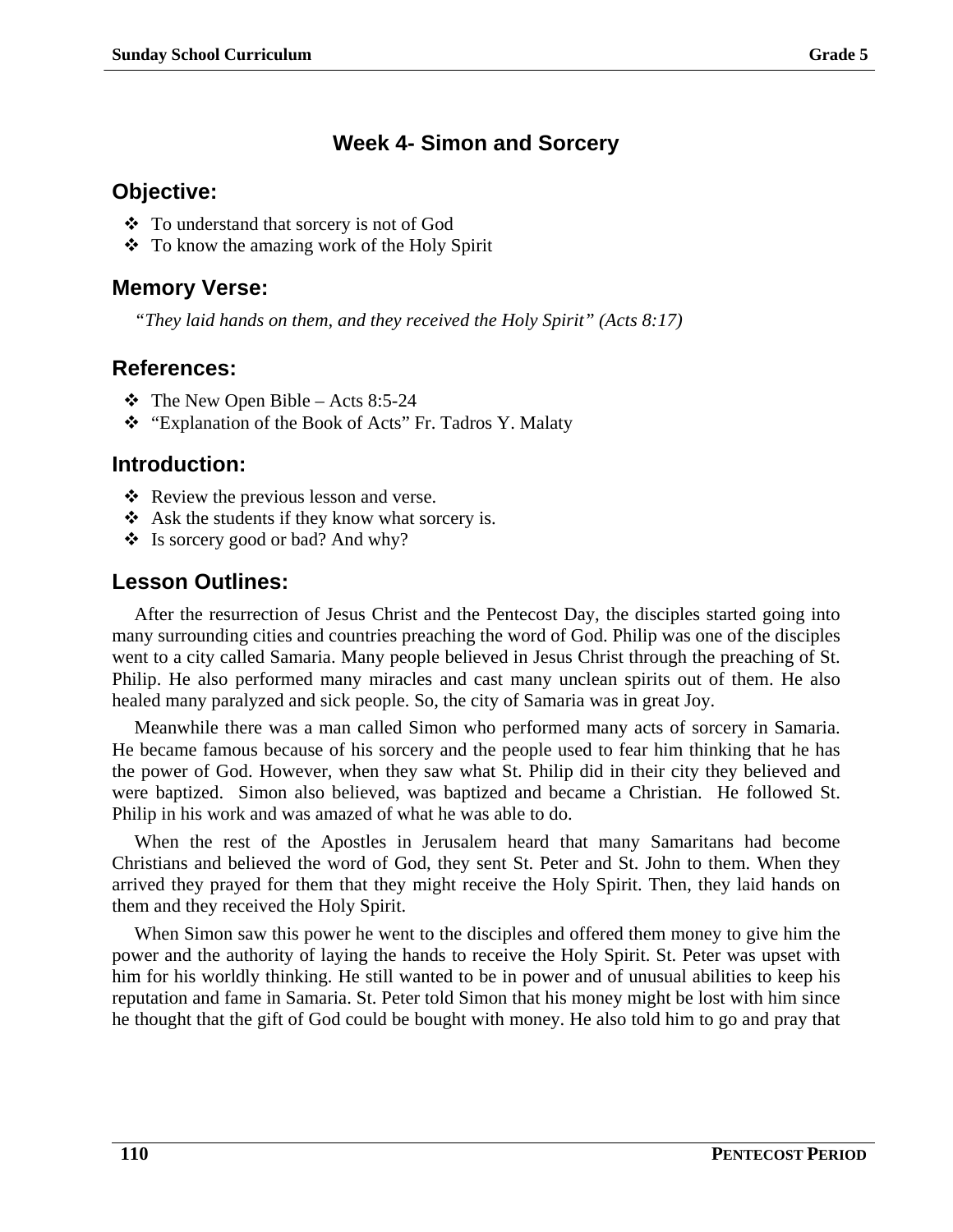### **Week 4- Simon and Sorcery**

#### **Objective:**

- To understand that sorcery is not of God
- To know the amazing work of the Holy Spirit

## **Memory Verse:**

*"They laid hands on them, and they received the Holy Spirit" (Acts 8:17)* 

## **References:**

- $\div$  The New Open Bible Acts 8:5-24
- \* "Explanation of the Book of Acts" Fr. Tadros Y. Malaty

### **Introduction:**

- ❖ Review the previous lesson and verse.
- Ask the students if they know what sorcery is.
- Is sorcery good or bad? And why?

## **Lesson Outlines:**

After the resurrection of Jesus Christ and the Pentecost Day, the disciples started going into many surrounding cities and countries preaching the word of God. Philip was one of the disciples went to a city called Samaria. Many people believed in Jesus Christ through the preaching of St. Philip. He also performed many miracles and cast many unclean spirits out of them. He also healed many paralyzed and sick people. So, the city of Samaria was in great Joy.

Meanwhile there was a man called Simon who performed many acts of sorcery in Samaria. He became famous because of his sorcery and the people used to fear him thinking that he has the power of God. However, when they saw what St. Philip did in their city they believed and were baptized. Simon also believed, was baptized and became a Christian. He followed St. Philip in his work and was amazed of what he was able to do.

When the rest of the Apostles in Jerusalem heard that many Samaritans had become Christians and believed the word of God, they sent St. Peter and St. John to them. When they arrived they prayed for them that they might receive the Holy Spirit. Then, they laid hands on them and they received the Holy Spirit.

When Simon saw this power he went to the disciples and offered them money to give him the power and the authority of laying the hands to receive the Holy Spirit. St. Peter was upset with him for his worldly thinking. He still wanted to be in power and of unusual abilities to keep his reputation and fame in Samaria. St. Peter told Simon that his money might be lost with him since he thought that the gift of God could be bought with money. He also told him to go and pray that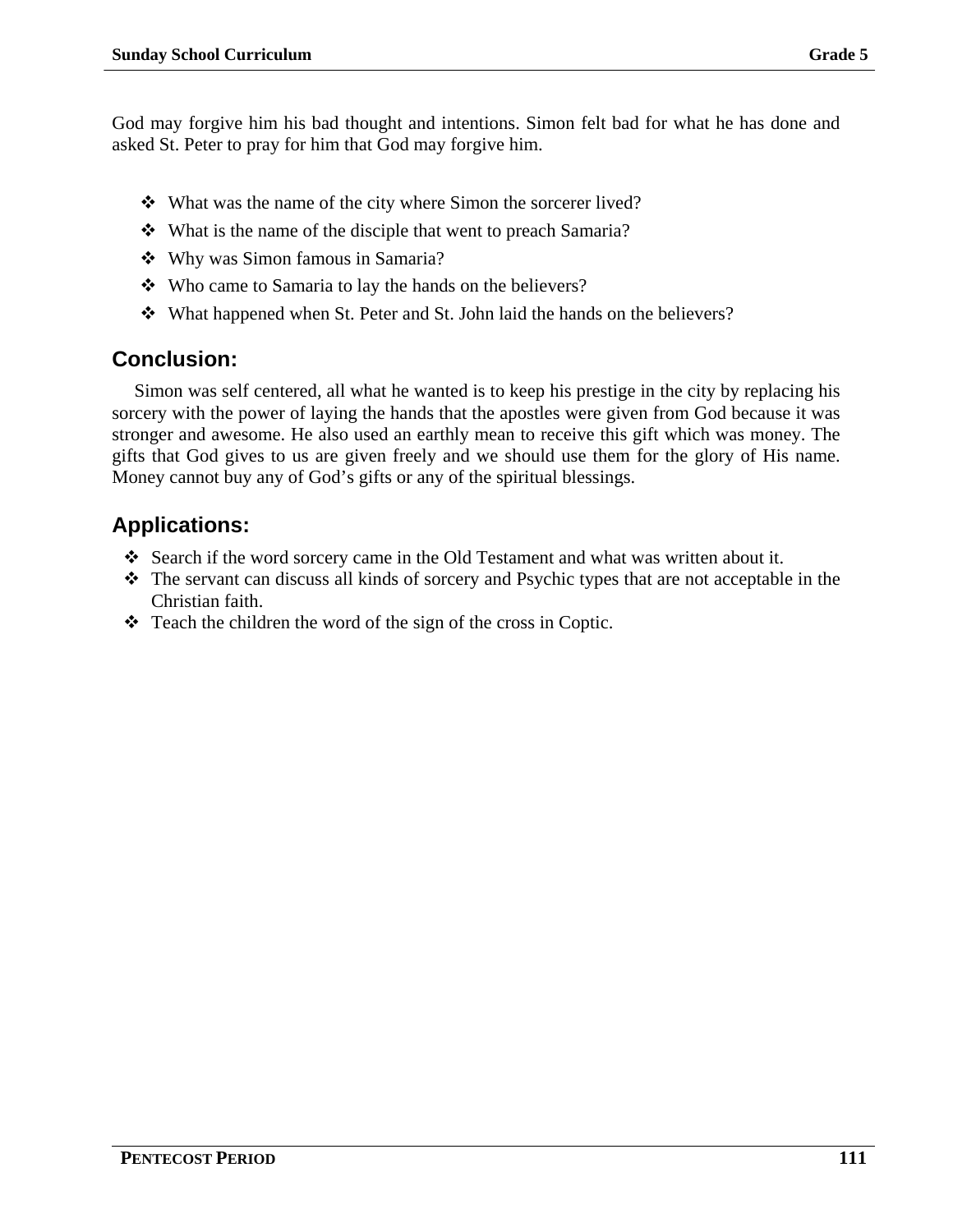God may forgive him his bad thought and intentions. Simon felt bad for what he has done and asked St. Peter to pray for him that God may forgive him.

- What was the name of the city where Simon the sorcerer lived?
- What is the name of the disciple that went to preach Samaria?
- Why was Simon famous in Samaria?
- Who came to Samaria to lay the hands on the believers?
- What happened when St. Peter and St. John laid the hands on the believers?

#### **Conclusion:**

Simon was self centered, all what he wanted is to keep his prestige in the city by replacing his sorcery with the power of laying the hands that the apostles were given from God because it was stronger and awesome. He also used an earthly mean to receive this gift which was money. The gifts that God gives to us are given freely and we should use them for the glory of His name. Money cannot buy any of God's gifts or any of the spiritual blessings.

- Search if the word sorcery came in the Old Testament and what was written about it.
- The servant can discuss all kinds of sorcery and Psychic types that are not acceptable in the Christian faith.
- Teach the children the word of the sign of the cross in Coptic.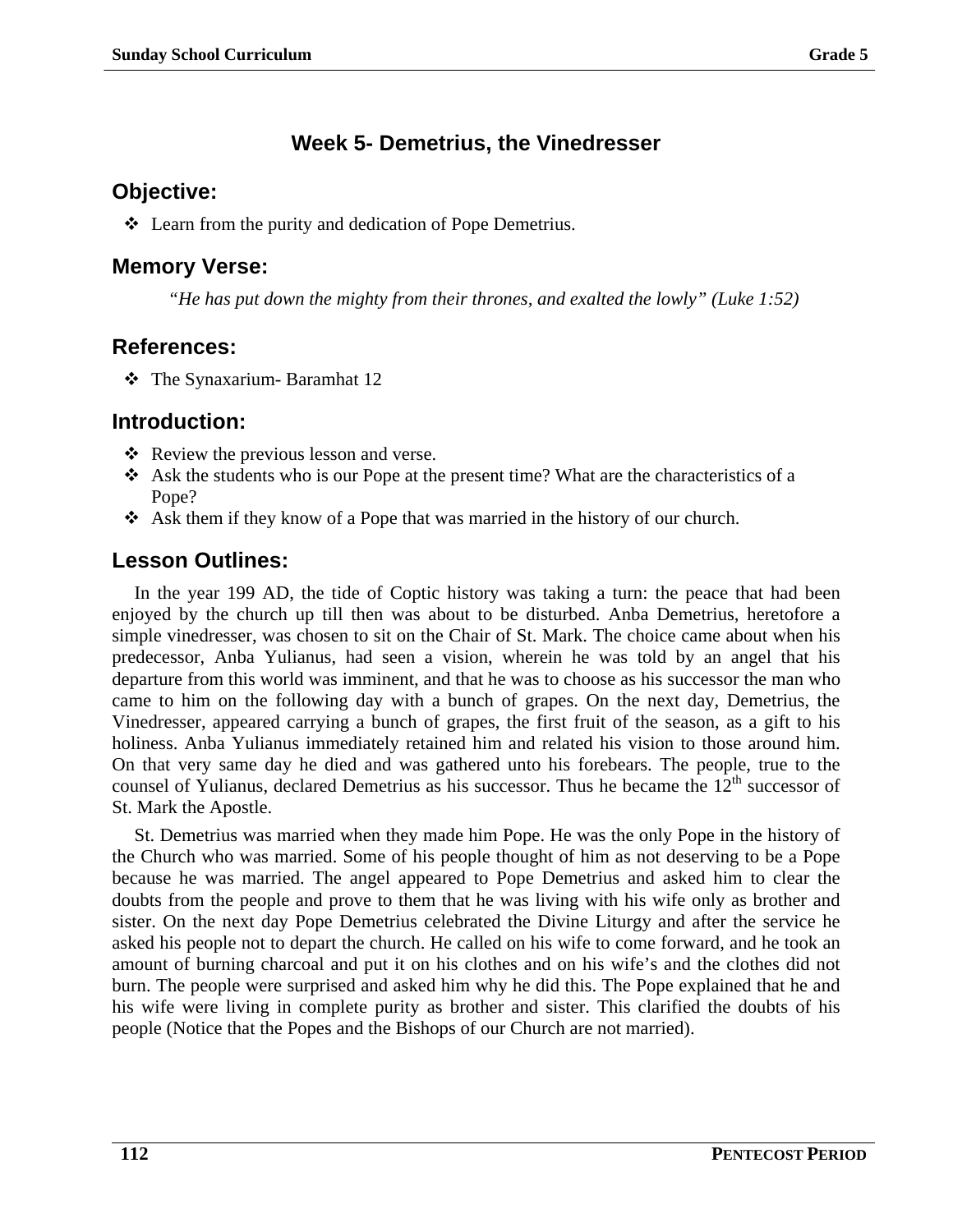### **Week 5- Demetrius, the Vinedresser**

#### **Objective:**

Learn from the purity and dedication of Pope Demetrius.

#### **Memory Verse:**

*"He has put down the mighty from their thrones, and exalted the lowly" (Luke 1:52)*

#### **References:**

The Synaxarium- Baramhat 12

#### **Introduction:**

- ❖ Review the previous lesson and verse.
- Ask the students who is our Pope at the present time? What are the characteristics of a Pope?
- Ask them if they know of a Pope that was married in the history of our church.

### **Lesson Outlines:**

In the year 199 AD, the tide of Coptic history was taking a turn: the peace that had been enjoyed by the church up till then was about to be disturbed. Anba Demetrius, heretofore a simple vinedresser, was chosen to sit on the Chair of St. Mark. The choice came about when his predecessor, Anba Yulianus, had seen a vision, wherein he was told by an angel that his departure from this world was imminent, and that he was to choose as his successor the man who came to him on the following day with a bunch of grapes. On the next day, Demetrius, the Vinedresser, appeared carrying a bunch of grapes, the first fruit of the season, as a gift to his holiness. Anba Yulianus immediately retained him and related his vision to those around him. On that very same day he died and was gathered unto his forebears. The people, true to the counsel of Yulianus, declared Demetrius as his successor. Thus he became the  $12<sup>th</sup>$  successor of St. Mark the Apostle.

St. Demetrius was married when they made him Pope. He was the only Pope in the history of the Church who was married. Some of his people thought of him as not deserving to be a Pope because he was married. The angel appeared to Pope Demetrius and asked him to clear the doubts from the people and prove to them that he was living with his wife only as brother and sister. On the next day Pope Demetrius celebrated the Divine Liturgy and after the service he asked his people not to depart the church. He called on his wife to come forward, and he took an amount of burning charcoal and put it on his clothes and on his wife's and the clothes did not burn. The people were surprised and asked him why he did this. The Pope explained that he and his wife were living in complete purity as brother and sister. This clarified the doubts of his people (Notice that the Popes and the Bishops of our Church are not married).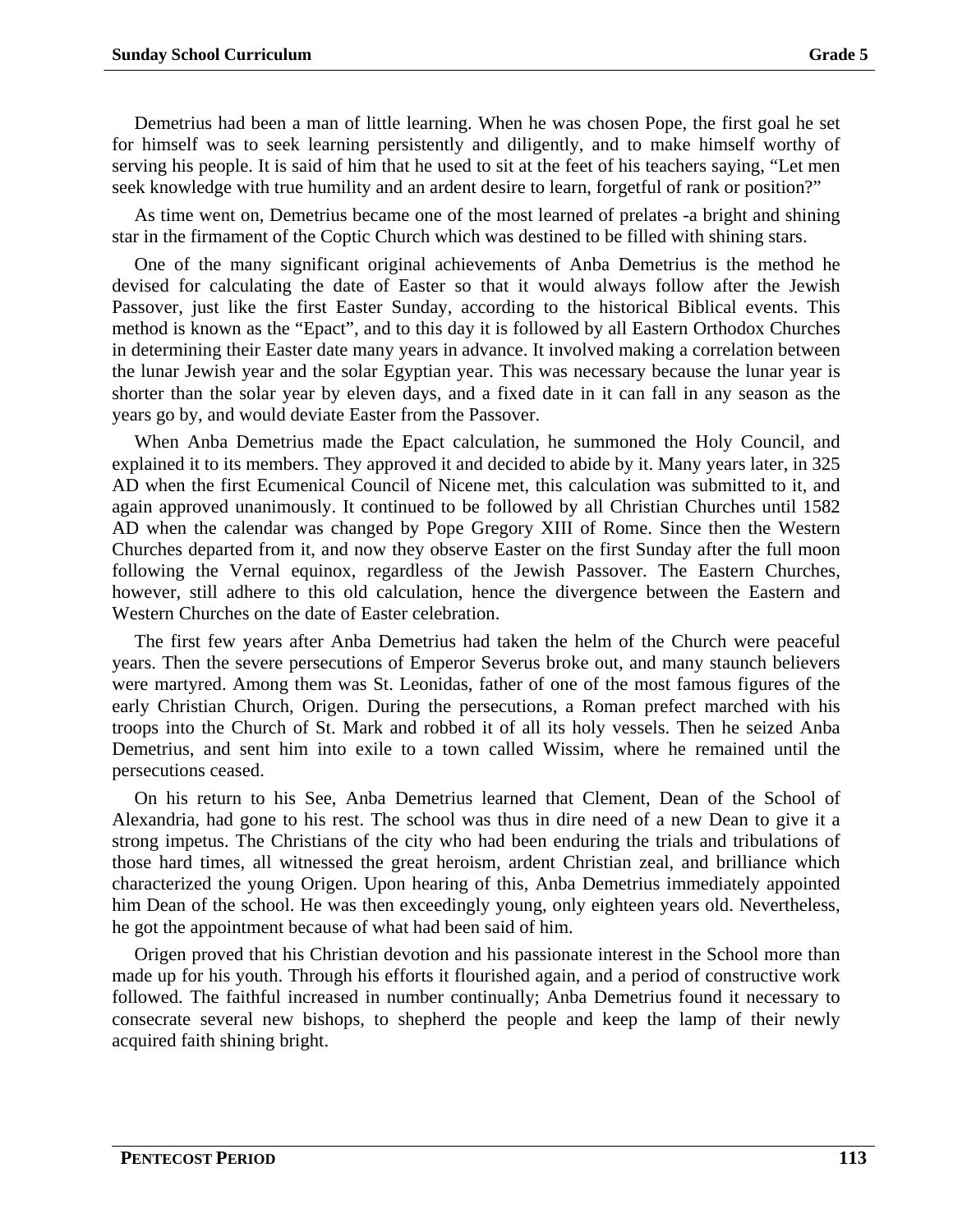Demetrius had been a man of little learning. When he was chosen Pope, the first goal he set for himself was to seek learning persistently and diligently, and to make himself worthy of serving his people. It is said of him that he used to sit at the feet of his teachers saying, "Let men seek knowledge with true humility and an ardent desire to learn, forgetful of rank or position?"

As time went on, Demetrius became one of the most learned of prelates -a bright and shining star in the firmament of the Coptic Church which was destined to be filled with shining stars.

One of the many significant original achievements of Anba Demetrius is the method he devised for calculating the date of Easter so that it would always follow after the Jewish Passover, just like the first Easter Sunday, according to the historical Biblical events. This method is known as the "Epact", and to this day it is followed by all Eastern Orthodox Churches in determining their Easter date many years in advance. It involved making a correlation between the lunar Jewish year and the solar Egyptian year. This was necessary because the lunar year is shorter than the solar year by eleven days, and a fixed date in it can fall in any season as the years go by, and would deviate Easter from the Passover.

When Anba Demetrius made the Epact calculation, he summoned the Holy Council, and explained it to its members. They approved it and decided to abide by it. Many years later, in 325 AD when the first Ecumenical Council of Nicene met, this calculation was submitted to it, and again approved unanimously. It continued to be followed by all Christian Churches until 1582 AD when the calendar was changed by Pope Gregory XIII of Rome. Since then the Western Churches departed from it, and now they observe Easter on the first Sunday after the full moon following the Vernal equinox, regardless of the Jewish Passover. The Eastern Churches, however, still adhere to this old calculation, hence the divergence between the Eastern and Western Churches on the date of Easter celebration.

The first few years after Anba Demetrius had taken the helm of the Church were peaceful years. Then the severe persecutions of Emperor Severus broke out, and many staunch believers were martyred. Among them was St. Leonidas, father of one of the most famous figures of the early Christian Church, Origen. During the persecutions, a Roman prefect marched with his troops into the Church of St. Mark and robbed it of all its holy vessels. Then he seized Anba Demetrius, and sent him into exile to a town called Wissim, where he remained until the persecutions ceased.

On his return to his See, Anba Demetrius learned that Clement, Dean of the School of Alexandria, had gone to his rest. The school was thus in dire need of a new Dean to give it a strong impetus. The Christians of the city who had been enduring the trials and tribulations of those hard times, all witnessed the great heroism, ardent Christian zeal, and brilliance which characterized the young Origen. Upon hearing of this, Anba Demetrius immediately appointed him Dean of the school. He was then exceedingly young, only eighteen years old. Nevertheless, he got the appointment because of what had been said of him.

Origen proved that his Christian devotion and his passionate interest in the School more than made up for his youth. Through his efforts it flourished again, and a period of constructive work followed. The faithful increased in number continually; Anba Demetrius found it necessary to consecrate several new bishops, to shepherd the people and keep the lamp of their newly acquired faith shining bright.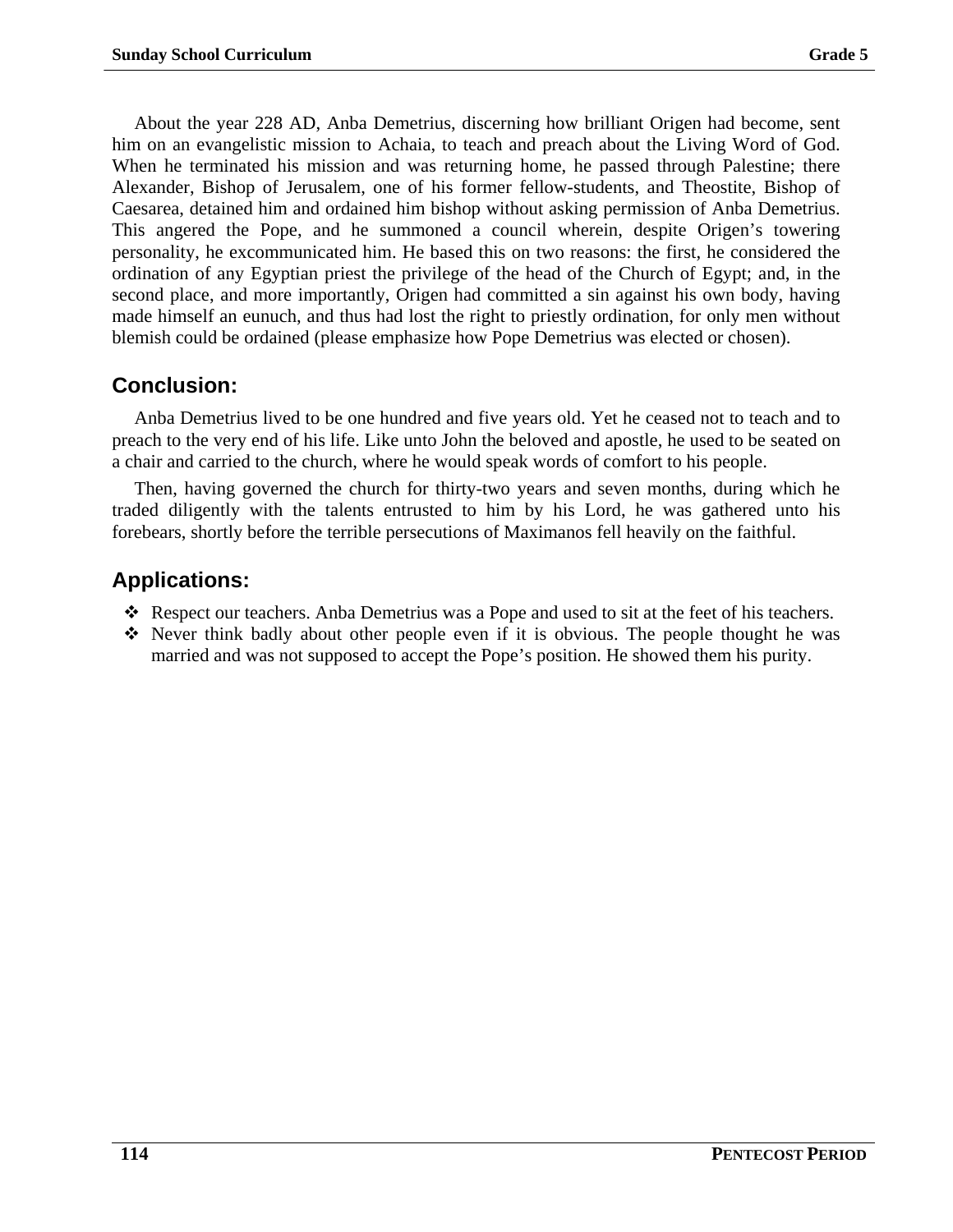About the year 228 AD, Anba Demetrius, discerning how brilliant Origen had become, sent him on an evangelistic mission to Achaia, to teach and preach about the Living Word of God. When he terminated his mission and was returning home, he passed through Palestine; there Alexander, Bishop of Jerusalem, one of his former fellow-students, and Theostite, Bishop of Caesarea, detained him and ordained him bishop without asking permission of Anba Demetrius. This angered the Pope, and he summoned a council wherein, despite Origen's towering personality, he excommunicated him. He based this on two reasons: the first, he considered the ordination of any Egyptian priest the privilege of the head of the Church of Egypt; and, in the second place, and more importantly, Origen had committed a sin against his own body, having made himself an eunuch, and thus had lost the right to priestly ordination, for only men without blemish could be ordained (please emphasize how Pope Demetrius was elected or chosen).

#### **Conclusion:**

Anba Demetrius lived to be one hundred and five years old. Yet he ceased not to teach and to preach to the very end of his life. Like unto John the beloved and apostle, he used to be seated on a chair and carried to the church, where he would speak words of comfort to his people.

Then, having governed the church for thirty-two years and seven months, during which he traded diligently with the talents entrusted to him by his Lord, he was gathered unto his forebears, shortly before the terrible persecutions of Maximanos fell heavily on the faithful.

- $\triangle$  Respect our teachers. Anba Demetrius was a Pope and used to sit at the feet of his teachers.
- Never think badly about other people even if it is obvious. The people thought he was married and was not supposed to accept the Pope's position. He showed them his purity.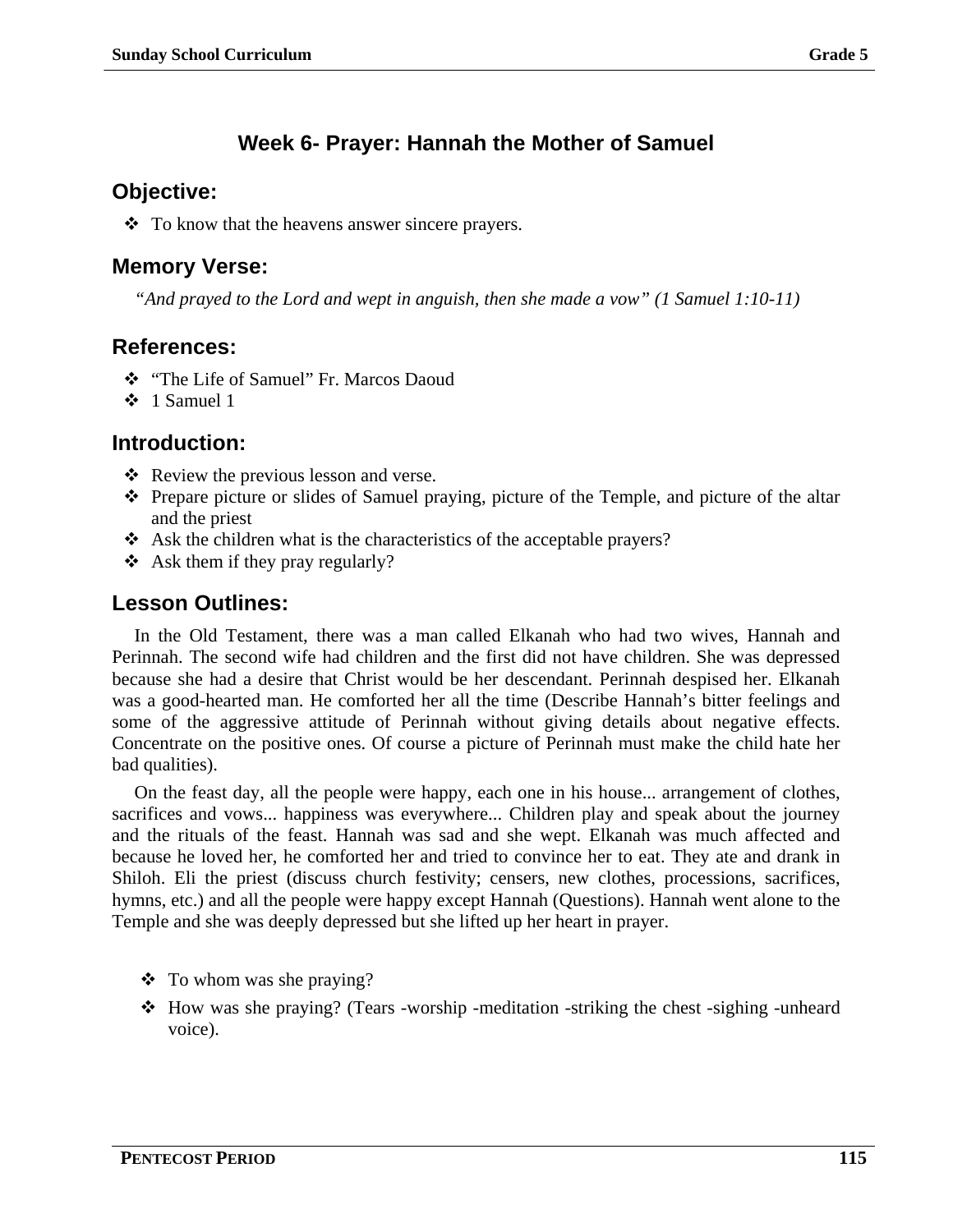### **Week 6- Prayer: Hannah the Mother of Samuel**

#### **Objective:**

• To know that the heavens answer sincere prayers.

#### **Memory Verse:**

*"And prayed to the Lord and wept in anguish, then she made a vow" (1 Samuel 1:10-11)*

#### **References:**

- \* "The Life of Samuel" Fr. Marcos Daoud
- $\div$  1 Samuel 1

#### **Introduction:**

- ❖ Review the previous lesson and verse.
- Prepare picture or slides of Samuel praying, picture of the Temple, and picture of the altar and the priest
- Ask the children what is the characteristics of the acceptable prayers?
- $\triangleleft$  Ask them if they pray regularly?

#### **Lesson Outlines:**

In the Old Testament, there was a man called Elkanah who had two wives, Hannah and Perinnah. The second wife had children and the first did not have children. She was depressed because she had a desire that Christ would be her descendant. Perinnah despised her. Elkanah was a good-hearted man. He comforted her all the time (Describe Hannah's bitter feelings and some of the aggressive attitude of Perinnah without giving details about negative effects. Concentrate on the positive ones. Of course a picture of Perinnah must make the child hate her bad qualities).

On the feast day, all the people were happy, each one in his house... arrangement of clothes, sacrifices and vows... happiness was everywhere... Children play and speak about the journey and the rituals of the feast. Hannah was sad and she wept. Elkanah was much affected and because he loved her, he comforted her and tried to convince her to eat. They ate and drank in Shiloh. Eli the priest (discuss church festivity; censers, new clothes, processions, sacrifices, hymns, etc.) and all the people were happy except Hannah (Questions). Hannah went alone to the Temple and she was deeply depressed but she lifted up her heart in prayer.

- $\triangleleft$  To whom was she praying?
- How was she praying? (Tears -worship -meditation -striking the chest -sighing -unheard voice).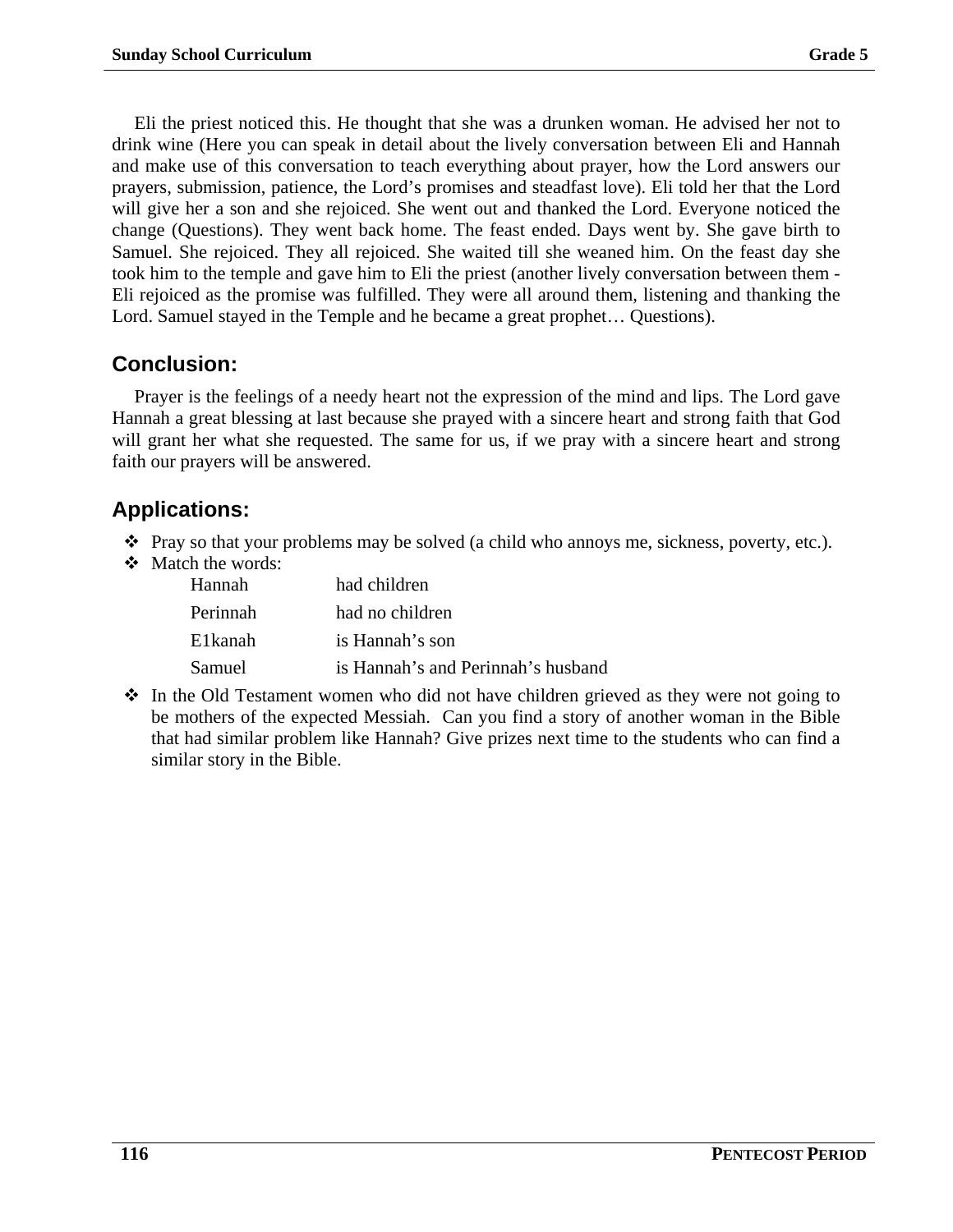Eli the priest noticed this. He thought that she was a drunken woman. He advised her not to drink wine (Here you can speak in detail about the lively conversation between Eli and Hannah and make use of this conversation to teach everything about prayer, how the Lord answers our prayers, submission, patience, the Lord's promises and steadfast love). Eli told her that the Lord will give her a son and she rejoiced. She went out and thanked the Lord. Everyone noticed the change (Questions). They went back home. The feast ended. Days went by. She gave birth to Samuel. She rejoiced. They all rejoiced. She waited till she weaned him. On the feast day she took him to the temple and gave him to Eli the priest (another lively conversation between them - Eli rejoiced as the promise was fulfilled. They were all around them, listening and thanking the Lord. Samuel stayed in the Temple and he became a great prophet… Questions).

#### **Conclusion:**

Prayer is the feelings of a needy heart not the expression of the mind and lips. The Lord gave Hannah a great blessing at last because she prayed with a sincere heart and strong faith that God will grant her what she requested. The same for us, if we pray with a sincere heart and strong faith our prayers will be answered.

#### **Applications:**

- $\hat{\mathbf{v}}$  Pray so that your problems may be solved (a child who annoys me, sickness, poverty, etc.).
- Match the words:

| Hannah   | had children                       |
|----------|------------------------------------|
| Perinnah | had no children                    |
| E1kanah  | is Hannah's son                    |
| Samuel   | is Hannah's and Perinnah's husband |

\* In the Old Testament women who did not have children grieved as they were not going to be mothers of the expected Messiah. Can you find a story of another woman in the Bible that had similar problem like Hannah? Give prizes next time to the students who can find a similar story in the Bible.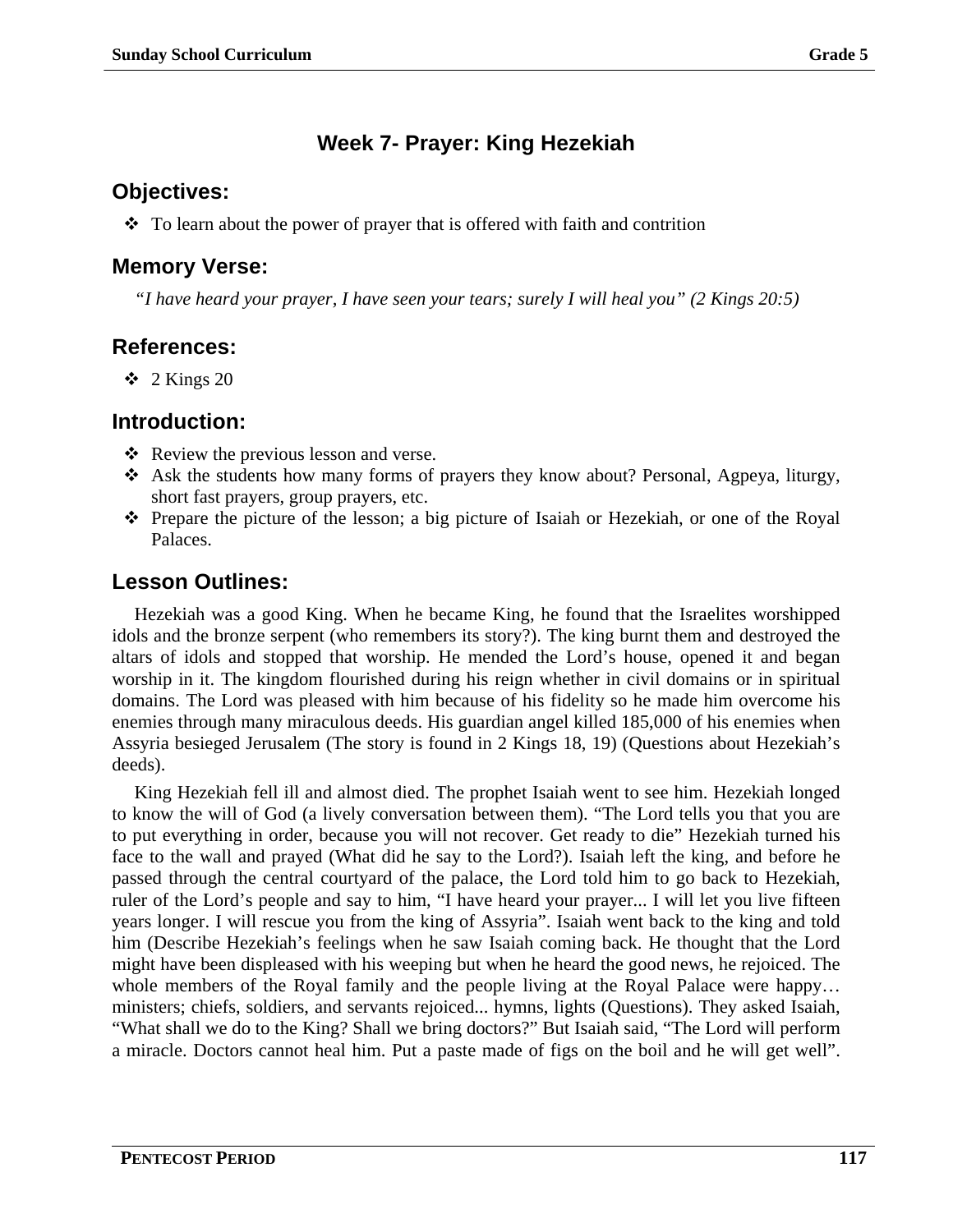## **Week 7- Prayer: King Hezekiah**

#### **Objectives:**

To learn about the power of prayer that is offered with faith and contrition

#### **Memory Verse:**

*"I have heard your prayer, I have seen your tears; surely I will heal you" (2 Kings 20:5)*

### **References:**

 $\div$  2 Kings 20

#### **Introduction:**

- ❖ Review the previous lesson and verse.
- Ask the students how many forms of prayers they know about? Personal, Agpeya, liturgy, short fast prayers, group prayers, etc.
- Prepare the picture of the lesson; a big picture of Isaiah or Hezekiah, or one of the Royal Palaces.

### **Lesson Outlines:**

Hezekiah was a good King. When he became King, he found that the Israelites worshipped idols and the bronze serpent (who remembers its story?). The king burnt them and destroyed the altars of idols and stopped that worship. He mended the Lord's house, opened it and began worship in it. The kingdom flourished during his reign whether in civil domains or in spiritual domains. The Lord was pleased with him because of his fidelity so he made him overcome his enemies through many miraculous deeds. His guardian angel killed 185,000 of his enemies when Assyria besieged Jerusalem (The story is found in 2 Kings 18, 19) (Questions about Hezekiah's deeds).

King Hezekiah fell ill and almost died. The prophet Isaiah went to see him. Hezekiah longed to know the will of God (a lively conversation between them). "The Lord tells you that you are to put everything in order, because you will not recover. Get ready to die" Hezekiah turned his face to the wall and prayed (What did he say to the Lord?). Isaiah left the king, and before he passed through the central courtyard of the palace, the Lord told him to go back to Hezekiah, ruler of the Lord's people and say to him, "I have heard your prayer... I will let you live fifteen years longer. I will rescue you from the king of Assyria". Isaiah went back to the king and told him (Describe Hezekiah's feelings when he saw Isaiah coming back. He thought that the Lord might have been displeased with his weeping but when he heard the good news, he rejoiced. The whole members of the Royal family and the people living at the Royal Palace were happy... ministers; chiefs, soldiers, and servants rejoiced... hymns, lights (Questions). They asked Isaiah, "What shall we do to the King? Shall we bring doctors?" But Isaiah said, "The Lord will perform a miracle. Doctors cannot heal him. Put a paste made of figs on the boil and he will get well".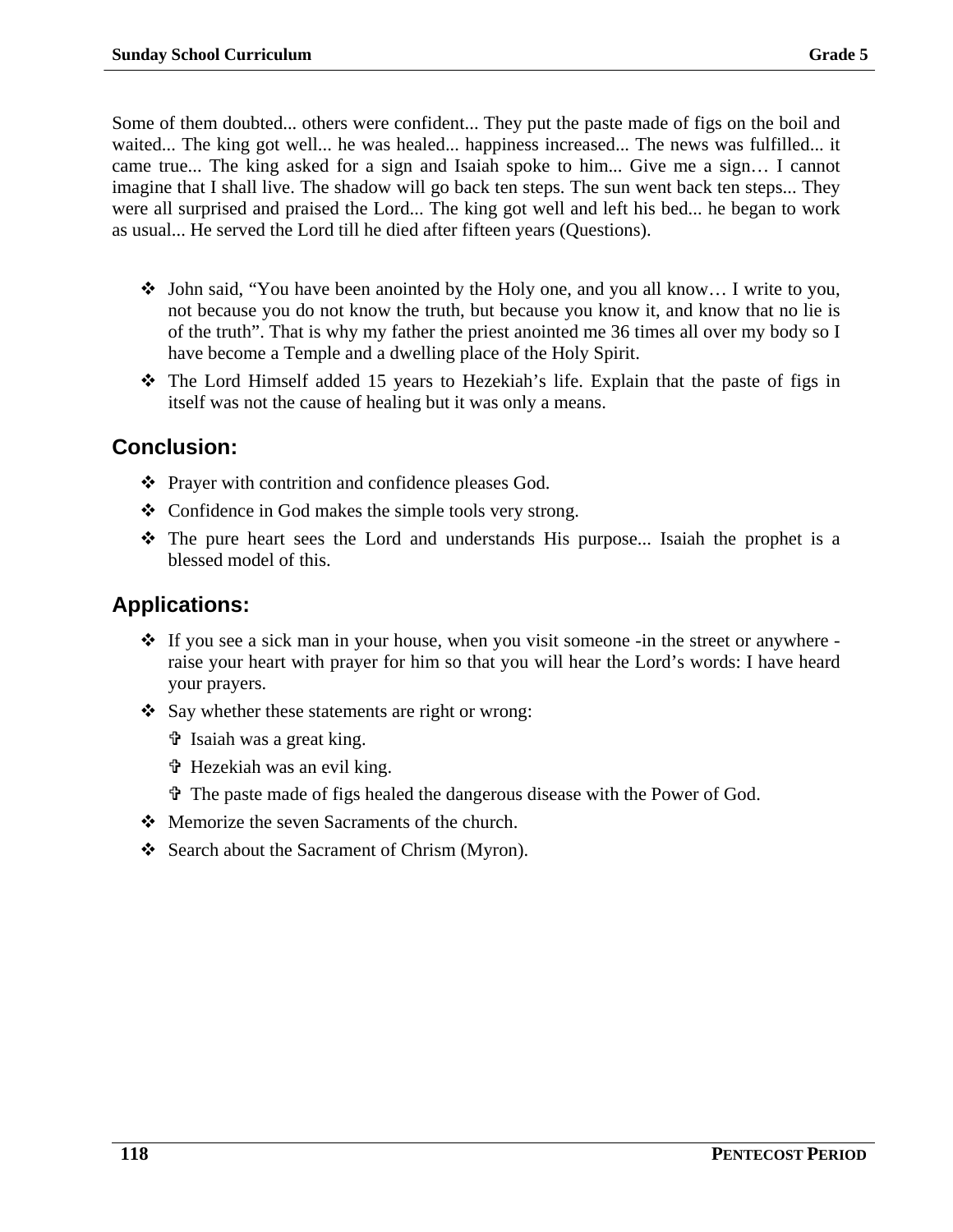Some of them doubted... others were confident... They put the paste made of figs on the boil and waited... The king got well... he was healed... happiness increased... The news was fulfilled... it came true... The king asked for a sign and Isaiah spoke to him... Give me a sign… I cannot imagine that I shall live. The shadow will go back ten steps. The sun went back ten steps... They were all surprised and praised the Lord... The king got well and left his bed... he began to work as usual... He served the Lord till he died after fifteen years (Questions).

- $\clubsuit$  John said, "You have been anointed by the Holy one, and you all know... I write to you, not because you do not know the truth, but because you know it, and know that no lie is of the truth". That is why my father the priest anointed me 36 times all over my body so I have become a Temple and a dwelling place of the Holy Spirit.
- The Lord Himself added 15 years to Hezekiah's life. Explain that the paste of figs in itself was not the cause of healing but it was only a means.

#### **Conclusion:**

- Prayer with contrition and confidence pleases God.
- ❖ Confidence in God makes the simple tools very strong.
- The pure heart sees the Lord and understands His purpose... Isaiah the prophet is a blessed model of this.

- If you see a sick man in your house, when you visit someone -in the street or anywhere raise your heart with prayer for him so that you will hear the Lord's words: I have heard your prayers.
- Say whether these statements are right or wrong:
	- = Isaiah was a great king.
	- † Hezekiah was an evil king.
	- = The paste made of figs healed the dangerous disease with the Power of God.
- Memorize the seven Sacraments of the church.
- Search about the Sacrament of Chrism (Myron).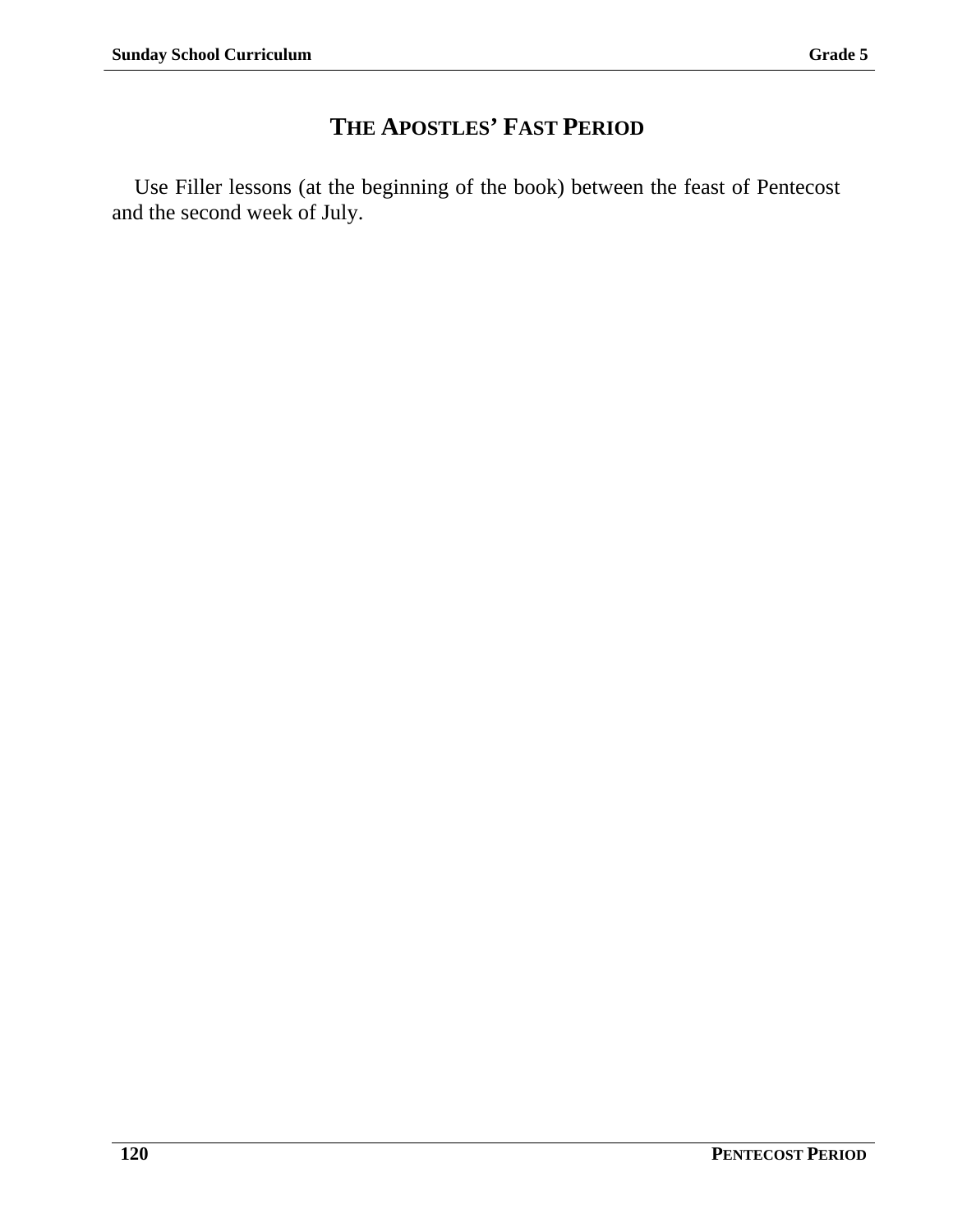# **THE APOSTLES' FAST PERIOD**

Use Filler lessons (at the beginning of the book) between the feast of Pentecost and the second week of July.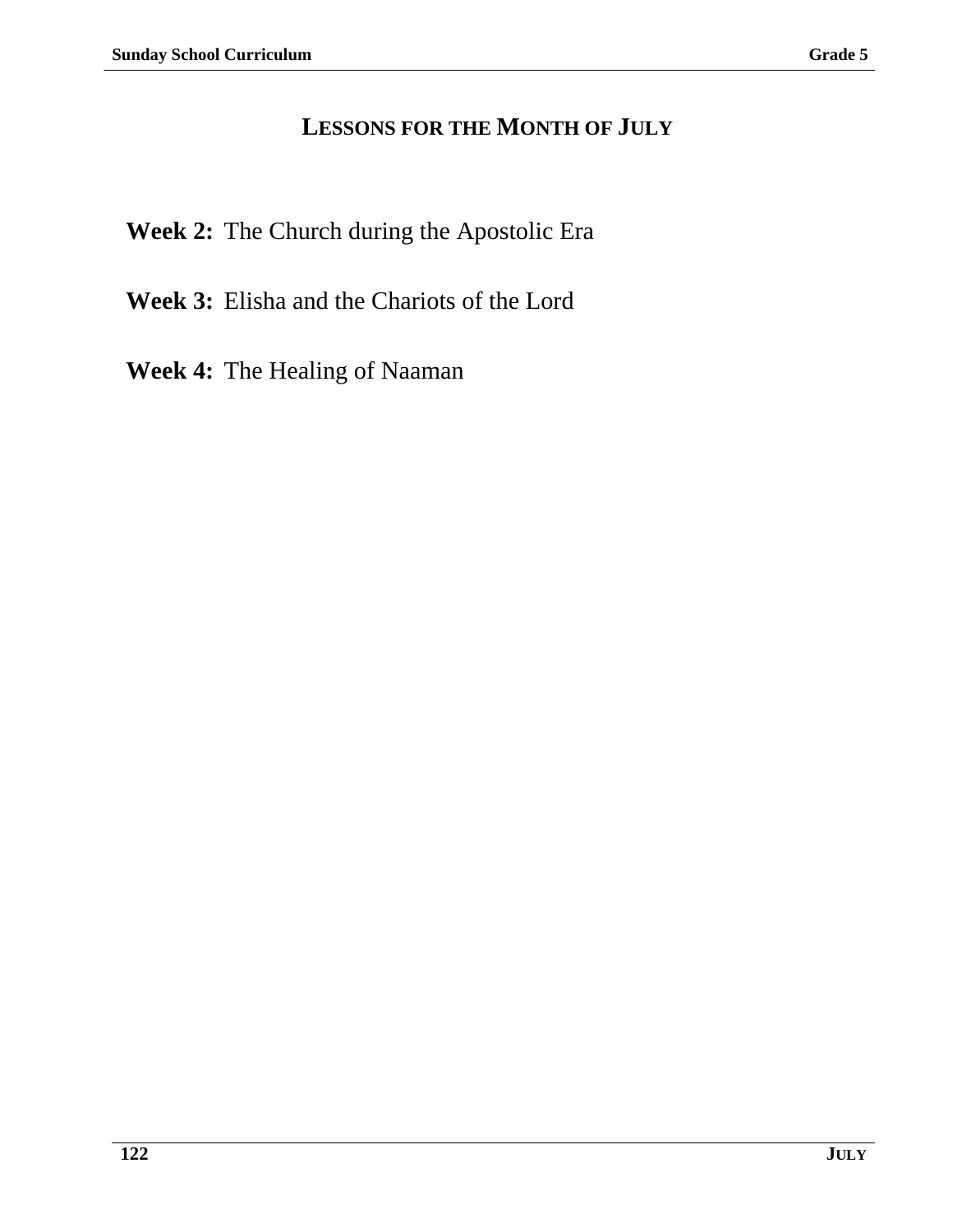# **LESSONS FOR THE MONTH OF JULY**

**Week 2:** The Church during the Apostolic Era

**Week 3:** Elisha and the Chariots of the Lord

**Week 4:** The Healing of Naaman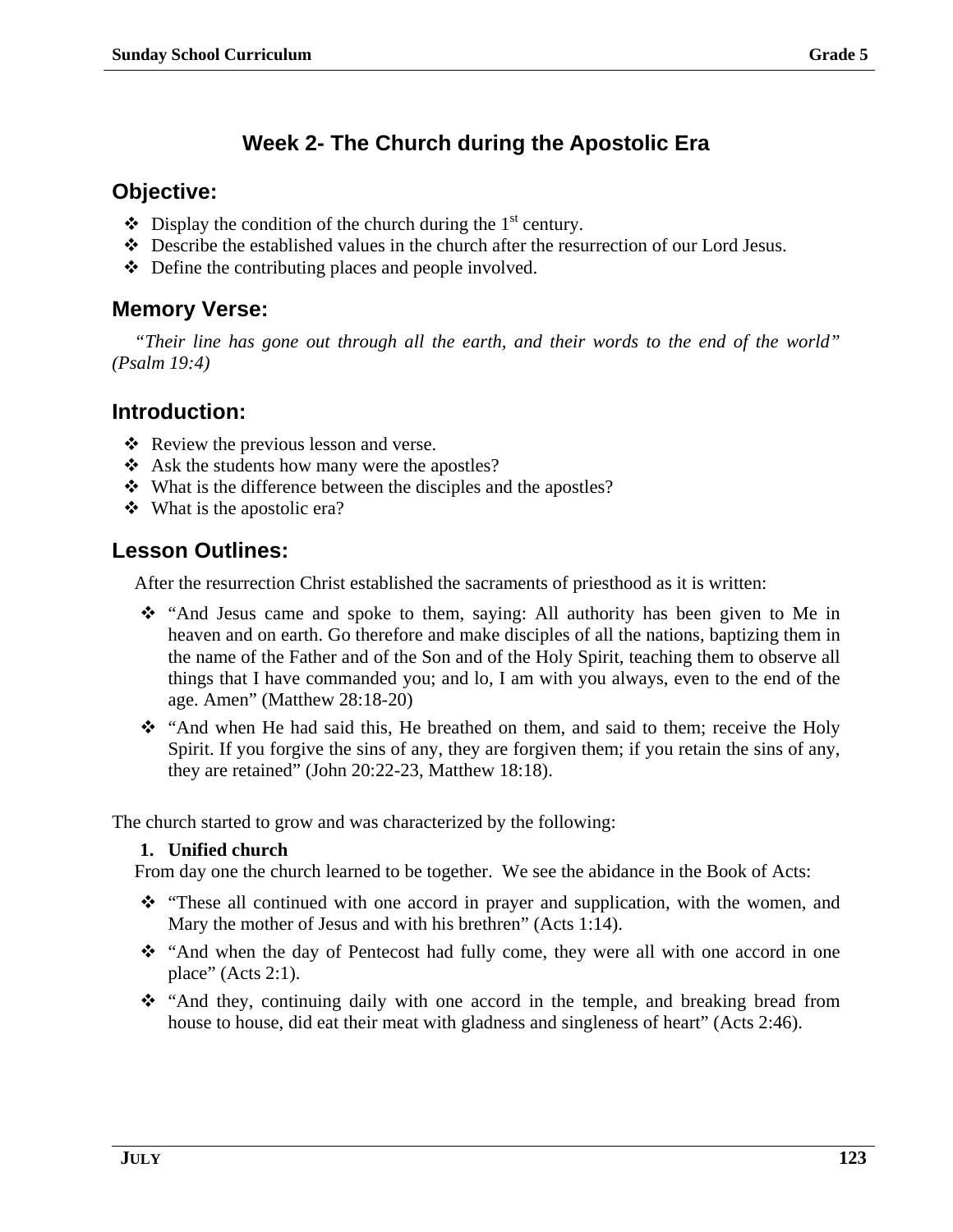## **Week 2- The Church during the Apostolic Era**

#### **Objective:**

- $\triangle$  Display the condition of the church during the 1<sup>st</sup> century.
- Describe the established values in the church after the resurrection of our Lord Jesus.
- Define the contributing places and people involved.

#### **Memory Verse:**

*"Their line has gone out through all the earth, and their words to the end of the world" (Psalm 19:4)* 

#### **Introduction:**

- \* Review the previous lesson and verse.
- ❖ Ask the students how many were the apostles?
- What is the difference between the disciples and the apostles?
- $\bullet$  What is the apostolic era?

### **Lesson Outlines:**

After the resurrection Christ established the sacraments of priesthood as it is written:

- $\div$  "And Jesus came and spoke to them, saying: All authority has been given to Me in heaven and on earth. Go therefore and make disciples of all the nations, baptizing them in the name of the Father and of the Son and of the Holy Spirit, teaching them to observe all things that I have commanded you; and lo, I am with you always, even to the end of the age. Amen" (Matthew 28:18-20)
- \* "And when He had said this, He breathed on them, and said to them; receive the Holy Spirit. If you forgive the sins of any, they are forgiven them; if you retain the sins of any, they are retained" (John 20:22-23, Matthew 18:18).

The church started to grow and was characterized by the following:

#### **1. Unified church**

From day one the church learned to be together. We see the abidance in the Book of Acts:

- $\hat{\mathbf{v}}$  "These all continued with one accord in prayer and supplication, with the women, and Mary the mother of Jesus and with his brethren" (Acts 1:14).
- \* "And when the day of Pentecost had fully come, they were all with one accord in one place" (Acts 2:1).
- $\hat{\mathbf{v}}$  "And they, continuing daily with one accord in the temple, and breaking bread from house to house, did eat their meat with gladness and singleness of heart" (Acts 2:46).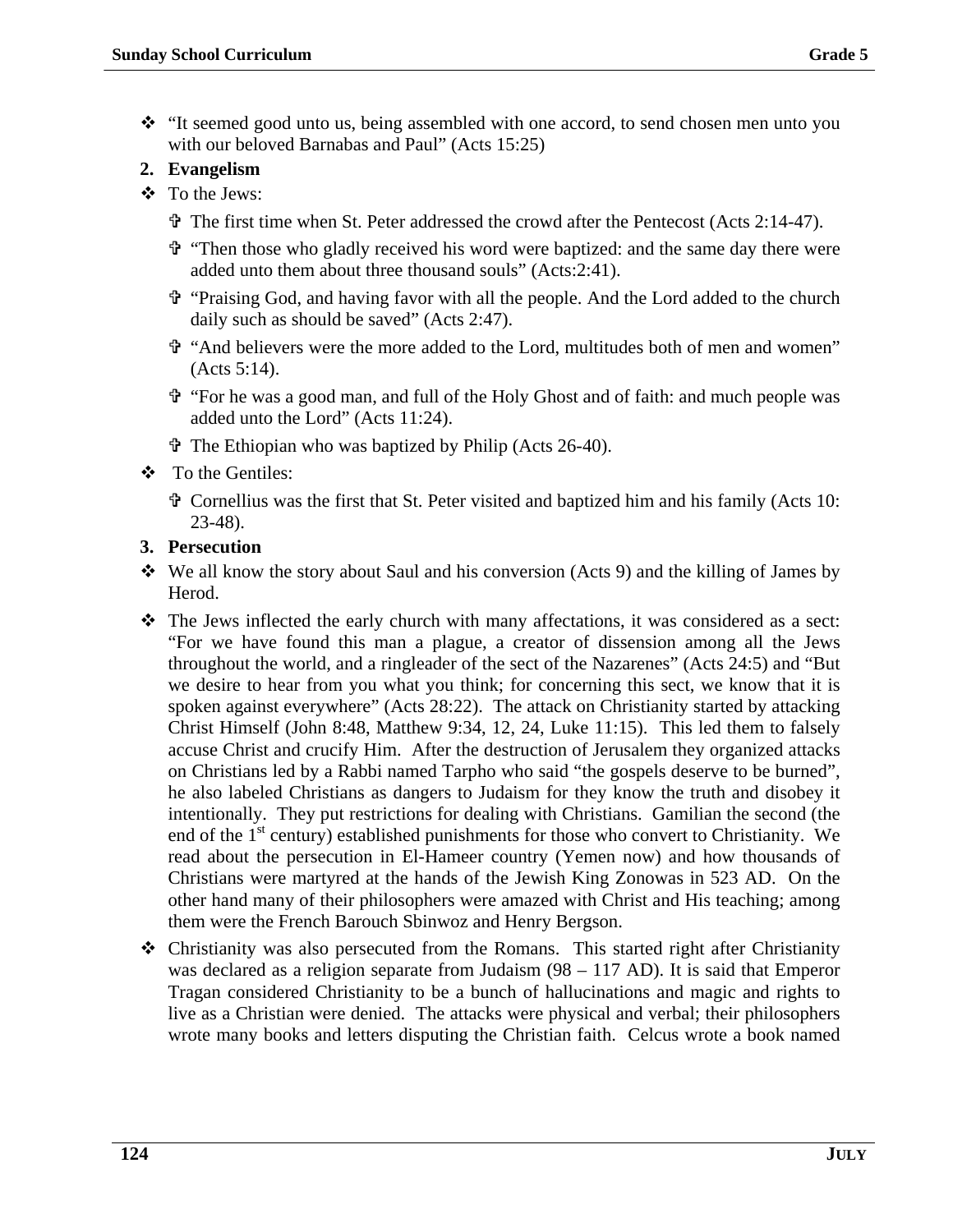\* "It seemed good unto us, being assembled with one accord, to send chosen men unto you with our beloved Barnabas and Paul" (Acts 15:25)

#### **2. Evangelism**

- To the Jews:
	- = The first time when St. Peter addressed the crowd after the Pentecost (Acts 2:14-47).
	- = "Then those who gladly received his word were baptized: and the same day there were added unto them about three thousand souls" (Acts:2:41).
	- = "Praising God, and having favor with all the people. And the Lord added to the church daily such as should be saved" (Acts 2:47).
	- = "And believers were the more added to the Lord, multitudes both of men and women" (Acts 5:14).
	- = "For he was a good man, and full of the Holy Ghost and of faith: and much people was added unto the Lord" (Acts 11:24).
	- $\ddot{\mathbf{\hat{r}}}$  The Ethiopian who was baptized by Philip (Acts 26-40).
- To the Gentiles:
	- $\ddot{\mathbf{\tau}}$  Cornellius was the first that St. Peter visited and baptized him and his family (Acts 10: 23-48).

#### **3. Persecution**

- We all know the story about Saul and his conversion (Acts 9) and the killing of James by Herod.
- $\hat{\mathbf{v}}$  The Jews inflected the early church with many affectations, it was considered as a sect: "For we have found this man a plague, a creator of dissension among all the Jews throughout the world, and a ringleader of the sect of the Nazarenes" (Acts 24:5) and "But we desire to hear from you what you think; for concerning this sect, we know that it is spoken against everywhere" (Acts 28:22). The attack on Christianity started by attacking Christ Himself (John 8:48, Matthew 9:34, 12, 24, Luke 11:15). This led them to falsely accuse Christ and crucify Him. After the destruction of Jerusalem they organized attacks on Christians led by a Rabbi named Tarpho who said "the gospels deserve to be burned", he also labeled Christians as dangers to Judaism for they know the truth and disobey it intentionally. They put restrictions for dealing with Christians. Gamilian the second (the end of the  $1<sup>st</sup>$  century) established punishments for those who convert to Christianity. We read about the persecution in El-Hameer country (Yemen now) and how thousands of Christians were martyred at the hands of the Jewish King Zonowas in 523 AD. On the other hand many of their philosophers were amazed with Christ and His teaching; among them were the French Barouch Sbinwoz and Henry Bergson.
- Christianity was also persecuted from the Romans. This started right after Christianity was declared as a religion separate from Judaism (98 – 117 AD). It is said that Emperor Tragan considered Christianity to be a bunch of hallucinations and magic and rights to live as a Christian were denied. The attacks were physical and verbal; their philosophers wrote many books and letters disputing the Christian faith. Celcus wrote a book named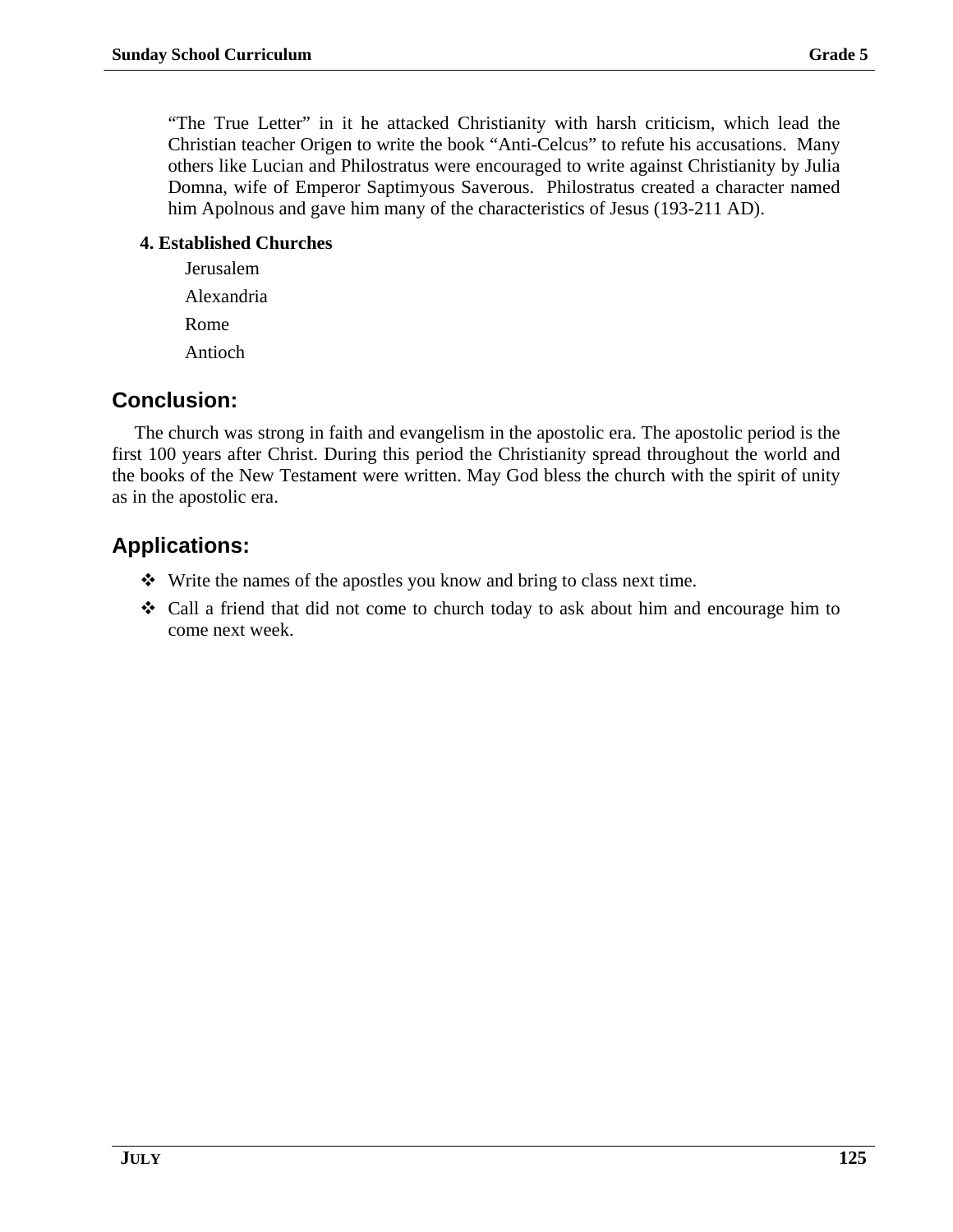"The True Letter" in it he attacked Christianity with harsh criticism, which lead the Christian teacher Origen to write the book "Anti-Celcus" to refute his accusations. Many others like Lucian and Philostratus were encouraged to write against Christianity by Julia Domna, wife of Emperor Saptimyous Saverous. Philostratus created a character named him Apolnous and gave him many of the characteristics of Jesus (193-211 AD).

#### **4. Established Churches**

Jerusalem Alexandria Rome Antioch

### **Conclusion:**

The church was strong in faith and evangelism in the apostolic era. The apostolic period is the first 100 years after Christ. During this period the Christianity spread throughout the world and the books of the New Testament were written. May God bless the church with the spirit of unity as in the apostolic era.

- Write the names of the apostles you know and bring to class next time.
- Call a friend that did not come to church today to ask about him and encourage him to come next week.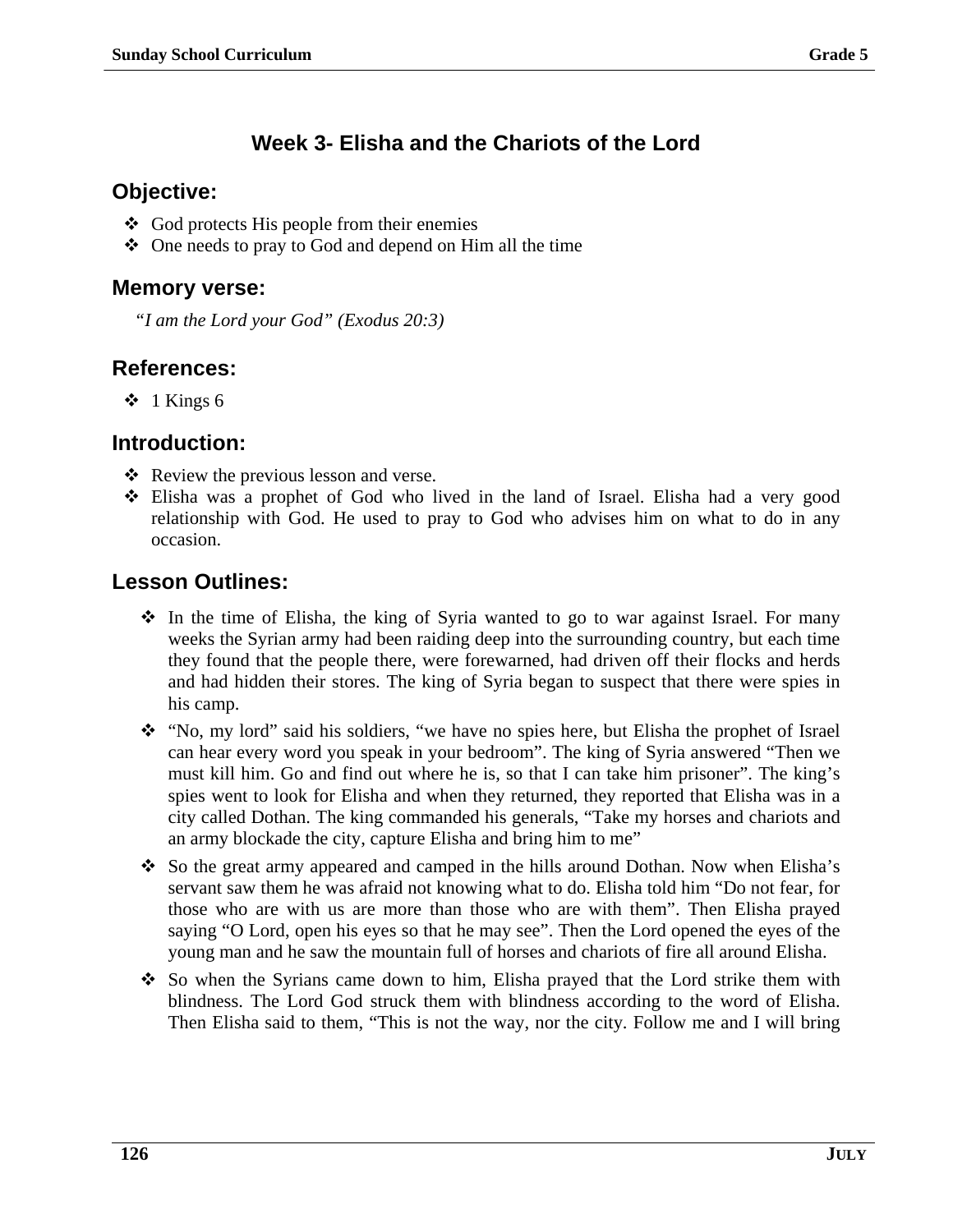## **Week 3- Elisha and the Chariots of the Lord**

#### **Objective:**

- $\triangleleft$  God protects His people from their enemies
- One needs to pray to God and depend on Him all the time

#### **Memory verse:**

*"I am the Lord your God" (Exodus 20:3)*

### **References:**

 $\div$  1 Kings 6

### **Introduction:**

- ❖ Review the previous lesson and verse.
- Elisha was a prophet of God who lived in the land of Israel. Elisha had a very good relationship with God. He used to pray to God who advises him on what to do in any occasion.

### **Lesson Outlines:**

- $\cdot$  In the time of Elisha, the king of Syria wanted to go to war against Israel. For many weeks the Syrian army had been raiding deep into the surrounding country, but each time they found that the people there, were forewarned, had driven off their flocks and herds and had hidden their stores. The king of Syria began to suspect that there were spies in his camp.
- "No, my lord" said his soldiers, "we have no spies here, but Elisha the prophet of Israel can hear every word you speak in your bedroom". The king of Syria answered "Then we must kill him. Go and find out where he is, so that I can take him prisoner". The king's spies went to look for Elisha and when they returned, they reported that Elisha was in a city called Dothan. The king commanded his generals, "Take my horses and chariots and an army blockade the city, capture Elisha and bring him to me"
- $\div$  So the great army appeared and camped in the hills around Dothan. Now when Elisha's servant saw them he was afraid not knowing what to do. Elisha told him "Do not fear, for those who are with us are more than those who are with them". Then Elisha prayed saying "O Lord, open his eyes so that he may see". Then the Lord opened the eyes of the young man and he saw the mountain full of horses and chariots of fire all around Elisha.
- So when the Syrians came down to him, Elisha prayed that the Lord strike them with blindness. The Lord God struck them with blindness according to the word of Elisha. Then Elisha said to them, "This is not the way, nor the city. Follow me and I will bring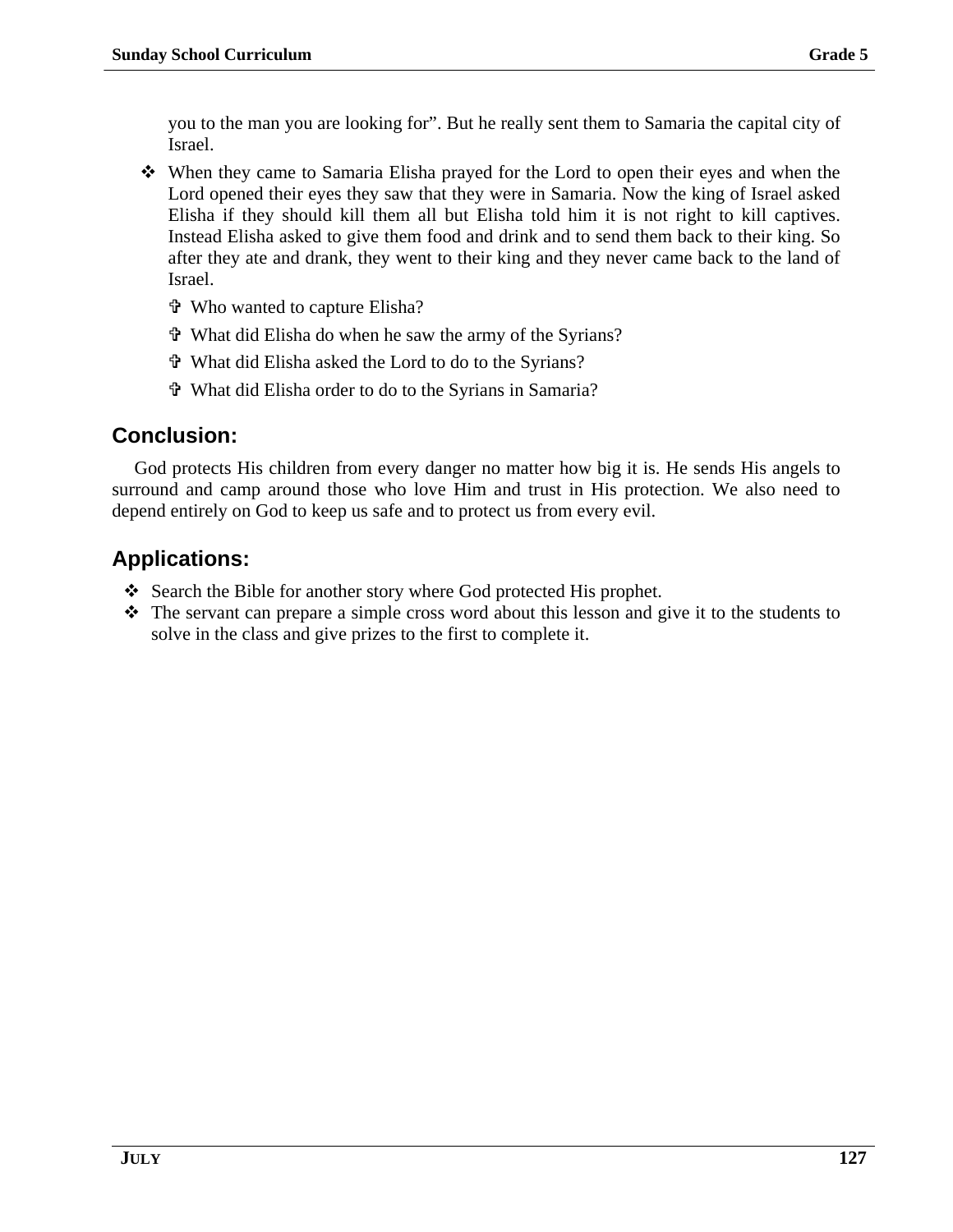you to the man you are looking for". But he really sent them to Samaria the capital city of Israel.

- When they came to Samaria Elisha prayed for the Lord to open their eyes and when the Lord opened their eyes they saw that they were in Samaria. Now the king of Israel asked Elisha if they should kill them all but Elisha told him it is not right to kill captives. Instead Elisha asked to give them food and drink and to send them back to their king. So after they ate and drank, they went to their king and they never came back to the land of Israel.
	- = Who wanted to capture Elisha?
	- = What did Elisha do when he saw the army of the Syrians?
	- = What did Elisha asked the Lord to do to the Syrians?
	- = What did Elisha order to do to the Syrians in Samaria?

#### **Conclusion:**

God protects His children from every danger no matter how big it is. He sends His angels to surround and camp around those who love Him and trust in His protection. We also need to depend entirely on God to keep us safe and to protect us from every evil.

- Search the Bible for another story where God protected His prophet.
- $\mathbf{\hat{P}}$  The servant can prepare a simple cross word about this lesson and give it to the students to solve in the class and give prizes to the first to complete it.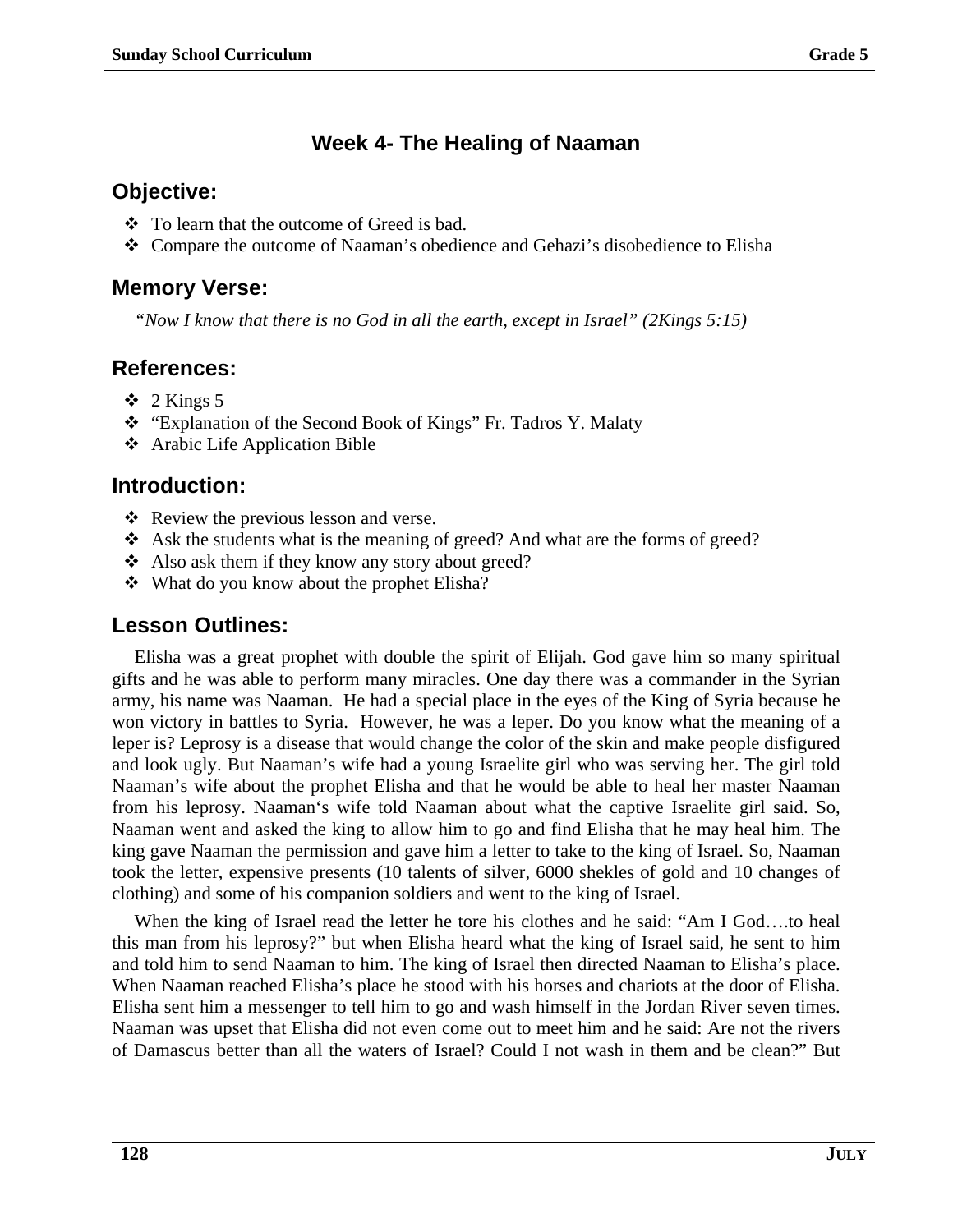## **Week 4- The Healing of Naaman**

#### **Objective:**

- **❖** To learn that the outcome of Greed is bad.
- Compare the outcome of Naaman's obedience and Gehazi's disobedience to Elisha

### **Memory Verse:**

*"Now I know that there is no God in all the earth, except in Israel" (2Kings 5:15)*

### **References:**

- $\div$  2 Kings 5
- "Explanation of the Second Book of Kings" Fr. Tadros Y. Malaty
- Arabic Life Application Bible

### **Introduction:**

- ❖ Review the previous lesson and verse.
- Ask the students what is the meaning of greed? And what are the forms of greed?
- ◆ Also ask them if they know any story about greed?
- ◆ What do you know about the prophet Elisha?

## **Lesson Outlines:**

Elisha was a great prophet with double the spirit of Elijah. God gave him so many spiritual gifts and he was able to perform many miracles. One day there was a commander in the Syrian army, his name was Naaman. He had a special place in the eyes of the King of Syria because he won victory in battles to Syria. However, he was a leper. Do you know what the meaning of a leper is? Leprosy is a disease that would change the color of the skin and make people disfigured and look ugly. But Naaman's wife had a young Israelite girl who was serving her. The girl told Naaman's wife about the prophet Elisha and that he would be able to heal her master Naaman from his leprosy. Naaman's wife told Naaman about what the captive Israelite girl said. So, Naaman went and asked the king to allow him to go and find Elisha that he may heal him. The king gave Naaman the permission and gave him a letter to take to the king of Israel. So, Naaman took the letter, expensive presents (10 talents of silver, 6000 shekles of gold and 10 changes of clothing) and some of his companion soldiers and went to the king of Israel.

When the king of Israel read the letter he tore his clothes and he said: "Am I God….to heal this man from his leprosy?" but when Elisha heard what the king of Israel said, he sent to him and told him to send Naaman to him. The king of Israel then directed Naaman to Elisha's place. When Naaman reached Elisha's place he stood with his horses and chariots at the door of Elisha. Elisha sent him a messenger to tell him to go and wash himself in the Jordan River seven times. Naaman was upset that Elisha did not even come out to meet him and he said: Are not the rivers of Damascus better than all the waters of Israel? Could I not wash in them and be clean?" But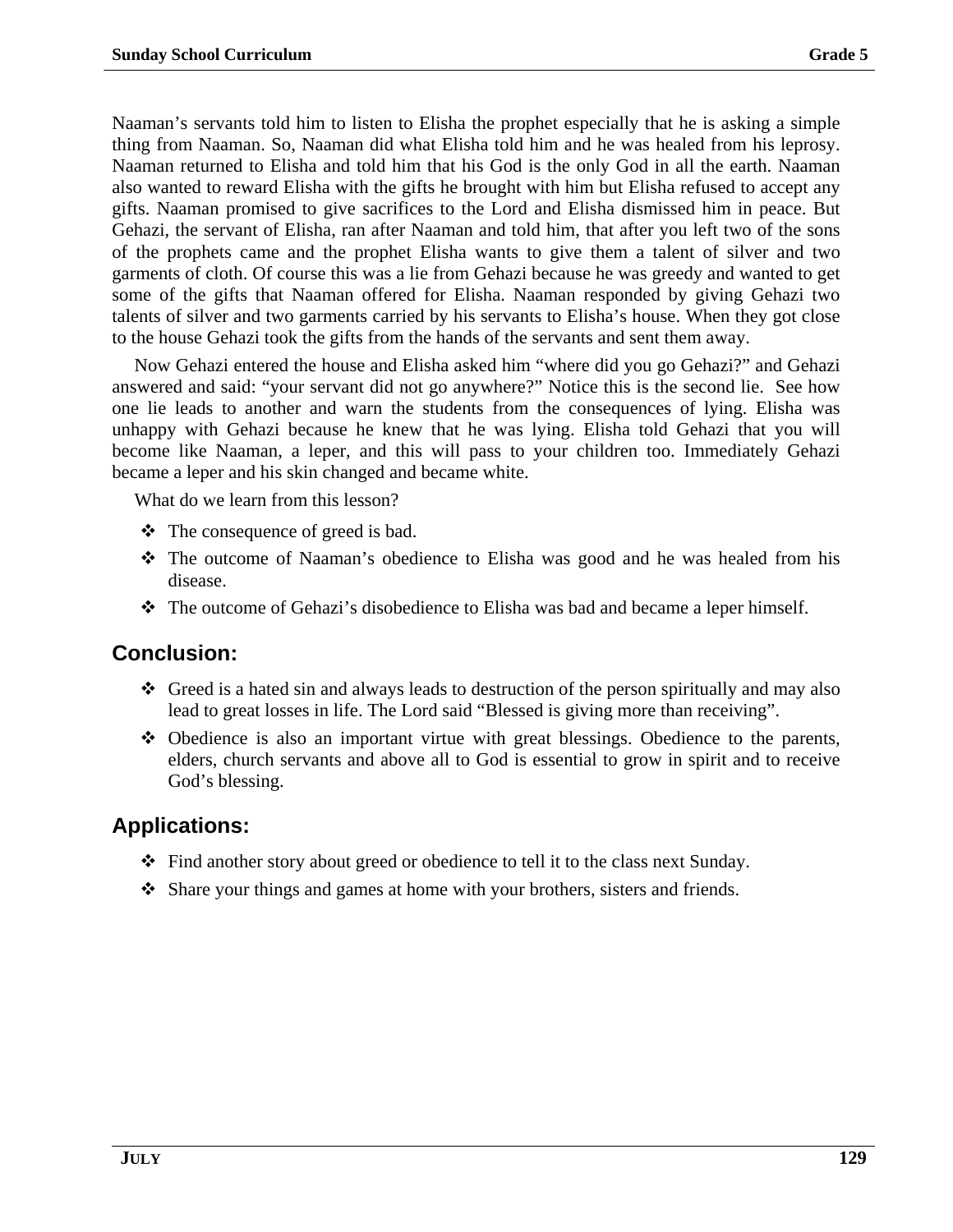Naaman's servants told him to listen to Elisha the prophet especially that he is asking a simple thing from Naaman. So, Naaman did what Elisha told him and he was healed from his leprosy. Naaman returned to Elisha and told him that his God is the only God in all the earth. Naaman also wanted to reward Elisha with the gifts he brought with him but Elisha refused to accept any gifts. Naaman promised to give sacrifices to the Lord and Elisha dismissed him in peace. But Gehazi, the servant of Elisha, ran after Naaman and told him, that after you left two of the sons of the prophets came and the prophet Elisha wants to give them a talent of silver and two garments of cloth. Of course this was a lie from Gehazi because he was greedy and wanted to get some of the gifts that Naaman offered for Elisha. Naaman responded by giving Gehazi two talents of silver and two garments carried by his servants to Elisha's house. When they got close to the house Gehazi took the gifts from the hands of the servants and sent them away.

Now Gehazi entered the house and Elisha asked him "where did you go Gehazi?" and Gehazi answered and said: "your servant did not go anywhere?" Notice this is the second lie. See how one lie leads to another and warn the students from the consequences of lying. Elisha was unhappy with Gehazi because he knew that he was lying. Elisha told Gehazi that you will become like Naaman, a leper, and this will pass to your children too. Immediately Gehazi became a leper and his skin changed and became white.

What do we learn from this lesson?

- The consequence of greed is bad.
- The outcome of Naaman's obedience to Elisha was good and he was healed from his disease.
- $\div$  The outcome of Gehazi's disobedience to Elisha was bad and became a leper himself.

#### **Conclusion:**

- $\div$  Greed is a hated sin and always leads to destruction of the person spiritually and may also lead to great losses in life. The Lord said "Blessed is giving more than receiving".
- $\div$  Obedience is also an important virtue with great blessings. Obedience to the parents, elders, church servants and above all to God is essential to grow in spirit and to receive God's blessing.

- Find another story about greed or obedience to tell it to the class next Sunday.
- Share your things and games at home with your brothers, sisters and friends.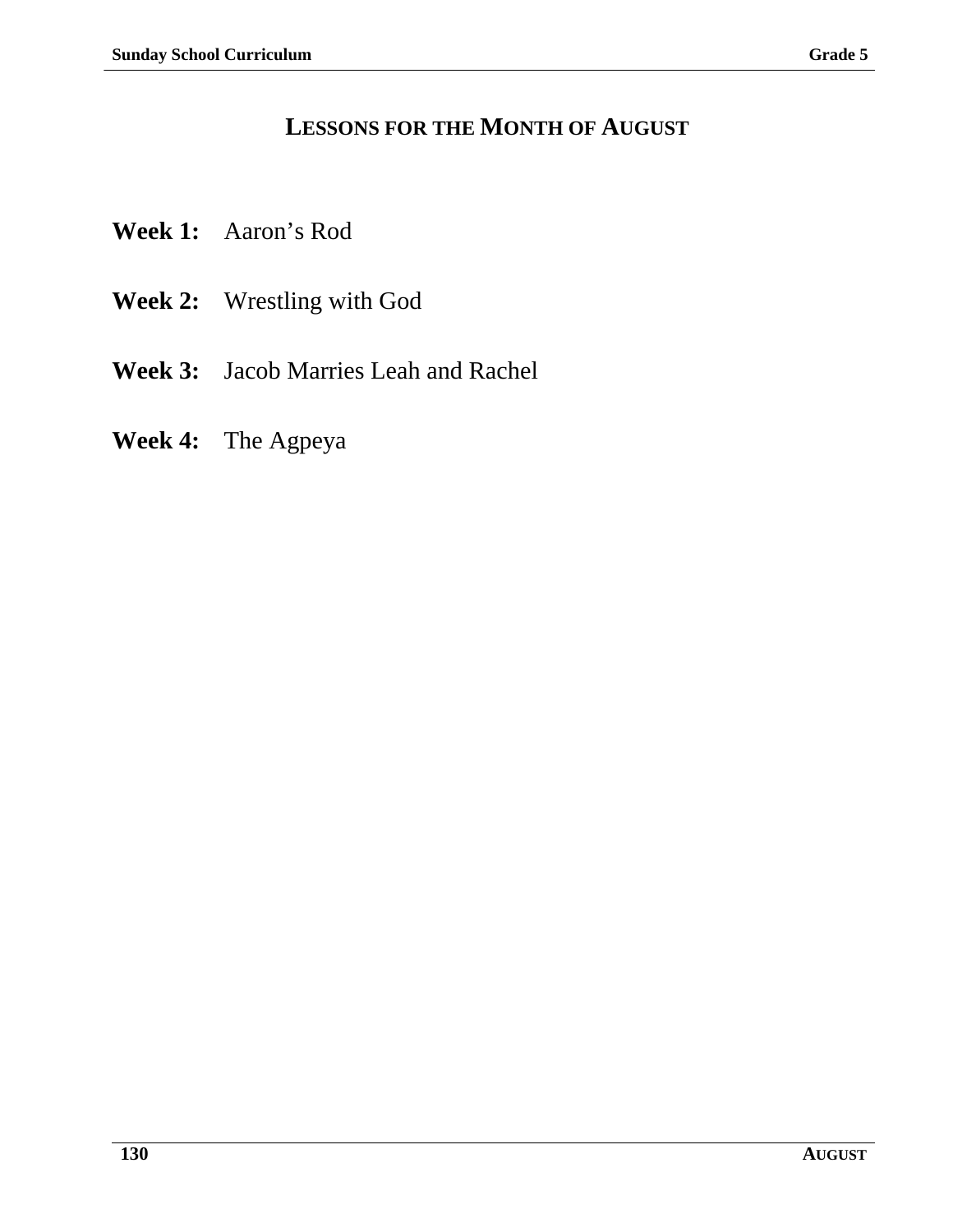# **LESSONS FOR THE MONTH OF AUGUST**

- **Week 1:** Aaron's Rod
- **Week 2:** Wrestling with God
- **Week 3:** Jacob Marries Leah and Rachel
- **Week 4:** The Agpeya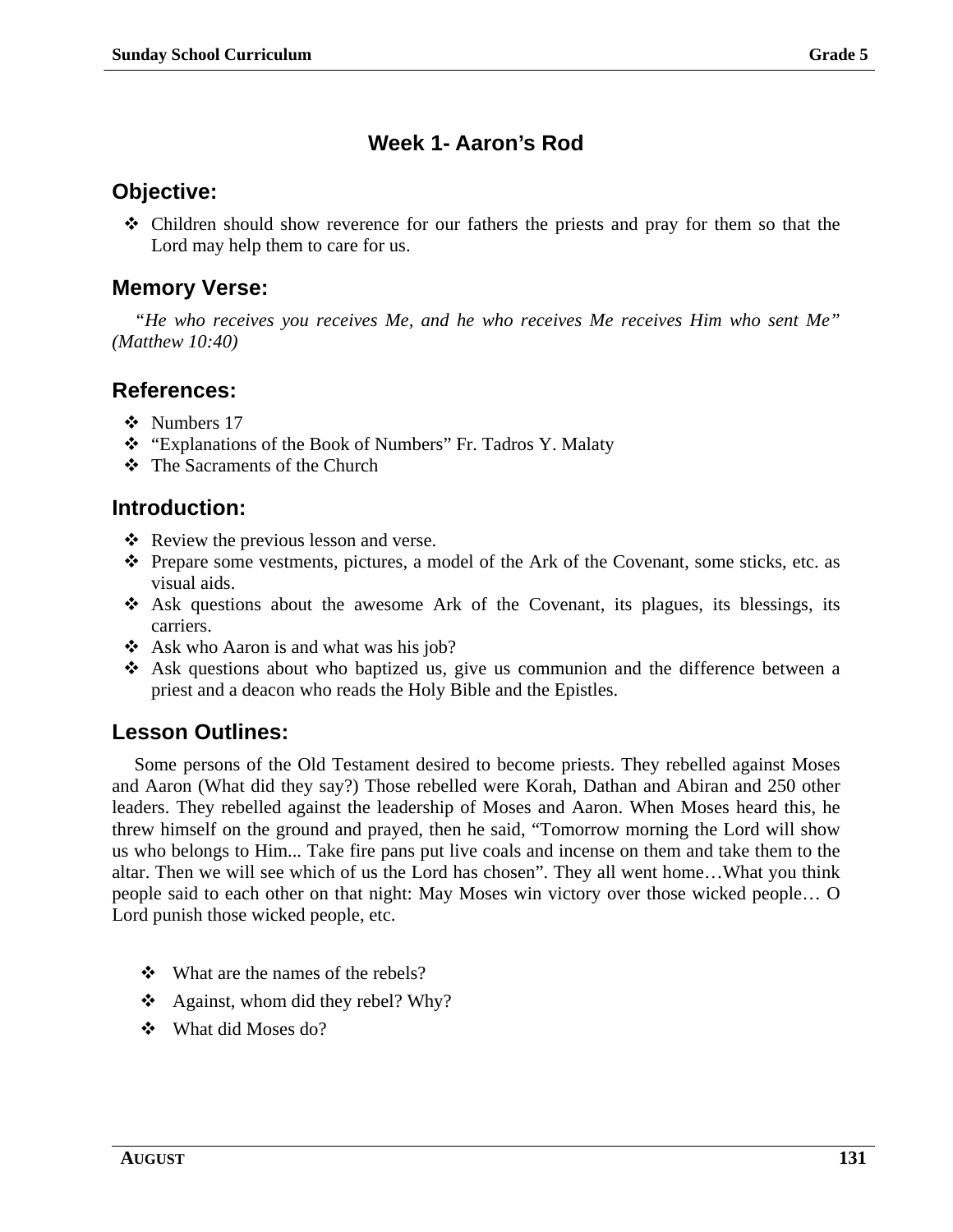## **Week 1- Aaron's Rod**

#### **Objective:**

Children should show reverence for our fathers the priests and pray for them so that the Lord may help them to care for us.

#### **Memory Verse:**

*"He who receives you receives Me, and he who receives Me receives Him who sent Me" (Matthew 10:40)*

#### **References:**

- Numbers 17
- "Explanations of the Book of Numbers" Fr. Tadros Y. Malaty
- The Sacraments of the Church

#### **Introduction:**

- ❖ Review the previous lesson and verse.
- Prepare some vestments, pictures, a model of the Ark of the Covenant, some sticks, etc. as visual aids.
- Ask questions about the awesome Ark of the Covenant, its plagues, its blessings, its carriers.
- ❖ Ask who Aaron is and what was his job?
- Ask questions about who baptized us, give us communion and the difference between a priest and a deacon who reads the Holy Bible and the Epistles.

## **Lesson Outlines:**

Some persons of the Old Testament desired to become priests. They rebelled against Moses and Aaron (What did they say?) Those rebelled were Korah, Dathan and Abiran and 250 other leaders. They rebelled against the leadership of Moses and Aaron. When Moses heard this, he threw himself on the ground and prayed, then he said, "Tomorrow morning the Lord will show us who belongs to Him... Take fire pans put live coals and incense on them and take them to the altar. Then we will see which of us the Lord has chosen". They all went home…What you think people said to each other on that night: May Moses win victory over those wicked people… O Lord punish those wicked people, etc.

- What are the names of the rebels?
- ❖ Against, whom did they rebel? Why?
- What did Moses do?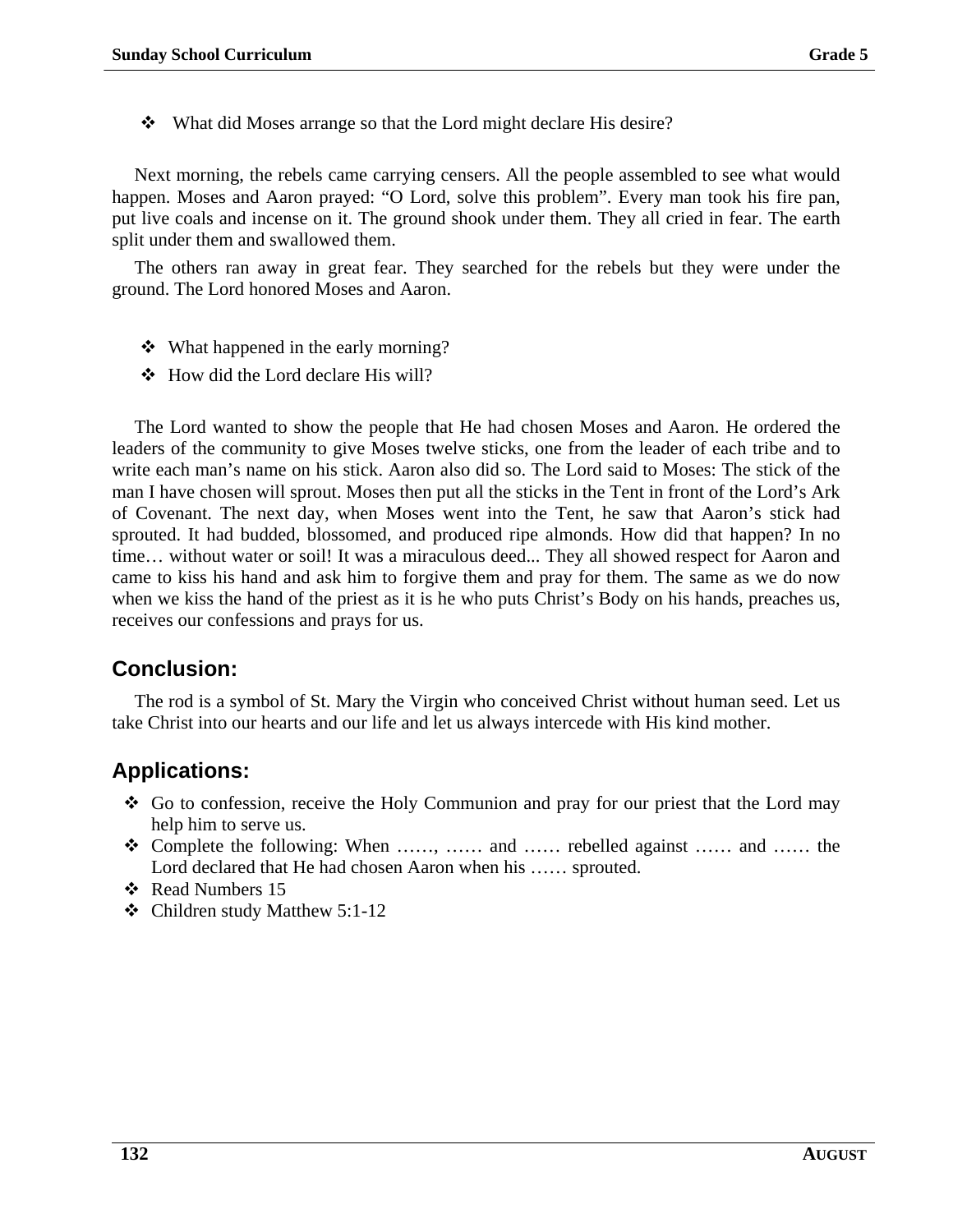What did Moses arrange so that the Lord might declare His desire?

Next morning, the rebels came carrying censers. All the people assembled to see what would happen. Moses and Aaron prayed: "O Lord, solve this problem". Every man took his fire pan, put live coals and incense on it. The ground shook under them. They all cried in fear. The earth split under them and swallowed them.

The others ran away in great fear. They searched for the rebels but they were under the ground. The Lord honored Moses and Aaron.

- ❖ What happened in the early morning?
- How did the Lord declare His will?

The Lord wanted to show the people that He had chosen Moses and Aaron. He ordered the leaders of the community to give Moses twelve sticks, one from the leader of each tribe and to write each man's name on his stick. Aaron also did so. The Lord said to Moses: The stick of the man I have chosen will sprout. Moses then put all the sticks in the Tent in front of the Lord's Ark of Covenant. The next day, when Moses went into the Tent, he saw that Aaron's stick had sprouted. It had budded, blossomed, and produced ripe almonds. How did that happen? In no time… without water or soil! It was a miraculous deed... They all showed respect for Aaron and came to kiss his hand and ask him to forgive them and pray for them. The same as we do now when we kiss the hand of the priest as it is he who puts Christ's Body on his hands, preaches us, receives our confessions and prays for us.

#### **Conclusion:**

The rod is a symbol of St. Mary the Virgin who conceived Christ without human seed. Let us take Christ into our hearts and our life and let us always intercede with His kind mother.

- Go to confession, receive the Holy Communion and pray for our priest that the Lord may help him to serve us.
- Complete the following: When ……, …… and …… rebelled against …… and …… the Lord declared that He had chosen Aaron when his …… sprouted.
- Read Numbers 15
- Children study Matthew 5:1-12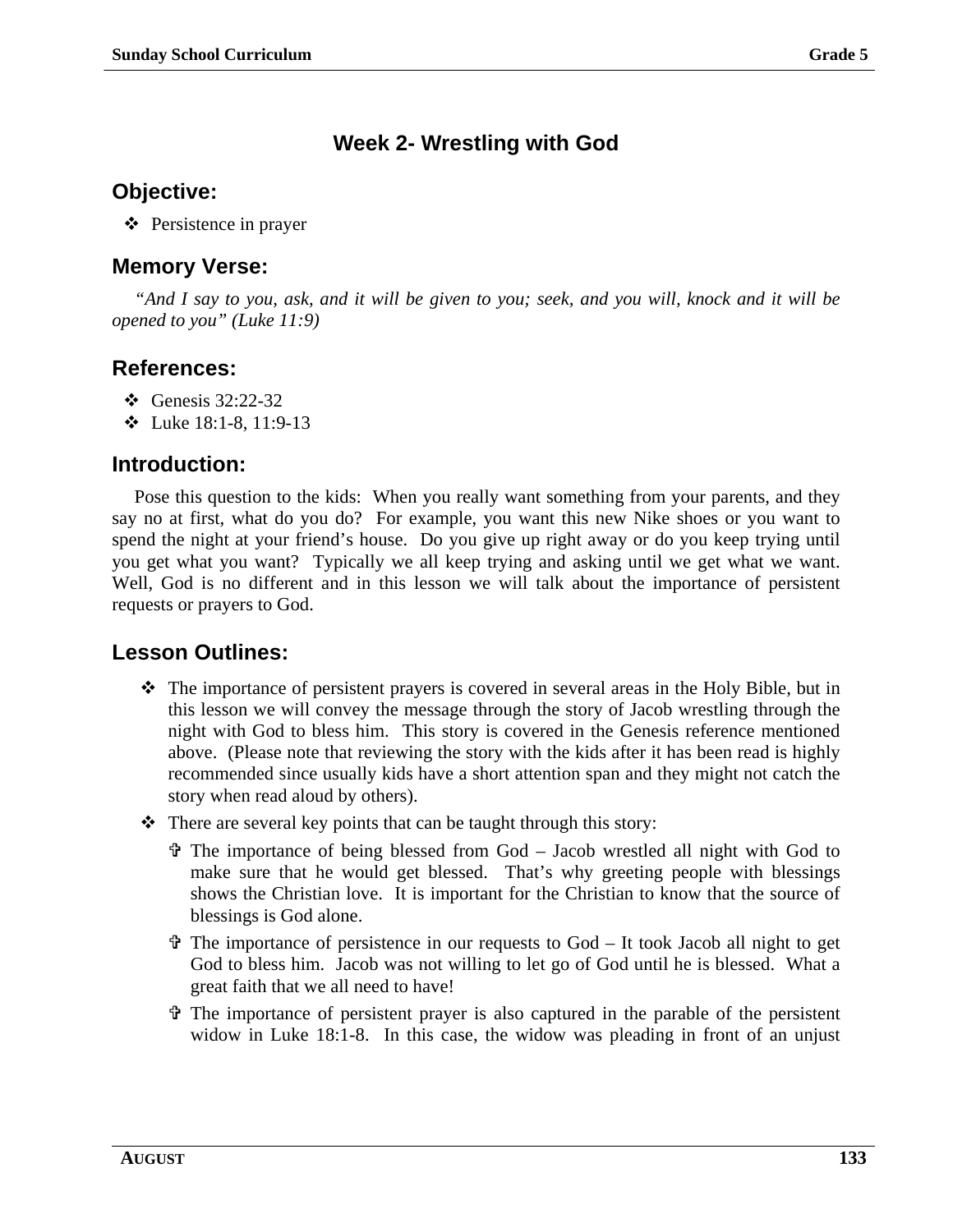## **Week 2- Wrestling with God**

#### **Objective:**

Persistence in prayer

#### **Memory Verse:**

*"And I say to you, ask, and it will be given to you; seek, and you will, knock and it will be opened to you" (Luke 11:9)*

#### **References:**

- $\div$  Genesis 32:22-32
- Luke 18:1-8, 11:9-13

#### **Introduction:**

Pose this question to the kids: When you really want something from your parents, and they say no at first, what do you do? For example, you want this new Nike shoes or you want to spend the night at your friend's house. Do you give up right away or do you keep trying until you get what you want? Typically we all keep trying and asking until we get what we want. Well, God is no different and in this lesson we will talk about the importance of persistent requests or prayers to God.

### **Lesson Outlines:**

- The importance of persistent prayers is covered in several areas in the Holy Bible, but in this lesson we will convey the message through the story of Jacob wrestling through the night with God to bless him. This story is covered in the Genesis reference mentioned above. (Please note that reviewing the story with the kids after it has been read is highly recommended since usually kids have a short attention span and they might not catch the story when read aloud by others).
- $\triangle$  There are several key points that can be taught through this story:
	- $\hat{\mathbf{\tau}}$  The importance of being blessed from God Jacob wrestled all night with God to make sure that he would get blessed. That's why greeting people with blessings shows the Christian love. It is important for the Christian to know that the source of blessings is God alone.
	- $\ddot{\mathbf{r}}$  The importance of persistence in our requests to God It took Jacob all night to get God to bless him. Jacob was not willing to let go of God until he is blessed. What a great faith that we all need to have!
	- $\ddot{\mathbf{r}}$  The importance of persistent prayer is also captured in the parable of the persistent widow in Luke 18:1-8. In this case, the widow was pleading in front of an unjust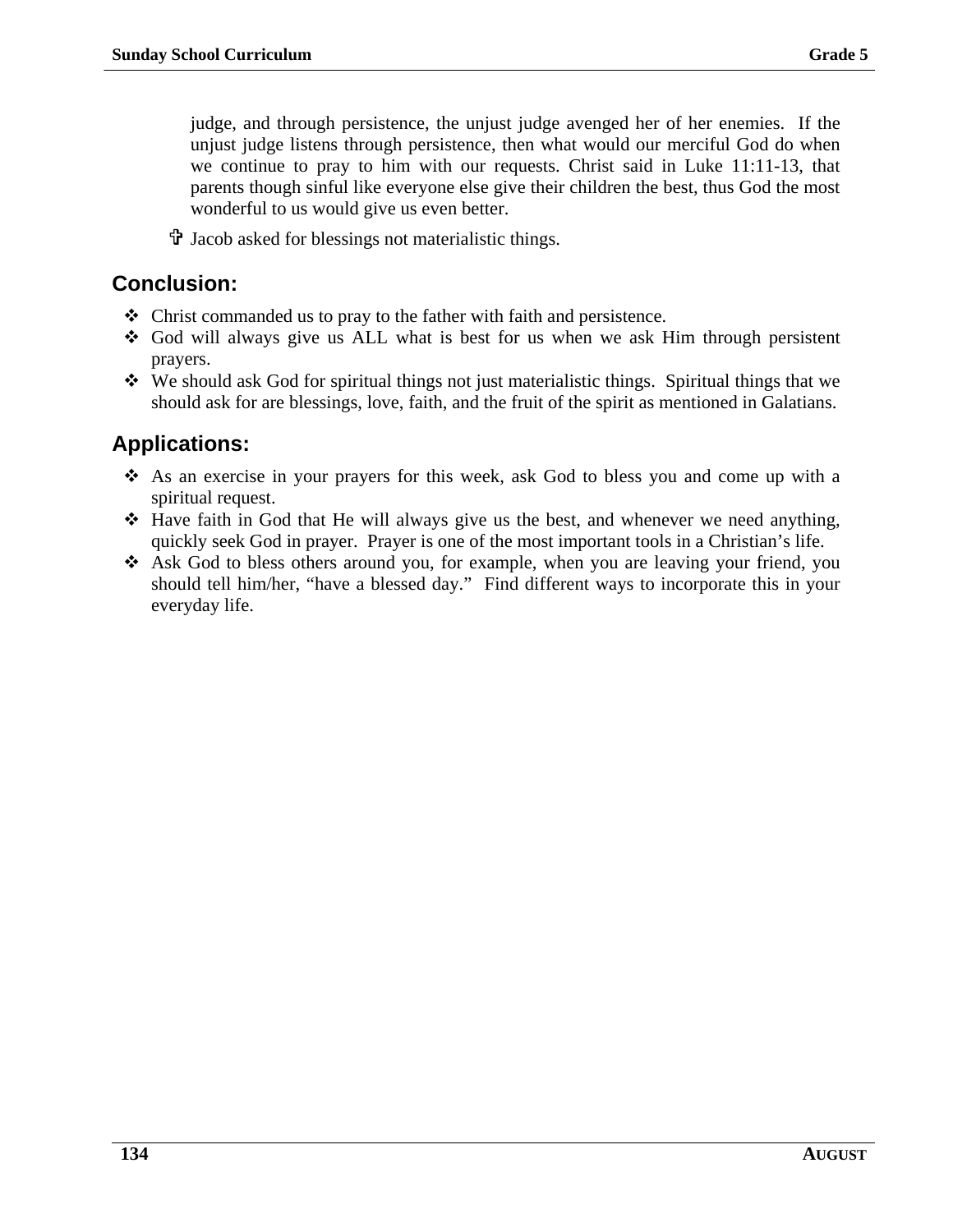judge, and through persistence, the unjust judge avenged her of her enemies. If the unjust judge listens through persistence, then what would our merciful God do when we continue to pray to him with our requests. Christ said in Luke 11:11-13, that parents though sinful like everyone else give their children the best, thus God the most wonderful to us would give us even better.

= Jacob asked for blessings not materialistic things.

### **Conclusion:**

- Christ commanded us to pray to the father with faith and persistence.
- God will always give us ALL what is best for us when we ask Him through persistent prayers.
- We should ask God for spiritual things not just materialistic things. Spiritual things that we should ask for are blessings, love, faith, and the fruit of the spirit as mentioned in Galatians.

# **Applications:**

- As an exercise in your prayers for this week, ask God to bless you and come up with a spiritual request.
- Have faith in God that He will always give us the best, and whenever we need anything, quickly seek God in prayer. Prayer is one of the most important tools in a Christian's life.
- Ask God to bless others around you, for example, when you are leaving your friend, you should tell him/her, "have a blessed day." Find different ways to incorporate this in your everyday life.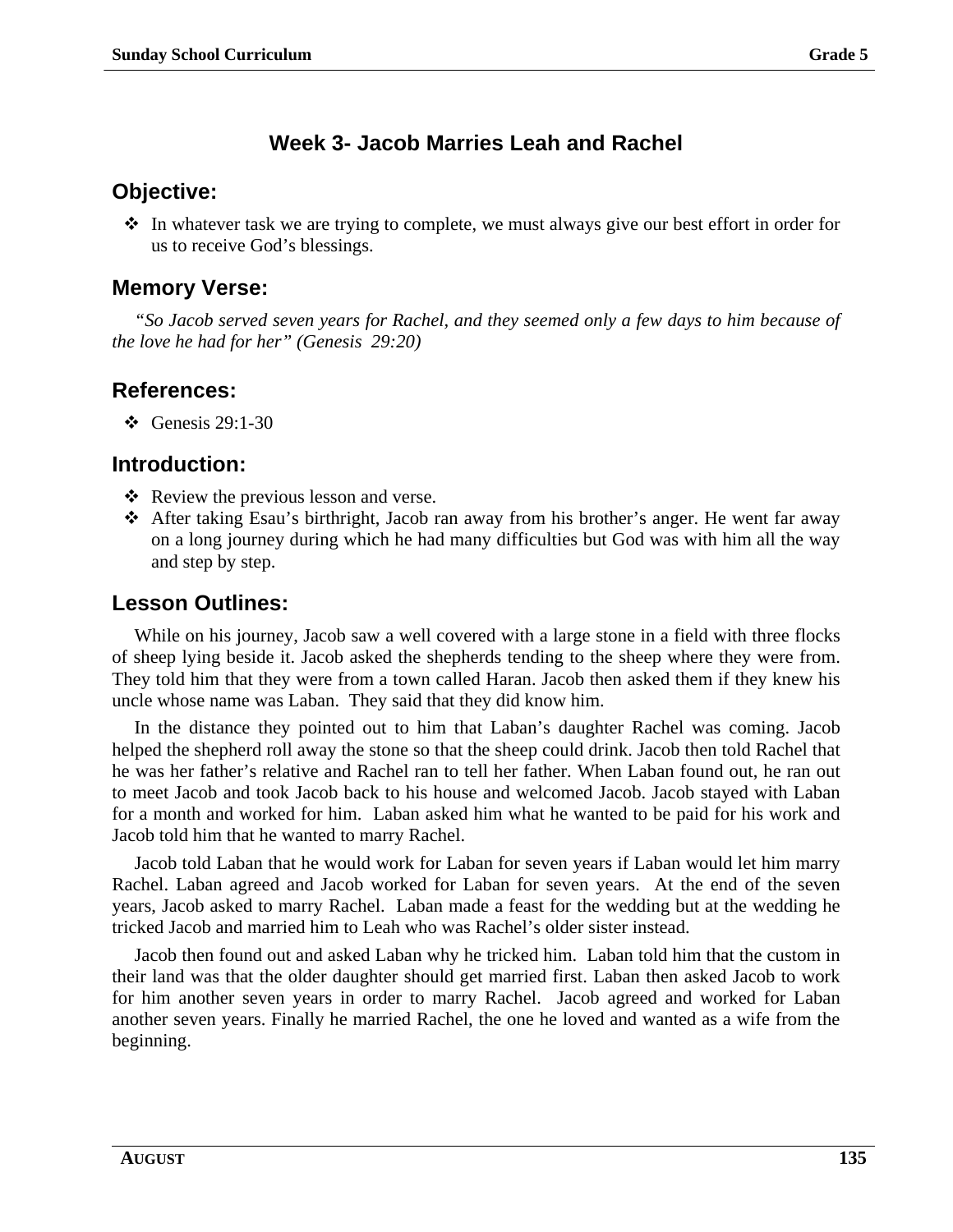## **Week 3- Jacob Marries Leah and Rachel**

### **Objective:**

In whatever task we are trying to complete, we must always give our best effort in order for us to receive God's blessings.

### **Memory Verse:**

*"So Jacob served seven years for Rachel, and they seemed only a few days to him because of the love he had for her" (Genesis 29:20)*

### **References:**

 $\div$  Genesis 29:1-30

### **Introduction:**

- ❖ Review the previous lesson and verse.
- After taking Esau's birthright, Jacob ran away from his brother's anger. He went far away on a long journey during which he had many difficulties but God was with him all the way and step by step.

## **Lesson Outlines:**

While on his journey, Jacob saw a well covered with a large stone in a field with three flocks of sheep lying beside it. Jacob asked the shepherds tending to the sheep where they were from. They told him that they were from a town called Haran. Jacob then asked them if they knew his uncle whose name was Laban. They said that they did know him.

In the distance they pointed out to him that Laban's daughter Rachel was coming. Jacob helped the shepherd roll away the stone so that the sheep could drink. Jacob then told Rachel that he was her father's relative and Rachel ran to tell her father. When Laban found out, he ran out to meet Jacob and took Jacob back to his house and welcomed Jacob. Jacob stayed with Laban for a month and worked for him. Laban asked him what he wanted to be paid for his work and Jacob told him that he wanted to marry Rachel.

Jacob told Laban that he would work for Laban for seven years if Laban would let him marry Rachel. Laban agreed and Jacob worked for Laban for seven years. At the end of the seven years, Jacob asked to marry Rachel. Laban made a feast for the wedding but at the wedding he tricked Jacob and married him to Leah who was Rachel's older sister instead.

Jacob then found out and asked Laban why he tricked him. Laban told him that the custom in their land was that the older daughter should get married first. Laban then asked Jacob to work for him another seven years in order to marry Rachel. Jacob agreed and worked for Laban another seven years. Finally he married Rachel, the one he loved and wanted as a wife from the beginning.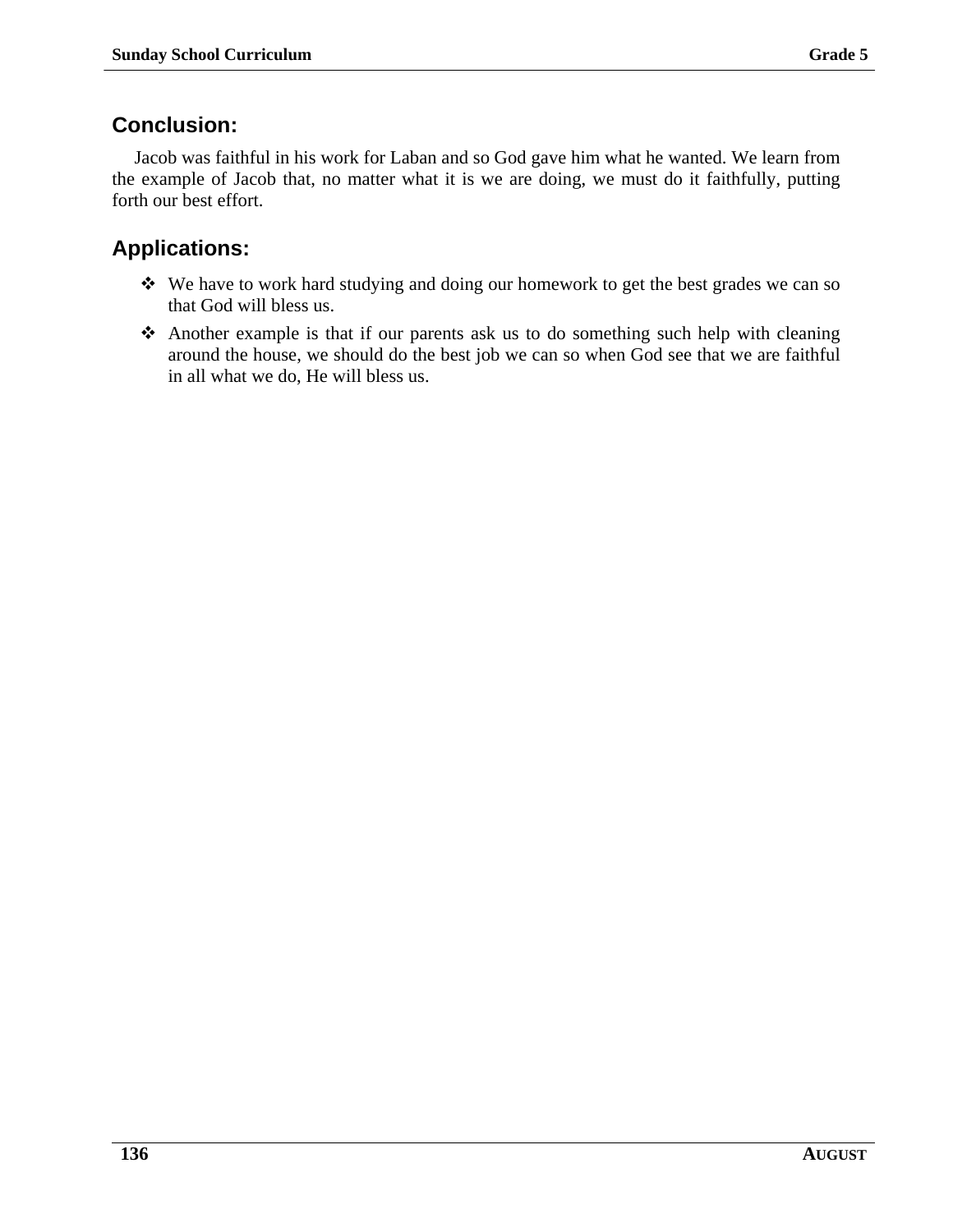### **Conclusion:**

Jacob was faithful in his work for Laban and so God gave him what he wanted. We learn from the example of Jacob that, no matter what it is we are doing, we must do it faithfully, putting forth our best effort.

# **Applications:**

- We have to work hard studying and doing our homework to get the best grades we can so that God will bless us.
- Another example is that if our parents ask us to do something such help with cleaning around the house, we should do the best job we can so when God see that we are faithful in all what we do, He will bless us.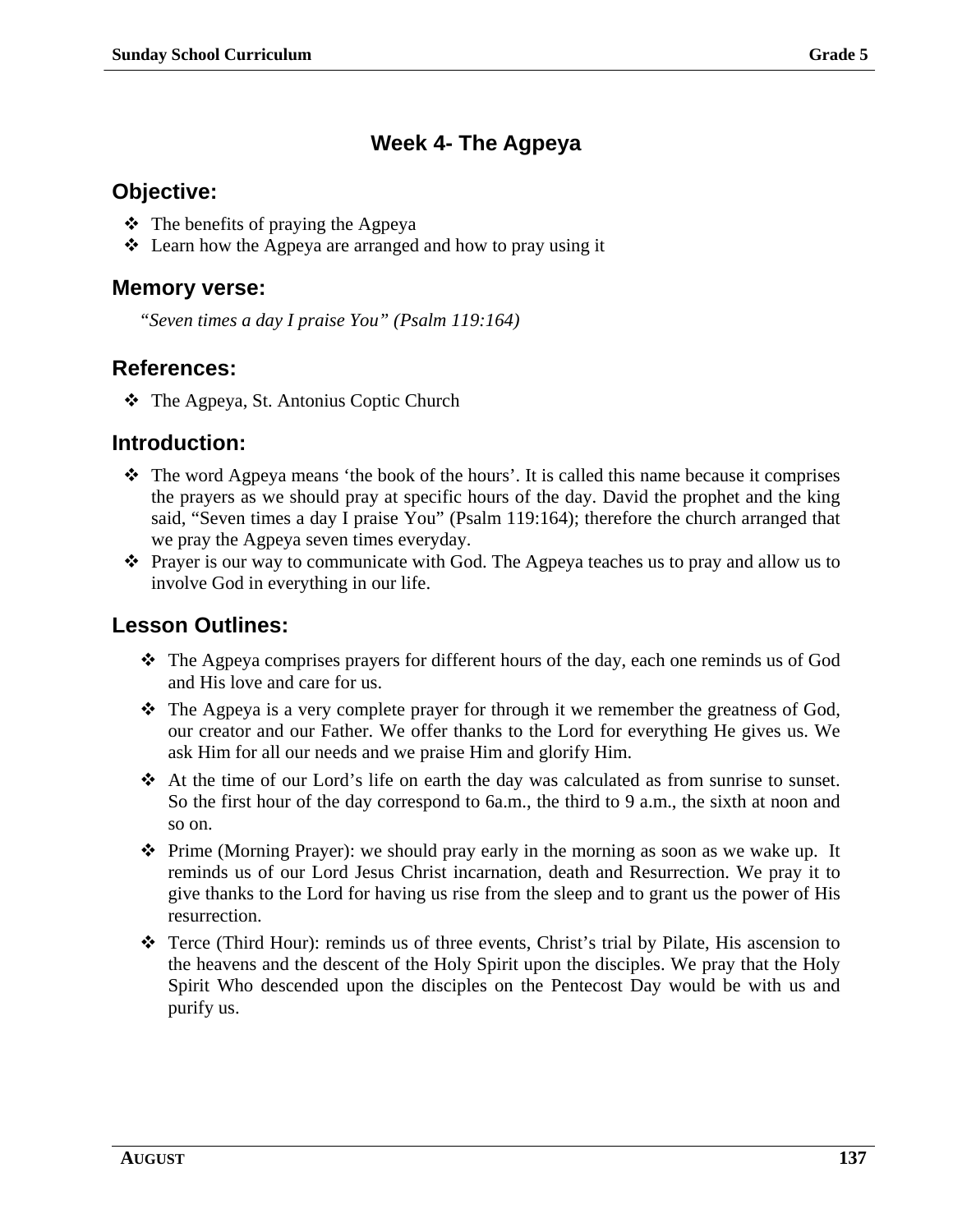### **Week 4- The Agpeya**

#### **Objective:**

- $\triangleleft$  The benefits of praying the Agpeya
- Learn how the Agpeya are arranged and how to pray using it

#### **Memory verse:**

 *"Seven times a day I praise You" (Psalm 119:164)* 

### **References:**

The Agpeya, St. Antonius Coptic Church

## **Introduction:**

- The word Agpeya means 'the book of the hours'. It is called this name because it comprises the prayers as we should pray at specific hours of the day. David the prophet and the king said, "Seven times a day I praise You" (Psalm 119:164); therefore the church arranged that we pray the Agpeya seven times everyday.
- \* Prayer is our way to communicate with God. The Agpeya teaches us to pray and allow us to involve God in everything in our life.

## **Lesson Outlines:**

- The Agpeya comprises prayers for different hours of the day, each one reminds us of God and His love and care for us.
- The Agpeya is a very complete prayer for through it we remember the greatness of God, our creator and our Father. We offer thanks to the Lord for everything He gives us. We ask Him for all our needs and we praise Him and glorify Him.
- At the time of our Lord's life on earth the day was calculated as from sunrise to sunset. So the first hour of the day correspond to 6a.m., the third to 9 a.m., the sixth at noon and so on.
- $\triangle$  Prime (Morning Prayer): we should pray early in the morning as soon as we wake up. It reminds us of our Lord Jesus Christ incarnation, death and Resurrection. We pray it to give thanks to the Lord for having us rise from the sleep and to grant us the power of His resurrection.
- Terce (Third Hour): reminds us of three events, Christ's trial by Pilate, His ascension to the heavens and the descent of the Holy Spirit upon the disciples. We pray that the Holy Spirit Who descended upon the disciples on the Pentecost Day would be with us and purify us.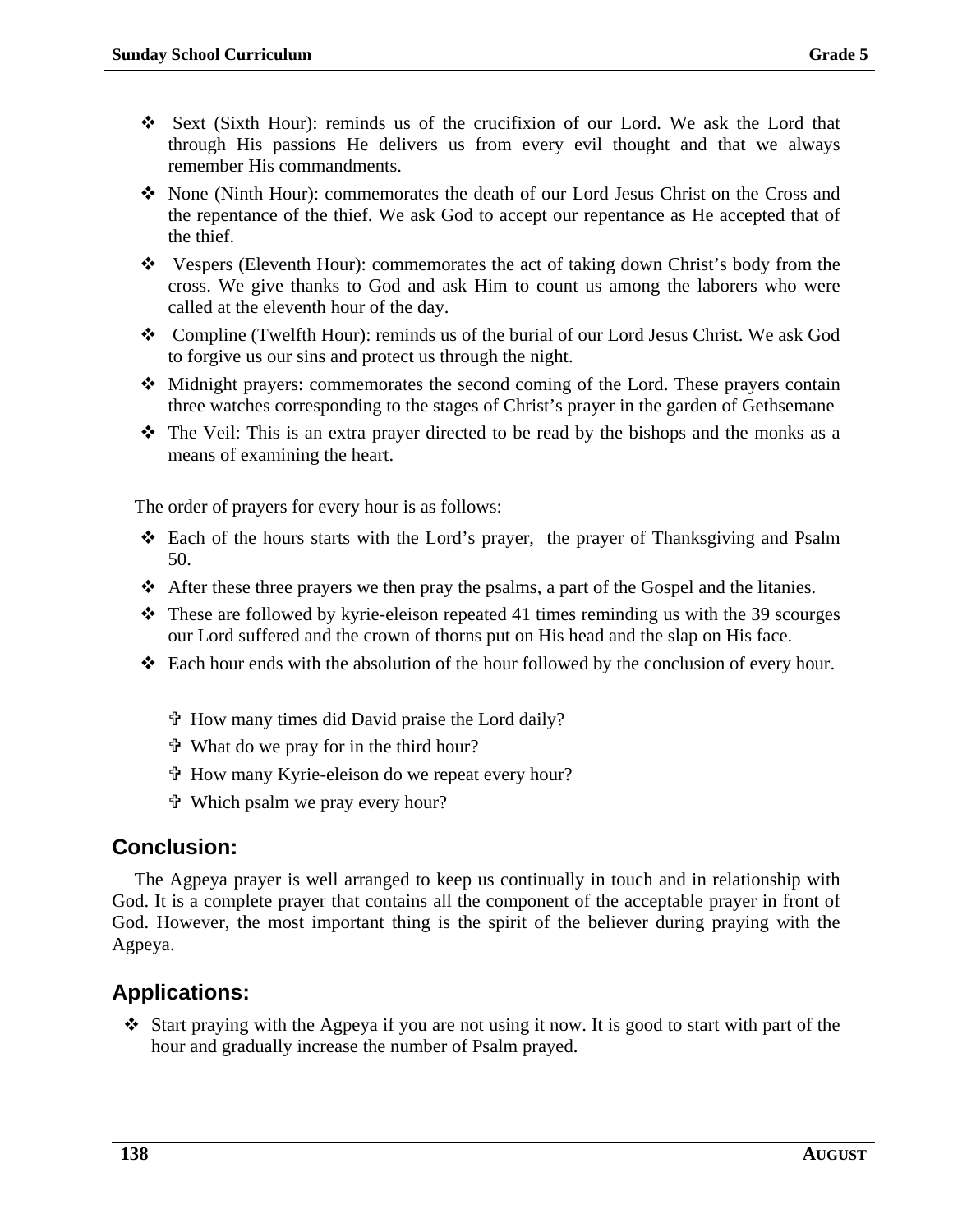- Sext (Sixth Hour): reminds us of the crucifixion of our Lord. We ask the Lord that through His passions He delivers us from every evil thought and that we always remember His commandments.
- None (Ninth Hour): commemorates the death of our Lord Jesus Christ on the Cross and the repentance of the thief. We ask God to accept our repentance as He accepted that of the thief.
- Vespers (Eleventh Hour): commemorates the act of taking down Christ's body from the cross. We give thanks to God and ask Him to count us among the laborers who were called at the eleventh hour of the day.
- Compline (Twelfth Hour): reminds us of the burial of our Lord Jesus Christ. We ask God to forgive us our sins and protect us through the night.
- Midnight prayers: commemorates the second coming of the Lord. These prayers contain three watches corresponding to the stages of Christ's prayer in the garden of Gethsemane
- The Veil: This is an extra prayer directed to be read by the bishops and the monks as a means of examining the heart.

The order of prayers for every hour is as follows:

- Each of the hours starts with the Lord's prayer, the prayer of Thanksgiving and Psalm 50.
- After these three prayers we then pray the psalms, a part of the Gospel and the litanies.
- $\cdot$  These are followed by kyrie-eleison repeated 41 times reminding us with the 39 scourges our Lord suffered and the crown of thorns put on His head and the slap on His face.
- Each hour ends with the absolution of the hour followed by the conclusion of every hour.
	- $\ddot{\mathbf{r}}$  How many times did David praise the Lord daily?
	- = What do we pray for in the third hour?
	- = How many Kyrie-eleison do we repeat every hour?
	- = Which psalm we pray every hour?

### **Conclusion:**

The Agpeya prayer is well arranged to keep us continually in touch and in relationship with God. It is a complete prayer that contains all the component of the acceptable prayer in front of God. However, the most important thing is the spirit of the believer during praying with the Agpeya.

## **Applications:**

Start praying with the Agpeya if you are not using it now. It is good to start with part of the hour and gradually increase the number of Psalm prayed.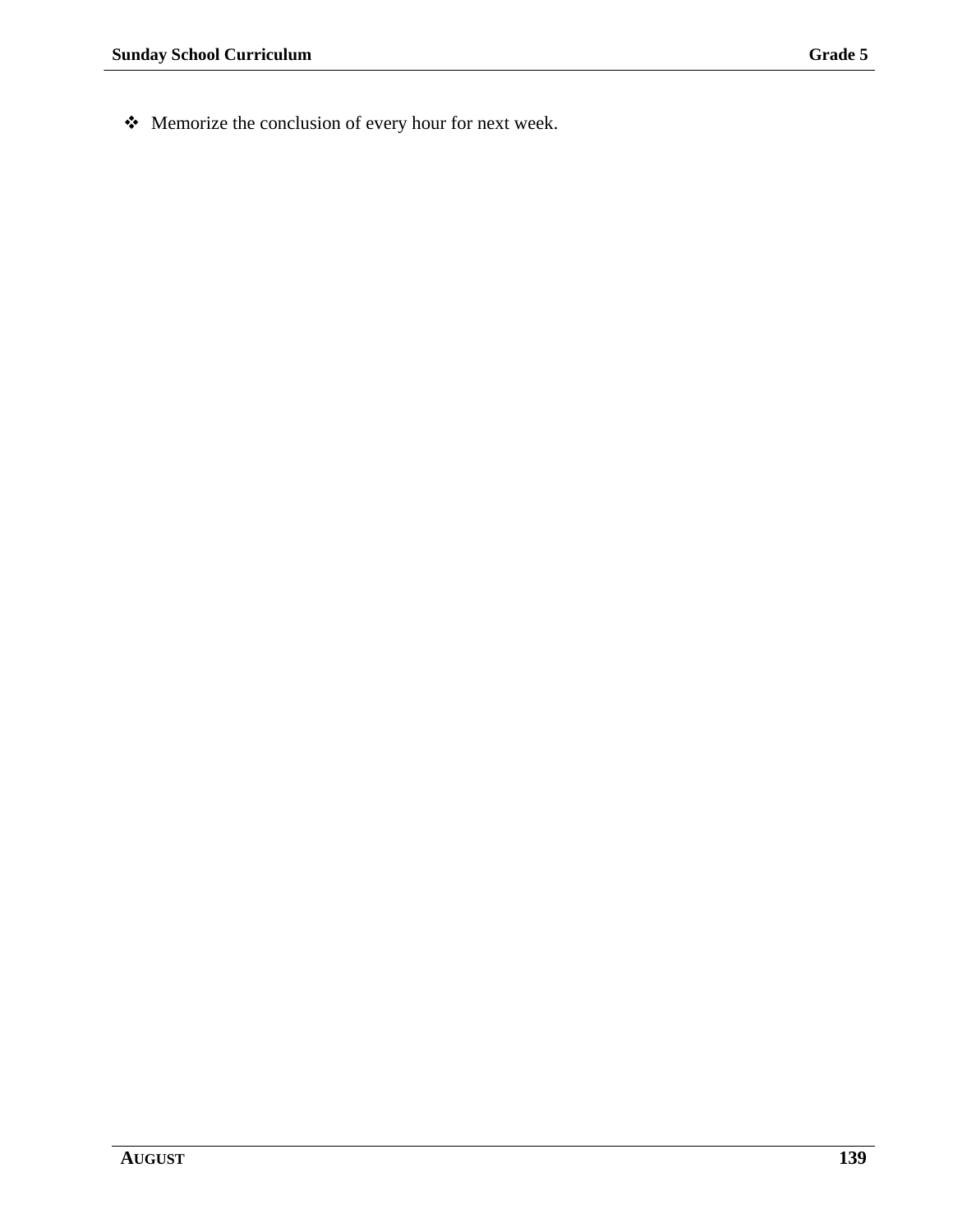Memorize the conclusion of every hour for next week.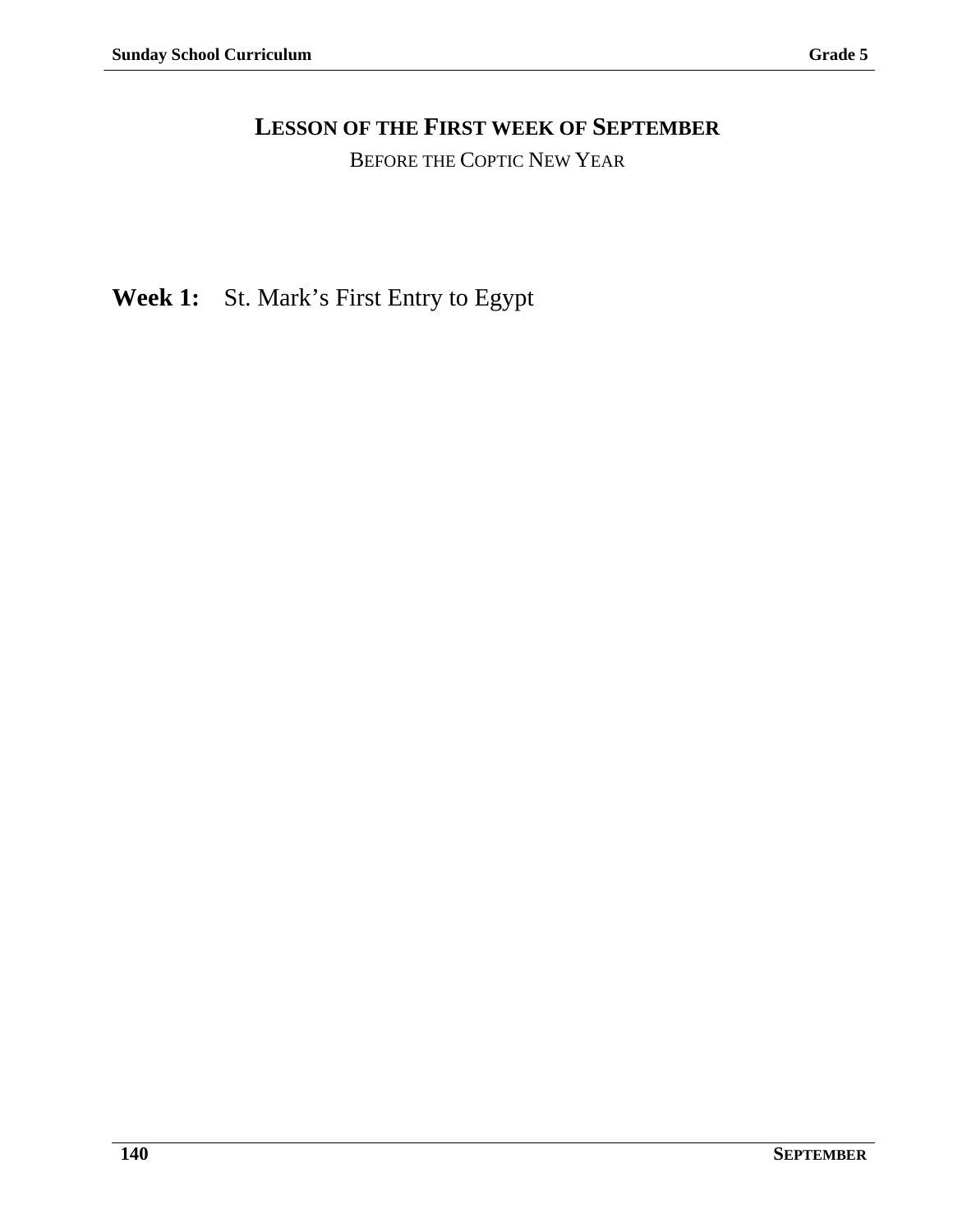# **LESSON OF THE FIRST WEEK OF SEPTEMBER**

BEFORE THE COPTIC NEW YEAR

**Week 1:** St. Mark's First Entry to Egypt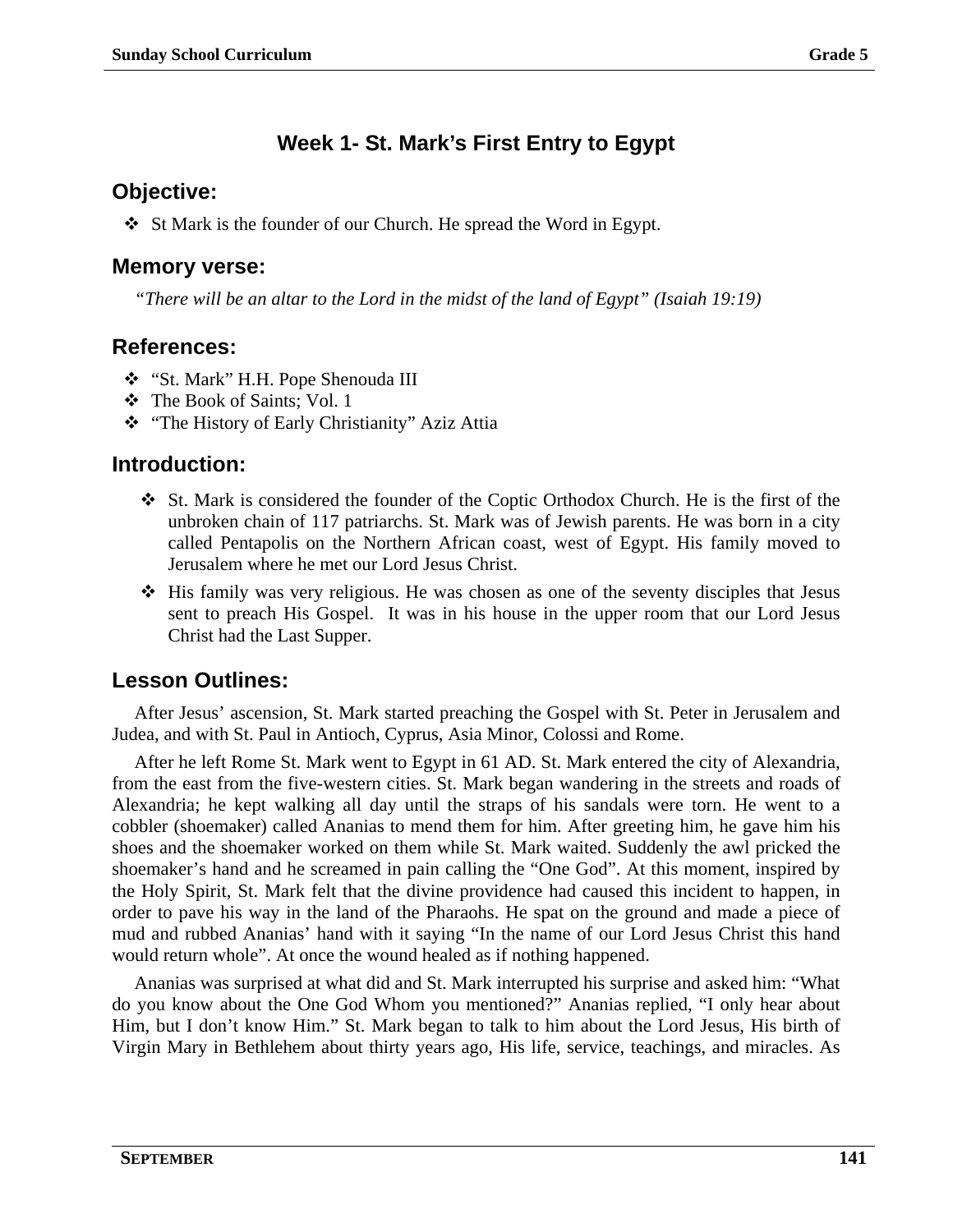# **Week 1- St. Mark's First Entry to Egypt**

#### **Objective:**

St Mark is the founder of our Church. He spread the Word in Egypt.

#### **Memory verse:**

*"There will be an altar to the Lord in the midst of the land of Egypt" (Isaiah 19:19)* 

### **References:**

- "St. Mark" H.H. Pope Shenouda III
- The Book of Saints; Vol. 1
- \* "The History of Early Christianity" Aziz Attia

#### **Introduction:**

- $\div$  St. Mark is considered the founder of the Coptic Orthodox Church. He is the first of the unbroken chain of 117 patriarchs. St. Mark was of Jewish parents. He was born in a city called Pentapolis on the Northern African coast, west of Egypt. His family moved to Jerusalem where he met our Lord Jesus Christ.
- $\div$  His family was very religious. He was chosen as one of the seventy disciples that Jesus sent to preach His Gospel. It was in his house in the upper room that our Lord Jesus Christ had the Last Supper.

### **Lesson Outlines:**

After Jesus' ascension, St. Mark started preaching the Gospel with St. Peter in Jerusalem and Judea, and with St. Paul in Antioch, Cyprus, Asia Minor, Colossi and Rome.

After he left Rome St. Mark went to Egypt in 61 AD. St. Mark entered the city of Alexandria, from the east from the five-western cities. St. Mark began wandering in the streets and roads of Alexandria; he kept walking all day until the straps of his sandals were torn. He went to a cobbler (shoemaker) called Ananias to mend them for him. After greeting him, he gave him his shoes and the shoemaker worked on them while St. Mark waited. Suddenly the awl pricked the shoemaker's hand and he screamed in pain calling the "One God". At this moment, inspired by the Holy Spirit, St. Mark felt that the divine providence had caused this incident to happen, in order to pave his way in the land of the Pharaohs. He spat on the ground and made a piece of mud and rubbed Ananias' hand with it saying "In the name of our Lord Jesus Christ this hand would return whole". At once the wound healed as if nothing happened.

Ananias was surprised at what did and St. Mark interrupted his surprise and asked him: "What do you know about the One God Whom you mentioned?" Ananias replied, "I only hear about Him, but I don't know Him." St. Mark began to talk to him about the Lord Jesus, His birth of Virgin Mary in Bethlehem about thirty years ago, His life, service, teachings, and miracles. As